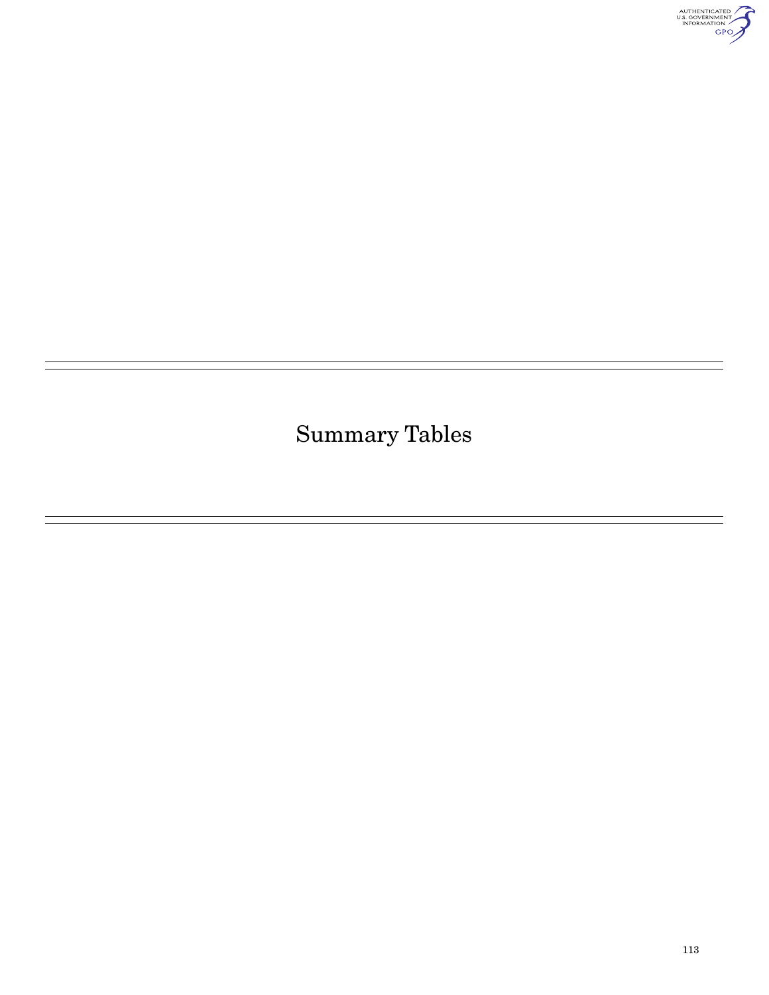

Summary Tables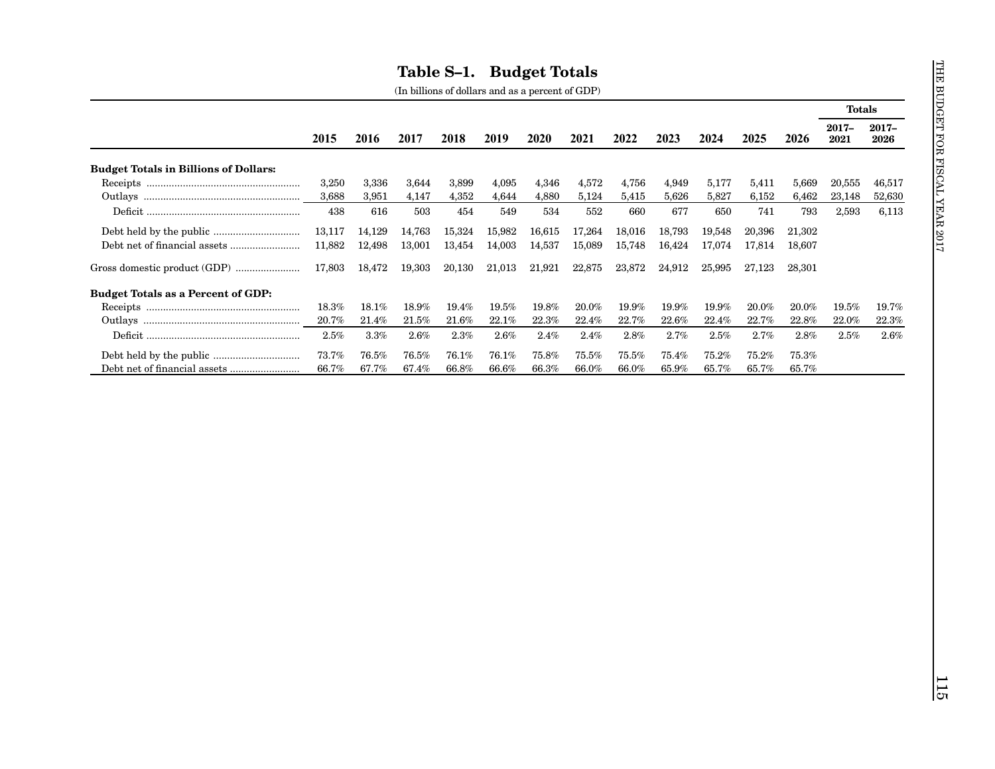|                                              |          |        |          |                      |          |          |         |          |          |          |          |        | <b>Totals</b> |                  |
|----------------------------------------------|----------|--------|----------|----------------------|----------|----------|---------|----------|----------|----------|----------|--------|---------------|------------------|
|                                              | 2015     | 2016   | 2017     | 2018                 | 2019     | 2020     | 2021    | 2022     | 2023     | 2024     | 2025     | 2026   | 2017-<br>2021 | $2017 -$<br>2026 |
| <b>Budget Totals in Billions of Dollars:</b> |          |        |          |                      |          |          |         |          |          |          |          |        |               |                  |
|                                              | 3,250    | 3,336  | 3,644    | 3,899                | 4,095    | 4,346    | 4,572   | 4,756    | 4,949    | 5,177    | 5,411    | 5,669  | 20,555        | 46,517           |
|                                              | 3,688    | 3,951  | 4,147    | 4,352                | 4,644    | 4,880    | 5,124   | 5,415    | 5,626    | 5,827    | 6,152    | 6,462  | 23,148        | 52,630           |
|                                              | 438      | 616    | 503      | 454                  | 549      | 534      | 552     | 660      | 677      | 650      | 741      | 793    | 2,593         | 6,113            |
|                                              | 13,117   | 14,129 | 14,763   | 15,324               | 15,982   | 16,615   | 17,264  | 18,016   | 18,793   | 19,548   | 20,396   | 21,302 |               |                  |
|                                              | 11,882   | 12,498 | 13,001   | 13,454               | 14,003   | 14,537   | 15,089  | 15,748   | 16,424   | 17,074   | 17,814   | 18,607 |               |                  |
|                                              | 17,803   | 18,472 | 19,303   | 20,130               | 21,013   | 21,921   | 22,875  | 23,872   | 24,912   | 25,995   | 27,123   | 28,301 |               |                  |
| <b>Budget Totals as a Percent of GDP:</b>    |          |        |          |                      |          |          |         |          |          |          |          |        |               |                  |
|                                              | 18.3%    | 18.1%  | 18.9%    | 19.4%                | 19.5%    | 19.8%    | 20.0%   | 19.9%    | 19.9%    | 19.9%    | 20.0%    | 20.0%  | 19.5%         | 19.7%            |
|                                              | 20.7%    | 21.4%  | $21.5\%$ | $2\underline{1.6\%}$ | $22.1\%$ | $22.3\%$ | 22.4%   | 22.7%    | 22.6%    | $22.4\%$ | $22.7\%$ | 22.8%  | 22.0%         | $22.3\%$         |
|                                              | 2.5%     | 3.3%   | 2.6%     | $2.3\%$              | $2.6\%$  | 2.4%     | $2.4\%$ | $2.8\%$  | 2.7%     | 2.5%     | 2.7%     | 2.8%   | $2.5\%$       | 2.6%             |
|                                              | $73.7\%$ | 76.5%  | 76.5%    | 76.1%                | 76.1%    | 75.8%    | 75.5%   | $75.5\%$ | 75.4%    | 75.2%    | 75.2%    | 75.3%  |               |                  |
|                                              | 66.7%    | 67.7%  | 67.4%    | 66.8%                | 66.6%    | $66.3\%$ | 66.0%   | 66.0%    | $65.9\%$ | 65.7%    | 65.7%    | 65.7%  |               |                  |
|                                              |          |        |          |                      |          |          |         |          |          |          |          |        |               |                  |
|                                              |          |        |          |                      |          |          |         |          |          |          |          |        |               |                  |
|                                              |          |        |          |                      |          |          |         |          |          |          |          |        |               |                  |
|                                              |          |        |          |                      |          |          |         |          |          |          |          |        |               |                  |
|                                              |          |        |          |                      |          |          |         |          |          |          |          |        |               |                  |
|                                              |          |        |          |                      |          |          |         |          |          |          |          |        |               |                  |
|                                              |          |        |          |                      |          |          |         |          |          |          |          |        |               |                  |
|                                              |          |        |          |                      |          |          |         |          |          |          |          |        |               |                  |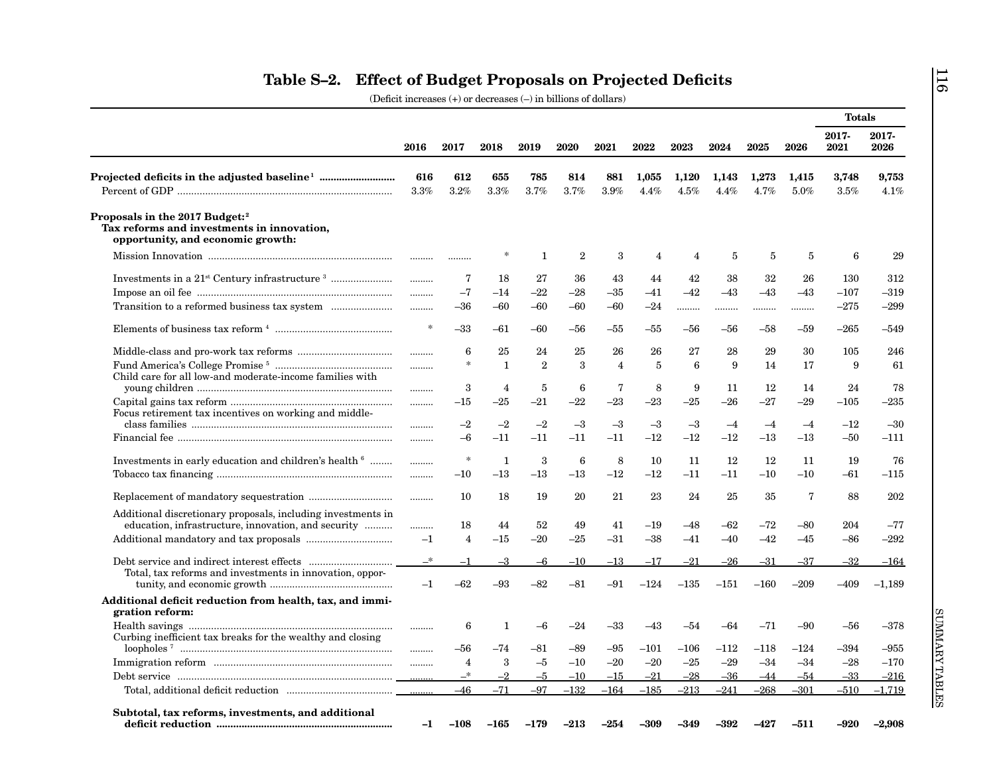|                                                                                                                                                                                                                                                                                                                                                                                                       |                |                |                |                |                 |                |               |               |               |               |               | <b>Totals</b> |               |
|-------------------------------------------------------------------------------------------------------------------------------------------------------------------------------------------------------------------------------------------------------------------------------------------------------------------------------------------------------------------------------------------------------|----------------|----------------|----------------|----------------|-----------------|----------------|---------------|---------------|---------------|---------------|---------------|---------------|---------------|
|                                                                                                                                                                                                                                                                                                                                                                                                       | 2016           | 2017           | 2018           | 2019           | 2020            | 2021           | 2022          | 2023          | 2024          | 2025          | 2026          | 2017-<br>2021 | 2017-<br>2026 |
|                                                                                                                                                                                                                                                                                                                                                                                                       | 616<br>$3.3\%$ | 612<br>3.2%    | 655<br>$3.3\%$ | 785<br>3.7%    | 814<br>3.7%     | 881<br>$3.9\%$ | 1,055<br>4.4% | 1,120<br>4.5% | 1,143<br>4.4% | 1,273<br>4.7% | 1,415<br>5.0% | 3,748<br>3.5% | 9,753<br>4.1% |
| Proposals in the 2017 Budget: <sup>2</sup><br>Tax reforms and investments in innovation,<br>opportunity, and economic growth:                                                                                                                                                                                                                                                                         |                |                |                |                |                 |                |               |               |               |               |               |               |               |
|                                                                                                                                                                                                                                                                                                                                                                                                       |                |                |                | -1             | 2               | 3              | 4             | 4             | 5             | 5             | 5             | 6             | 29            |
|                                                                                                                                                                                                                                                                                                                                                                                                       |                | 7              | 18             | 27             | 36              | 43             | 44            | 42            | 38            | 32            | 26            | 130           | 312           |
|                                                                                                                                                                                                                                                                                                                                                                                                       | .              | $-7$           | $-14$          | $-22$          | $-28$           | $-35\,$        | $-41$         | $-42$         | $-43$         | $-43$         | $-43$         | $-107$        | $-319$        |
|                                                                                                                                                                                                                                                                                                                                                                                                       | .              | $-36$          | $-60$          | $-60$          | $-60$           | $-60$          | -24           |               |               |               |               | $-275$        | $-299$        |
|                                                                                                                                                                                                                                                                                                                                                                                                       | $\ast$         | $-33$          | -61            | –60            | -56             | -55            | -55           | -56           | –56           | -58           | -59           | $-265$        | $-549$        |
|                                                                                                                                                                                                                                                                                                                                                                                                       |                | 6              | 25             | 24             | 25              | 26             | 26            | 27            | 28            | 29            | 30            | 105           | 246           |
| Child care for all low-and moderate-income families with                                                                                                                                                                                                                                                                                                                                              | .              | $\ast$         | 1              | $\overline{2}$ | 3               | $\overline{4}$ | 5             | 6             | 9             | 14            | 17            | 9             | 61            |
|                                                                                                                                                                                                                                                                                                                                                                                                       |                | 3              | 4              | 5              | 6               | 7              | 8             | 9             | 11            | 12            | 14            | 24            | 78            |
| Focus retirement tax incentives on working and middle-                                                                                                                                                                                                                                                                                                                                                |                | $-15$          | -25            | $-21$          | $-22$           | $-23$          | $-23$         | $-25$         | $-26$         | $-27$         | $-29$         | $-105$        | $-235$        |
|                                                                                                                                                                                                                                                                                                                                                                                                       |                | $-2$           | $-2$           | $-2$           | $-3$            | $-3$           | $-3$          | $-3$          | $-4$          | $-4$          | $-4$          | $-12$         | $-30$         |
|                                                                                                                                                                                                                                                                                                                                                                                                       |                | $-6$           | -11            | $-11$          | $-11$           | $-11$          | $-12$         | $-12$         | $-12$         | $-13$         | $-13$         | $-50$         | $-111$        |
| Investments in early education and children's health <sup>6</sup>                                                                                                                                                                                                                                                                                                                                     |                | $\ast$         | $\mathbf{1}$   | 3              | $6\phantom{1}6$ | 8              | 10            | 11            | 12            | 12            | 11            | 19            | 76            |
|                                                                                                                                                                                                                                                                                                                                                                                                       |                | $-10$          | $-13$          | $^{-13}$       | $-13$           | $-12$          | $-12$         | $-11$         | $-11$         | $-10$         | $-10$         | $-61$         | $-115$        |
|                                                                                                                                                                                                                                                                                                                                                                                                       |                | 10             | 18             | 19             | 20              | 21             | 23            | 24            | 25            | 35            | 7             | 88            | 202           |
| Additional discretionary proposals, including investments in<br>education, infrastructure, innovation, and security                                                                                                                                                                                                                                                                                   |                | 18             | 44             | 52             | 49              | 41             | –19           | -48           | -62           | –72           | –80           | 204           | $-77$         |
|                                                                                                                                                                                                                                                                                                                                                                                                       | .<br>$-1$      | $\overline{4}$ | $-15$          | $-20$          | $-25$           | $-31$          | $-38$         | $-41$         | $-40$         | $-42$         | $-45$         | $-86$         | $-292$        |
|                                                                                                                                                                                                                                                                                                                                                                                                       | $-^*$          | $-1$           | $-3$           | $-6$           | $-10$           | $^{-13}$       | $-17$         | $-21$         | $-26$         | $-31$         | $-37$         | $-32$         | $-164$        |
| Total, tax reforms and investments in innovation, oppor-                                                                                                                                                                                                                                                                                                                                              | $-1$           | $-62$          | -93            | $-82$          | $-81$           | -91            | $-124$        | $-135$        | $-151$        | $-160$        | $-209$        | $-409$        | $-1,189$      |
| Additional deficit reduction from health, tax, and immi-<br>gration reform:                                                                                                                                                                                                                                                                                                                           |                |                |                |                |                 |                |               |               |               |               |               |               |               |
| $\label{thm:main} \textbf{Health savings} \quad \rule{2.0mm}{2.0mm} \ldots \rule{2.0mm}{2.0mm} \ldots \rule{2.0mm}{2.0mm} \ldots \rule{2.0mm}{2.0mm} \ldots \rule{2.0mm}{2.0mm} \ldots \rule{2.0mm}{2.0mm} \ldots \rule{2.0mm}{2.0mm} \ldots \rule{2.0mm}{2.0mm} \ldots \rule{2.0mm}{2.0mm} \ldots \rule{2.0mm}{2.0mm} \ldots \rule{2.0mm}{2.0mm} \ldots \rule{2.0mm}{2.0mm} \ldots \rule{2.0mm}{2.0$ |                | 6              | 1              |                |                 | –33            | –43           | $-54$         | -64           | -71           | $-90$         | $-56$         | $-378$        |
| Curbing inefficient tax breaks for the wealthy and closing                                                                                                                                                                                                                                                                                                                                            |                | -56            | $-74$          | -81            | $-89$           | -95            | $-101$        | $-106$        | $-112$        | $-118$        | $-124$        | $-394$        | $-955$        |
|                                                                                                                                                                                                                                                                                                                                                                                                       |                | 4              | 3              | $-5$           | $-10$           | $-20$          | $-20$         | $-25$         | $-29$         | $-34$         | $-34$         | $-28$         | $-170$        |
|                                                                                                                                                                                                                                                                                                                                                                                                       |                | $-^*$          | $-2$           | $-5$           | $-10$           | $-15$          | $^{-21}$      | $-28$         | $-36$         | $-44$         | $-54$         | $-33$         | $-216$        |
|                                                                                                                                                                                                                                                                                                                                                                                                       |                | $-46$          | $-71$          | $-97$          | $-132$          | $-164$         | $-185$        | $-213$        | $-241$        | $-268$        | $-301$        | $-510$        | $-1,719$      |
| Subtotal, tax reforms, investments, and additional                                                                                                                                                                                                                                                                                                                                                    | $-1$           | $-108$         | -165           | -179           | $-213$          | -254           | $-309$        | -349          | -392          | -427          | $-511$        | $-920$        | $-2,908$      |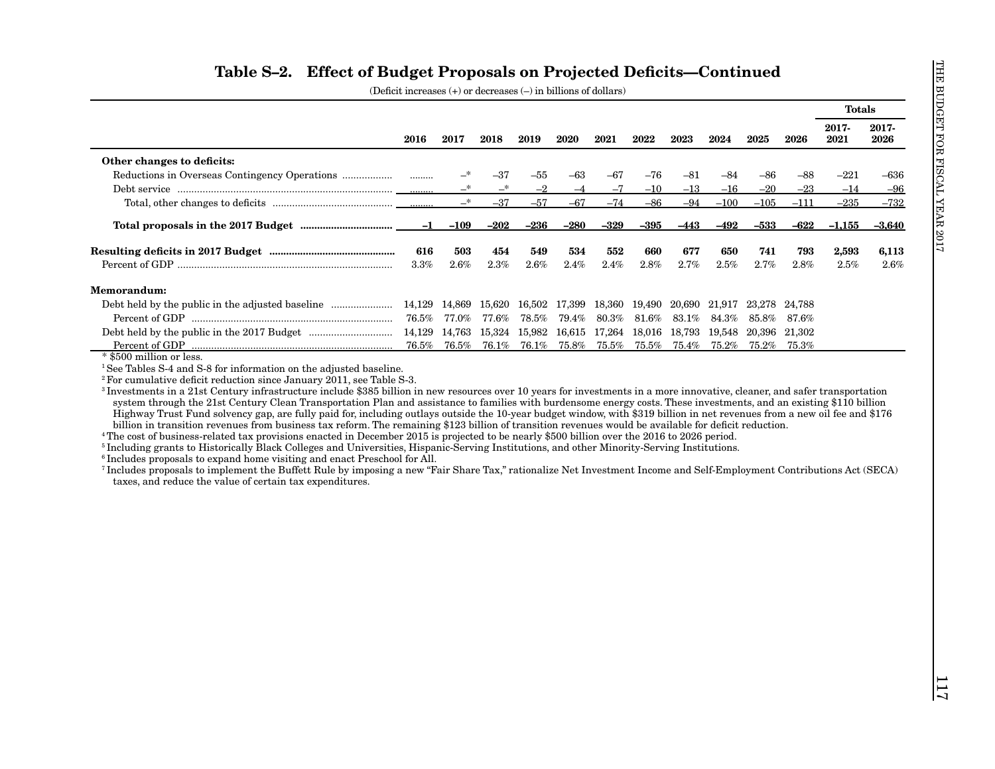| 2017-<br>2017-<br>2023<br>2021<br>2026<br>2016<br>2017<br>2018<br>2019<br>2020<br>2021<br>2022<br>2024<br>2025<br>2026<br>Other changes to deficits:<br>$-63$<br>—*<br>-37<br>$-55$<br>-67<br>$-76$<br>$-81$<br>$-84$<br>-86<br>$-88$<br>$-221$<br>.<br>$\overline{\phantom{0}}^*$<br>—*<br>$-2$<br>$-7$<br>$-13$<br>$-16$<br>$-20$<br>$-23$<br>$-14$<br>$-10$<br>$-4$<br>$\overline{\phantom{a}}^*$<br>$-37$<br>$-67$<br>$-74$<br>$-94$<br>$-100$<br>$-57$<br>$-86$<br>$-105$<br>$-111$<br>$-235$<br>$-236$<br>$-280$<br>$-329$<br>$-395$<br>$-492$<br>$-533$<br>$-622$<br>$-1$<br>-109<br>$-202$<br>-443<br>$-1,155$<br>503<br>534<br>677<br>793<br>616<br>454<br>549<br>552<br>660<br>650<br>741<br>2,593<br>$2.6\%$<br>$2.3\%$<br>$2.6\%$<br>$2.4\%$<br>$2.8\%$<br>$2.7\%$<br>$2.5\%$<br>$2.7\%$<br>$2.5\%$<br>3.3%<br>2.4%<br>2.8%<br>Memorandum:<br>15,620<br>16,502 17,399<br>18,360 19,490<br>20,690 21,917 23,278 24,788<br>$76.5\%$<br>$77.0\%$<br>77.6%<br>78.5%<br>$79.4\%$<br>80.3%<br>81.6%<br>$83.1\%$<br>84.3%<br>85.8%<br>$87.6\%$<br>14,129 14,763 15,324 15,982 16,615 17,264 18,016 18,793 19,548 20,396 21,302<br>76.5%<br>76.5%<br>76.1%<br>76.1%<br>75.8%<br>$75.5\%$<br>Percent of GDP<br>75.5%<br>$75.4\%$<br>$75.2\%$<br>75.2%<br>75.3%<br>* \$500 million or less.<br><sup>1</sup> See Tables S-4 and S-8 for information on the adjusted baseline.<br><sup>2</sup> For cumulative deficit reduction since January 2011, see Table S-3.<br><sup>3</sup> Investments in a 21st Century infrastructure include \$385 billion in new resources over 10 years for investments in a more innovative, cleaner, and safer transportation<br>system through the 21st Century Clean Transportation Plan and assistance to families with burdensome energy costs. These investments, and an existing \$110 billion<br>Highway Trust Fund solvency gap, are fully paid for, including outlays outside the 10-year budget window, with \$319 billion in net revenues from a new oil fee and \$176<br>billion in transition revenues from business tax reform. The remaining \$123 billion of transition revenues would be available for deficit reduction.<br><sup>4</sup> The cost of business-related tax provisions enacted in December 2015 is projected to be nearly \$500 billion over the 2016 to 2026 period.<br><sup>5</sup> Including grants to Historically Black Colleges and Universities, Hispanic-Serving Institutions, and other Minority-Serving Institutions.<br><sup>6</sup> Includes proposals to expand home visiting and enact Preschool for All. | $-636$<br>$-96$<br>$-732$<br>-3,640<br>6,113<br>2.6%<br><sup>7</sup> Includes proposals to implement the Buffett Rule by imposing a new "Fair Share Tax," rationalize Net Investment Income and Self-Employment Contributions Act (SECA)<br>taxes, and reduce the value of certain tax expenditures. |  |  |  |  |  |  | <b>Totals</b> |  |
|----------------------------------------------------------------------------------------------------------------------------------------------------------------------------------------------------------------------------------------------------------------------------------------------------------------------------------------------------------------------------------------------------------------------------------------------------------------------------------------------------------------------------------------------------------------------------------------------------------------------------------------------------------------------------------------------------------------------------------------------------------------------------------------------------------------------------------------------------------------------------------------------------------------------------------------------------------------------------------------------------------------------------------------------------------------------------------------------------------------------------------------------------------------------------------------------------------------------------------------------------------------------------------------------------------------------------------------------------------------------------------------------------------------------------------------------------------------------------------------------------------------------------------------------------------------------------------------------------------------------------------------------------------------------------------------------------------------------------------------------------------------------------------------------------------------------------------------------------------------------------------------------------------------------------------------------------------------------------------------------------------------------------------------------------------------------------------------------------------------------------------------------------------------------------------------------------------------------------------------------------------------------------------------------------------------------------------------------------------------------------------------------------------------------------------------------------------------------------------------------------------------------------------------------------------------------------------------|------------------------------------------------------------------------------------------------------------------------------------------------------------------------------------------------------------------------------------------------------------------------------------------------------|--|--|--|--|--|--|---------------|--|
|                                                                                                                                                                                                                                                                                                                                                                                                                                                                                                                                                                                                                                                                                                                                                                                                                                                                                                                                                                                                                                                                                                                                                                                                                                                                                                                                                                                                                                                                                                                                                                                                                                                                                                                                                                                                                                                                                                                                                                                                                                                                                                                                                                                                                                                                                                                                                                                                                                                                                                                                                                                        |                                                                                                                                                                                                                                                                                                      |  |  |  |  |  |  |               |  |
|                                                                                                                                                                                                                                                                                                                                                                                                                                                                                                                                                                                                                                                                                                                                                                                                                                                                                                                                                                                                                                                                                                                                                                                                                                                                                                                                                                                                                                                                                                                                                                                                                                                                                                                                                                                                                                                                                                                                                                                                                                                                                                                                                                                                                                                                                                                                                                                                                                                                                                                                                                                        |                                                                                                                                                                                                                                                                                                      |  |  |  |  |  |  |               |  |
|                                                                                                                                                                                                                                                                                                                                                                                                                                                                                                                                                                                                                                                                                                                                                                                                                                                                                                                                                                                                                                                                                                                                                                                                                                                                                                                                                                                                                                                                                                                                                                                                                                                                                                                                                                                                                                                                                                                                                                                                                                                                                                                                                                                                                                                                                                                                                                                                                                                                                                                                                                                        |                                                                                                                                                                                                                                                                                                      |  |  |  |  |  |  |               |  |
|                                                                                                                                                                                                                                                                                                                                                                                                                                                                                                                                                                                                                                                                                                                                                                                                                                                                                                                                                                                                                                                                                                                                                                                                                                                                                                                                                                                                                                                                                                                                                                                                                                                                                                                                                                                                                                                                                                                                                                                                                                                                                                                                                                                                                                                                                                                                                                                                                                                                                                                                                                                        |                                                                                                                                                                                                                                                                                                      |  |  |  |  |  |  |               |  |
|                                                                                                                                                                                                                                                                                                                                                                                                                                                                                                                                                                                                                                                                                                                                                                                                                                                                                                                                                                                                                                                                                                                                                                                                                                                                                                                                                                                                                                                                                                                                                                                                                                                                                                                                                                                                                                                                                                                                                                                                                                                                                                                                                                                                                                                                                                                                                                                                                                                                                                                                                                                        |                                                                                                                                                                                                                                                                                                      |  |  |  |  |  |  |               |  |
|                                                                                                                                                                                                                                                                                                                                                                                                                                                                                                                                                                                                                                                                                                                                                                                                                                                                                                                                                                                                                                                                                                                                                                                                                                                                                                                                                                                                                                                                                                                                                                                                                                                                                                                                                                                                                                                                                                                                                                                                                                                                                                                                                                                                                                                                                                                                                                                                                                                                                                                                                                                        |                                                                                                                                                                                                                                                                                                      |  |  |  |  |  |  |               |  |
|                                                                                                                                                                                                                                                                                                                                                                                                                                                                                                                                                                                                                                                                                                                                                                                                                                                                                                                                                                                                                                                                                                                                                                                                                                                                                                                                                                                                                                                                                                                                                                                                                                                                                                                                                                                                                                                                                                                                                                                                                                                                                                                                                                                                                                                                                                                                                                                                                                                                                                                                                                                        |                                                                                                                                                                                                                                                                                                      |  |  |  |  |  |  |               |  |
|                                                                                                                                                                                                                                                                                                                                                                                                                                                                                                                                                                                                                                                                                                                                                                                                                                                                                                                                                                                                                                                                                                                                                                                                                                                                                                                                                                                                                                                                                                                                                                                                                                                                                                                                                                                                                                                                                                                                                                                                                                                                                                                                                                                                                                                                                                                                                                                                                                                                                                                                                                                        |                                                                                                                                                                                                                                                                                                      |  |  |  |  |  |  |               |  |
|                                                                                                                                                                                                                                                                                                                                                                                                                                                                                                                                                                                                                                                                                                                                                                                                                                                                                                                                                                                                                                                                                                                                                                                                                                                                                                                                                                                                                                                                                                                                                                                                                                                                                                                                                                                                                                                                                                                                                                                                                                                                                                                                                                                                                                                                                                                                                                                                                                                                                                                                                                                        |                                                                                                                                                                                                                                                                                                      |  |  |  |  |  |  |               |  |
|                                                                                                                                                                                                                                                                                                                                                                                                                                                                                                                                                                                                                                                                                                                                                                                                                                                                                                                                                                                                                                                                                                                                                                                                                                                                                                                                                                                                                                                                                                                                                                                                                                                                                                                                                                                                                                                                                                                                                                                                                                                                                                                                                                                                                                                                                                                                                                                                                                                                                                                                                                                        |                                                                                                                                                                                                                                                                                                      |  |  |  |  |  |  |               |  |
|                                                                                                                                                                                                                                                                                                                                                                                                                                                                                                                                                                                                                                                                                                                                                                                                                                                                                                                                                                                                                                                                                                                                                                                                                                                                                                                                                                                                                                                                                                                                                                                                                                                                                                                                                                                                                                                                                                                                                                                                                                                                                                                                                                                                                                                                                                                                                                                                                                                                                                                                                                                        |                                                                                                                                                                                                                                                                                                      |  |  |  |  |  |  |               |  |
|                                                                                                                                                                                                                                                                                                                                                                                                                                                                                                                                                                                                                                                                                                                                                                                                                                                                                                                                                                                                                                                                                                                                                                                                                                                                                                                                                                                                                                                                                                                                                                                                                                                                                                                                                                                                                                                                                                                                                                                                                                                                                                                                                                                                                                                                                                                                                                                                                                                                                                                                                                                        |                                                                                                                                                                                                                                                                                                      |  |  |  |  |  |  |               |  |
|                                                                                                                                                                                                                                                                                                                                                                                                                                                                                                                                                                                                                                                                                                                                                                                                                                                                                                                                                                                                                                                                                                                                                                                                                                                                                                                                                                                                                                                                                                                                                                                                                                                                                                                                                                                                                                                                                                                                                                                                                                                                                                                                                                                                                                                                                                                                                                                                                                                                                                                                                                                        |                                                                                                                                                                                                                                                                                                      |  |  |  |  |  |  |               |  |
|                                                                                                                                                                                                                                                                                                                                                                                                                                                                                                                                                                                                                                                                                                                                                                                                                                                                                                                                                                                                                                                                                                                                                                                                                                                                                                                                                                                                                                                                                                                                                                                                                                                                                                                                                                                                                                                                                                                                                                                                                                                                                                                                                                                                                                                                                                                                                                                                                                                                                                                                                                                        |                                                                                                                                                                                                                                                                                                      |  |  |  |  |  |  |               |  |
|                                                                                                                                                                                                                                                                                                                                                                                                                                                                                                                                                                                                                                                                                                                                                                                                                                                                                                                                                                                                                                                                                                                                                                                                                                                                                                                                                                                                                                                                                                                                                                                                                                                                                                                                                                                                                                                                                                                                                                                                                                                                                                                                                                                                                                                                                                                                                                                                                                                                                                                                                                                        |                                                                                                                                                                                                                                                                                                      |  |  |  |  |  |  |               |  |
|                                                                                                                                                                                                                                                                                                                                                                                                                                                                                                                                                                                                                                                                                                                                                                                                                                                                                                                                                                                                                                                                                                                                                                                                                                                                                                                                                                                                                                                                                                                                                                                                                                                                                                                                                                                                                                                                                                                                                                                                                                                                                                                                                                                                                                                                                                                                                                                                                                                                                                                                                                                        |                                                                                                                                                                                                                                                                                                      |  |  |  |  |  |  |               |  |
|                                                                                                                                                                                                                                                                                                                                                                                                                                                                                                                                                                                                                                                                                                                                                                                                                                                                                                                                                                                                                                                                                                                                                                                                                                                                                                                                                                                                                                                                                                                                                                                                                                                                                                                                                                                                                                                                                                                                                                                                                                                                                                                                                                                                                                                                                                                                                                                                                                                                                                                                                                                        |                                                                                                                                                                                                                                                                                                      |  |  |  |  |  |  |               |  |
|                                                                                                                                                                                                                                                                                                                                                                                                                                                                                                                                                                                                                                                                                                                                                                                                                                                                                                                                                                                                                                                                                                                                                                                                                                                                                                                                                                                                                                                                                                                                                                                                                                                                                                                                                                                                                                                                                                                                                                                                                                                                                                                                                                                                                                                                                                                                                                                                                                                                                                                                                                                        |                                                                                                                                                                                                                                                                                                      |  |  |  |  |  |  |               |  |
|                                                                                                                                                                                                                                                                                                                                                                                                                                                                                                                                                                                                                                                                                                                                                                                                                                                                                                                                                                                                                                                                                                                                                                                                                                                                                                                                                                                                                                                                                                                                                                                                                                                                                                                                                                                                                                                                                                                                                                                                                                                                                                                                                                                                                                                                                                                                                                                                                                                                                                                                                                                        |                                                                                                                                                                                                                                                                                                      |  |  |  |  |  |  |               |  |
|                                                                                                                                                                                                                                                                                                                                                                                                                                                                                                                                                                                                                                                                                                                                                                                                                                                                                                                                                                                                                                                                                                                                                                                                                                                                                                                                                                                                                                                                                                                                                                                                                                                                                                                                                                                                                                                                                                                                                                                                                                                                                                                                                                                                                                                                                                                                                                                                                                                                                                                                                                                        |                                                                                                                                                                                                                                                                                                      |  |  |  |  |  |  |               |  |
|                                                                                                                                                                                                                                                                                                                                                                                                                                                                                                                                                                                                                                                                                                                                                                                                                                                                                                                                                                                                                                                                                                                                                                                                                                                                                                                                                                                                                                                                                                                                                                                                                                                                                                                                                                                                                                                                                                                                                                                                                                                                                                                                                                                                                                                                                                                                                                                                                                                                                                                                                                                        |                                                                                                                                                                                                                                                                                                      |  |  |  |  |  |  |               |  |
|                                                                                                                                                                                                                                                                                                                                                                                                                                                                                                                                                                                                                                                                                                                                                                                                                                                                                                                                                                                                                                                                                                                                                                                                                                                                                                                                                                                                                                                                                                                                                                                                                                                                                                                                                                                                                                                                                                                                                                                                                                                                                                                                                                                                                                                                                                                                                                                                                                                                                                                                                                                        |                                                                                                                                                                                                                                                                                                      |  |  |  |  |  |  |               |  |
|                                                                                                                                                                                                                                                                                                                                                                                                                                                                                                                                                                                                                                                                                                                                                                                                                                                                                                                                                                                                                                                                                                                                                                                                                                                                                                                                                                                                                                                                                                                                                                                                                                                                                                                                                                                                                                                                                                                                                                                                                                                                                                                                                                                                                                                                                                                                                                                                                                                                                                                                                                                        |                                                                                                                                                                                                                                                                                                      |  |  |  |  |  |  |               |  |
|                                                                                                                                                                                                                                                                                                                                                                                                                                                                                                                                                                                                                                                                                                                                                                                                                                                                                                                                                                                                                                                                                                                                                                                                                                                                                                                                                                                                                                                                                                                                                                                                                                                                                                                                                                                                                                                                                                                                                                                                                                                                                                                                                                                                                                                                                                                                                                                                                                                                                                                                                                                        |                                                                                                                                                                                                                                                                                                      |  |  |  |  |  |  |               |  |
|                                                                                                                                                                                                                                                                                                                                                                                                                                                                                                                                                                                                                                                                                                                                                                                                                                                                                                                                                                                                                                                                                                                                                                                                                                                                                                                                                                                                                                                                                                                                                                                                                                                                                                                                                                                                                                                                                                                                                                                                                                                                                                                                                                                                                                                                                                                                                                                                                                                                                                                                                                                        |                                                                                                                                                                                                                                                                                                      |  |  |  |  |  |  |               |  |
|                                                                                                                                                                                                                                                                                                                                                                                                                                                                                                                                                                                                                                                                                                                                                                                                                                                                                                                                                                                                                                                                                                                                                                                                                                                                                                                                                                                                                                                                                                                                                                                                                                                                                                                                                                                                                                                                                                                                                                                                                                                                                                                                                                                                                                                                                                                                                                                                                                                                                                                                                                                        |                                                                                                                                                                                                                                                                                                      |  |  |  |  |  |  |               |  |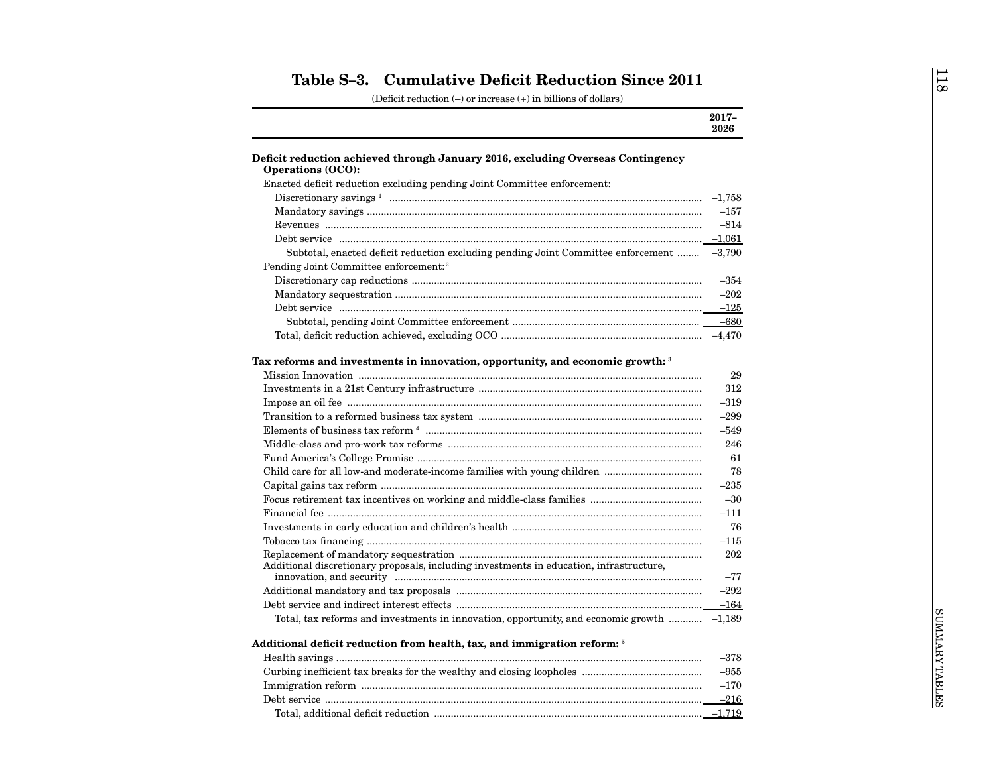| 2026<br><b>Operations (OCO):</b><br>Enacted deficit reduction excluding pending Joint Committee enforcement:<br>$-157$<br>$-814$<br>Subtotal, enacted deficit reduction excluding pending Joint Committee enforcement  -3,790<br>Pending Joint Committee enforcement: <sup>2</sup><br>$-354$<br>$-202$<br>$-125$<br>29<br>312<br>$-319$<br>$-299$<br>$-549$<br>246<br>61<br>78<br>$-235$<br>$-30$<br>$-111$<br>76<br>$-115$<br>202<br>Additional discretionary proposals, including investments in education, infrastructure,<br>$-77$<br>$-292$<br>$-164$<br>Total, tax reforms and investments in innovation, opportunity, and economic growth $\ldots$ -1,189<br>Additional deficit reduction from health, tax, and immigration reform: <sup>5</sup><br>$-378$<br>$-955$<br>$-170$ |                                                                                 | $2017 -$ |
|---------------------------------------------------------------------------------------------------------------------------------------------------------------------------------------------------------------------------------------------------------------------------------------------------------------------------------------------------------------------------------------------------------------------------------------------------------------------------------------------------------------------------------------------------------------------------------------------------------------------------------------------------------------------------------------------------------------------------------------------------------------------------------------|---------------------------------------------------------------------------------|----------|
|                                                                                                                                                                                                                                                                                                                                                                                                                                                                                                                                                                                                                                                                                                                                                                                       |                                                                                 |          |
|                                                                                                                                                                                                                                                                                                                                                                                                                                                                                                                                                                                                                                                                                                                                                                                       | Deficit reduction achieved through January 2016, excluding Overseas Contingency |          |
|                                                                                                                                                                                                                                                                                                                                                                                                                                                                                                                                                                                                                                                                                                                                                                                       |                                                                                 |          |
|                                                                                                                                                                                                                                                                                                                                                                                                                                                                                                                                                                                                                                                                                                                                                                                       |                                                                                 |          |
|                                                                                                                                                                                                                                                                                                                                                                                                                                                                                                                                                                                                                                                                                                                                                                                       |                                                                                 |          |
|                                                                                                                                                                                                                                                                                                                                                                                                                                                                                                                                                                                                                                                                                                                                                                                       |                                                                                 |          |
|                                                                                                                                                                                                                                                                                                                                                                                                                                                                                                                                                                                                                                                                                                                                                                                       |                                                                                 |          |
|                                                                                                                                                                                                                                                                                                                                                                                                                                                                                                                                                                                                                                                                                                                                                                                       |                                                                                 |          |
|                                                                                                                                                                                                                                                                                                                                                                                                                                                                                                                                                                                                                                                                                                                                                                                       |                                                                                 |          |
|                                                                                                                                                                                                                                                                                                                                                                                                                                                                                                                                                                                                                                                                                                                                                                                       |                                                                                 |          |
|                                                                                                                                                                                                                                                                                                                                                                                                                                                                                                                                                                                                                                                                                                                                                                                       |                                                                                 |          |
|                                                                                                                                                                                                                                                                                                                                                                                                                                                                                                                                                                                                                                                                                                                                                                                       |                                                                                 |          |
|                                                                                                                                                                                                                                                                                                                                                                                                                                                                                                                                                                                                                                                                                                                                                                                       |                                                                                 |          |
|                                                                                                                                                                                                                                                                                                                                                                                                                                                                                                                                                                                                                                                                                                                                                                                       |                                                                                 |          |
|                                                                                                                                                                                                                                                                                                                                                                                                                                                                                                                                                                                                                                                                                                                                                                                       | Tax reforms and investments in innovation, opportunity, and economic growth: 3  |          |
|                                                                                                                                                                                                                                                                                                                                                                                                                                                                                                                                                                                                                                                                                                                                                                                       |                                                                                 |          |
|                                                                                                                                                                                                                                                                                                                                                                                                                                                                                                                                                                                                                                                                                                                                                                                       |                                                                                 |          |
|                                                                                                                                                                                                                                                                                                                                                                                                                                                                                                                                                                                                                                                                                                                                                                                       |                                                                                 |          |
|                                                                                                                                                                                                                                                                                                                                                                                                                                                                                                                                                                                                                                                                                                                                                                                       |                                                                                 |          |
|                                                                                                                                                                                                                                                                                                                                                                                                                                                                                                                                                                                                                                                                                                                                                                                       |                                                                                 |          |
|                                                                                                                                                                                                                                                                                                                                                                                                                                                                                                                                                                                                                                                                                                                                                                                       |                                                                                 |          |
|                                                                                                                                                                                                                                                                                                                                                                                                                                                                                                                                                                                                                                                                                                                                                                                       |                                                                                 |          |
|                                                                                                                                                                                                                                                                                                                                                                                                                                                                                                                                                                                                                                                                                                                                                                                       |                                                                                 |          |
|                                                                                                                                                                                                                                                                                                                                                                                                                                                                                                                                                                                                                                                                                                                                                                                       |                                                                                 |          |
|                                                                                                                                                                                                                                                                                                                                                                                                                                                                                                                                                                                                                                                                                                                                                                                       |                                                                                 |          |
|                                                                                                                                                                                                                                                                                                                                                                                                                                                                                                                                                                                                                                                                                                                                                                                       |                                                                                 |          |
|                                                                                                                                                                                                                                                                                                                                                                                                                                                                                                                                                                                                                                                                                                                                                                                       |                                                                                 |          |
|                                                                                                                                                                                                                                                                                                                                                                                                                                                                                                                                                                                                                                                                                                                                                                                       |                                                                                 |          |
|                                                                                                                                                                                                                                                                                                                                                                                                                                                                                                                                                                                                                                                                                                                                                                                       |                                                                                 |          |
|                                                                                                                                                                                                                                                                                                                                                                                                                                                                                                                                                                                                                                                                                                                                                                                       |                                                                                 |          |
|                                                                                                                                                                                                                                                                                                                                                                                                                                                                                                                                                                                                                                                                                                                                                                                       |                                                                                 |          |
|                                                                                                                                                                                                                                                                                                                                                                                                                                                                                                                                                                                                                                                                                                                                                                                       |                                                                                 |          |
|                                                                                                                                                                                                                                                                                                                                                                                                                                                                                                                                                                                                                                                                                                                                                                                       |                                                                                 |          |
|                                                                                                                                                                                                                                                                                                                                                                                                                                                                                                                                                                                                                                                                                                                                                                                       |                                                                                 |          |
|                                                                                                                                                                                                                                                                                                                                                                                                                                                                                                                                                                                                                                                                                                                                                                                       |                                                                                 |          |
|                                                                                                                                                                                                                                                                                                                                                                                                                                                                                                                                                                                                                                                                                                                                                                                       |                                                                                 |          |
|                                                                                                                                                                                                                                                                                                                                                                                                                                                                                                                                                                                                                                                                                                                                                                                       |                                                                                 | $-216$   |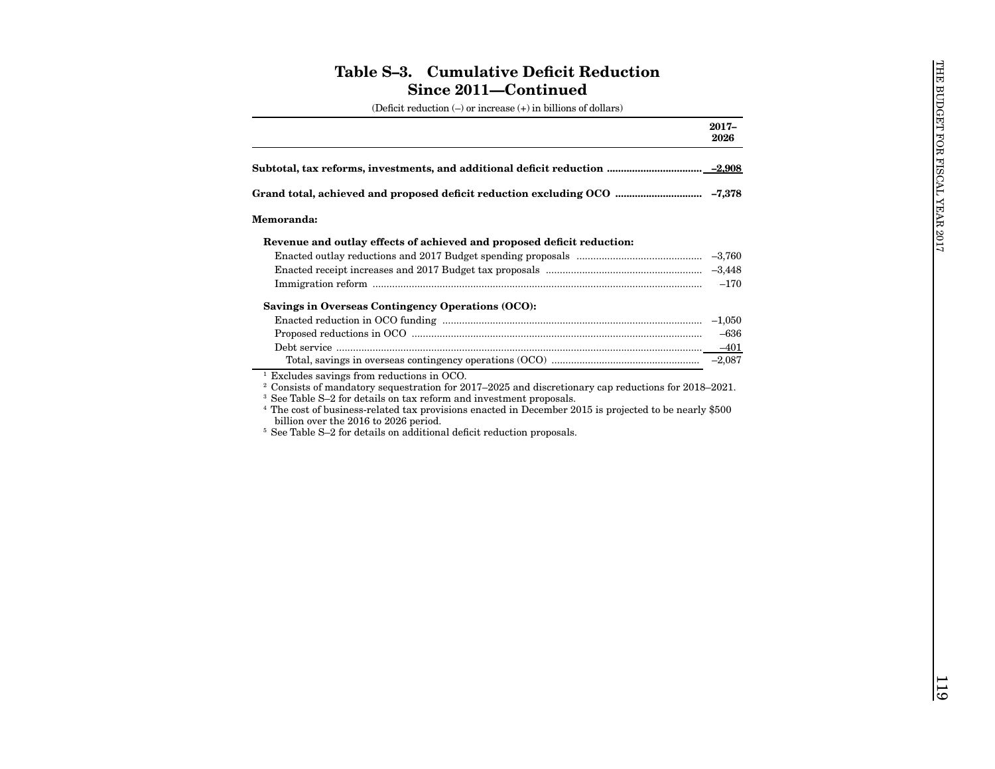| (Deficit reduction $(-)$ or increase $(+)$ in billions of dollars)                                                                                                                                                                                                                                                                                                                                                                                                                                                                                                                                                        |                                        |                                |
|---------------------------------------------------------------------------------------------------------------------------------------------------------------------------------------------------------------------------------------------------------------------------------------------------------------------------------------------------------------------------------------------------------------------------------------------------------------------------------------------------------------------------------------------------------------------------------------------------------------------------|----------------------------------------|--------------------------------|
|                                                                                                                                                                                                                                                                                                                                                                                                                                                                                                                                                                                                                           | $2017 -$<br>2026                       |                                |
| Subtotal, tax reforms, investments, and additional deficit reduction …………………………………………………………………………………                                                                                                                                                                                                                                                                                                                                                                                                                                                                                                                      |                                        | HE BUDGET FOR FISCAL YEAR 2017 |
|                                                                                                                                                                                                                                                                                                                                                                                                                                                                                                                                                                                                                           |                                        |                                |
| <b>Memoranda:</b>                                                                                                                                                                                                                                                                                                                                                                                                                                                                                                                                                                                                         |                                        |                                |
| Revenue and outlay effects of achieved and proposed deficit reduction:<br>Savings in Overseas Contingency Operations (OCO):<br>$1$ Excludes savings from reductions in OCO.<br>$2$ Consists of mandatory sequestration for 2017–2025 and discretionary cap reductions for 2018–2021.<br><sup>3</sup> See Table S-2 for details on tax reform and investment proposals.<br><sup>4</sup> The cost of business-related tax provisions enacted in December 2015 is projected to be nearly \$500<br>billion over the 2016 to 2026 period.<br><sup>5</sup> See Table S-2 for details on additional deficit reduction proposals. | $-170$<br>$-636$<br>$-401$<br>$-2.087$ |                                |
|                                                                                                                                                                                                                                                                                                                                                                                                                                                                                                                                                                                                                           |                                        | $\overline{119}$               |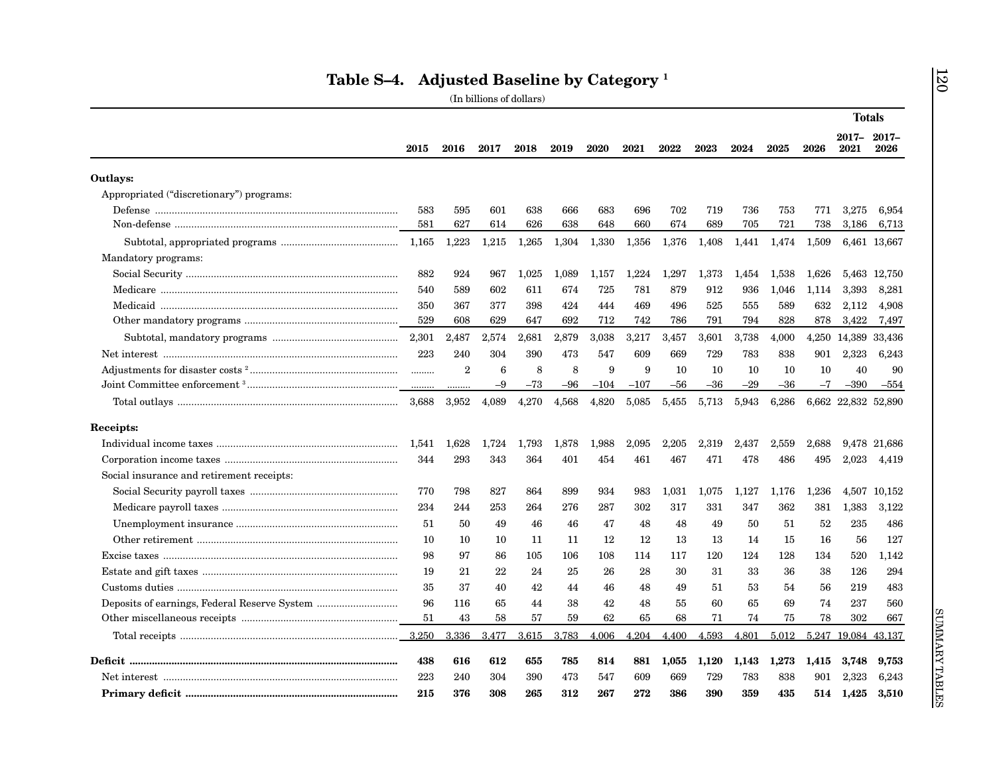|                                           |       |                |       |       |       |        |        |       |       |       |       |       | <b>Totals</b>       |              |
|-------------------------------------------|-------|----------------|-------|-------|-------|--------|--------|-------|-------|-------|-------|-------|---------------------|--------------|
|                                           | 2015  | 2016           | 2017  | 2018  | 2019  | 2020   | 2021   | 2022  | 2023  | 2024  | 2025  | 2026  | 2017-2017-<br>2021  | 2026         |
| Outlays:                                  |       |                |       |       |       |        |        |       |       |       |       |       |                     |              |
| Appropriated ("discretionary") programs:  |       |                |       |       |       |        |        |       |       |       |       |       |                     |              |
|                                           | 583   | 595            | 601   | 638   | 666   | 683    | 696    | 702   | 719   | 736   | 753   | 771   | 3,275               | 6,954        |
|                                           | 581   | 627            | 614   | 626   | 638   | 648    | 660    | 674   | 689   | 705   | 721   | 738   | 3,186               | 6,713        |
|                                           | 1,165 | 1,223          | 1,215 | 1,265 | 1,304 | 1,330  | 1,356  | 1,376 | 1,408 | 1,441 | 1,474 | 1,509 |                     | 6,461 13,667 |
| Mandatory programs:                       |       |                |       |       |       |        |        |       |       |       |       |       |                     |              |
|                                           | 882   | 924            | 967   | 1.025 | 1.089 | 1.157  | 1.224  | 1.297 | 1.373 | 1.454 | 1.538 | 1.626 |                     | 5.463 12.750 |
|                                           | 540   | 589            | 602   | 611   | 674   | 725    | 781    | 879   | 912   | 936   | 1,046 | 1,114 | 3,393               | 8,281        |
|                                           | 350   | 367            | 377   | 398   | 424   | 444    | 469    | 496   | 525   | 555   | 589   | 632   | 2,112               | 4,908        |
|                                           | 529   | 608            | 629   | 647   | 692   | 712    | 742    | 786   | 791   | 794   | 828   | 878   | 3,422               | 7,497        |
|                                           | 2,301 | 2,487          | 2,574 | 2,681 | 2,879 | 3,038  | 3,217  | 3,457 | 3,601 | 3,738 | 4,000 |       | 4,250 14,389 33,436 |              |
|                                           | 223   | 240            | 304   | 390   | 473   | 547    | 609    | 669   | 729   | 783   | 838   | 901   | 2,323               | 6,243        |
|                                           |       | $\overline{2}$ | 6     | 8     | 8     | 9      | 9      | 10    | 10    | 10    | 10    | 10    | 40                  | 90           |
|                                           |       | .              | $-9$  | $-73$ | $-96$ | $-104$ | $-107$ | $-56$ | $-36$ | $-29$ | $-36$ | $-7$  | $-390$              | $-554$       |
|                                           |       | 3,952          | 4,089 | 4,270 | 4,568 | 4,820  | 5,085  | 5,455 | 5,713 | 5,943 | 6,286 |       | 6,662 22,832 52,890 |              |
| Receipts:                                 |       |                |       |       |       |        |        |       |       |       |       |       |                     |              |
|                                           | 1,541 | 1,628          | 1,724 | 1,793 | 1,878 | 1,988  | 2,095  | 2.205 | 2,319 | 2.437 | 2,559 | 2,688 |                     | 9,478 21,686 |
|                                           | 344   | 293            | 343   | 364   | 401   | 454    | 461    | 467   | 471   | 478   | 486   | 495   | 2.023               | 4,419        |
| Social insurance and retirement receipts: |       |                |       |       |       |        |        |       |       |       |       |       |                     |              |
|                                           | 770   | 798            | 827   | 864   | 899   | 934    | 983    | 1,031 | 1,075 | 1,127 | 1,176 | 1,236 |                     | 4,507 10,152 |
|                                           | 234   | 244            | 253   | 264   | 276   | 287    | 302    | 317   | 331   | 347   | 362   | 381   | 1,383               | 3,122        |
|                                           | 51    | 50             | 49    | 46    | 46    | 47     | 48     | 48    | 49    | 50    | 51    | 52    | 235                 | 486          |
|                                           | 10    | 10             | 10    | 11    | 11    | 12     | 12     | 13    | 13    | 14    | 15    | 16    | 56                  | 127          |
|                                           | 98    | 97             | 86    | 105   | 106   | 108    | 114    | 117   | 120   | 124   | 128   | 134   | 520                 | 1,142        |
|                                           | 19    | 21             | 22    | 24    | 25    | 26     | 28     | 30    | 31    | 33    | 36    | 38    | 126                 | 294          |
|                                           | 35    | 37             | 40    | 42    | 44    | 46     | 48     | 49    | 51    | 53    | 54    | 56    | 219                 | 483          |
|                                           | 96    | 116            | 65    | 44    | 38    | 42     | 48     | 55    | 60    | 65    | 69    | 74    | 237                 | 560          |
|                                           | 51    | 43             | 58    | 57    | 59    | 62     | 65     | 68    | 71    | 74    | 75    | 78    | 302                 | 667          |
|                                           |       | 3,336          | 3,477 | 3,615 | 3,783 | 4,006  | 4,204  | 4,400 | 4,593 | 4,801 | 5,012 |       | 5,247 19,084 43,137 |              |
| Deficit …………………………………………………………………………………   | 438   | 616            | 612   | 655   | 785   | 814    | 881    | 1,055 | 1,120 | 1,143 | 1,273 | 1,415 | 3,748               | 9,753        |
|                                           | 223   | 240            | 304   | 390   | 473   | 547    | 609    | 669   | 729   | 783   | 838   | 901   | 2.323               | 6,243        |
|                                           | 215   | 376            | 308   | 265   | 312   | 267    | 272    | 386   | 390   | 359   | 435   | 514   | 1,425               | 3,510        |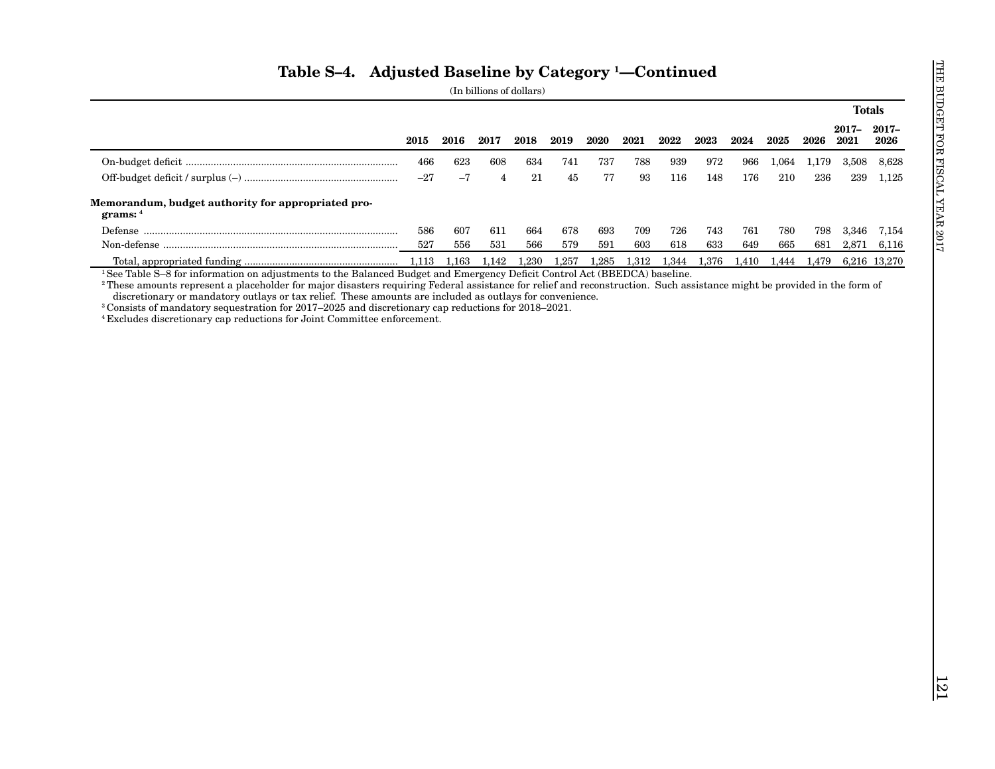|  |  | (In billions of dollars) |
|--|--|--------------------------|
|--|--|--------------------------|

|                                                                  |       |             |                |       |       |       |                   |       |       |       |       |       | <b>Totals</b>      |              |
|------------------------------------------------------------------|-------|-------------|----------------|-------|-------|-------|-------------------|-------|-------|-------|-------|-------|--------------------|--------------|
|                                                                  | 2015  | 2016        | 2017           | 2018  | 2019  | 2020  | 2021              | 2022  | 2023  | 2024  | 2025  | 2026  | 2017-2017-<br>2021 | 2026         |
|                                                                  | 466   | 623         | 608            | 634   | 741   | 737   | 788               | 939   | 972   | 966   | 1,064 | 1,179 | 3,508              | 8,628        |
|                                                                  | $-27$ | $-7$        | $\overline{4}$ | 21    | 45    | 77    | $\boldsymbol{93}$ | 116   | 148   | 176   | 210   | 236   | 239                | 1,125        |
| Memorandum, budget authority for appropriated pro-<br>grams: $4$ |       |             |                |       |       |       |                   |       |       |       |       |       |                    |              |
|                                                                  | 586   | 607         | 611            | 664   | 678   | 693   | 709               | 726   | 743   | 761   | 780   | 798   | 3,346              | 7,154        |
|                                                                  | 527   | 556         | 531            | 566   | 579   | 591   | 603               | 618   | 633   | 649   | 665   | 681   | 2,871              | 6,116        |
|                                                                  |       | 1,113 1,163 | 1,142          | 1,230 | 1,257 | 1,285 | 1,312             | 1,344 | 1,376 | 1,410 | 1,444 | 1,479 |                    | 6,216 13,270 |
|                                                                  |       |             |                |       |       |       |                   |       |       |       |       |       |                    |              |
|                                                                  |       |             |                |       |       |       |                   |       |       |       |       |       |                    |              |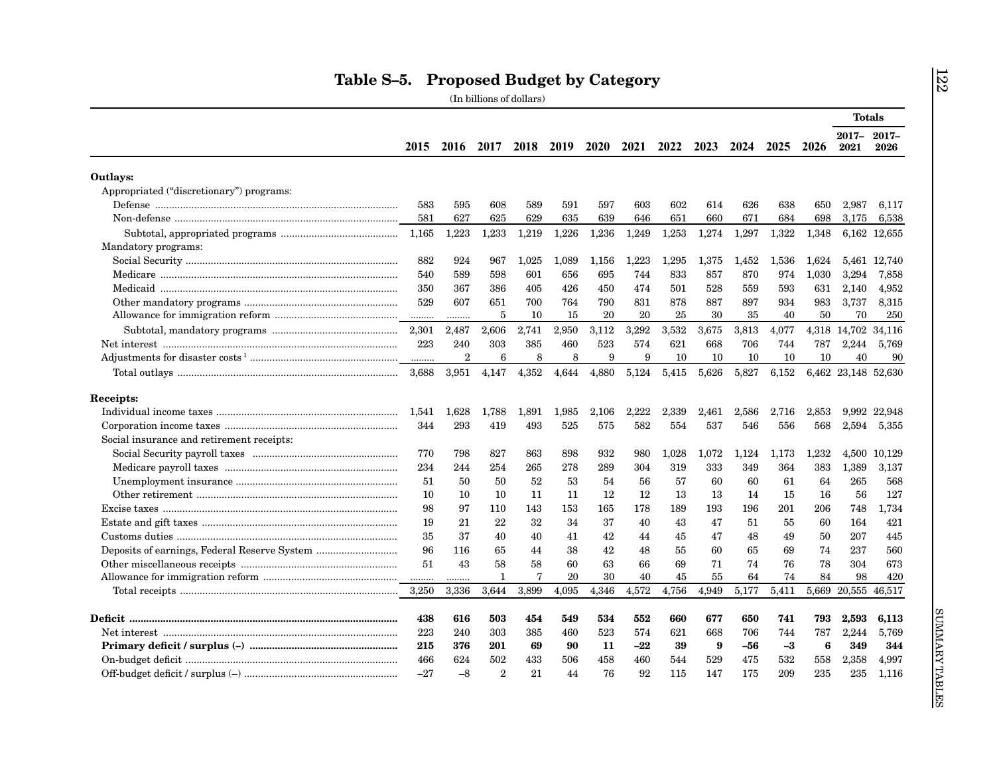|                                                                                                                                                                                                                                                                                                                                                                                                                                                                                                                                                                                   |       |                |                |       |       |       |       |       |       |       |       |       | <b>Totals</b>           |              |
|-----------------------------------------------------------------------------------------------------------------------------------------------------------------------------------------------------------------------------------------------------------------------------------------------------------------------------------------------------------------------------------------------------------------------------------------------------------------------------------------------------------------------------------------------------------------------------------|-------|----------------|----------------|-------|-------|-------|-------|-------|-------|-------|-------|-------|-------------------------|--------------|
|                                                                                                                                                                                                                                                                                                                                                                                                                                                                                                                                                                                   | 2015  |                | 2016 2017 2018 |       | 2019  | 2020  | 2021  | 2022  | 2023  | 2024  | 2025  | 2026  | $2017 - 2017 -$<br>2021 | 2026         |
| Outlays:                                                                                                                                                                                                                                                                                                                                                                                                                                                                                                                                                                          |       |                |                |       |       |       |       |       |       |       |       |       |                         |              |
| Appropriated ("discretionary") programs:                                                                                                                                                                                                                                                                                                                                                                                                                                                                                                                                          |       |                |                |       |       |       |       |       |       |       |       |       |                         |              |
|                                                                                                                                                                                                                                                                                                                                                                                                                                                                                                                                                                                   | 583   | 595            | 608            | 589   | 591   | 597   | 603   | 602   | 614   | 626   | 638   | 650   | 2,987                   | 6,117        |
|                                                                                                                                                                                                                                                                                                                                                                                                                                                                                                                                                                                   | 581   | 627            | 625            | 629   | 635   | 639   | 646   | 651   | 660   | 671   | 684   | 698   | 3,175                   | 6,538        |
|                                                                                                                                                                                                                                                                                                                                                                                                                                                                                                                                                                                   | 1,165 | 1,223          | 1,233          | 1,219 | 1,226 | 1,236 | 1,249 | 1,253 | 1,274 | 1,297 | 1,322 | 1,348 |                         | 6,162 12,655 |
| Mandatory programs:                                                                                                                                                                                                                                                                                                                                                                                                                                                                                                                                                               |       |                |                |       |       |       |       |       |       |       |       |       |                         |              |
|                                                                                                                                                                                                                                                                                                                                                                                                                                                                                                                                                                                   | 882   | 924            | 967            | 1,025 | 1,089 | 1,156 | 1,223 | 1,295 | 1,375 | 1,452 | 1,536 | 1.624 |                         | 5,461 12,740 |
|                                                                                                                                                                                                                                                                                                                                                                                                                                                                                                                                                                                   | 540   | 589            | 598            | 601   | 656   | 695   | 744   | 833   | 857   | 870   | 974   | 1,030 | 3,294                   | 7,858        |
|                                                                                                                                                                                                                                                                                                                                                                                                                                                                                                                                                                                   | 350   | 367            | 386            | 405   | 426   | 450   | 474   | 501   | 528   | 559   | 593   | 631   | 2,140                   | 4,952        |
|                                                                                                                                                                                                                                                                                                                                                                                                                                                                                                                                                                                   | 529   | 607            | 651            | 700   | 764   | 790   | 831   | 878   | 887   | 897   | 934   | 983   | 3,737                   | 8,315        |
|                                                                                                                                                                                                                                                                                                                                                                                                                                                                                                                                                                                   |       | .              | 5              | 10    | 15    | 20    | 20    | 25    | 30    | 35    | 40    | 50    | 70                      | 250          |
|                                                                                                                                                                                                                                                                                                                                                                                                                                                                                                                                                                                   | 2,301 | 2,487          | 2,606          | 2,741 | 2,950 | 3,112 | 3,292 | 3,532 | 3,675 | 3,813 | 4,077 |       | 4,318 14,702 34,116     |              |
|                                                                                                                                                                                                                                                                                                                                                                                                                                                                                                                                                                                   | 223   | 240            | 303            | 385   | 460   | 523   | 574   | 621   | 668   | 706   | 744   | 787   | 2,244                   | 5,769        |
|                                                                                                                                                                                                                                                                                                                                                                                                                                                                                                                                                                                   | .     | $\overline{2}$ | 6              | 8     | 8     | 9     | 9     | 10    | 10    | 10    | 10    | 10    | 40                      | 90           |
|                                                                                                                                                                                                                                                                                                                                                                                                                                                                                                                                                                                   | 3.688 | 3,951          | 4,147          | 4,352 | 4,644 | 4,880 | 5,124 | 5,415 | 5,626 | 5,827 | 6,152 |       | 6,462 23,148 52,630     |              |
|                                                                                                                                                                                                                                                                                                                                                                                                                                                                                                                                                                                   |       |                |                |       |       |       |       |       |       |       |       |       |                         |              |
| Receipts:                                                                                                                                                                                                                                                                                                                                                                                                                                                                                                                                                                         |       |                |                |       |       |       |       |       |       |       |       |       |                         |              |
|                                                                                                                                                                                                                                                                                                                                                                                                                                                                                                                                                                                   | 1.541 | 1,628          | 1,788          | 1,891 | 1,985 | 2.106 | 2.222 | 2,339 | 2.461 | 2.586 | 2,716 | 2,853 |                         | 9,992 22,948 |
|                                                                                                                                                                                                                                                                                                                                                                                                                                                                                                                                                                                   | 344   | 293            | 419            | 493   | 525   | 575   | 582   | 554   | 537   | 546   | 556   | 568   | 2,594                   | 5,355        |
| Social insurance and retirement receipts:                                                                                                                                                                                                                                                                                                                                                                                                                                                                                                                                         |       |                |                |       |       |       |       |       |       |       |       |       |                         |              |
|                                                                                                                                                                                                                                                                                                                                                                                                                                                                                                                                                                                   | 770   | 798            | 827            | 863   | 898   | 932   | 980   | 1,028 | 1,072 | 1,124 | 1,173 | 1,232 | 4,500                   | 10,129       |
|                                                                                                                                                                                                                                                                                                                                                                                                                                                                                                                                                                                   | 234   | 244            | 254            | 265   | 278   | 289   | 304   | 319   | 333   | 349   | 364   | 383   | 1,389                   | 3,137        |
|                                                                                                                                                                                                                                                                                                                                                                                                                                                                                                                                                                                   | 51    | 50             | 50             | 52    | 53    | 54    | 56    | 57    | 60    | 60    | 61    | 64    | 265                     | 568          |
| $\label{thm:main} \textbf{Other retirement} \textcolor{black}{} \textcolor{black}{} \textcolor{black}{} \textcolor{black}{} \textcolor{black}{} \textcolor{black}{} \textcolor{black}{} \textcolor{black}{} \textcolor{black}{} \textcolor{black}{} \textcolor{black}{} \textcolor{black}{} \textcolor{black}{} \textcolor{black}{} \textcolor{black}{} \textcolor{black}{} \textcolor{black}{} \textcolor{black}{} \textcolor{black}{} \textcolor{black}{} \textcolor{black}{} \textcolor{black}{} \textcolor{black}{} \textcolor{black}{} \textcolor{black}{} \textcolor{black$ | 10    | 10             | 10             | 11    | 11    | 12    | 12    | 13    | 13    | 14    | 15    | 16    | 56                      | 127          |
|                                                                                                                                                                                                                                                                                                                                                                                                                                                                                                                                                                                   | 98    | 97             | 110            | 143   | 153   | 165   | 178   | 189   | 193   | 196   | 201   | 206   | 748                     | 1,734        |
|                                                                                                                                                                                                                                                                                                                                                                                                                                                                                                                                                                                   | 19    | 21             | 22             | 32    | 34    | 37    | 40    | 43    | 47    | 51    | 55    | 60    | 164                     | 421          |
|                                                                                                                                                                                                                                                                                                                                                                                                                                                                                                                                                                                   | 35    | 37             | 40             | 40    | 41    | 42    | 44    | 45    | 47    | 48    | 49    | 50    | 207                     | 445          |
|                                                                                                                                                                                                                                                                                                                                                                                                                                                                                                                                                                                   | 96    | 116            | 65             | 44    | 38    | 42    | 48    | 55    | 60    | 65    | 69    | 74    | 237                     | 560          |
|                                                                                                                                                                                                                                                                                                                                                                                                                                                                                                                                                                                   | 51    | 43             | 58             | 58    | 60    | 63    | 66    | 69    | 71    | 74    | 76    | 78    | 304                     | 673          |
|                                                                                                                                                                                                                                                                                                                                                                                                                                                                                                                                                                                   | .     |                | 1              | 7     | 20    | 30    | 40    | 45    | 55    | 64    | 74    | 84    | 98                      | 420          |
|                                                                                                                                                                                                                                                                                                                                                                                                                                                                                                                                                                                   | 3.250 | 3.336          | 3,644          | 3,899 | 4,095 | 4.346 | 4.572 | 4,756 | 4.949 | 5,177 | 5,411 |       | 5,669 20,555 46,517     |              |
|                                                                                                                                                                                                                                                                                                                                                                                                                                                                                                                                                                                   |       |                |                |       |       |       |       |       |       |       |       |       |                         |              |
|                                                                                                                                                                                                                                                                                                                                                                                                                                                                                                                                                                                   | 438   | 616            | 503            | 454   | 549   | 534   | 552   | 660   | 677   | 650   | 741   | 793   | 2,593                   | 6,113        |
|                                                                                                                                                                                                                                                                                                                                                                                                                                                                                                                                                                                   | 223   | 240            | 303            | 385   | 460   | 523   | 574   | 621   | 668   | 706   | 744   | 787   | 2,244                   | 5,769        |
|                                                                                                                                                                                                                                                                                                                                                                                                                                                                                                                                                                                   | 215   | 376            | 201            | 69    | 90    | 11    | $-22$ | 39    | 9     | -56   | $-3$  | 6     | 349                     | 344          |
|                                                                                                                                                                                                                                                                                                                                                                                                                                                                                                                                                                                   | 466   | 624            | 502            | 433   | 506   | 458   | 460   | 544   | 529   | 475   | 532   | 558   | 2,358                   | 4,997        |
|                                                                                                                                                                                                                                                                                                                                                                                                                                                                                                                                                                                   | $-27$ | $-8$           | $\overline{2}$ | 21    | 44    | 76    | 92    | 115   | 147   | 175   | 209   | 235   | 235                     | 1,116        |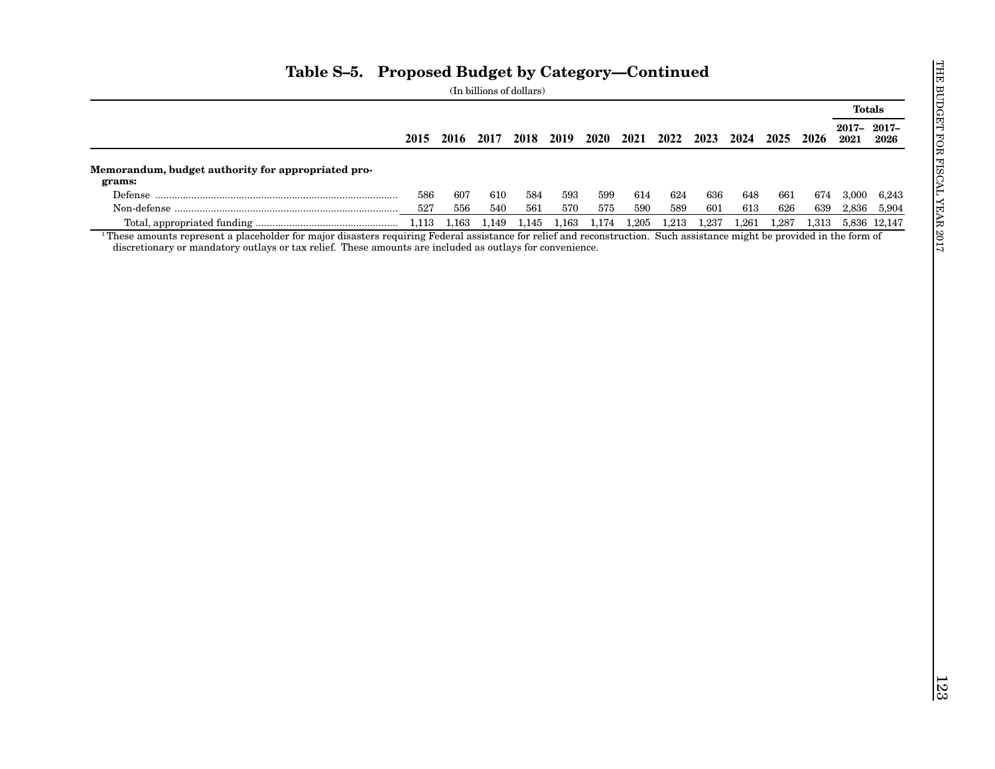|                                                              |           |         |       |       |                          |         |       |                                    |       |       |       |       | <b>Totals</b>                |              |
|--------------------------------------------------------------|-----------|---------|-------|-------|--------------------------|---------|-------|------------------------------------|-------|-------|-------|-------|------------------------------|--------------|
|                                                              |           |         |       |       | 2015 2016 2017 2018 2019 |         |       | 2020 2021 2022 2023 2024 2025 2026 |       |       |       |       | $2017 - 2017 -$<br>2021 2026 |              |
| Memorandum, budget authority for appropriated pro-<br>grams: |           |         |       |       |                          |         |       |                                    |       |       |       |       |                              |              |
|                                                              | 586       | 607     | 610   | 584   | 593                      | 599     | 614   | 624                                | 636   | 648   | 661   | 674   | 3,000                        | 6,243        |
|                                                              | 527       | $556\,$ | 540   | 561   | 570                      | $575\,$ | 590   | 589                                | 601   | 613   | 626   | 639   | 2,836                        | 5,904        |
|                                                              | $1,\!113$ | 1,163   | 1,149 | 1,145 | 1,163                    | 1,174   | 1,205 | 1,213                              | 1,237 | 1,261 | 1,287 | 1,313 |                              | 5,836 12,147 |
|                                                              |           |         |       |       |                          |         |       |                                    |       |       |       |       |                              |              |
|                                                              |           |         |       |       |                          |         |       |                                    |       |       |       |       |                              |              |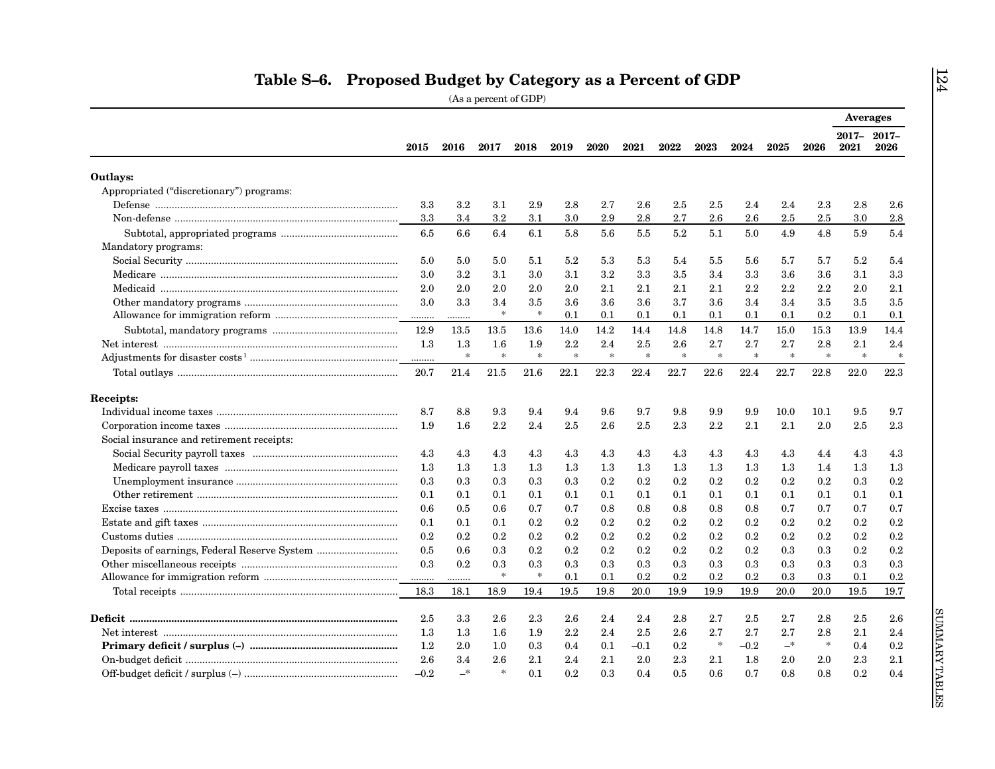|                                           |         |         |               |         |        |         |        |        |        |        |           |         | <b>Averages</b>    |         |
|-------------------------------------------|---------|---------|---------------|---------|--------|---------|--------|--------|--------|--------|-----------|---------|--------------------|---------|
|                                           | 2015    | 2016    | 2017          | 2018    | 2019   | 2020    | 2021   | 2022   | 2023   | 2024   | 2025      | 2026    | 2017-2017-<br>2021 | 2026    |
| Outlays:                                  |         |         |               |         |        |         |        |        |        |        |           |         |                    |         |
| Appropriated ("discretionary") programs:  |         |         |               |         |        |         |        |        |        |        |           |         |                    |         |
|                                           | 3.3     | $3.2\,$ | 3.1           | 2.9     | 2.8    | 2.7     | 2.6    | 2.5    | 2.5    | 2.4    | 2.4       | 2.3     | 2.8                | 2.6     |
|                                           | 3.3     | 3.4     | $3.2\,$       | 3.1     | 3.0    | 2.9     | 2.8    | 2.7    | 2.6    | 2.6    | 2.5       | 2.5     | 3.0                | $2.8\,$ |
|                                           | 6.5     | 6.6     | 6.4           | 6.1     | 5.8    | 5.6     | 5.5    | 5.2    | 5.1    | 5.0    | 4.9       | 4.8     | 5.9                | 5.4     |
| Mandatory programs:                       |         |         |               |         |        |         |        |        |        |        |           |         |                    |         |
|                                           | 5.0     | 5.0     | 5.0           | 5.1     | 5.2    | 5.3     | 5.3    | 5.4    | 5.5    | 5.6    | 5.7       | 5.7     | 5.2                | 5.4     |
|                                           | 3.0     | 3.2     | 3.1           | 3.0     | 3.1    | 3.2     | 3.3    | 3.5    | 3.4    | 3.3    | 3.6       | 3.6     | 3.1                | 3.3     |
|                                           | 2.0     | 2.0     | 2.0           | 2.0     | 2.0    | 2.1     | 2.1    | 2.1    | 2.1    | 2.2    | $2.2\,$   | 2.2     | 2.0                | 2.1     |
|                                           | 3.0     | 3.3     | 3.4           | 3.5     | 3.6    | 3.6     | 3.6    | 3.7    | 3.6    | 3.4    | 3.4       | 3.5     | 3.5                | 3.5     |
|                                           |         | .       | $\frac{1}{2}$ | $\ast$  | 0.1    | 0.1     | 0.1    | 0.1    | 0.1    | 0.1    | 0.1       | 0.2     | 0.1                | 0.1     |
|                                           | 12.9    | 13.5    | 13.5          | 13.6    | 14.0   | 14.2    | 14.4   | 14.8   | 14.8   | 14.7   | 15.0      | 15.3    | 13.9               | 14.4    |
|                                           | 1.3     | 1.3     | 1.6           | 1.9     | 2.2    | 2.4     | 2.5    | 2.6    | 2.7    | 2.7    | 2.7       | 2.8     | 2.1                | 2.4     |
|                                           | .       | $\ast$  | $\ast$        | $\star$ | $\ast$ | $\star$ | $\ast$ | $\ast$ | $\ast$ | $\ast$ | $\approx$ | $\ast$  | $\star$            | $\ast$  |
|                                           | 20.7    | 21.4    | 21.5          | 21.6    | 22.1   | 22.3    | 22.4   | 22.7   | 22.6   | 22.4   | 22.7      | 22.8    | 22.0               | 22.3    |
|                                           |         |         |               |         |        |         |        |        |        |        |           |         |                    |         |
| Receipts:                                 |         |         |               |         |        |         |        |        |        |        |           |         |                    |         |
|                                           | 8.7     | 8.8     | 9.3           | 9.4     | 9.4    | 9.6     | 9.7    | 9.8    | 9.9    | 9.9    | 10.0      | 10.1    | 9.5                | 9.7     |
|                                           | 1.9     | 1.6     | 2.2           | 2.4     | 2.5    | 2.6     | 2.5    | 2.3    | 2.2    | 2.1    | 2.1       | 2.0     | 2.5                | 2.3     |
| Social insurance and retirement receipts: |         |         |               |         |        |         |        |        |        |        |           |         |                    |         |
|                                           | 4.3     | 4.3     | 4.3           | 4.3     | 4.3    | 4.3     | 4.3    | 4.3    | 4.3    | 4.3    | 4.3       | 4.4     | 4.3                | 4.3     |
|                                           | $1.3\,$ | 1.3     | $1.3\,$       | 1.3     | 1.3    | 1.3     | 1.3    | 1.3    | 1.3    | 1.3    | $1.3\,$   | 1.4     | 1.3                | 1.3     |
|                                           | 0.3     | 0.3     | 0.3           | 0.3     | 0.3    | 0.2     | 0.2    | 0.2    | 0.2    | 0.2    | 0.2       | 0.2     | 0.3                | 0.2     |
|                                           | 0.1     | 0.1     | 0.1           | 0.1     | 0.1    | 0.1     | 0.1    | 0.1    | 0.1    | 0.1    | 0.1       | 0.1     | 0.1                | 0.1     |
|                                           | 0.6     | 0.5     | 0.6           | 0.7     | 0.7    | 0.8     | 0.8    | 0.8    | 0.8    | 0.8    | 0.7       | 0.7     | 0.7                | 0.7     |
|                                           | 0.1     | 0.1     | 0.1           | $0.2\,$ | 0.2    | $0.2\,$ | 0.2    | 0.2    | 0.2    | 0.2    | 0.2       | $0.2\,$ | 0.2                | 0.2     |
|                                           | 0.2     | 0.2     | 0.2           | 0.2     | 0.2    | 0.2     | 0.2    | 0.2    | 0.2    | 0.2    | 0.2       | $0.2\,$ | 0.2                | 0.2     |
|                                           | 0.5     | 0.6     | 0.3           | 0.2     | 0.2    | 0.2     | 0.2    | 0.2    | 0.2    | 0.2    | 0.3       | 0.3     | 0.2                | 0.2     |
|                                           | 0.3     | 0.2     | 0.3           | 0.3     | 0.3    | 0.3     | 0.3    | 0.3    | 0.3    | 0.3    | 0.3       | 0.3     | 0.3                | 0.3     |
|                                           |         | .       | $\ast$        | $\ast$  | 0.1    | 0.1     | 0.2    | 0.2    | 0.2    | 0.2    | $0.3\,$   | 0.3     | 0.1                | 0.2     |
|                                           | 18.3    | 18.1    | 18.9          | 19.4    | 19.5   | 19.8    | 20.0   | 19.9   | 19.9   | 19.9   | 20.0      | 20.0    | 19.5               | 19.7    |
|                                           |         |         |               |         |        |         |        |        |        |        |           |         |                    |         |
|                                           | 2.5     | 3.3     | 2.6           | 2.3     | 2.6    | 2.4     | 2.4    | 2.8    | 2.7    | 2.5    | 2.7       | 2.8     | 2.5                | 2.6     |
|                                           | 1.3     | $1.3\,$ | 1.6           | 1.9     | 2.2    | 2.4     | 2.5    | 2.6    | 2.7    | 2.7    | 2.7       | 2.8     | 2.1                | 2.4     |
|                                           | $1.2\,$ | 2.0     | 1.0           | 0.3     | 0.4    | 0.1     | $-0.1$ | 0.2    | $\ast$ | $-0.2$ | $-$ *     | $\ast$  | 0.4                | 0.2     |
|                                           | $2.6\,$ | 3.4     | 2.6           | 2.1     | 2.4    | 2.1     | 2.0    | 2.3    | 2.1    | 1.8    | $2.0\,$   | 2.0     | 2.3                | 2.1     |
|                                           | $-0.2$  | $-$ *   | $\frac{1}{2}$ | 0.1     | 0.2    | 0.3     | 0.4    | 0.5    | 0.6    | 0.7    | 0.8       | 0.8     | 0.2                | 0.4     |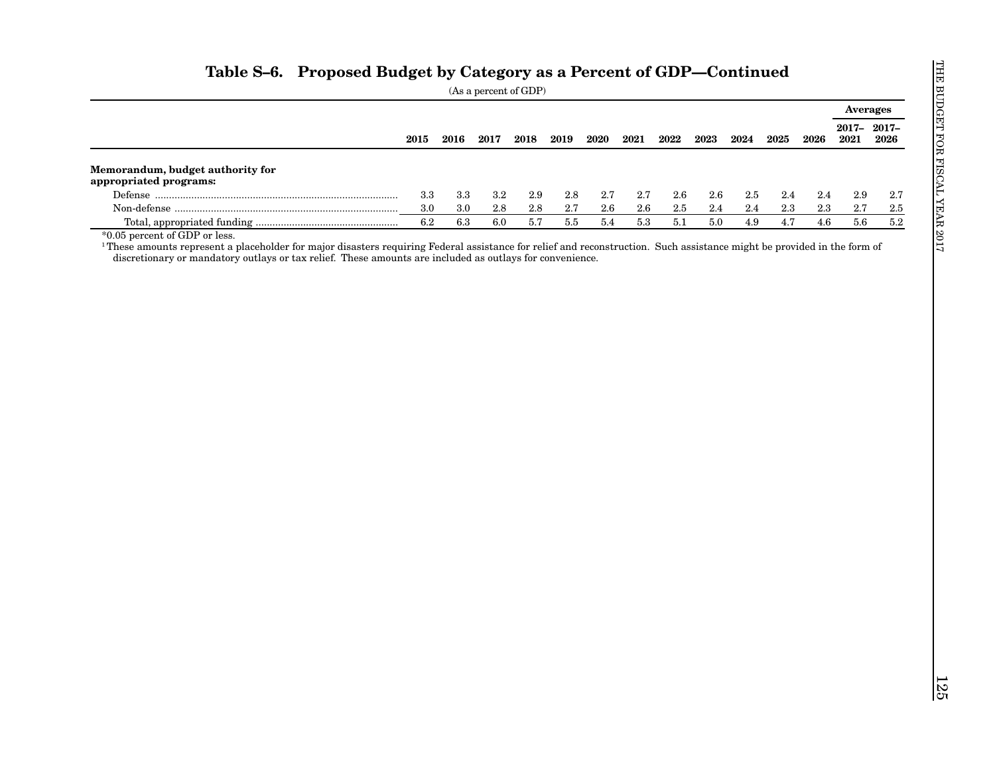|                                                            |           |         |           |         |         |         |         |         |         |         |         |         | <b>Averages</b> |                    |
|------------------------------------------------------------|-----------|---------|-----------|---------|---------|---------|---------|---------|---------|---------|---------|---------|-----------------|--------------------|
|                                                            | 2015      | 2016    | 2017      | 2018    | 2019    | 2020    | 2021    | 2022    | 2023    | 2024    | 2025    | 2026    | 2021            | 2017-2017-<br>2026 |
| Memorandum, budget authority for<br>appropriated programs: |           |         |           |         |         |         |         |         |         |         |         |         |                 |                    |
|                                                            | $\!3.3\,$ | $3.3\,$ | $\!3.2\!$ | $2.9\,$ | 2.8     | $2.7\,$ | 2.7     | $2.6\,$ | $2.6\,$ | $2.5\,$ | 2.4     | $2.4\,$ | $2.9\,$         | $2.7\,$            |
|                                                            | 3.0       | $3.0\,$ | 2.8       | $2.8\,$ | $2.7\,$ | 2.6     | $2.6\,$ | $2.5\,$ | 2.4     | 2.4     | $2.3\,$ | $2.3\,$ | 2.7             | $2.5\,$            |
|                                                            | 6.2       | $6.3\,$ | $6.0\,$   | 5.7     | $5.5\,$ | 5.4     | $5.3\,$ | 5.1     | $5.0\,$ | $4.9\,$ | 4.7     | $4.6\,$ | 5.6             | $5.2\,$            |
|                                                            |           |         |           |         |         |         |         |         |         |         |         |         |                 |                    |
|                                                            |           |         |           |         |         |         |         |         |         |         |         |         |                 |                    |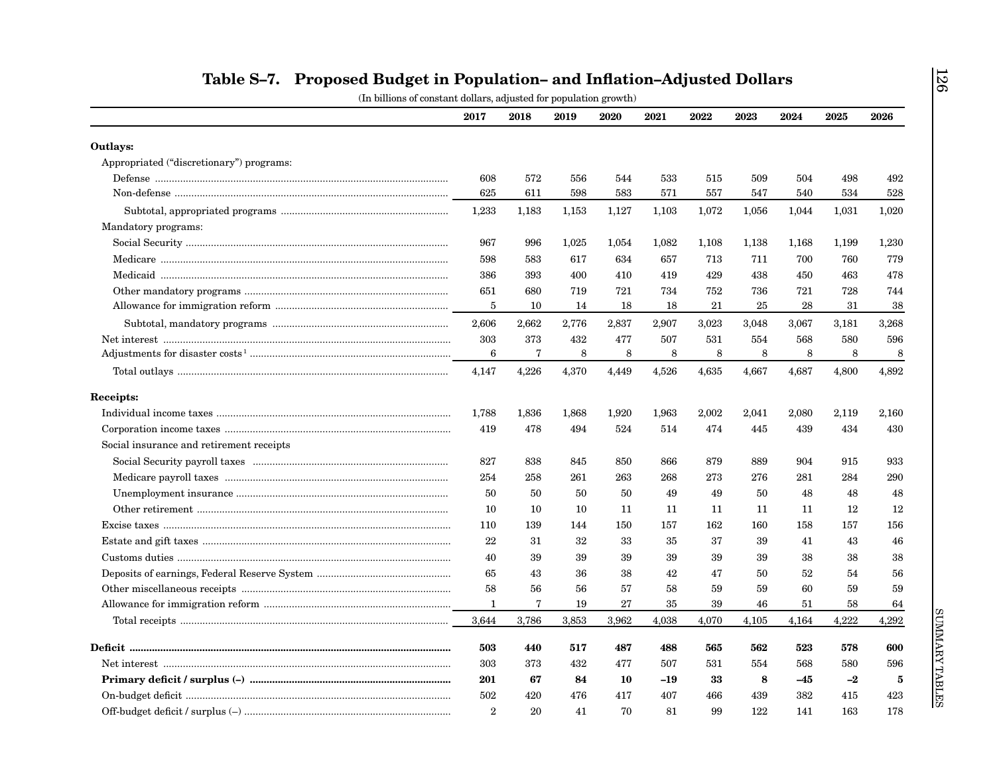|                                          | 2017            | 2018  | 2019  | 2020  | 2021  | 2022  | 2023  | 2024  | 2025  | 2026  |
|------------------------------------------|-----------------|-------|-------|-------|-------|-------|-------|-------|-------|-------|
| Outlays:                                 |                 |       |       |       |       |       |       |       |       |       |
| Appropriated ("discretionary") programs: |                 |       |       |       |       |       |       |       |       |       |
|                                          | 608             | 572   | 556   | 544   | 533   | 515   | 509   | 504   | 498   | 492   |
|                                          | 625             | 611   | 598   | 583   | 571   | 557   | 547   | 540   | 534   | 528   |
|                                          | 1,233           | 1,183 | 1,153 | 1,127 | 1,103 | 1,072 | 1,056 | 1,044 | 1,031 | 1,020 |
| Mandatory programs:                      |                 |       |       |       |       |       |       |       |       |       |
|                                          | 967             | 996   | 1,025 | 1,054 | 1,082 | 1,108 | 1,138 | 1,168 | 1,199 | 1,230 |
|                                          | 598             | 583   | 617   | 634   | 657   | 713   | 711   | 700   | 760   | 779   |
|                                          | 386             | 393   | 400   | 410   | 419   | 429   | 438   | 450   | 463   | 478   |
|                                          | 651             | 680   | 719   | 721   | 734   | 752   | 736   | 721   | 728   | 744   |
|                                          | 5               | 10    | 14    | 18    | 18    | 21    | 25    | 28    | 31    | 38    |
|                                          | 2,606           | 2,662 | 2,776 | 2,837 | 2,907 | 3,023 | 3,048 | 3,067 | 3,181 | 3,268 |
|                                          | 303             | 373   | 432   | 477   | 507   | 531   | 554   | 568   | 580   | 596   |
|                                          | $6\phantom{1}6$ | 7     | 8     | 8     | 8     | 8     | 8     | 8     | 8     | 8     |
|                                          | 4,147           | 4,226 | 4,370 | 4,449 | 4,526 | 4,635 | 4,667 | 4,687 | 4,800 | 4,892 |
| Receipts:                                |                 |       |       |       |       |       |       |       |       |       |
|                                          | 1,788           | 1,836 | 1,868 | 1,920 | 1,963 | 2,002 | 2,041 | 2,080 | 2,119 | 2,160 |
|                                          | 419             | 478   | 494   | 524   | 514   | 474   | 445   | 439   | 434   | 430   |
| Social insurance and retirement receipts |                 |       |       |       |       |       |       |       |       |       |
|                                          | 827             | 838   | 845   | 850   | 866   | 879   | 889   | 904   | 915   | 933   |
|                                          | 254             | 258   | 261   | 263   | 268   | 273   | 276   | 281   | 284   | 290   |
|                                          | 50              | 50    | 50    | 50    | 49    | 49    | 50    | 48    | 48    | 48    |
|                                          | 10              | 10    | 10    | 11    | 11    | 11    | 11    | 11    | 12    | 12    |
|                                          | 110             | 139   | 144   | 150   | 157   | 162   | 160   | 158   | 157   | 156   |
|                                          | 22              | 31    | 32    | 33    | 35    | 37    | 39    | 41    | 43    | 46    |
|                                          | 40              | 39    | 39    | 39    | 39    | 39    | 39    | 38    | 38    | 38    |
|                                          | 65              | 43    | 36    | 38    | 42    | 47    | 50    | 52    | 54    | 56    |
|                                          | 58              | 56    | 56    | 57    | 58    | 59    | 59    | 60    | 59    | 59    |
|                                          | 1               | 7     | 19    | 27    | 35    | 39    | 46    | 51    | 58    | 64    |
|                                          | 3,644           | 3,786 | 3,853 | 3,962 | 4,038 | 4,070 | 4,105 | 4,164 | 4,222 | 4,292 |
|                                          | 503             | 440   | 517   | 487   | 488   | 565   | 562   | 523   | 578   | 600   |
|                                          | 303             | 373   | 432   | 477   | 507   | 531   | 554   | 568   | 580   | 596   |
|                                          | 201             | 67    | 84    | 10    | -19   | 33    | 8     | $-45$ | $-2$  | 5     |
|                                          | 502             | 420   | 476   | 417   | 407   | 466   | 439   | 382   | 415   | 423   |
|                                          | $\overline{2}$  | 20    | 41    | 70    | 81    | 99    | 122   | 141   | 163   | 178   |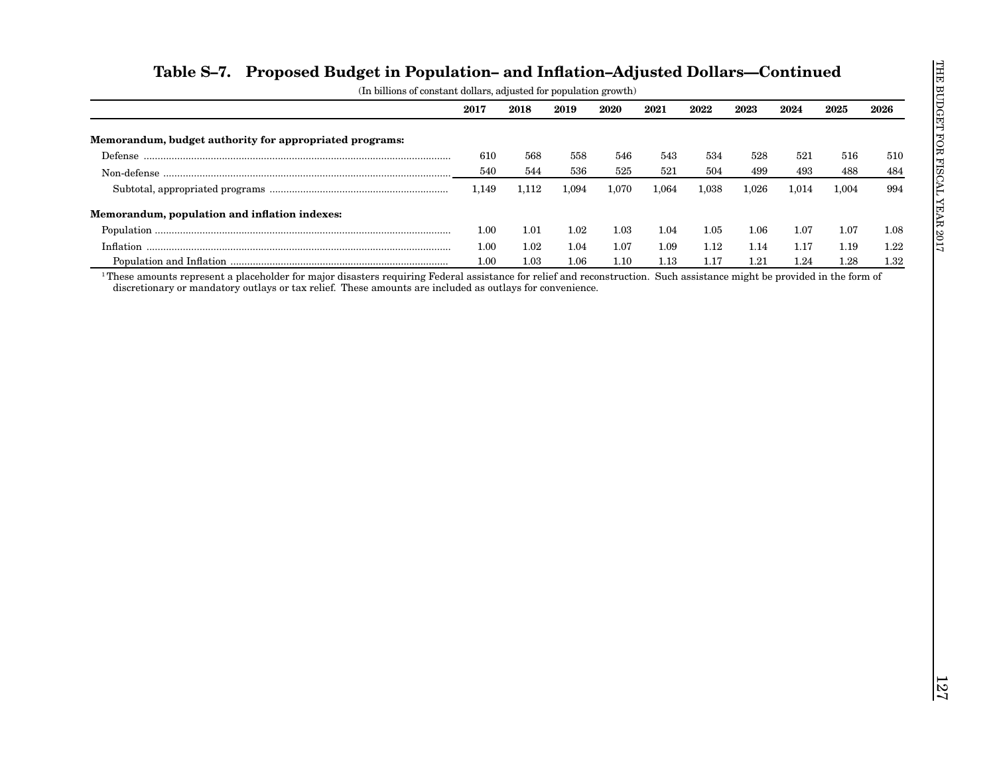|                                                         | 2017  | 2018  | 2019  | 2020  | 2021  | 2022     | 2023  | 2024     | 2025  | 2026 |
|---------------------------------------------------------|-------|-------|-------|-------|-------|----------|-------|----------|-------|------|
| Memorandum, budget authority for appropriated programs: |       |       |       |       |       |          |       |          |       |      |
|                                                         | 610   | 568   | 558   | 546   | 543   | 534      | 528   | 521      | 516   | 510  |
|                                                         | 540   | 544   | 536   | 525   | 521   | 504      | 499   | 493      | 488   | 484  |
|                                                         | 1,149 | 1,112 | 1,094 | 1,070 | 1,064 | 1,038    | 1,026 | 1,014    | 1,004 | 994  |
| Memorandum, population and inflation indexes:           |       |       |       |       |       |          |       |          |       |      |
|                                                         | 1.00  | 1.01  | 1.02  | 1.03  | 1.04  | $1.05\,$ | 1.06  | $1.07\,$ | 1.07  | 1.08 |
|                                                         | 1.00  | 1.02  | 1.04  | 1.07  | 1.09  | 1.12     | 1.14  | 1.17     | 1.19  | 1.22 |
|                                                         | 1.00  | 1.03  | 1.06  | 1.10  | 1.13  | 1.17     | 1.21  | 1.24     | 1.28  | 1.32 |
|                                                         |       |       |       |       |       |          |       |          |       |      |
|                                                         |       |       |       |       |       |          |       |          |       |      |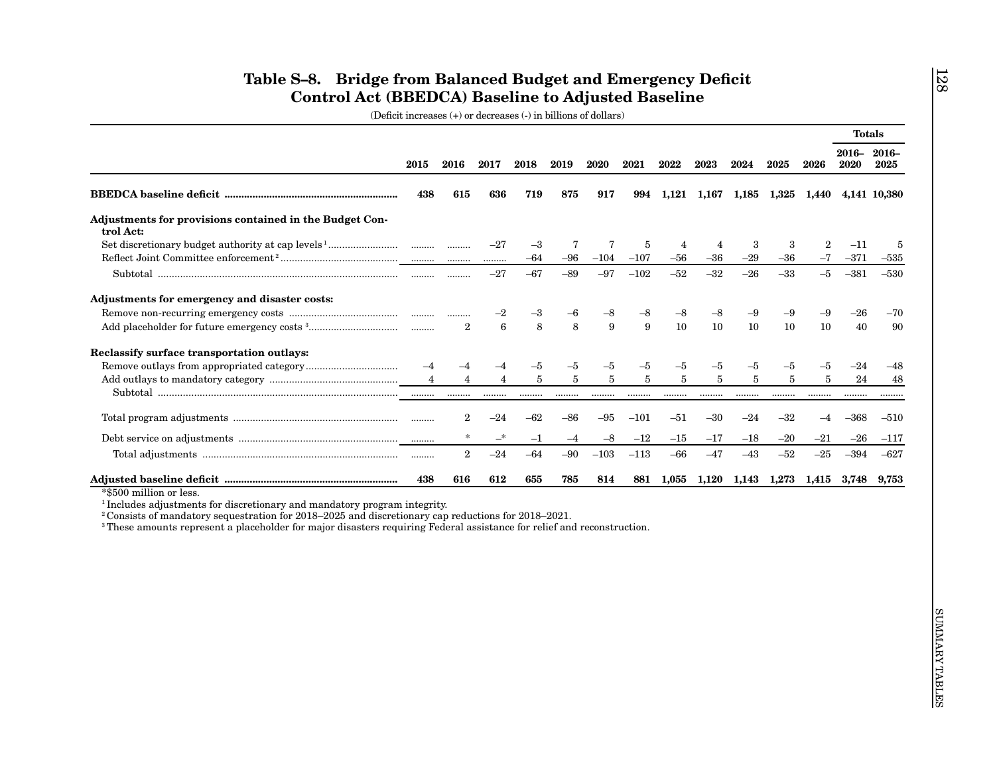|                                                                                                                                                                                                                                                                                                                                                                         |                |                |                |                |            |                |             |                           |                |            |                |                          | <b>Totals</b>      |              |
|-------------------------------------------------------------------------------------------------------------------------------------------------------------------------------------------------------------------------------------------------------------------------------------------------------------------------------------------------------------------------|----------------|----------------|----------------|----------------|------------|----------------|-------------|---------------------------|----------------|------------|----------------|--------------------------|--------------------|--------------|
|                                                                                                                                                                                                                                                                                                                                                                         | 2015           | 2016           | 2017           | 2018           | 2019       | 2020           | 2021        | 2022                      | 2023           | 2024       | 2025           | 2026                     | 2016-2016-<br>2020 | 2025         |
|                                                                                                                                                                                                                                                                                                                                                                         | 438            | 615            | 636            | 719            | 875        | 917            | 994         |                           | 1,121 1,167    |            | 1,185 1,325    | 1,440                    |                    | 4,141 10,380 |
| Adjustments for provisions contained in the Budget Con-<br>trol Act:                                                                                                                                                                                                                                                                                                    |                |                |                |                |            |                |             |                           |                |            |                |                          |                    |              |
|                                                                                                                                                                                                                                                                                                                                                                         |                |                | $-27$<br>.     | $-3$<br>$-64$  | 7<br>$-96$ | 7<br>$-104$    | 5<br>$-107$ | $\overline{4}$<br>$-56\,$ | 4<br>$-36$     | 3<br>$-29$ | 3<br>$-36$     | $\boldsymbol{2}$<br>$-7$ | $-11$<br>$-371$    | 5<br>$-535$  |
|                                                                                                                                                                                                                                                                                                                                                                         |                |                | $-27$          | $-67$          | $-89$      | $-97$          | $-102$      | $-52$                     | $-32$          | $-26$      | $-33$          | $-5$                     | $-381$             | $-530$       |
| Adjustments for emergency and disaster costs:                                                                                                                                                                                                                                                                                                                           |                |                |                |                |            |                |             |                           |                |            |                |                          |                    |              |
|                                                                                                                                                                                                                                                                                                                                                                         |                |                | $-2$           | -3             | -6         | -8             | -8          | $-8$                      | -8             | $-9$       | -9             | $-9$                     | -26                | $-70$        |
|                                                                                                                                                                                                                                                                                                                                                                         |                | $\overline{2}$ | $\bf 6$        | 8              | 8          | 9              | 9           | 10                        | 10             | 10         | 10             | 10                       | 40                 | 90           |
| Reclassify surface transportation outlays:                                                                                                                                                                                                                                                                                                                              |                |                |                |                |            |                |             |                           |                |            |                |                          |                    |              |
|                                                                                                                                                                                                                                                                                                                                                                         | $-4$           | -4             | $^{-4}$        | -5             | $-5$       | -5             | -5          | $-5$                      | -5             | -5         | $-5$           | $-5$                     | $-24$              | $-48$        |
|                                                                                                                                                                                                                                                                                                                                                                         | $\overline{4}$ | $\overline{4}$ | $\overline{4}$ | $\overline{5}$ | $\bf 5$    | $\overline{5}$ | 5           | 5                         | $\overline{5}$ | 5          | $\overline{5}$ | 5                        | 24                 | 48           |
|                                                                                                                                                                                                                                                                                                                                                                         |                |                | .              | .              | .          | .              | .           |                           | .              | .          | .              | .                        |                    |              |
|                                                                                                                                                                                                                                                                                                                                                                         |                | $\mathbf{2}$   | $-24$          | $-62$          | $-86$      | $-95$          | $-101$      | $-51$                     | $-30$          | $-24$      | $-32$          | $-4$                     | $-368$             | $-510$       |
|                                                                                                                                                                                                                                                                                                                                                                         |                |                | —*             | $^{\rm -1}$    | $-4$       | -8             | $-12$       | $-15$                     | $-17$          | $-18$      | $-20$          | $^{-21}$                 | $-26$              | $-117$       |
|                                                                                                                                                                                                                                                                                                                                                                         |                | $\overline{2}$ | $-24$          | $-64$          | $-90$      | $-103$         | $-113$      | $-66$                     | $-47$          | $-43$      | $-52$          | $-25$                    | $-394$             | $-627$       |
|                                                                                                                                                                                                                                                                                                                                                                         | 438            | 616            | 612            | 655            | 785        | 814            | 881         | 1,055                     | 1,120          | 1,143      | 1,273          | 1,415                    | $3{,}748$          | $9{,}753$    |
| *\$500 million or less.<br><sup>1</sup> Includes adjustments for discretionary and mandatory program integrity.<br><sup>2</sup> Consists of mandatory sequestration for 2018–2025 and discretionary cap reductions for 2018–2021.<br><sup>3</sup> These amounts represent a placeholder for major disasters requiring Federal assistance for relief and reconstruction. |                |                |                |                |            |                |             |                           |                |            |                |                          |                    |              |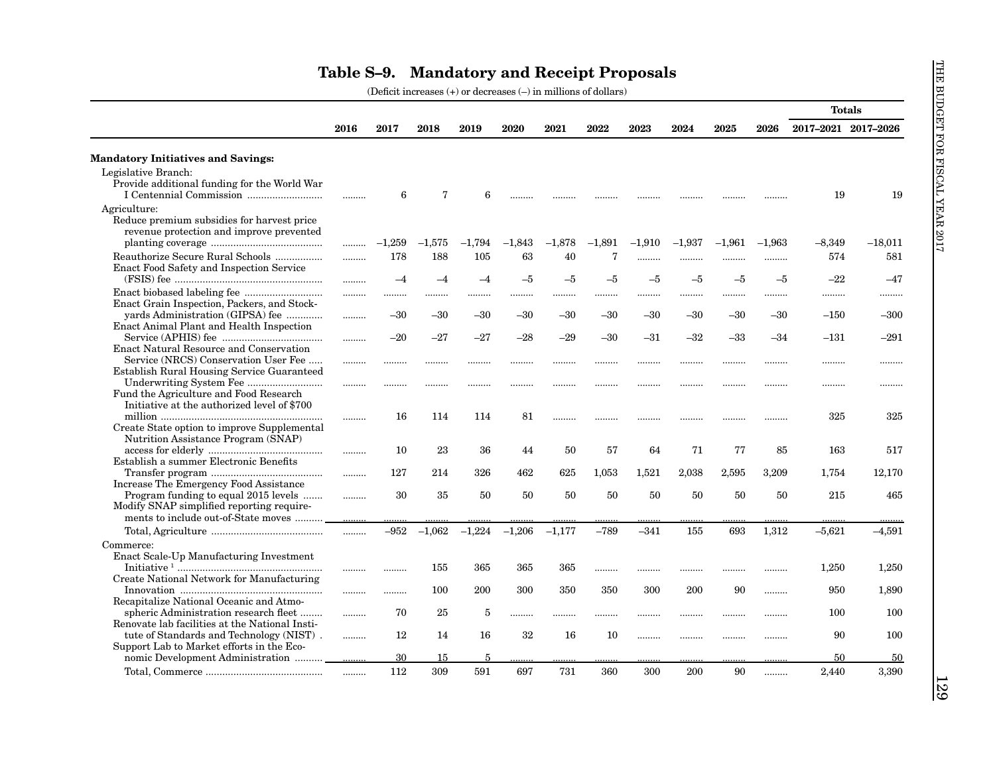| <b>Mandatory Initiatives and Savings:</b><br>Legislative Branch:<br>Provide additional funding for the World War | 2016 | 2017     | 2018        |            |          |          |                |          |          |          |           |                     |           |
|------------------------------------------------------------------------------------------------------------------|------|----------|-------------|------------|----------|----------|----------------|----------|----------|----------|-----------|---------------------|-----------|
|                                                                                                                  |      |          |             | 2019       | 2020     | 2021     | 2022           | 2023     | 2024     | 2025     | 2026      | 2017-2021 2017-2026 |           |
|                                                                                                                  |      |          |             |            |          |          |                |          |          |          |           |                     |           |
|                                                                                                                  |      |          |             |            |          |          |                |          |          |          |           |                     |           |
|                                                                                                                  |      |          |             |            |          |          |                |          |          |          |           |                     |           |
|                                                                                                                  |      | 6        | $\mathbf 7$ | 6          |          |          |                |          |          |          |           | 19                  | 19        |
| Agriculture:                                                                                                     |      |          |             |            |          |          |                |          |          |          |           |                     |           |
| Reduce premium subsidies for harvest price<br>revenue protection and improve prevented                           |      |          |             |            |          |          |                |          |          |          |           |                     |           |
|                                                                                                                  |      | $-1,259$ | $-1,575$    | $-1,794$   | $-1,843$ | $-1,878$ | $-1,891$       | $-1,910$ | $-1,937$ | $-1,961$ | $-1,963$  | $-8,349$            | $-18,011$ |
| Reauthorize Secure Rural Schools                                                                                 |      | 178      | 188         | 105        | 63       | 40       | $\overline{7}$ |          |          |          |           | 574                 | 581       |
| Enact Food Safety and Inspection Service                                                                         | .    | $-4$     | $-4$        | $-4$       | $-5$     | $-5$     | $-5$           | <br>-5   | <br>$-5$ | <br>$-5$ | .<br>$-5$ | $-22$               | $-47$     |
|                                                                                                                  |      |          |             |            |          |          |                |          |          |          |           |                     |           |
|                                                                                                                  |      |          | .           |            |          |          | .              |          |          |          | .         | .                   |           |
| Enact Grain Inspection, Packers, and Stock-<br>yards Administration (GIPSA) fee                                  |      | $-30$    | -30         | $-30$      | $-30$    | $-30$    | $-30$          | $-30$    | $-30$    | $-30$    | $-30$     | $-150$              | $-300$    |
| <b>Enact Animal Plant and Health Inspection</b>                                                                  |      |          |             |            |          |          |                |          |          |          |           |                     |           |
|                                                                                                                  | .    | $-20$    | $-27$       | $-27$      | $-28$    | $-29$    | $-30$          | $-31$    | $-32$    | $-33$    | $-34$     | $-131$              | $-291$    |
| <b>Enact Natural Resource and Conservation</b>                                                                   |      |          |             |            |          |          |                |          |          |          |           |                     |           |
| Service (NRCS) Conservation User Fee                                                                             |      | .        |             |            |          |          |                |          |          |          | .         |                     |           |
| Establish Rural Housing Service Guaranteed                                                                       |      |          |             |            |          |          |                |          |          |          |           |                     |           |
|                                                                                                                  |      |          |             |            |          |          |                | .        |          |          | .         | .                   | .         |
| Fund the Agriculture and Food Research                                                                           |      |          |             |            |          |          |                |          |          |          |           |                     |           |
| Initiative at the authorized level of \$700                                                                      |      |          |             |            |          |          |                |          |          |          |           |                     |           |
|                                                                                                                  |      | 16       | 114         | 114        | 81       |          |                |          |          |          |           | 325                 | 325       |
| Create State option to improve Supplemental                                                                      |      |          |             |            |          |          |                |          |          |          |           |                     |           |
| Nutrition Assistance Program (SNAP)                                                                              |      |          |             |            |          |          |                |          |          |          |           |                     |           |
| Establish a summer Electronic Benefits                                                                           |      | 10       | 23          | 36         | 44       | 50       | 57             | 64       | 71       | 77       | 85        | 163                 | 517       |
|                                                                                                                  |      | 127      | 214         | 326        | 462      | 625      | 1,053          | 1,521    | 2,038    | 2,595    | 3,209     | 1,754               | 12,170    |
| Increase The Emergency Food Assistance                                                                           | .    |          |             |            |          |          |                |          |          |          |           |                     |           |
| Program funding to equal 2015 levels                                                                             | .    | 30       | 35          | 50         | 50       | 50       | 50             | 50       | 50       | 50       | 50        | 215                 | 465       |
| Modify SNAP simplified reporting require-                                                                        |      |          |             |            |          |          |                |          |          |          |           |                     |           |
| ments to include out-of-State moves                                                                              |      |          |             |            |          |          |                |          |          |          |           |                     |           |
|                                                                                                                  |      | $-952$   | $-1,062$    | $-1,224$   | $-1,206$ | $-1.177$ | $-789$         | $-341$   | 155      | 693      | 1,312     | $-5.621$            | $-4,591$  |
| Commerce:                                                                                                        |      |          |             |            |          |          |                |          |          |          |           |                     |           |
| Enact Scale-Up Manufacturing Investment                                                                          |      |          |             |            |          |          |                |          |          |          |           |                     |           |
|                                                                                                                  |      |          | 155         | 365        | 365      | 365      | .              |          |          |          |           | 1,250               | 1,250     |
| Create National Network for Manufacturing                                                                        |      |          |             |            |          |          |                |          |          |          |           |                     |           |
|                                                                                                                  |      |          | 100         | 200        | 300      | 350      | 350            | 300      | 200      | 90       | .         | 950                 | 1,890     |
| Recapitalize National Oceanic and Atmo-                                                                          |      |          |             |            |          |          |                |          |          |          |           |                     |           |
| spheric Administration research fleet                                                                            |      | 70       | 25          | 5          | .        | .        | .              | .        |          |          | .         | 100                 | 100       |
| Renovate lab facilities at the National Insti-                                                                   |      |          |             |            |          |          |                |          |          |          |           |                     |           |
| tute of Standards and Technology (NIST).                                                                         |      | 12       | -14         | 16         | 32       | 16       | 10             |          |          |          | .         | 90                  | 100       |
| Support Lab to Market efforts in the Eco-                                                                        |      | 30       | 15          | $\sqrt{2}$ |          |          |                |          |          |          |           | 50                  | 50        |
|                                                                                                                  |      | 112      | 309         | 591        | 697      | 731      | 360            | 300      | 200      | 90       | .         | 2,440               | 3,390     |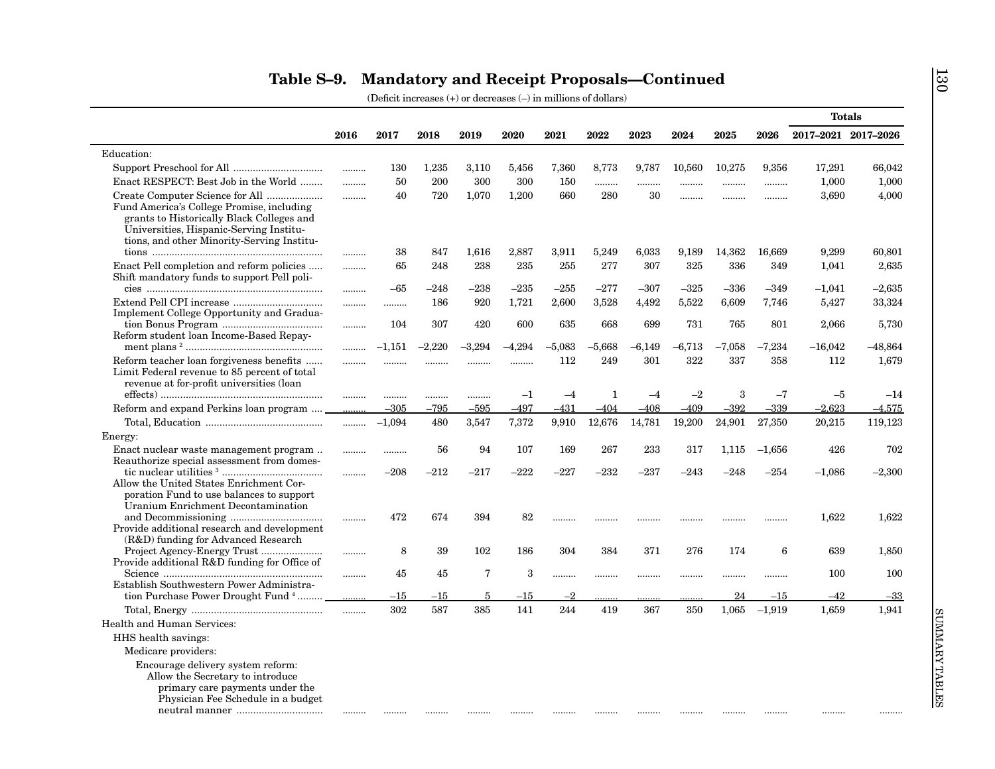|                                                                                                                                                                                 |       |          |          |          |          |          |          |          |          |          |          | <b>Totals</b>       |                |
|---------------------------------------------------------------------------------------------------------------------------------------------------------------------------------|-------|----------|----------|----------|----------|----------|----------|----------|----------|----------|----------|---------------------|----------------|
|                                                                                                                                                                                 | 2016  | 2017     | 2018     | 2019     | 2020     | 2021     | 2022     | 2023     | 2024     | 2025     | 2026     | 2017-2021 2017-2026 |                |
| Education:                                                                                                                                                                      |       |          |          |          |          |          |          |          |          |          |          |                     |                |
|                                                                                                                                                                                 |       | 130      | 1,235    | 3,110    | 5,456    | 7,360    | 8,773    | 9,787    | 10,560   | 10,275   | 9,356    | 17,291              | 66,042         |
| Enact RESPECT: Best Job in the World                                                                                                                                            | .     | 50       | 200      | 300      | 300      | 150      | .        | .        | .        |          |          | 1,000               | 1,000          |
| Create Computer Science for All                                                                                                                                                 |       | 40       | 720      | 1,070    | 1,200    | 660      | 280      | 30       |          |          |          | 3,690               | 4,000          |
| Fund America's College Promise, including<br>grants to Historically Black Colleges and<br>Universities, Hispanic-Serving Institu-<br>tions, and other Minority-Serving Institu- |       |          |          |          |          |          |          |          |          |          |          |                     |                |
|                                                                                                                                                                                 |       | 38       | 847      | 1,616    | 2,887    | 3,911    | 5,249    | 6,033    | 9,189    | 14,362   | 16,669   | 9,299               | 60,801         |
| Enact Pell completion and reform policies<br>Shift mandatory funds to support Pell poli-                                                                                        | .     | 65       | 248      | 238      | 235      | 255      | 277      | 307      | 325      | 336      | 349      | 1,041               | 2,635          |
|                                                                                                                                                                                 |       | $-65$    | $-248$   | $-238$   | $-235$   | $-255$   | $-277$   | $-307$   | $-325$   | $-336$   | $-349$   | $-1,041$            | $-2,635$       |
|                                                                                                                                                                                 | .     | .        | 186      | 920      | 1,721    | 2,600    | 3,528    | 4,492    | 5,522    | 6,609    | 7,746    | 5,427               | 33,324         |
| Implement College Opportunity and Gradua-                                                                                                                                       |       |          |          |          |          |          |          |          |          |          |          |                     |                |
|                                                                                                                                                                                 |       | 104      | 307      | 420      | 600      | 635      | 668      | 699      | 731      | 765      | 801      | 2,066               | 5,730          |
| Reform student loan Income-Based Repay-                                                                                                                                         |       | $-1,151$ | $-2,220$ | $-3,294$ | $-4.294$ | $-5,083$ | $-5,668$ | $-6,149$ | $-6,713$ | $-7,058$ | $-7,234$ | $-16,042$           | $-48,864$      |
|                                                                                                                                                                                 | .     |          |          |          |          | 112      | 249      | 301      | 322      | 337      | 358      | 112                 |                |
| Reform teacher loan forgiveness benefits<br>Limit Federal revenue to 85 percent of total<br>revenue at for-profit universities (loan                                            | <br>. | <br>     | .<br>    | .<br>    | <br>$-1$ | $-4$     | 1        | $-4$     | $-2$     | 3        | $-7$     | $-5$                | 1,679<br>$-14$ |
| Reform and expand Perkins loan program                                                                                                                                          |       | $-305$   | $-795$   | $-595$   | $-497$   | $-431$   | $-404$   | $-408$   | $-409$   | $-392$   | $-339$   | $-2.623$            | $-4,575$       |
|                                                                                                                                                                                 | .     | $-1,094$ | 480      | 3,547    | 7,372    | 9,910    | 12,676   | 14,781   | 19,200   | 24,901   | 27,350   | 20,215              | 119,123        |
|                                                                                                                                                                                 |       |          |          |          |          |          |          |          |          |          |          |                     |                |
| Energy:                                                                                                                                                                         |       |          |          |          |          |          |          |          |          |          |          |                     |                |
| Enact nuclear waste management program<br>Reauthorize special assessment from domes-                                                                                            | .     |          | 56       | 94       | 107      | 169      | 267      | 233      | 317      | 1,115    | $-1,656$ | 426                 | 702            |
|                                                                                                                                                                                 |       | $-208$   | $-212$   | $-217$   | $-222$   | $-227$   | $-232$   | $-237$   | $-243$   | $-248$   | $-254$   | $-1,086$            | $-2,300$       |
| Allow the United States Enrichment Cor-<br>poration Fund to use balances to support                                                                                             |       |          |          |          |          |          |          |          |          |          |          |                     |                |
| Uranium Enrichment Decontamination                                                                                                                                              |       |          |          |          |          |          |          |          |          |          |          |                     |                |
|                                                                                                                                                                                 |       | 472      | 674      | 394      | 82       | .        |          |          |          |          |          | 1,622               | 1,622          |
| Provide additional research and development                                                                                                                                     |       |          |          |          |          |          |          |          |          |          |          |                     |                |
| (R&D) funding for Advanced Research                                                                                                                                             |       | 8        | 39       | 102      | 186      | 304      | 384      | 371      | 276      | 174      | 6        | 639                 | 1,850          |
| Provide additional R&D funding for Office of                                                                                                                                    |       |          |          |          |          |          |          |          |          |          |          |                     |                |
|                                                                                                                                                                                 |       | 45       | 45       | 7        | 3        | .        |          |          | .        |          |          | 100                 | 100            |
| Establish Southwestern Power Administra-                                                                                                                                        |       |          |          |          |          |          |          |          |          |          |          |                     |                |
| tion Purchase Power Drought Fund <sup>4</sup>                                                                                                                                   |       | $^{-15}$ | $^{-15}$ | 5        | -15      | $-2$     |          |          |          | 24       | $^{-15}$ | $-42$               | $-33$          |
|                                                                                                                                                                                 | .     | 302      | 587      | 385      | 141      | 244      | 419      | 367      | 350      | 1,065    | $-1,919$ | 1,659               | 1,941          |
| Health and Human Services:                                                                                                                                                      |       |          |          |          |          |          |          |          |          |          |          |                     |                |
| HHS health savings:                                                                                                                                                             |       |          |          |          |          |          |          |          |          |          |          |                     |                |
| Medicare providers:                                                                                                                                                             |       |          |          |          |          |          |          |          |          |          |          |                     |                |
| Encourage delivery system reform:                                                                                                                                               |       |          |          |          |          |          |          |          |          |          |          |                     |                |
| Allow the Secretary to introduce                                                                                                                                                |       |          |          |          |          |          |          |          |          |          |          |                     |                |
| primary care payments under the<br>Physician Fee Schedule in a budget                                                                                                           |       |          |          |          |          |          |          |          |          |          |          |                     |                |
|                                                                                                                                                                                 |       |          |          |          |          |          |          |          |          |          |          |                     |                |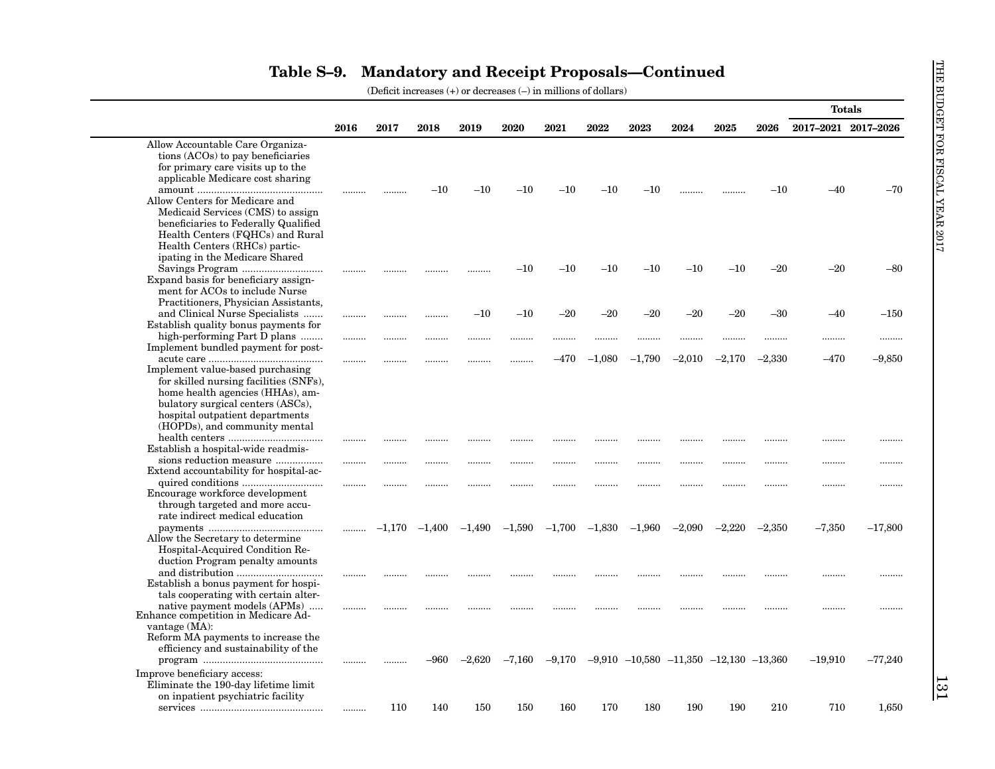|                                        |      |      |                   |          |          |          |          |          |                                                  |          |          | <b>Totals</b>       |           |
|----------------------------------------|------|------|-------------------|----------|----------|----------|----------|----------|--------------------------------------------------|----------|----------|---------------------|-----------|
|                                        | 2016 | 2017 | 2018              | 2019     | 2020     | 2021     | 2022     | 2023     | 2024                                             | 2025     | 2026     | 2017-2021 2017-2026 |           |
| Allow Accountable Care Organiza-       |      |      |                   |          |          |          |          |          |                                                  |          |          |                     |           |
| tions (ACOs) to pay beneficiaries      |      |      |                   |          |          |          |          |          |                                                  |          |          |                     |           |
| for primary care visits up to the      |      |      |                   |          |          |          |          |          |                                                  |          |          |                     |           |
| applicable Medicare cost sharing       |      |      |                   |          |          |          |          |          |                                                  |          |          |                     |           |
|                                        |      |      | $-10$             | $-10$    | $-10$    | $^{-10}$ | $^{-10}$ | $-10$    |                                                  |          | $-10$    | -40                 | $-70$     |
| Allow Centers for Medicare and         |      |      |                   |          |          |          |          |          |                                                  |          |          |                     |           |
| Medicaid Services (CMS) to assign      |      |      |                   |          |          |          |          |          |                                                  |          |          |                     |           |
| beneficiaries to Federally Qualified   |      |      |                   |          |          |          |          |          |                                                  |          |          |                     |           |
| Health Centers (FQHCs) and Rural       |      |      |                   |          |          |          |          |          |                                                  |          |          |                     |           |
| Health Centers (RHCs) partic-          |      |      |                   |          |          |          |          |          |                                                  |          |          |                     |           |
| ipating in the Medicare Shared         |      |      |                   |          |          |          |          |          |                                                  |          |          |                     |           |
| Savings Program                        |      |      |                   | .        | $-10$    | $^{-10}$ | $-10$    | $-10$    | $-10$                                            | $-10$    | $-20$    | $-20$               | $-80$     |
| Expand basis for beneficiary assign-   |      |      |                   |          |          |          |          |          |                                                  |          |          |                     |           |
| ment for ACOs to include Nurse         |      |      |                   |          |          |          |          |          |                                                  |          |          |                     |           |
| Practitioners, Physician Assistants,   |      |      |                   |          |          |          |          |          |                                                  |          |          |                     |           |
| and Clinical Nurse Specialists         |      |      | .                 | $-10$    | $-10$    | $-20$    | $-20$    | $-20$    | $-20$                                            | $-20$    | $-30$    | –40                 | $-150$    |
| Establish quality bonus payments for   |      |      |                   |          |          |          |          |          |                                                  |          |          |                     |           |
| high-performing Part D plans           | .    |      | .                 |          |          |          |          |          |                                                  |          |          |                     |           |
| Implement bundled payment for post-    |      |      |                   |          |          |          |          |          |                                                  |          |          |                     |           |
|                                        |      |      | .                 |          |          | -470     | $-1,080$ | $-1,790$ | $-2,010$                                         | $-2,170$ | $-2,330$ | $-470$              | $-9,850$  |
| Implement value-based purchasing       |      |      |                   |          |          |          |          |          |                                                  |          |          |                     |           |
| for skilled nursing facilities (SNFs), |      |      |                   |          |          |          |          |          |                                                  |          |          |                     |           |
| home health agencies (HHAs), am-       |      |      |                   |          |          |          |          |          |                                                  |          |          |                     |           |
| bulatory surgical centers (ASCs),      |      |      |                   |          |          |          |          |          |                                                  |          |          |                     |           |
| hospital outpatient departments        |      |      |                   |          |          |          |          |          |                                                  |          |          |                     |           |
| (HOPDs), and community mental          |      |      |                   |          |          |          |          |          |                                                  |          |          |                     |           |
|                                        |      |      |                   |          |          |          |          |          |                                                  |          |          |                     |           |
| Establish a hospital-wide readmis-     |      |      |                   | .        |          |          |          |          |                                                  |          |          |                     |           |
| sions reduction measure                |      | .    |                   |          |          |          | .        | .        |                                                  |          | .        | .                   |           |
| Extend accountability for hospital-ac- |      |      |                   |          |          |          |          |          |                                                  |          |          |                     |           |
|                                        | .    |      |                   |          |          |          |          |          |                                                  |          |          |                     |           |
| Encourage workforce development        |      |      |                   |          |          |          |          |          |                                                  |          |          |                     |           |
| through targeted and more accu-        |      |      |                   |          |          |          |          |          |                                                  |          |          |                     |           |
| rate indirect medical education        |      |      |                   |          |          |          |          |          |                                                  |          |          |                     |           |
|                                        |      |      | $-1,170$ $-1,400$ | $-1,490$ | $-1,590$ | $-1,700$ | $-1,830$ | $-1,960$ | $-2,090$                                         | $-2,220$ | $-2,350$ | $-7,350$            | $-17,800$ |
| Allow the Secretary to determine       |      |      |                   |          |          |          |          |          |                                                  |          |          |                     |           |
| Hospital-Acquired Condition Re-        |      |      |                   |          |          |          |          |          |                                                  |          |          |                     |           |
| duction Program penalty amounts        |      |      |                   |          |          |          |          |          |                                                  |          |          |                     |           |
| and distribution                       |      |      |                   |          |          |          |          |          |                                                  |          |          |                     |           |
| Establish a bonus payment for hospi-   |      |      |                   |          |          |          |          |          |                                                  |          |          |                     | .         |
| tals cooperating with certain alter-   |      |      |                   |          |          |          |          |          |                                                  |          |          |                     |           |
| native payment models (APMs)           |      |      |                   |          |          |          |          |          |                                                  |          |          |                     |           |
| Enhance competition in Medicare Ad-    |      |      |                   |          |          |          |          |          |                                                  |          |          |                     |           |
| vantage $(MA)$ :                       |      |      |                   |          |          |          |          |          |                                                  |          |          |                     |           |
| Reform MA payments to increase the     |      |      |                   |          |          |          |          |          |                                                  |          |          |                     |           |
| efficiency and sustainability of the   |      |      |                   |          |          |          |          |          |                                                  |          |          |                     |           |
|                                        |      |      | -960              | $-2,620$ | $-7,160$ | $-9,170$ |          |          | $-9.910$ $-10.580$ $-11.350$ $-12.130$ $-13.360$ |          |          | $-19,910$           | $-77,240$ |
| Improve beneficiary access:            |      |      |                   |          |          |          |          |          |                                                  |          |          |                     |           |
| Eliminate the 190-day lifetime limit   |      |      |                   |          |          |          |          |          |                                                  |          |          |                     |           |
| on inpatient psychiatric facility      |      |      |                   |          |          |          |          |          |                                                  |          |          |                     |           |
|                                        |      |      |                   |          |          |          |          |          |                                                  |          |          |                     |           |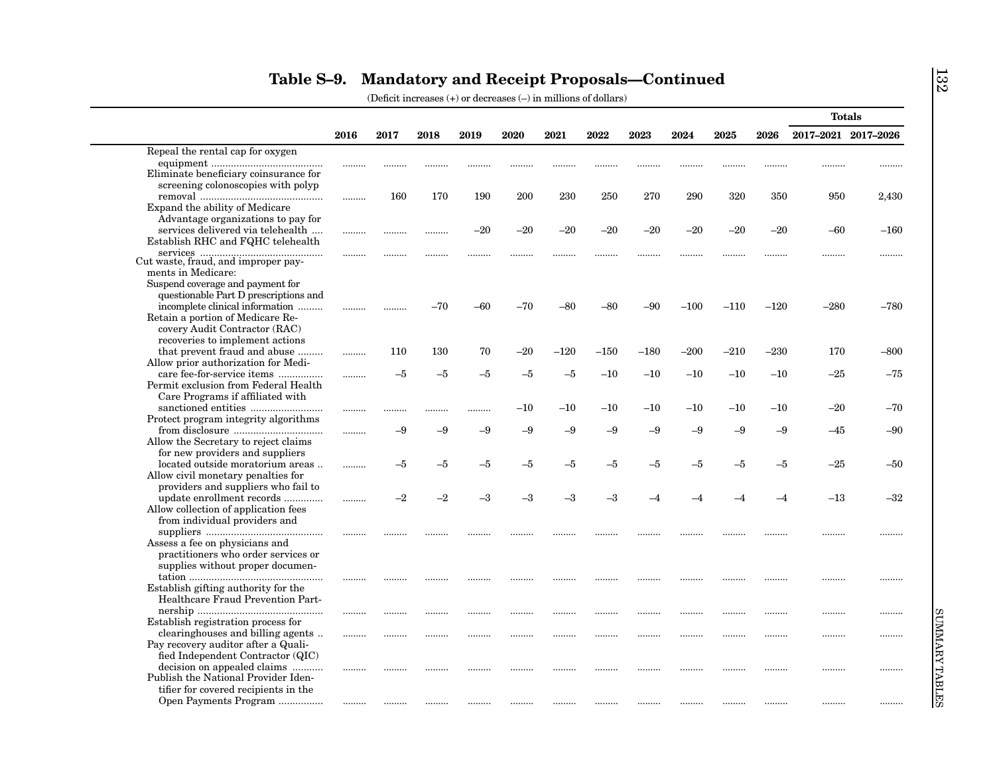|                                                                     |      |      |       |       |       |        |        |        |        |        |        |                     | <b>Totals</b> |
|---------------------------------------------------------------------|------|------|-------|-------|-------|--------|--------|--------|--------|--------|--------|---------------------|---------------|
|                                                                     | 2016 | 2017 | 2018  | 2019  | 2020  | 2021   | 2022   | 2023   | 2024   | 2025   | 2026   | 2017-2021 2017-2026 |               |
| Repeal the rental cap for oxygen                                    |      |      |       |       |       |        |        |        |        |        |        |                     |               |
|                                                                     |      |      |       |       |       |        |        |        |        |        |        |                     |               |
| Eliminate beneficiary coinsurance for                               |      |      |       |       |       |        |        |        |        |        |        |                     |               |
| screening colonoscopies with polyp                                  |      |      |       |       |       |        |        |        |        |        |        |                     |               |
| Expand the ability of Medicare                                      | .    | 160  | 170   | 190   | 200   | 230    | 250    | 270    | 290    | 320    | 350    | 950                 | 2,430         |
| Advantage organizations to pay for                                  |      |      |       |       |       |        |        |        |        |        |        |                     |               |
| services delivered via telehealth                                   |      |      |       | $-20$ | $-20$ | $-20$  | $-20$  | $-20$  | $-20$  | $-20$  | $-20$  | $-60$               | $-160$        |
| Establish RHC and FQHC telehealth                                   |      |      |       |       |       |        |        |        |        |        |        |                     |               |
|                                                                     |      |      |       |       | .     |        |        |        |        |        | .      |                     |               |
| $% \mathcal{N}$ $% \mathcal{N}$ cut waste, fraud, and improper pay- |      |      |       |       |       |        |        |        |        |        |        |                     |               |
| ments in Medicare:                                                  |      |      |       |       |       |        |        |        |        |        |        |                     |               |
| Suspend coverage and payment for                                    |      |      |       |       |       |        |        |        |        |        |        |                     |               |
| questionable Part D prescriptions and                               |      |      |       |       |       |        |        |        |        |        |        |                     |               |
| incomplete clinical information<br>Retain a portion of Medicare Re- |      |      | $-70$ | $-60$ | $-70$ | -80    | -80    | $-90$  | $-100$ | $-110$ | $-120$ | $-280$              | $-780$        |
| covery Audit Contractor (RAC)                                       |      |      |       |       |       |        |        |        |        |        |        |                     |               |
| recoveries to implement actions                                     |      |      |       |       |       |        |        |        |        |        |        |                     |               |
| that prevent fraud and abuse                                        |      | 110  | 130   | 70    | $-20$ | $-120$ | $-150$ | $-180$ | $-200$ | $-210$ | $-230$ | 170                 | $-800$        |
| Allow prior authorization for Medi-                                 |      |      |       |       |       |        |        |        |        |        |        |                     |               |
| care fee-for-service items                                          | .    | $-5$ | $-5$  | $-5$  | $-5$  | $-5$   | $-10$  | $-10$  | $-10$  | $-10$  | $-10$  | $-25$               | $-75$         |
| Permit exclusion from Federal Health                                |      |      |       |       |       |        |        |        |        |        |        |                     |               |
| Care Programs if affiliated with                                    |      |      |       |       |       |        |        |        |        |        |        |                     |               |
|                                                                     |      |      |       |       | $-10$ | $-10$  | $-10$  | $-10$  | $-10$  | $-10$  | $-10$  | $-20$               | $-70$         |
| Protect program integrity algorithms                                |      | $-9$ | $-9$  | $-9$  | $-9$  | $-9$   | $-9$   | $-9$   | $-9$   | $-9$   | $-9$   |                     |               |
| Allow the Secretary to reject claims                                |      |      |       |       |       |        |        |        |        |        |        | $-45$               | $-90$         |
| for new providers and suppliers                                     |      |      |       |       |       |        |        |        |        |        |        |                     |               |
| located outside moratorium areas                                    |      | $-5$ | -5    | $-5$  | -5    | $-5$   | -5     | -5     | -5     | $-5$   | $-5$   | $-25$               | $-50$         |
| Allow civil monetary penalties for                                  |      |      |       |       |       |        |        |        |        |        |        |                     |               |
| providers and suppliers who fail to                                 |      |      |       |       |       |        |        |        |        |        |        |                     |               |
| update enrollment records                                           |      | $-2$ | $-2$  | $-3$  | $-3$  | $-3$   | -3     |        |        |        | -4     | $-13$               | $-32$         |
| Allow collection of application fees                                |      |      |       |       |       |        |        |        |        |        |        |                     |               |
| from individual providers and                                       |      |      |       |       |       |        |        |        |        |        |        |                     |               |
|                                                                     |      |      |       |       |       |        |        | .      | .      |        |        |                     |               |
| Assess a fee on physicians and                                      |      |      |       |       |       |        |        |        |        |        |        |                     |               |
| practitioners who order services or                                 |      |      |       |       |       |        |        |        |        |        |        |                     |               |
| supplies without proper documen-                                    |      |      |       |       |       |        |        |        |        |        |        |                     |               |
| Establish gifting authority for the                                 |      |      |       |       |       |        |        |        |        |        |        |                     |               |
| Healthcare Fraud Prevention Part-                                   |      |      |       |       |       |        |        |        |        |        |        |                     |               |
|                                                                     |      |      |       |       |       |        |        |        |        |        |        |                     |               |
| Establish registration process for                                  |      |      |       |       |       |        |        |        |        |        |        |                     |               |
| clearinghouses and billing agents                                   | .    |      |       |       |       |        |        |        | .      |        |        | .                   |               |
| Pay recovery auditor after a Quali-                                 |      |      |       |       |       |        |        |        |        |        |        |                     |               |
| fied Independent Contractor (QIC)                                   |      |      |       |       |       |        |        |        |        |        |        |                     |               |
| decision on appealed claims                                         | .    |      |       |       |       |        |        |        |        |        |        |                     |               |
| Publish the National Provider Iden-                                 |      |      |       |       |       |        |        |        |        |        |        |                     |               |
| tifier for covered recipients in the                                |      |      |       |       |       |        |        |        |        |        |        |                     |               |
| Open Payments Program                                               |      |      |       |       |       |        |        |        |        |        |        |                     |               |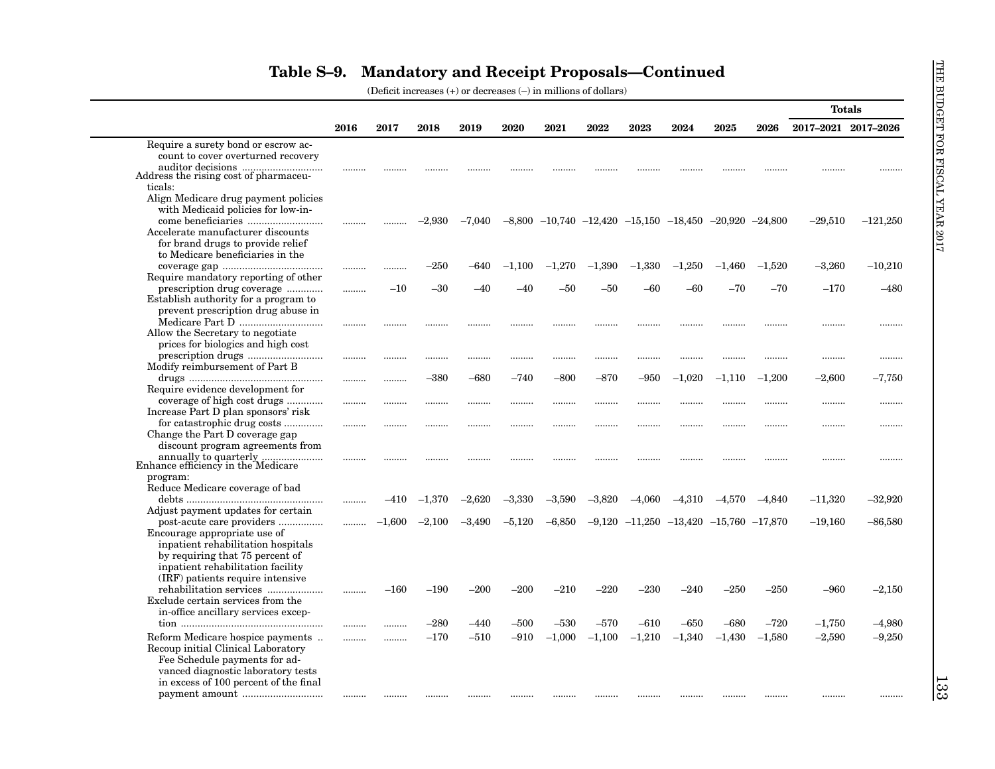|                                                                       |      |          |          |          |          |                                                                      |          |                                                  |          |          |          | <b>Totals</b>       |            |
|-----------------------------------------------------------------------|------|----------|----------|----------|----------|----------------------------------------------------------------------|----------|--------------------------------------------------|----------|----------|----------|---------------------|------------|
|                                                                       | 2016 | 2017     | 2018     | 2019     | 2020     | 2021                                                                 | 2022     | 2023                                             | 2024     | 2025     | 2026     | 2017-2021 2017-2026 |            |
| Require a surety bond or escrow ac-                                   |      |          |          |          |          |                                                                      |          |                                                  |          |          |          |                     |            |
| count to cover overturned recovery                                    |      |          |          |          |          |                                                                      |          |                                                  |          |          |          |                     |            |
|                                                                       |      |          |          |          |          |                                                                      |          |                                                  |          |          |          |                     | .          |
| Address the rising cost of pharmaceu-                                 |      |          |          |          |          |                                                                      |          |                                                  |          |          |          |                     |            |
| ticals:                                                               |      |          |          |          |          |                                                                      |          |                                                  |          |          |          |                     |            |
| Align Medicare drug payment policies                                  |      |          |          |          |          |                                                                      |          |                                                  |          |          |          |                     |            |
| with Medicaid policies for low-in-                                    |      |          |          |          |          |                                                                      |          |                                                  |          |          |          |                     |            |
|                                                                       |      |          | $-2,930$ | $-7,040$ |          | $-8,800$ $-10,740$ $-12,420$ $-15,150$ $-18,450$ $-20,920$ $-24,800$ |          |                                                  |          |          |          | $-29,510$           | $-121,250$ |
| Accelerate manufacturer discounts                                     |      |          |          |          |          |                                                                      |          |                                                  |          |          |          |                     |            |
| for brand drugs to provide relief<br>to Medicare beneficiaries in the |      |          |          |          |          |                                                                      |          |                                                  |          |          |          |                     |            |
|                                                                       |      |          |          |          |          |                                                                      |          |                                                  |          |          |          |                     |            |
| Require mandatory reporting of other                                  |      | .        | $-250$   | $-640$   | $-1,100$ | $-1,270$                                                             | $-1,390$ | $-1,330$                                         | $-1,250$ | $-1,460$ | $-1,520$ | $-3,260$            | $-10,210$  |
| prescription drug coverage                                            |      | $-10$    | $-30$    | $-40$    | -40      | -50                                                                  | -50      | $-60$                                            | $-60$    | $-70$    | $-70$    | $-170$              | $-480$     |
| Establish authority for a program to                                  | .    |          |          |          |          |                                                                      |          |                                                  |          |          |          |                     |            |
| prevent prescription drug abuse in                                    |      |          |          |          |          |                                                                      |          |                                                  |          |          |          |                     |            |
| Medicare Part D                                                       |      |          |          |          |          |                                                                      |          |                                                  |          |          |          |                     |            |
| Allow the Secretary to negotiate                                      |      |          |          |          |          |                                                                      |          |                                                  |          |          |          |                     |            |
| prices for biologics and high cost                                    |      |          |          |          |          |                                                                      |          |                                                  |          |          |          |                     |            |
|                                                                       |      |          |          |          |          |                                                                      |          |                                                  |          |          |          |                     |            |
| Modify reimbursement of Part B                                        |      |          |          |          |          |                                                                      |          |                                                  |          |          |          |                     |            |
|                                                                       |      |          | $-380$   | $-680$   | $-740$   | $-800$                                                               | $-870$   | $-950$                                           | $-1,020$ | $-1,110$ | $-1,200$ | $-2,600$            | $-7,750$   |
| Require evidence development for                                      |      |          |          |          |          |                                                                      |          |                                                  |          |          |          |                     |            |
| coverage of high cost drugs                                           |      |          |          |          |          |                                                                      |          |                                                  |          |          |          |                     |            |
| Increase Part D plan sponsors' risk                                   |      |          |          |          |          |                                                                      |          |                                                  |          |          |          |                     |            |
| for catastrophic drug costs                                           |      | .        |          |          | .        |                                                                      |          |                                                  |          |          |          | .                   |            |
| Change the Part D coverage gap                                        |      |          |          |          |          |                                                                      |          |                                                  |          |          |          |                     |            |
| discount program agreements from                                      |      |          |          |          |          |                                                                      |          |                                                  |          |          |          |                     |            |
|                                                                       |      |          |          |          |          |                                                                      |          |                                                  |          |          |          | .                   |            |
| program:                                                              |      |          |          |          |          |                                                                      |          |                                                  |          |          |          |                     |            |
| Reduce Medicare coverage of bad                                       |      |          |          |          |          |                                                                      |          |                                                  |          |          |          |                     |            |
|                                                                       |      | –410     | $-1,370$ | $-2,620$ | $-3,330$ | $-3,590$                                                             | $-3,820$ | $-4,060$                                         | $-4,310$ | $-4,570$ | $-4,840$ | $-11,320$           | $-32,920$  |
| Adjust payment updates for certain                                    |      |          |          |          |          |                                                                      |          |                                                  |          |          |          |                     |            |
| post-acute care providers                                             |      | $-1,600$ | $-2,100$ | $-3,490$ | $-5,120$ | $-6,850$                                                             |          | $-9,120$ $-11,250$ $-13,420$ $-15,760$ $-17,870$ |          |          |          | $-19,160$           | $-86,580$  |
| Encourage appropriate use of                                          |      |          |          |          |          |                                                                      |          |                                                  |          |          |          |                     |            |
| inpatient rehabilitation hospitals                                    |      |          |          |          |          |                                                                      |          |                                                  |          |          |          |                     |            |
| by requiring that 75 percent of                                       |      |          |          |          |          |                                                                      |          |                                                  |          |          |          |                     |            |
| inpatient rehabilitation facility                                     |      |          |          |          |          |                                                                      |          |                                                  |          |          |          |                     |            |
| (IRF) patients require intensive                                      |      |          |          |          |          |                                                                      |          |                                                  |          |          |          |                     |            |
| rehabilitation services                                               |      | $-160$   | $-190$   | $-200$   | $-200$   | $-210$                                                               | $-220$   | $-230$                                           | $-240$   | $-250$   | $-250$   | $-960$              | $-2,150$   |
| Exclude certain services from the                                     |      |          |          |          |          |                                                                      |          |                                                  |          |          |          |                     |            |
| in-office ancillary services excep-                                   |      |          |          |          |          |                                                                      |          |                                                  |          |          |          |                     |            |
|                                                                       |      |          | $-280$   | $-440$   | –500     | $-530$                                                               | $-570$   | $-610$                                           | $-650$   | $-680$   | $-720$   | $-1,750$            | $-4,980$   |
| Reform Medicare hospice payments                                      |      |          | $-170$   | $-510$   | $-910$   | $-1,000$                                                             | $-1,100$ | $-1,210$                                         | $-1,340$ | $-1,430$ | $-1,580$ | $-2,590$            | $-9,250$   |
| Recoup initial Clinical Laboratory                                    |      |          |          |          |          |                                                                      |          |                                                  |          |          |          |                     |            |
| Fee Schedule payments for ad-                                         |      |          |          |          |          |                                                                      |          |                                                  |          |          |          |                     |            |
| vanced diagnostic laboratory tests                                    |      |          |          |          |          |                                                                      |          |                                                  |          |          |          |                     |            |
| in excess of 100 percent of the final                                 |      |          |          |          |          |                                                                      |          |                                                  |          |          |          |                     |            |
|                                                                       |      |          |          |          |          |                                                                      |          |                                                  |          |          |          |                     |            |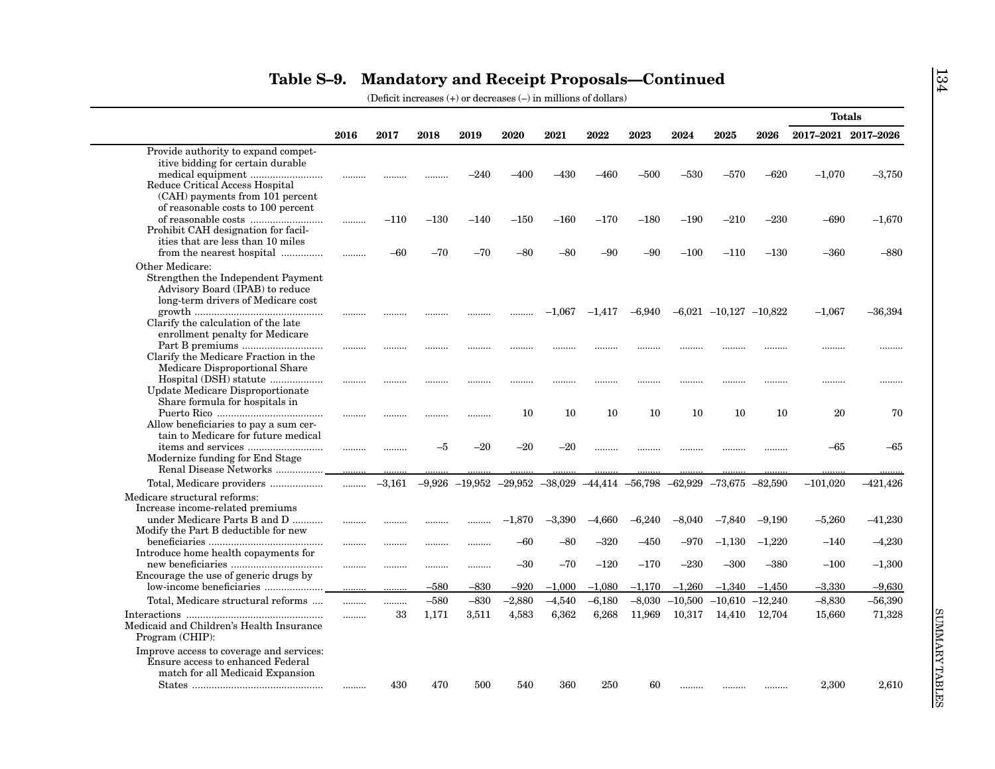|                                                                                                                                                                                                                                                                                                                                                                                                                                                                                                                                           |      |          |        |                                                                                          |          |          |          |          |           |                              |          |                     | <b>Totals</b> |
|-------------------------------------------------------------------------------------------------------------------------------------------------------------------------------------------------------------------------------------------------------------------------------------------------------------------------------------------------------------------------------------------------------------------------------------------------------------------------------------------------------------------------------------------|------|----------|--------|------------------------------------------------------------------------------------------|----------|----------|----------|----------|-----------|------------------------------|----------|---------------------|---------------|
|                                                                                                                                                                                                                                                                                                                                                                                                                                                                                                                                           | 2016 | 2017     | 2018   | 2019                                                                                     | 2020     | 2021     | 2022     | 2023     | 2024      | 2025                         | 2026     | 2017-2021 2017-2026 |               |
| Provide authority to expand compet-                                                                                                                                                                                                                                                                                                                                                                                                                                                                                                       |      |          |        |                                                                                          |          |          |          |          |           |                              |          |                     |               |
| itive bidding for certain durable                                                                                                                                                                                                                                                                                                                                                                                                                                                                                                         |      |          |        |                                                                                          |          |          |          |          |           |                              |          |                     |               |
|                                                                                                                                                                                                                                                                                                                                                                                                                                                                                                                                           |      |          |        | –240                                                                                     | $-400$   | -430     | –460     | $-500$   | $-530$    | –570                         | $-620$   | $-1,070$            | $-3,750$      |
| Reduce Critical Access Hospital<br>(CAH) payments from 101 percent                                                                                                                                                                                                                                                                                                                                                                                                                                                                        |      |          |        |                                                                                          |          |          |          |          |           |                              |          |                     |               |
| of reasonable costs to 100 percent                                                                                                                                                                                                                                                                                                                                                                                                                                                                                                        |      |          |        |                                                                                          |          |          |          |          |           |                              |          |                     |               |
|                                                                                                                                                                                                                                                                                                                                                                                                                                                                                                                                           | .    | $-110$   | $-130$ | $-140$                                                                                   | $-150$   | $-160$   | $-170$   | $-180$   | $-190$    | $-210$                       | $-230$   | $-690$              | $-1,670$      |
| Prohibit CAH designation for facil-                                                                                                                                                                                                                                                                                                                                                                                                                                                                                                       |      |          |        |                                                                                          |          |          |          |          |           |                              |          |                     |               |
| ities that are less than 10 miles                                                                                                                                                                                                                                                                                                                                                                                                                                                                                                         |      |          |        |                                                                                          |          |          |          |          |           |                              |          |                     |               |
| from the nearest hospital                                                                                                                                                                                                                                                                                                                                                                                                                                                                                                                 | .    | -60      | $-70$  | $-70$                                                                                    | $-80$    | -80      | -90      | $-90$    | $-100$    | $-110$                       | $-130$   | $-360$              | $-880$        |
| Other Medicare:                                                                                                                                                                                                                                                                                                                                                                                                                                                                                                                           |      |          |        |                                                                                          |          |          |          |          |           |                              |          |                     |               |
| Strengthen the Independent Payment                                                                                                                                                                                                                                                                                                                                                                                                                                                                                                        |      |          |        |                                                                                          |          |          |          |          |           |                              |          |                     |               |
| Advisory Board (IPAB) to reduce                                                                                                                                                                                                                                                                                                                                                                                                                                                                                                           |      |          |        |                                                                                          |          |          |          |          |           |                              |          |                     |               |
| long-term drivers of Medicare cost                                                                                                                                                                                                                                                                                                                                                                                                                                                                                                        |      |          |        |                                                                                          |          |          |          |          |           |                              |          |                     |               |
| Clarify the calculation of the late                                                                                                                                                                                                                                                                                                                                                                                                                                                                                                       |      |          |        |                                                                                          |          | $-1,067$ | $-1,417$ | $-6,940$ |           | $-6,021$ $-10,127$ $-10,822$ |          | $-1,067$            | $-36,394$     |
| enrollment penalty for Medicare                                                                                                                                                                                                                                                                                                                                                                                                                                                                                                           |      |          |        |                                                                                          |          |          |          |          |           |                              |          |                     |               |
|                                                                                                                                                                                                                                                                                                                                                                                                                                                                                                                                           | .    |          |        |                                                                                          |          |          |          |          |           |                              |          |                     |               |
| Clarify the Medicare Fraction in the                                                                                                                                                                                                                                                                                                                                                                                                                                                                                                      |      |          |        |                                                                                          |          |          |          |          |           |                              |          |                     |               |
| Medicare Disproportional Share                                                                                                                                                                                                                                                                                                                                                                                                                                                                                                            |      |          |        |                                                                                          |          |          |          |          |           |                              |          |                     |               |
| Hospital (DSH) statute                                                                                                                                                                                                                                                                                                                                                                                                                                                                                                                    |      | .        |        |                                                                                          |          |          |          |          |           |                              | .        |                     |               |
| Update Medicare Disproportionate                                                                                                                                                                                                                                                                                                                                                                                                                                                                                                          |      |          |        |                                                                                          |          |          |          |          |           |                              |          |                     |               |
| Share formula for hospitals in                                                                                                                                                                                                                                                                                                                                                                                                                                                                                                            |      |          |        |                                                                                          | 10       | 10       | 10       | 10       | 10        | 10                           | 10       | 20                  | 70            |
| Allow beneficiaries to pay a sum cer-                                                                                                                                                                                                                                                                                                                                                                                                                                                                                                     |      |          |        | .                                                                                        |          |          |          |          |           |                              |          |                     |               |
| tain to Medicare for future medical                                                                                                                                                                                                                                                                                                                                                                                                                                                                                                       |      |          |        |                                                                                          |          |          |          |          |           |                              |          |                     |               |
|                                                                                                                                                                                                                                                                                                                                                                                                                                                                                                                                           |      |          | -5     | $-20$                                                                                    | $-20$    | $-20$    |          |          |           |                              |          | $-65$               | $-65$         |
| Modernize funding for End Stage                                                                                                                                                                                                                                                                                                                                                                                                                                                                                                           |      |          |        |                                                                                          |          |          |          |          |           |                              |          |                     |               |
| Renal Disease Networks                                                                                                                                                                                                                                                                                                                                                                                                                                                                                                                    |      |          |        |                                                                                          |          |          |          |          |           |                              |          |                     |               |
| Total, Medicare providers                                                                                                                                                                                                                                                                                                                                                                                                                                                                                                                 | .    | $-3,161$ |        | $-9,926$ $-19,952$ $-29,952$ $-38,029$ $-44,414$ $-56,798$ $-62,929$ $-73,675$ $-82,590$ |          |          |          |          |           |                              |          | $-101,020$          | $-421,426$    |
| Medicare structural reforms:                                                                                                                                                                                                                                                                                                                                                                                                                                                                                                              |      |          |        |                                                                                          |          |          |          |          |           |                              |          |                     |               |
| Increase income-related premiums                                                                                                                                                                                                                                                                                                                                                                                                                                                                                                          |      |          |        |                                                                                          |          |          |          |          |           |                              |          |                     |               |
| under Medicare Parts B and D                                                                                                                                                                                                                                                                                                                                                                                                                                                                                                              | .    |          |        | .                                                                                        | $-1,870$ | $-3,390$ | $-4,660$ | $-6,240$ | $-8,040$  | $-7,840$                     | $-9,190$ | $-5,260$            | $-41,230$     |
| Modify the Part B deductible for new                                                                                                                                                                                                                                                                                                                                                                                                                                                                                                      |      |          |        |                                                                                          | -60      | $-80$    | $-320$   | $-450$   | $-970$    | $-1,130$                     | $-1,220$ | $-140$              | $-4,230$      |
| Introduce home health copayments for                                                                                                                                                                                                                                                                                                                                                                                                                                                                                                      |      |          | .      |                                                                                          |          |          |          |          |           |                              |          |                     |               |
|                                                                                                                                                                                                                                                                                                                                                                                                                                                                                                                                           |      |          |        |                                                                                          | $-30$    | $-70$    | $-120$   | $-170$   | $-230$    | $-300$                       | $-380$   | $-100$              | $-1,300$      |
| Encourage the use of generic drugs by                                                                                                                                                                                                                                                                                                                                                                                                                                                                                                     |      |          |        |                                                                                          |          |          |          |          |           |                              |          |                     |               |
|                                                                                                                                                                                                                                                                                                                                                                                                                                                                                                                                           | .    |          | -580   | -830                                                                                     | $-920$   | $-1.000$ | $-1.080$ | $-1.170$ | $-1.260$  | $-1.340$                     | $-1.450$ | $-3.330$            | $-9.630$      |
| Total, Medicare structural reforms                                                                                                                                                                                                                                                                                                                                                                                                                                                                                                        | .    |          | $-580$ | $-830$                                                                                   | $-2,880$ | $-4,540$ | $-6,180$ | $-8,030$ | $-10,500$ | $-10,610$ $-12,240$          |          | $-8,830$            | $-56,390$     |
| $\label{eq:interactions} \begin{minipage}{0.9\linewidth} Interactions \end{minipage} \begin{minipage}{0.9\linewidth} \vspace{-0.5cm} \begin{minipage}{0.9\linewidth} \vspace{-0.5cm} \textbf{Interactions} \end{minipage} \begin{minipage}{0.9\linewidth} \vspace{-0.5cm} \begin{minipage}{0.9\linewidth} \vspace{-0.5cm} \textbf{Interactions} \end{minipage} \end{minipage} \begin{minipage}{0.9\linewidth} \vspace{-0.5cm} \begin{minipage}{0.9\linewidth} \vspace{-0.5cm} \textbf{Interactions} \end{minipage} \end{minipage} \begin$ |      | 33       | 1,171  | 3,511                                                                                    | 4,583    | 6,362    | 6,268    | 11,969   | 10,317    | 14,410                       | 12,704   | 15,660              | 71,328        |
| Medicaid and Children's Health Insurance                                                                                                                                                                                                                                                                                                                                                                                                                                                                                                  |      |          |        |                                                                                          |          |          |          |          |           |                              |          |                     |               |
| Program (CHIP):                                                                                                                                                                                                                                                                                                                                                                                                                                                                                                                           |      |          |        |                                                                                          |          |          |          |          |           |                              |          |                     |               |
| Improve access to coverage and services:                                                                                                                                                                                                                                                                                                                                                                                                                                                                                                  |      |          |        |                                                                                          |          |          |          |          |           |                              |          |                     |               |
| Ensure access to enhanced Federal                                                                                                                                                                                                                                                                                                                                                                                                                                                                                                         |      |          |        |                                                                                          |          |          |          |          |           |                              |          |                     |               |
| match for all Medicaid Expansion                                                                                                                                                                                                                                                                                                                                                                                                                                                                                                          |      |          |        |                                                                                          |          |          |          |          |           |                              |          |                     |               |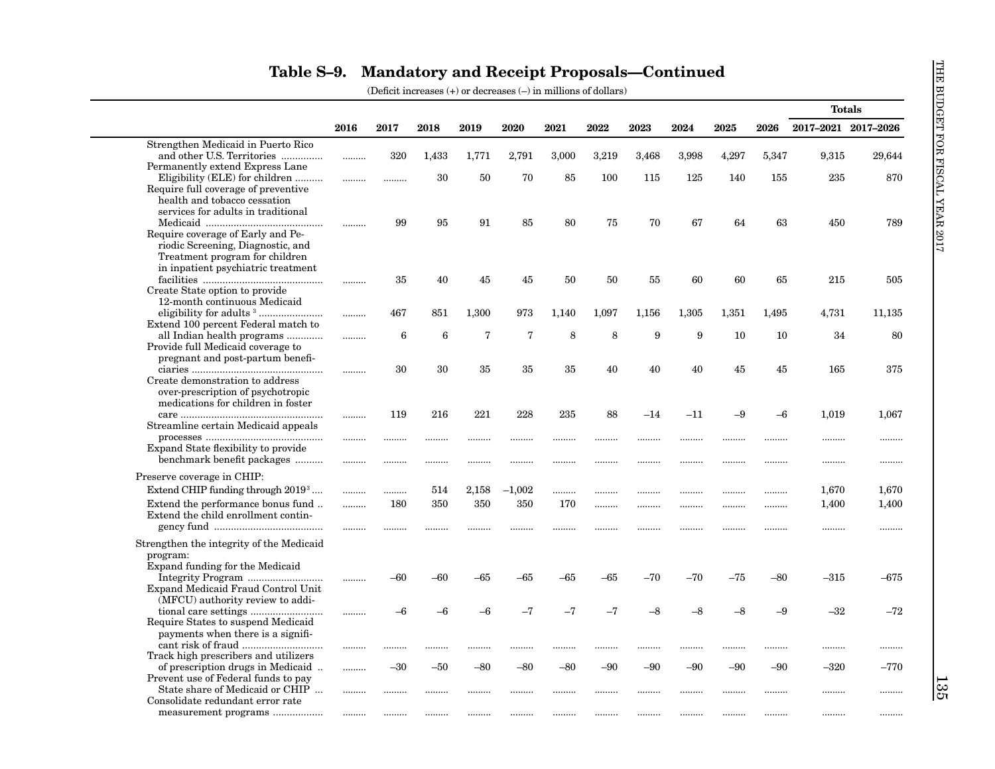|                                                                                                                                                                                                                      |      |       |                 |                |                |       |       |       |       |       |       |                     | <b>Totals</b> |
|----------------------------------------------------------------------------------------------------------------------------------------------------------------------------------------------------------------------|------|-------|-----------------|----------------|----------------|-------|-------|-------|-------|-------|-------|---------------------|---------------|
|                                                                                                                                                                                                                      | 2016 | 2017  | 2018            | 2019           | 2020           | 2021  | 2022  | 2023  | 2024  | 2025  | 2026  | 2017-2021 2017-2026 |               |
| Strengthen Medicaid in Puerto Rico                                                                                                                                                                                   |      |       |                 |                |                |       |       |       |       |       |       |                     |               |
| and other U.S. Territories                                                                                                                                                                                           | .    | 320   | 1,433           | 1,771          | 2,791          | 3,000 | 3,219 | 3,468 | 3,998 | 4,297 | 5,347 | 9,315               | 29,644        |
| Permanently extend Express Lane                                                                                                                                                                                      |      |       |                 |                |                |       |       |       |       |       |       |                     |               |
| Eligibility (ELE) for children<br>Require full coverage of preventive                                                                                                                                                |      |       | 30              | 50             | 70             | 85    | 100   | 115   | 125   | 140   | 155   | 235                 | 870           |
| health and tobacco cessation                                                                                                                                                                                         |      |       |                 |                |                |       |       |       |       |       |       |                     |               |
| services for adults in traditional                                                                                                                                                                                   |      |       |                 |                |                |       |       |       |       |       |       |                     |               |
|                                                                                                                                                                                                                      |      | 99    | 95              | 91             | 85             | 80    | 75    | 70    | 67    | 64    | 63    | 450                 | 789           |
| Require coverage of Early and Pe-                                                                                                                                                                                    |      |       |                 |                |                |       |       |       |       |       |       |                     |               |
| riodic Screening, Diagnostic, and                                                                                                                                                                                    |      |       |                 |                |                |       |       |       |       |       |       |                     |               |
| Treatment program for children<br>in inpatient psychiatric treatment                                                                                                                                                 |      |       |                 |                |                |       |       |       |       |       |       |                     |               |
|                                                                                                                                                                                                                      |      | 35    | 40              | 45             | 45             | 50    | 50    | 55    | 60    | 60    | 65    | 215                 | 505           |
| Create State option to provide                                                                                                                                                                                       |      |       |                 |                |                |       |       |       |       |       |       |                     |               |
| 12-month continuous Medicaid                                                                                                                                                                                         |      |       |                 |                |                |       |       |       |       |       |       |                     |               |
| eligibility for adults <sup>3</sup>                                                                                                                                                                                  | .    | 467   | 851             | 1,300          | 973            | 1,140 | 1,097 | 1,156 | 1,305 | 1,351 | 1,495 | 4,731               | 11,135        |
| Extend 100 percent Federal match to                                                                                                                                                                                  |      |       |                 |                |                |       |       |       |       |       |       |                     |               |
| all Indian health programs<br>Provide full Medicaid coverage to                                                                                                                                                      | .    | 6     | $6\phantom{1}6$ | $\overline{7}$ | $\overline{7}$ | 8     | 8     | 9     | 9     | 10    | 10    | 34                  | 80            |
| pregnant and post-partum benefi-                                                                                                                                                                                     |      |       |                 |                |                |       |       |       |       |       |       |                     |               |
|                                                                                                                                                                                                                      |      | 30    | 30              | 35             | 35             | 35    | 40    | 40    | 40    | 45    | 45    | 165                 | 375           |
| Create demonstration to address                                                                                                                                                                                      |      |       |                 |                |                |       |       |       |       |       |       |                     |               |
| over-prescription of psychotropic                                                                                                                                                                                    |      |       |                 |                |                |       |       |       |       |       |       |                     |               |
| medications for children in foster                                                                                                                                                                                   |      |       |                 |                |                |       |       |       |       |       |       |                     |               |
|                                                                                                                                                                                                                      |      | 119   | 216             | 221            | 228            | 235   | 88    | $-14$ | $-11$ | $-9$  | -6    | 1,019               | 1,067         |
| Streamline certain Medicaid appeals<br>$\label{eq:processes} \textit{processes} \,\, \ldots \,\, \ldots \,\, \ldots \,\, \ldots \,\, \ldots \,\, \ldots \,\, \ldots \,\, \ldots \,\, \ldots \,\, \ldots \,\, \ldots$ |      |       |                 |                |                |       |       |       |       |       |       |                     |               |
| Expand State flexibility to provide                                                                                                                                                                                  |      | .     |                 |                |                |       |       | .     | .     | .     | .     | .                   |               |
| benchmark benefit packages                                                                                                                                                                                           |      |       |                 |                |                |       |       |       |       |       |       |                     |               |
| Preserve coverage in CHIP:                                                                                                                                                                                           |      |       |                 |                |                |       |       |       |       |       |       |                     |               |
| Extend CHIP funding through 2019 <sup>3</sup>                                                                                                                                                                        |      | .     | 514             | 2,158          | $-1,002$       | .     |       |       |       |       |       | 1,670               | 1,670         |
| Extend the performance bonus fund                                                                                                                                                                                    |      | 180   | 350             | 350            | 350            | 170   |       |       |       |       |       | 1,400               | 1,400         |
| Extend the child enrollment contin-                                                                                                                                                                                  | .    |       |                 |                |                |       |       |       |       |       | .     |                     |               |
|                                                                                                                                                                                                                      |      | .     |                 |                | .              | .     |       | .     |       |       | .     |                     | .             |
| Strengthen the integrity of the Medicaid                                                                                                                                                                             |      |       |                 |                |                |       |       |       |       |       |       |                     |               |
| program:                                                                                                                                                                                                             |      |       |                 |                |                |       |       |       |       |       |       |                     |               |
| Expand funding for the Medicaid                                                                                                                                                                                      |      |       |                 |                |                |       |       |       |       |       |       |                     |               |
|                                                                                                                                                                                                                      |      | -60   | -60             | $-65$          | -65            | -65   | -65   | $-70$ | $-70$ | $-75$ | -80   | $-315$              | $-675$        |
| Expand Medicaid Fraud Control Unit                                                                                                                                                                                   |      |       |                 |                |                |       |       |       |       |       |       |                     |               |
| (MFCU) authority review to addi-                                                                                                                                                                                     |      |       | $-6$            | $-6$           | $-7$           | $-7$  | $-7$  | $-8$  | $-8$  | $-8$  | $-9$  | $-32$               | $-72$         |
| Require States to suspend Medicaid                                                                                                                                                                                   |      | -6    |                 |                |                |       |       |       |       |       |       |                     |               |
| payments when there is a signifi-                                                                                                                                                                                    |      |       |                 |                |                |       |       |       |       |       |       |                     |               |
|                                                                                                                                                                                                                      |      |       |                 |                | .              |       |       |       |       |       |       |                     |               |
| Track high prescribers and utilizers                                                                                                                                                                                 |      |       |                 |                |                |       |       |       |       |       |       |                     |               |
| of prescription drugs in Medicaid                                                                                                                                                                                    | .    | $-30$ | $-50$           | $-80$          | -80            | -80   | -90   | -90   | $-90$ | $-90$ | $-90$ | –320                | $-770$        |
| Prevent use of Federal funds to pay                                                                                                                                                                                  |      |       |                 |                |                |       |       |       |       |       |       |                     |               |
| State share of Medicaid or CHIP<br>Consolidate redundant error rate                                                                                                                                                  |      | .     |                 |                |                |       |       |       |       |       |       |                     |               |
| measurement programs                                                                                                                                                                                                 |      |       |                 |                |                | .     |       |       |       |       |       | .                   |               |
|                                                                                                                                                                                                                      |      |       |                 |                |                |       |       |       |       |       |       |                     |               |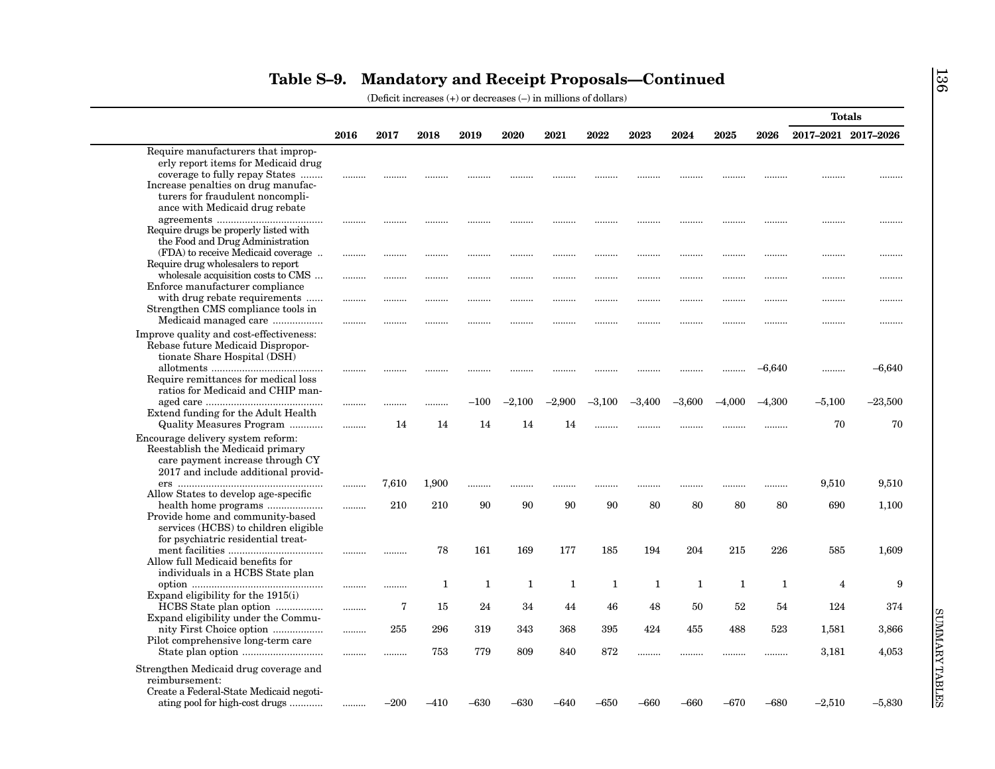|                                                                         |      |       |       |           |              |          |          |             |          |          |          | <b>Totals</b>       |           |
|-------------------------------------------------------------------------|------|-------|-------|-----------|--------------|----------|----------|-------------|----------|----------|----------|---------------------|-----------|
|                                                                         | 2016 | 2017  | 2018  | 2019      | 2020         | 2021     | 2022     | 2023        | 2024     | 2025     | 2026     | 2017-2021 2017-2026 |           |
| Require manufacturers that improp-                                      |      |       |       |           |              |          |          |             |          |          |          |                     |           |
| erly report items for Medicaid drug                                     |      |       |       |           |              |          |          |             |          |          |          |                     |           |
| coverage to fully repay States                                          |      |       |       |           |              |          |          |             |          |          |          |                     |           |
| Increase penalties on drug manufac-                                     |      |       |       |           |              |          |          |             |          |          |          |                     |           |
| turers for fraudulent noncompli-                                        |      |       |       |           |              |          |          |             |          |          |          |                     |           |
| ance with Medicaid drug rebate                                          |      |       |       |           |              |          |          |             |          |          |          |                     |           |
| Require drugs be properly listed with                                   |      |       |       | .         |              |          |          |             |          |          |          |                     |           |
| the Food and Drug Administration                                        |      |       |       |           |              |          |          |             |          |          |          |                     |           |
| (FDA) to receive Medicaid coverage                                      |      |       |       |           |              |          |          |             |          |          |          |                     |           |
| Require drug wholesalers to report                                      |      |       |       |           |              | .        |          |             |          |          |          |                     |           |
| wholesale acquisition costs to CMS                                      |      |       |       |           |              | .        | .        |             |          |          |          |                     |           |
| Enforce manufacturer compliance                                         |      |       |       |           |              |          |          |             |          |          |          |                     |           |
| with drug rebate requirements                                           | .    | .     | .     | .         | .            | .        |          |             | .        |          | .        |                     |           |
| Strengthen CMS compliance tools in                                      |      |       |       |           |              |          |          |             |          |          |          |                     |           |
| Medicaid managed care                                                   |      |       |       |           |              | .        |          |             |          |          |          |                     |           |
| Improve quality and cost-effectiveness:                                 |      |       |       |           |              |          |          |             |          |          |          |                     |           |
| Rebase future Medicaid Dispropor-                                       |      |       |       |           |              |          |          |             |          |          |          |                     |           |
| tionate Share Hospital (DSH)                                            |      |       |       |           |              |          |          |             |          |          |          |                     |           |
|                                                                         |      |       |       |           |              |          |          |             |          |          | $-6,640$ |                     | $-6,640$  |
| Require remittances for medical loss                                    |      |       |       |           |              |          |          |             |          |          |          |                     |           |
| ratios for Medicaid and CHIP man-                                       |      |       |       |           |              |          |          |             |          |          |          |                     |           |
|                                                                         |      |       |       | $^{-100}$ | $-2,100$     | $-2.900$ | $-3,100$ | $^{-3,400}$ | $-3,600$ | $-4,000$ | $-4,300$ | $-5,100$            | $-23,500$ |
| Extend funding for the Adult Health                                     |      |       |       |           |              |          |          |             |          |          |          |                     |           |
| Quality Measures Program                                                |      | 14    | 14    | 14        | 14           | 14       |          |             |          |          |          | 70                  | 70        |
| Encourage delivery system reform:                                       |      |       |       |           |              |          |          |             |          |          |          |                     |           |
| Reestablish the Medicaid primary                                        |      |       |       |           |              |          |          |             |          |          |          |                     |           |
| care payment increase through CY<br>2017 and include additional provid- |      |       |       |           |              |          |          |             |          |          |          |                     |           |
|                                                                         |      | 7,610 | 1,900 |           |              |          |          |             |          |          |          | 9,510               | 9,510     |
| Allow States to develop age-specific                                    |      |       |       |           |              |          | .        | .           |          |          |          |                     |           |
|                                                                         |      | 210   | 210   | 90        | 90           | 90       | 90       | 80          | 80       | 80       | 80       | 690                 | 1,100     |
| Provide home and community-based                                        |      |       |       |           |              |          |          |             |          |          |          |                     |           |
| services (HCBS) to children eligible                                    |      |       |       |           |              |          |          |             |          |          |          |                     |           |
| for psychiatric residential treat-                                      |      |       |       |           |              |          |          |             |          |          |          |                     |           |
|                                                                         |      | .     | 78    | 161       | 169          | 177      | 185      | 194         | 204      | 215      | 226      | 585                 | 1,609     |
| Allow full Medicaid benefits for                                        |      |       |       |           |              |          |          |             |          |          |          |                     |           |
| individuals in a HCBS State plan                                        |      |       |       |           |              |          |          |             |          |          |          |                     |           |
|                                                                         |      |       | 1     | 1         | $\mathbf{1}$ | 1        | 1        | 1           | 1        | 1        | 1        | $\overline{4}$      | 9         |
| Expand eligibility for the 1915(i)                                      |      | 7     | 15    | 24        | 34           | 44       | 46       | 48          | 50       | 52       | 54       | 124                 | 374       |
| HCBS State plan option<br>Expand eligibility under the Commu-           |      |       |       |           |              |          |          |             |          |          |          |                     |           |
| nity First Choice option                                                |      | 255   | 296   | 319       | 343          | 368      | 395      | 424         | 455      | 488      | 523      | 1,581               | 3,866     |
| Pilot comprehensive long-term care                                      |      |       |       |           |              |          |          |             |          |          |          |                     |           |
| State plan option                                                       |      |       | 753   | 779       | 809          | 840      | 872      | .           |          |          |          | 3,181               | 4,053     |
|                                                                         |      |       |       |           |              |          |          |             |          |          |          |                     |           |
| Strengthen Medicaid drug coverage and                                   |      |       |       |           |              |          |          |             |          |          |          |                     |           |
| reimbursement:                                                          |      |       |       |           |              |          |          |             |          |          |          |                     |           |
| Create a Federal-State Medicaid negoti-                                 |      |       |       |           |              |          |          |             |          |          |          |                     |           |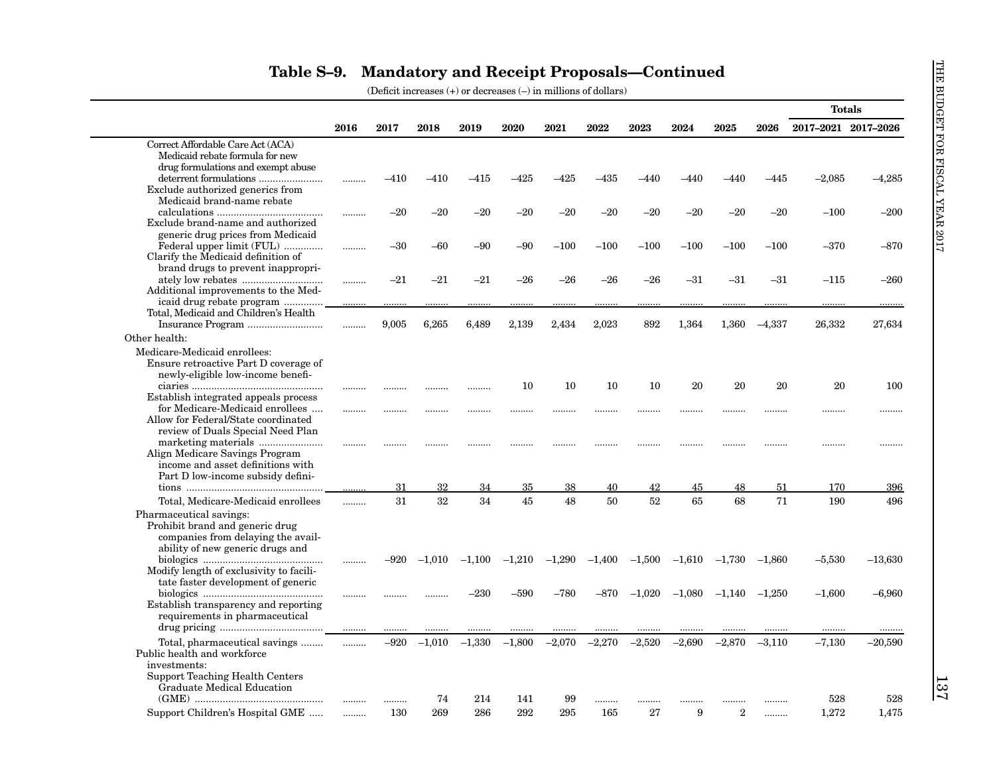|                                               |      |        |          |          |          |          |          |          |          |          |          | <b>Totals</b>       |           |
|-----------------------------------------------|------|--------|----------|----------|----------|----------|----------|----------|----------|----------|----------|---------------------|-----------|
|                                               | 2016 | 2017   | 2018     | 2019     | 2020     | 2021     | 2022     | 2023     | 2024     | 2025     | 2026     | 2017-2021 2017-2026 |           |
| Correct Affordable Care Act (ACA)             |      |        |          |          |          |          |          |          |          |          |          |                     |           |
| Medicaid rebate formula for new               |      |        |          |          |          |          |          |          |          |          |          |                     |           |
| drug formulations and exempt abuse            |      |        |          |          |          |          |          |          |          |          |          |                     |           |
|                                               |      | $-410$ | $-410$   | -415     | $-425$   | –425     | -435     | –440     | -440     | –440     | -445     | $-2,085$            | -4,285    |
| Exclude authorized generics from              |      |        |          |          |          |          |          |          |          |          |          |                     |           |
| Medicaid brand-name rebate                    |      |        |          |          |          |          |          |          |          |          |          |                     |           |
| $\label{eq:1} calculations \hspace{0.05in}\\$ | .    | $-20$  | $-20$    | $-20$    | $-20$    | $-20$    | $-20$    | $-20$    | $-20$    | $-20$    | $-20$    | $-100$              | $-200$    |
| Exclude brand-name and authorized             |      |        |          |          |          |          |          |          |          |          |          |                     |           |
| generic drug prices from Medicaid             |      |        |          |          |          |          |          |          |          |          |          |                     |           |
| Federal upper limit (FUL)                     |      | $-30$  | $-60$    | $-90$    | $-90$    | $-100$   | $-100$   | $-100$   | $-100$   | $-100$   | $-100$   | $-370$              | $-870$    |
| Clarify the Medicaid definition of            |      |        |          |          |          |          |          |          |          |          |          |                     |           |
| brand drugs to prevent inappropri-            |      |        |          |          |          |          |          |          |          |          |          |                     |           |
|                                               |      | $-21$  | $-21$    | $-21$    | $-26$    | $-26$    | $-26$    | $-26$    | $-31$    | $-31$    | $-31$    | $-115$              | $-260$    |
| Additional improvements to the Med-           |      |        |          |          |          |          |          |          |          |          |          |                     |           |
| icaid drug rebate program                     |      |        |          |          |          |          |          |          |          |          |          |                     |           |
| Total, Medicaid and Children's Health         |      |        |          |          |          |          |          |          |          |          |          |                     |           |
|                                               | .    | 9,005  | 6,265    | 6,489    | 2,139    | 2,434    | 2,023    | 892      | 1,364    | 1,360    | $-4,337$ | 26,332              | 27,634    |
| Other health:                                 |      |        |          |          |          |          |          |          |          |          |          |                     |           |
| Medicare-Medicaid enrollees:                  |      |        |          |          |          |          |          |          |          |          |          |                     |           |
|                                               |      |        |          |          |          |          |          |          |          |          |          |                     |           |
| Ensure retroactive Part D coverage of         |      |        |          |          |          |          |          |          |          |          |          |                     |           |
| newly-eligible low-income benefi-             |      |        |          |          |          |          |          |          |          |          |          |                     |           |
|                                               |      |        |          |          | 10       | 10       | 10       | 10       | 20       | 20       | 20       | 20                  | 100       |
| Establish integrated appeals process          |      |        |          |          |          |          |          |          |          |          |          |                     |           |
| for Medicare-Medicaid enrollees               |      |        |          |          |          | .        |          |          |          |          | .        |                     |           |
| Allow for Federal/State coordinated           |      |        |          |          |          |          |          |          |          |          |          |                     |           |
| review of Duals Special Need Plan             |      |        |          |          |          |          |          |          |          |          |          |                     |           |
| Align Medicare Savings Program                |      |        | .        |          |          |          |          |          | .        |          | .        | .                   | .         |
| income and asset definitions with             |      |        |          |          |          |          |          |          |          |          |          |                     |           |
| Part D low-income subsidy defini-             |      |        |          |          |          |          |          |          |          |          |          |                     |           |
|                                               |      | 31     | 32       | 34       | 35       | 38       | 40       | 42       | 45       | 48       | 51       | 170                 | 396       |
|                                               |      |        |          |          |          |          |          |          |          |          |          |                     |           |
| Total, Medicare-Medicaid enrollees            | .    | 31     | 32       | 34       | 45       | 48       | 50       | 52       | 65       | 68       | 71       | 190                 | 496       |
| Pharmaceutical savings:                       |      |        |          |          |          |          |          |          |          |          |          |                     |           |
| Prohibit brand and generic drug               |      |        |          |          |          |          |          |          |          |          |          |                     |           |
| companies from delaying the avail-            |      |        |          |          |          |          |          |          |          |          |          |                     |           |
| ability of new generic drugs and              |      |        |          |          |          |          |          |          |          |          |          |                     |           |
|                                               |      | $-920$ | $-1.010$ | $-1,100$ | $-1,210$ | $-1.290$ | $-1,400$ | $-1,500$ | $-1,610$ | $-1,730$ | $-1,860$ | $-5,530$            | $-13,630$ |
| Modify length of exclusivity to facili-       |      |        |          |          |          |          |          |          |          |          |          |                     |           |
| tate faster development of generic            |      |        |          |          |          |          |          |          |          |          |          |                     |           |
|                                               |      |        |          | $-230$   | -590     | $-780$   | $-870$   | $-1,020$ | $-1,080$ | $-1,140$ | $-1,250$ | $-1,600$            | $-6,960$  |
| Establish transparency and reporting          |      |        |          |          |          |          |          |          |          |          |          |                     |           |
| requirements in pharmaceutical                |      |        |          |          |          |          |          |          |          |          |          |                     |           |
|                                               |      |        |          |          |          |          |          |          |          |          |          | .                   |           |
| Total, pharmaceutical savings                 | .    | $-920$ | $-1,010$ | $-1,330$ | $-1,800$ | $-2,070$ | $-2,270$ | $-2,520$ | $-2,690$ | $-2,870$ | $-3,110$ | $-7,130$            | $-20,590$ |
| Public health and workforce                   |      |        |          |          |          |          |          |          |          |          |          |                     |           |
| investments:                                  |      |        |          |          |          |          |          |          |          |          |          |                     |           |
| <b>Support Teaching Health Centers</b>        |      |        |          |          |          |          |          |          |          |          |          |                     |           |
| Graduate Medical Education                    |      |        |          |          |          |          |          |          |          |          |          |                     |           |
|                                               |      |        | 74       | 214      | 141      | 99       |          |          |          |          |          | 528                 | 528       |
|                                               |      | .      |          |          |          |          |          |          |          |          |          |                     |           |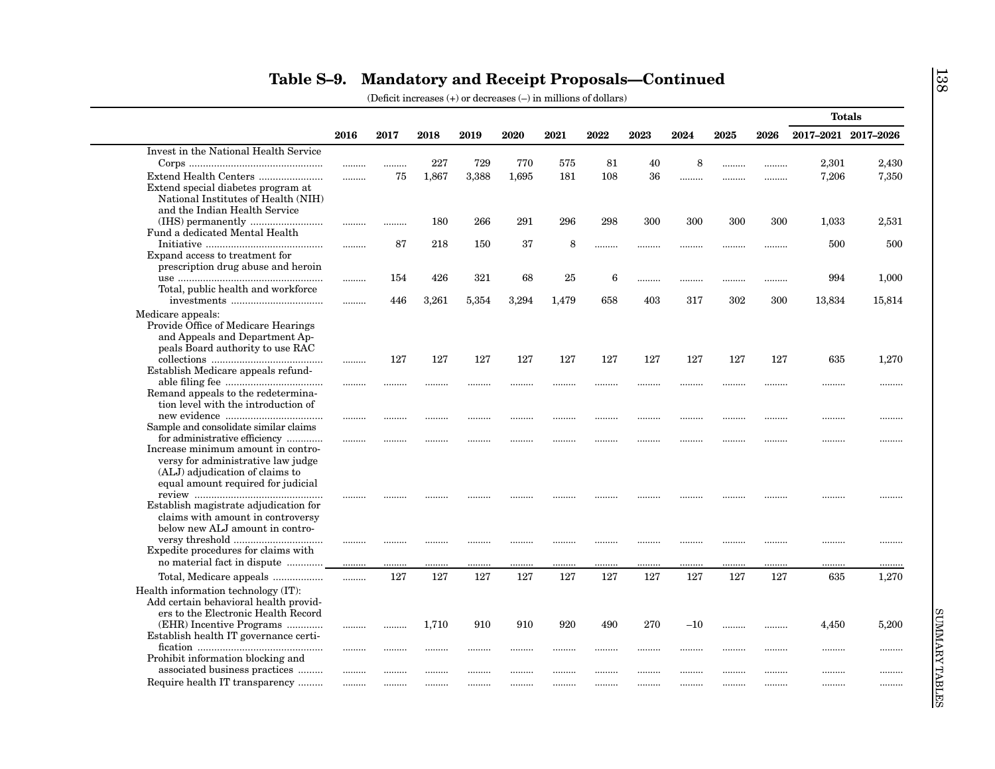|                                                                                                                                                   |      |         |           |         |          |          |         |         |           |         |         | <b>Totals</b>       |           |
|---------------------------------------------------------------------------------------------------------------------------------------------------|------|---------|-----------|---------|----------|----------|---------|---------|-----------|---------|---------|---------------------|-----------|
|                                                                                                                                                   | 2016 | 2017    | 2018      | 2019    | 2020     | 2021     | 2022    | 2023    | 2024      | 2025    | 2026    | 2017-2021 2017-2026 |           |
| Invest in the National Health Service                                                                                                             |      |         |           |         |          |          |         |         |           |         |         |                     |           |
|                                                                                                                                                   |      | .       | 227       | 729     | 770      | 575      | 81      | 40      | 8         |         |         | 2,301               | 2,430     |
| Extend Health Centers<br>Extend special diabetes program at<br>National Institutes of Health (NIH)<br>and the Indian Health Service               |      | 75      | 1,867     | 3,388   | 1.695    | 181      | 108     | 36      |           |         |         | 7,206               | 7,350     |
| Fund a dedicated Mental Health                                                                                                                    |      |         | 180       | 266     | 291      | 296      | 298     | 300     | 300       | 300     | 300     | 1,033               | 2,531     |
| Expand access to treatment for                                                                                                                    |      | 87      | 218       | 150     | 37       | 8        |         | .       |           |         | .       | 500                 | 500       |
| prescription drug abuse and heroin                                                                                                                |      | 154     | 426       | 321     | 68       | 25       | 6       | .       |           |         | .       | 994                 | 1,000     |
| Total, public health and workforce                                                                                                                |      | 446     | 3,261     | 5,354   | 3,294    | 1,479    | 658     | 403     | 317       | 302     | 300     | 13,834              | 15,814    |
| Medicare appeals:<br>Provide Office of Medicare Hearings<br>and Appeals and Department Ap-<br>peals Board authority to use RAC                    |      |         |           |         |          |          |         |         |           |         |         |                     |           |
| Establish Medicare appeals refund-                                                                                                                |      | 127     | 127       | 127     | 127      | 127      | 127     | 127     | 127       | 127     | 127     | 635                 | 1,270     |
| Remand appeals to the redetermina-<br>tion level with the introduction of                                                                         |      |         | .         |         |          |          |         |         |           |         |         |                     |           |
| Sample and consolidate similar claims<br>for administrative efficiency                                                                            |      | <br>    |           |         | <br>.    |          |         |         |           |         | <br>    | .<br>               |           |
| Increase minimum amount in contro-<br>versy for administrative law judge<br>(ALJ) adjudication of claims to<br>equal amount required for judicial |      |         |           |         |          |          |         |         |           |         |         |                     |           |
| Establish magistrate adjudication for<br>claims with amount in controversy<br>below new ALJ amount in contro-                                     |      |         |           |         |          |          |         |         |           |         |         |                     |           |
| Expedite procedures for claims with<br>no material fact in dispute                                                                                |      |         |           | .       |          | .        |         |         |           |         |         |                     |           |
| Total, Medicare appeals                                                                                                                           |      | <br>127 | .<br>127  | <br>127 | .<br>127 | .<br>127 | <br>127 | <br>127 | <br>127   | <br>127 | <br>127 | .<br>635            | <br>1,270 |
| Health information technology (IT):<br>Add certain behavioral health provid-<br>ers to the Electronic Health Record                               | .    |         |           |         |          |          |         |         |           |         |         |                     |           |
| (EHR) Incentive Programs<br>Establish health IT governance certi-                                                                                 | <br> | <br>    | 1,710<br> | 910<br> | 910<br>  | 920<br>  | 490<br> | 270<br> | $-10$<br> | <br>    | <br>    | 4,450<br>           | 5,200<br> |
| Prohibit information blocking and<br>associated business practices                                                                                |      |         |           |         |          |          |         |         |           |         |         |                     |           |
| Require health IT transparency                                                                                                                    | <br> |         |           |         |          |          |         |         |           |         |         |                     |           |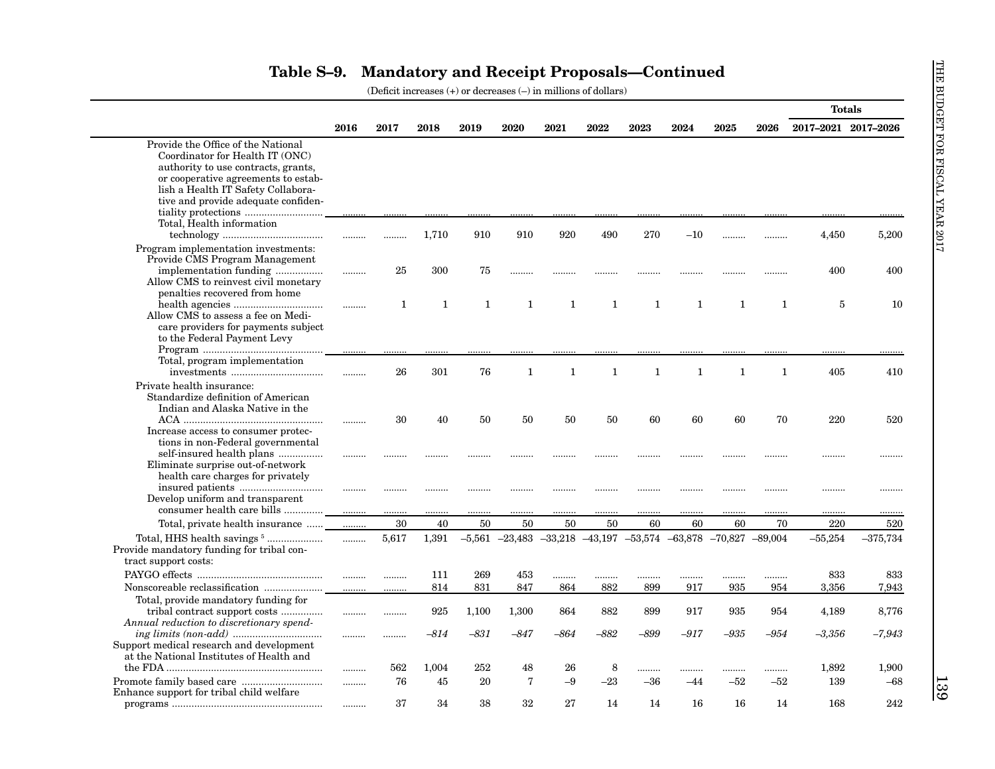|                                                                           |      |       |        |        |                |              |        |                                                                                |        |              |              | <b>Totals</b>       |            |
|---------------------------------------------------------------------------|------|-------|--------|--------|----------------|--------------|--------|--------------------------------------------------------------------------------|--------|--------------|--------------|---------------------|------------|
|                                                                           | 2016 | 2017  | 2018   | 2019   | 2020           | 2021         | 2022   | 2023                                                                           | 2024   | 2025         | 2026         | 2017-2021 2017-2026 |            |
| Provide the Office of the National                                        |      |       |        |        |                |              |        |                                                                                |        |              |              |                     |            |
| Coordinator for Health IT (ONC)                                           |      |       |        |        |                |              |        |                                                                                |        |              |              |                     |            |
| authority to use contracts, grants,                                       |      |       |        |        |                |              |        |                                                                                |        |              |              |                     |            |
| or cooperative agreements to estab-<br>lish a Health IT Safety Collabora- |      |       |        |        |                |              |        |                                                                                |        |              |              |                     |            |
| tive and provide adequate confiden-                                       |      |       |        |        |                |              |        |                                                                                |        |              |              |                     |            |
|                                                                           |      |       |        |        |                |              |        |                                                                                |        |              |              |                     |            |
| Total, Health information                                                 |      |       |        |        |                |              |        |                                                                                |        |              |              |                     |            |
|                                                                           | .    | .     | 1,710  | 910    | 910            | 920          | 490    | 270                                                                            | $-10$  |              |              | 4,450               | 5,200      |
| Program implementation investments:                                       |      |       |        |        |                |              |        |                                                                                |        |              |              |                     |            |
| Provide CMS Program Management                                            |      |       |        |        |                |              |        |                                                                                |        |              |              |                     |            |
| implementation funding                                                    | .    | 25    | 300    | 75     |                |              |        |                                                                                |        |              |              | 400                 | 400        |
| Allow CMS to reinvest civil monetary<br>penalties recovered from home     |      |       |        |        |                |              |        |                                                                                |        |              |              |                     |            |
|                                                                           | .    | 1     | 1      | 1      | 1              | $\mathbf{1}$ | 1      | 1                                                                              | 1      | $\mathbf{1}$ | 1            | 5                   | 10         |
| Allow CMS to assess a fee on Medi-                                        |      |       |        |        |                |              |        |                                                                                |        |              |              |                     |            |
| care providers for payments subject                                       |      |       |        |        |                |              |        |                                                                                |        |              |              |                     |            |
| to the Federal Payment Levy                                               |      |       |        |        |                |              |        |                                                                                |        |              |              |                     |            |
|                                                                           |      |       |        |        |                |              |        |                                                                                |        |              |              |                     |            |
| Total, program implementation                                             |      | 26    | 301    | 76     | 1              | $\mathbf{1}$ | 1      | 1                                                                              | 1      | 1            | $\mathbf{1}$ | 405                 | 410        |
|                                                                           |      |       |        |        |                |              |        |                                                                                |        |              |              |                     |            |
| Private health insurance:<br>Standardize definition of American           |      |       |        |        |                |              |        |                                                                                |        |              |              |                     |            |
| Indian and Alaska Native in the                                           |      |       |        |        |                |              |        |                                                                                |        |              |              |                     |            |
|                                                                           |      | 30    | 40     | 50     | 50             | 50           | 50     | 60                                                                             | 60     | 60           | 70           | 220                 | 520        |
| Increase access to consumer protec-                                       |      |       |        |        |                |              |        |                                                                                |        |              |              |                     |            |
| tions in non-Federal governmental                                         |      |       |        |        |                |              |        |                                                                                |        |              |              |                     |            |
| self-insured health plans                                                 | .    | .     |        |        |                |              | .      | .                                                                              |        |              |              |                     |            |
| Eliminate surprise out-of-network                                         |      |       |        |        |                |              |        |                                                                                |        |              |              |                     |            |
| health care charges for privately                                         |      |       |        |        |                |              |        |                                                                                |        |              |              |                     |            |
| Develop uniform and transparent                                           |      | .     |        |        |                |              |        | .                                                                              |        |              |              | .                   | .          |
| consumer health care bills                                                | .    | .     |        |        | .              | .            |        | .                                                                              | .      |              |              | .                   | .          |
| Total, private health insurance                                           | .    | 30    | 40     | 50     | 50             | 50           | 50     | 60                                                                             | 60     | 60           | 70           | 220                 | 520        |
| Total, HHS health savings <sup>5</sup>                                    |      | 5,617 | 1,391  |        |                |              |        | $-5,561$ $-23,483$ $-33,218$ $-43,197$ $-53,574$ $-63,878$ $-70,827$ $-89,004$ |        |              |              | $-55,254$           | $-375,734$ |
| Provide mandatory funding for tribal con-                                 |      |       |        |        |                |              |        |                                                                                |        |              |              |                     |            |
| tract support costs:                                                      |      |       |        |        |                |              |        |                                                                                |        |              |              |                     |            |
|                                                                           | .    |       | 111    | 269    | 453            | .            | .      |                                                                                |        |              |              | 833                 | 833        |
|                                                                           | .    |       | 814    | 831    | 847            | 864          | 882    | 899                                                                            | 917    | 935          | 954          | 3,356               | 7,943      |
| Total, provide mandatory funding for                                      |      |       |        |        |                |              |        |                                                                                |        |              |              |                     |            |
| tribal contract support costs                                             |      |       | 925    | 1,100  | 1,300          | 864          | 882    | 899                                                                            | 917    | 935          | 954          | 4,189               | 8,776      |
| Annual reduction to discretionary spend-                                  |      |       | $-814$ | $-831$ | $-847$         | -864         | $-882$ | $-899$                                                                         | $-917$ | -935         | -954         | $-3,356$            | $-7,943$   |
| Support medical research and development                                  |      |       |        |        |                |              |        |                                                                                |        |              |              |                     |            |
| at the National Institutes of Health and                                  |      |       |        |        |                |              |        |                                                                                |        |              |              |                     |            |
|                                                                           |      | 562   | 1,004  | 252    | 48             | 26           | 8      | .                                                                              | .      |              |              | 1,892               | 1,900      |
|                                                                           |      | 76    | 45     | 20     | $\overline{7}$ | -9           | $-23$  | $-36$                                                                          | -44    | $-52$        | $-52$        | 139                 | $-68$      |
| Enhance support for tribal child welfare                                  |      |       |        |        |                |              |        |                                                                                |        |              |              |                     |            |
|                                                                           |      | 37    | 34     | 38     | 32             | 27           | 14     | 14                                                                             | 16     | 16           | 14           | 168                 | 242        |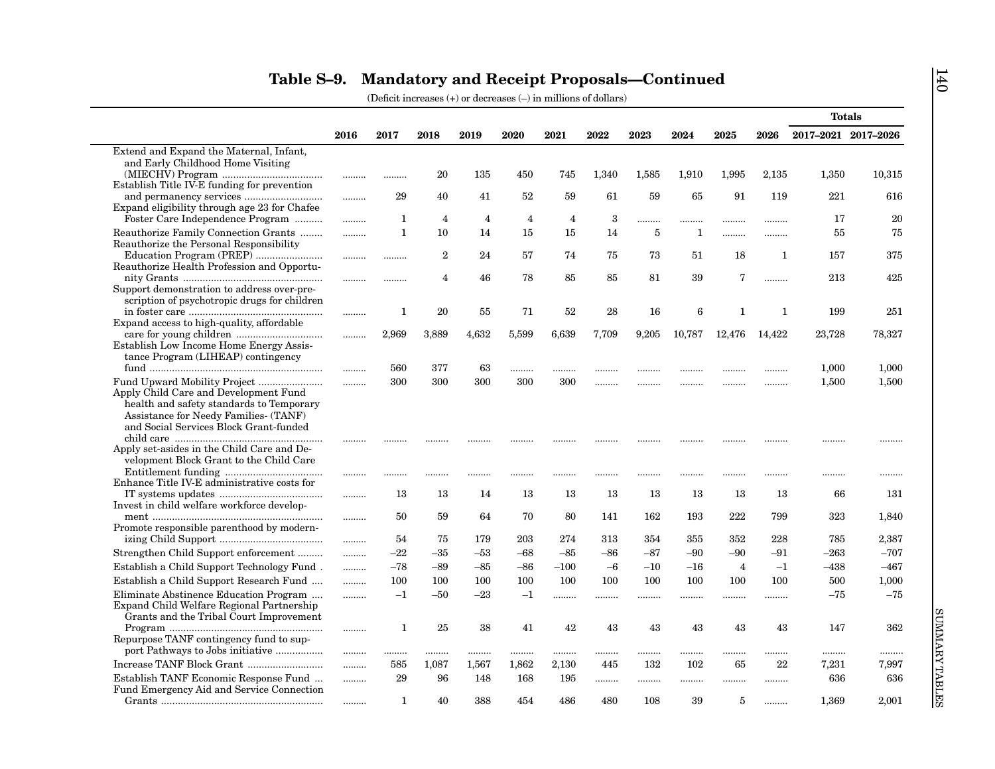|                                                                                                                                                 |      |              |                |                |                |                |       |       |        |                |              |                     | <b>Totals</b> |
|-------------------------------------------------------------------------------------------------------------------------------------------------|------|--------------|----------------|----------------|----------------|----------------|-------|-------|--------|----------------|--------------|---------------------|---------------|
|                                                                                                                                                 | 2016 | 2017         | 2018           | 2019           | 2020           | 2021           | 2022  | 2023  | 2024   | 2025           | 2026         | 2017-2021 2017-2026 |               |
| Extend and Expand the Maternal, Infant,                                                                                                         |      |              |                |                |                |                |       |       |        |                |              |                     |               |
| and Early Childhood Home Visiting                                                                                                               |      |              |                |                |                |                |       |       |        |                |              |                     |               |
| Establish Title IV-E funding for prevention                                                                                                     |      |              | 20             | 135            | 450            | 745            | 1,340 | 1,585 | 1,910  | 1,995          | 2,135        | 1,350               | 10,315        |
|                                                                                                                                                 | .    | 29           | 40             | 41             | 52             | 59             | 61    | 59    | 65     | 91             | 119          | 221                 | 616           |
| Expand eligibility through age 23 for Chafee                                                                                                    |      |              |                |                |                |                |       |       |        |                |              |                     |               |
| Foster Care Independence Program                                                                                                                |      | 1            | $\overline{4}$ | $\overline{4}$ | $\overline{4}$ | $\overline{4}$ | 3     |       |        |                |              | 17                  | 20            |
| Reauthorize Family Connection Grants                                                                                                            | .    | $\mathbf{1}$ | 10             | 14             | 15             | 15             | 14    | 5     | 1      |                |              | 55                  | 75            |
| Reauthorize the Personal Responsibility                                                                                                         |      |              |                |                |                |                |       |       |        |                |              |                     |               |
| Education Program (PREP)                                                                                                                        |      |              | $\overline{2}$ | 24             | 57             | 74             | 75    | 73    | 51     | 18             | $\mathbf{1}$ | 157                 | 375           |
| Reauthorize Health Profession and Opportu-                                                                                                      |      |              |                |                |                |                |       |       |        |                |              |                     |               |
|                                                                                                                                                 |      |              | 4              | 46             | 78             | 85             | 85    | 81    | 39     | 7              | .            | 213                 | 425           |
| Support demonstration to address over-pre-<br>scription of psychotropic drugs for children                                                      |      |              |                |                |                |                |       |       |        |                |              |                     |               |
|                                                                                                                                                 |      | 1            | 20             | 55             | 71             | 52             | 28    | 16    | 6      | 1              | 1            | 199                 | 251           |
| Expand access to high-quality, affordable                                                                                                       |      |              |                |                |                |                |       |       |        |                |              |                     |               |
|                                                                                                                                                 | .    | 2,969        | 3,889          | 4,632          | 5,599          | 6,639          | 7,709 | 9,205 | 10,787 | 12,476         | 14,422       | 23,728              | 78,327        |
| Establish Low Income Home Energy Assis-                                                                                                         |      |              |                |                |                |                |       |       |        |                |              |                     |               |
| tance Program (LIHEAP) contingency                                                                                                              |      |              |                |                |                |                |       |       |        |                |              |                     |               |
|                                                                                                                                                 | .    | 560          | 377            | 63             | .              |                |       |       |        |                |              | 1,000               | 1,000         |
|                                                                                                                                                 |      | 300          | 300            | 300            | 300            | 300            |       |       |        |                |              | 1,500               | 1,500         |
| Apply Child Care and Development Fund                                                                                                           |      |              |                |                |                |                |       |       |        |                |              |                     |               |
| health and safety standards to Temporary                                                                                                        |      |              |                |                |                |                |       |       |        |                |              |                     |               |
| Assistance for Needy Families- (TANF)<br>and Social Services Block Grant-funded                                                                 |      |              |                |                |                |                |       |       |        |                |              |                     |               |
|                                                                                                                                                 |      |              |                |                |                |                |       |       |        |                |              |                     |               |
| Apply set-asides in the Child Care and De-                                                                                                      | .    |              |                |                |                |                |       |       |        |                |              |                     |               |
| velopment Block Grant to the Child Care                                                                                                         |      |              |                |                |                |                |       |       |        |                |              |                     |               |
|                                                                                                                                                 |      |              |                |                |                |                |       |       |        |                |              |                     |               |
| Enhance Title IV-E administrative costs for                                                                                                     |      |              |                |                |                |                |       |       |        |                |              |                     |               |
| IT systems updates $\ldots\ldots\ldots\ldots\ldots\ldots\ldots\ldots\ldots\ldots\ldots\ldots$                                                   |      | 13           | 13             | 14             | 13             | 13             | 13    | 13    | 13     | 13             | 13           | 66                  | 131           |
| Invest in child welfare workforce develop-                                                                                                      |      |              |                |                |                |                |       |       |        |                |              |                     |               |
| Promote responsible parenthood by modern-                                                                                                       |      | 50           | 59             | 64             | 70             | 80             | 141   | 162   | 193    | 222            | 799          | 323                 | 1,840         |
|                                                                                                                                                 | .    | 54           | 75             | 179            | 203            | 274            | 313   | 354   | 355    | 352            | 228          | 785                 | 2,387         |
| Strengthen Child Support enforcement                                                                                                            |      | -22          | $-35$          | $-53$          | $-68$          | $-85$          | $-86$ | $-87$ | $-90$  | -90            | $-91$        | $-263$              | $-707$        |
| Establish a Child Support Technology Fund.                                                                                                      | .    | $-78$        | $-89$          | $-85$          | $-86$          | $-100$         | $-6$  | $-10$ | $-16$  | $\overline{4}$ | $-1$         | $-438$              | $-467$        |
|                                                                                                                                                 | .    |              |                |                |                |                |       |       |        |                |              |                     |               |
| Establish a Child Support Research Fund                                                                                                         |      | 100          | 100            | 100            | 100            | 100            | 100   | 100   | 100    | 100            | 100          | 500                 | 1,000         |
| Eliminate Abstinence Education Program                                                                                                          | .    | $-1$         | $-50$          | -23            | $^{-1}$        | .              | .     |       |        |                | .            | $-75$               | $-75$         |
| Expand Child Welfare Regional Partnership<br>Grants and the Tribal Court Improvement                                                            |      |              |                |                |                |                |       |       |        |                |              |                     |               |
| $\begin{minipage}{.4\linewidth} \textbf{Program} \end{minipage} \begin{minipage}{.4\linewidth} \textbf{Program} \end{minipage} \vspace{-0.1cm}$ |      | 1            | 25             | 38             | 41             | 42             | 43    | 43    | 43     | 43             | 43           | 147                 | 362           |
| Repurpose TANF contingency fund to sup-                                                                                                         | .    |              |                |                |                |                |       |       |        |                |              |                     |               |
|                                                                                                                                                 | .    | .            |                |                |                |                |       | .     | .      | .              |              | .                   |               |
| Increase TANF Block Grant                                                                                                                       | .    | 585          | 1,087          | 1,567          | 1,862          | 2,130          | 445   | 132   | 102    | 65             | 22           | 7,231               | 7,997         |
| Establish TANF Economic Response Fund                                                                                                           | .    | 29           | 96             | 148            | 168            | 195            | .     | .     | .      | .              |              | 636                 | 636           |
| Fund Emergency Aid and Service Connection                                                                                                       |      |              |                |                |                |                |       |       |        |                |              |                     |               |
|                                                                                                                                                 |      |              |                |                |                |                |       |       |        |                |              |                     |               |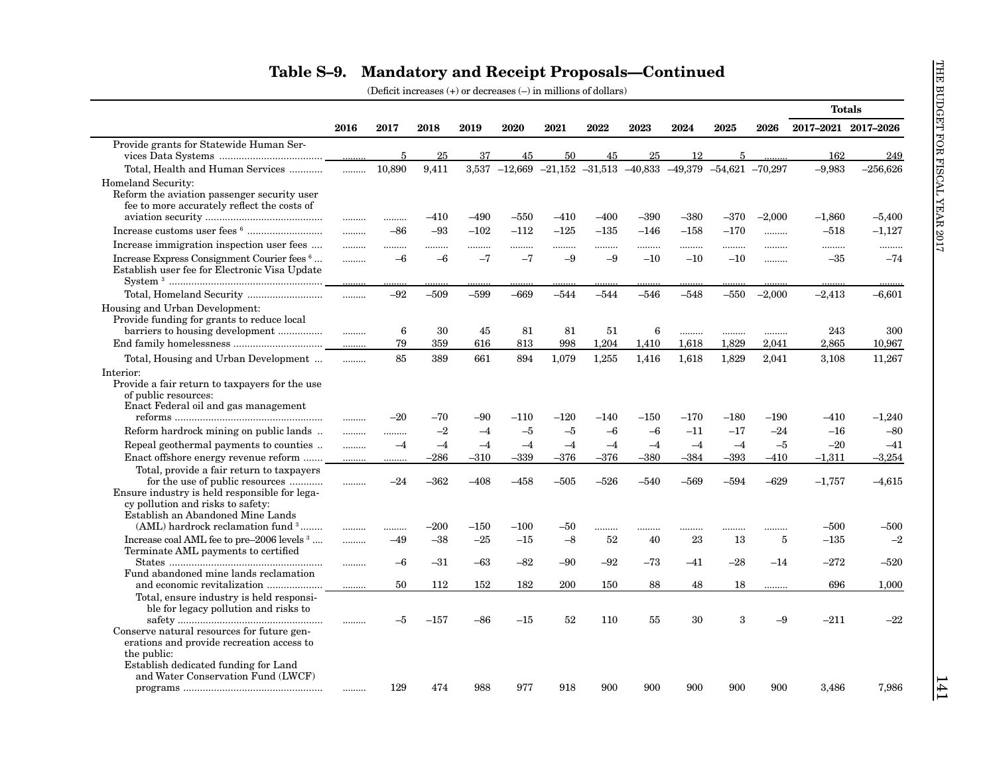|                                                                                                                                                                              |       |                |                |                  |                  |                  |                  |                                                                 |                  |                  |                  | <b>Totals</b>        |                      |
|------------------------------------------------------------------------------------------------------------------------------------------------------------------------------|-------|----------------|----------------|------------------|------------------|------------------|------------------|-----------------------------------------------------------------|------------------|------------------|------------------|----------------------|----------------------|
|                                                                                                                                                                              | 2016  | 2017           | 2018           | 2019             | 2020             | 2021             | 2022             | 2023                                                            | 2024             | 2025             | 2026             | 2017-2021 2017-2026  |                      |
| Provide grants for Statewide Human Ser-                                                                                                                                      |       |                |                |                  |                  |                  |                  |                                                                 |                  |                  |                  |                      |                      |
|                                                                                                                                                                              |       | $\overline{5}$ | 25             | 37               | 45               | 50               | 45               | 25                                                              | 12               | $\overline{5}$   |                  | 162                  | 249                  |
| Total, Health and Human Services                                                                                                                                             | .     | 10.890         | 9,411          |                  |                  |                  |                  | $3,537$ -12,669 -21,152 -31,513 -40,833 -49,379 -54,621 -70,297 |                  |                  |                  | $-9.983$             | $-256,626$           |
| Homeland Security:<br>Reform the aviation passenger security user<br>fee to more accurately reflect the costs of                                                             |       |                |                | $-490$           | $-550$           |                  |                  | $-390$                                                          |                  |                  |                  |                      |                      |
|                                                                                                                                                                              |       |                | $-410$         |                  |                  | $-410$           | –400             |                                                                 | $-380$           | $-370$           | $-2,000$         | $-1,860$             | $-5,400$             |
|                                                                                                                                                                              |       | $-86$          | $-93$          | $-102$           | $-112$           | $-125$           | $-135$           | $-146$                                                          | $-158$           | $-170$           |                  | $-518$               | $-1,127$             |
| Increase immigration inspection user fees                                                                                                                                    |       |                |                |                  |                  | .                |                  |                                                                 |                  |                  |                  |                      | .                    |
| Increase Express Consignment Courier fees 6<br>Establish user fee for Electronic Visa Update                                                                                 |       | $-6$           | $-6$           | $-7$             | $-7$             | $-9$             | $-9$             | $-10$                                                           | $-10$            | $-10$            |                  | $-35$                | $-74$                |
|                                                                                                                                                                              | .     | $-92$          | $-509$         | $-599$           | $-669$           | $-544$           | $-544$           | $-546$                                                          | $-548$           | $-550$           | $-2,000$         | $-2,413$             | $-6,601$             |
| Housing and Urban Development:<br>Provide funding for grants to reduce local                                                                                                 |       |                |                |                  |                  |                  |                  |                                                                 |                  |                  |                  |                      |                      |
|                                                                                                                                                                              |       | 6              | 30             | 45               | 81               | 81               | 51               | 6                                                               |                  |                  |                  | 243                  | 300                  |
|                                                                                                                                                                              | .     | 79             | 359            | 616              | 813              | 998              | 1,204            | 1,410                                                           | 1,618            | 1,829            | 2,041            | 2,865                | 10,967               |
| Total, Housing and Urban Development                                                                                                                                         |       | 85             | 389            | 661              | 894              | 1,079            | 1,255            | 1,416                                                           | 1,618            | 1,829            | 2,041            | 3,108                | 11,267               |
| Interior:<br>Provide a fair return to taxpayers for the use<br>of public resources:<br>Enact Federal oil and gas management<br>Reform hardrock mining on public lands        | .     | $-20$          | -70<br>$-2$    | $-90$<br>$-4$    | $-110$<br>$-5$   | $-120$<br>$-5$   | $-140$<br>$-6$   | $-150$<br>$-6$                                                  | $-170$<br>$-11$  | $-180$<br>$-17$  | $-190$<br>$-24$  | $-410$<br>$-16$      | $-1,240$<br>$-80$    |
|                                                                                                                                                                              |       |                |                |                  |                  |                  |                  |                                                                 |                  |                  |                  |                      |                      |
| Repeal geothermal payments to counties                                                                                                                                       |       | $-4$           | $-4$           | $-4$             | $-4$             | $-4$             | $-4$             | $-4$                                                            | $-4$             | $-4$             | $-5$             | $-20$                | $-41$                |
| Enact offshore energy revenue reform<br>Total, provide a fair return to taxpayers<br>for the use of public resources<br>Ensure industry is held responsible for lega-        | <br>. | <br>$-24$      | $-286$<br>–362 | $-310$<br>$-408$ | $-339$<br>$-458$ | $-376$<br>$-505$ | $-376$<br>$-526$ | $-380$<br>$-540$                                                | $-384$<br>$-569$ | $-393$<br>$-594$ | $-410$<br>$-629$ | $-1,311$<br>$-1,757$ | $-3,254$<br>$-4,615$ |
| cy pollution and risks to safety:<br>Establish an Abandoned Mine Lands<br>(AML) hardrock reclamation fund 3                                                                  |       |                | $-200$         | $-150$           | $-100$           | $-50$            |                  |                                                                 |                  |                  | .                | $-500$               | $-500$               |
| Increase coal AML fee to pre-2006 levels 3<br>Terminate AML payments to certified                                                                                            |       | -49            | $-38$          | $-25$            | $-15$            | $-8$             | 52               | 40                                                              | 23               | 13               | 5                | $-135$               | $-2$                 |
| Fund abandoned mine lands reclamation                                                                                                                                        | .     | -6             | $-31$          | $-63$            | $-82$            | -90              | -92              | -73                                                             | $-41$            | $-28$            | $-14$            | $-272$               | $-520$               |
|                                                                                                                                                                              | .     | 50             | 112            | 152              | 182              | 200              | 150              | 88                                                              | 48               | 18               | .                | 696                  | 1,000                |
| Total, ensure industry is held responsi-<br>ble for legacy pollution and risks to<br>Conserve natural resources for future gen-<br>erations and provide recreation access to |       | -5             | $-157$         | $-86$            | $-15$            | 52               | 110              | 55                                                              | 30               | 3                | -9               | $-211$               | $-22$                |
| the public:<br>Establish dedicated funding for Land<br>and Water Conservation Fund (LWCF)                                                                                    |       | 129            | 474            | 988              | 977              | 918              | 900              | 900                                                             | 900              | 900              | 900              | 3,486                | 7,986                |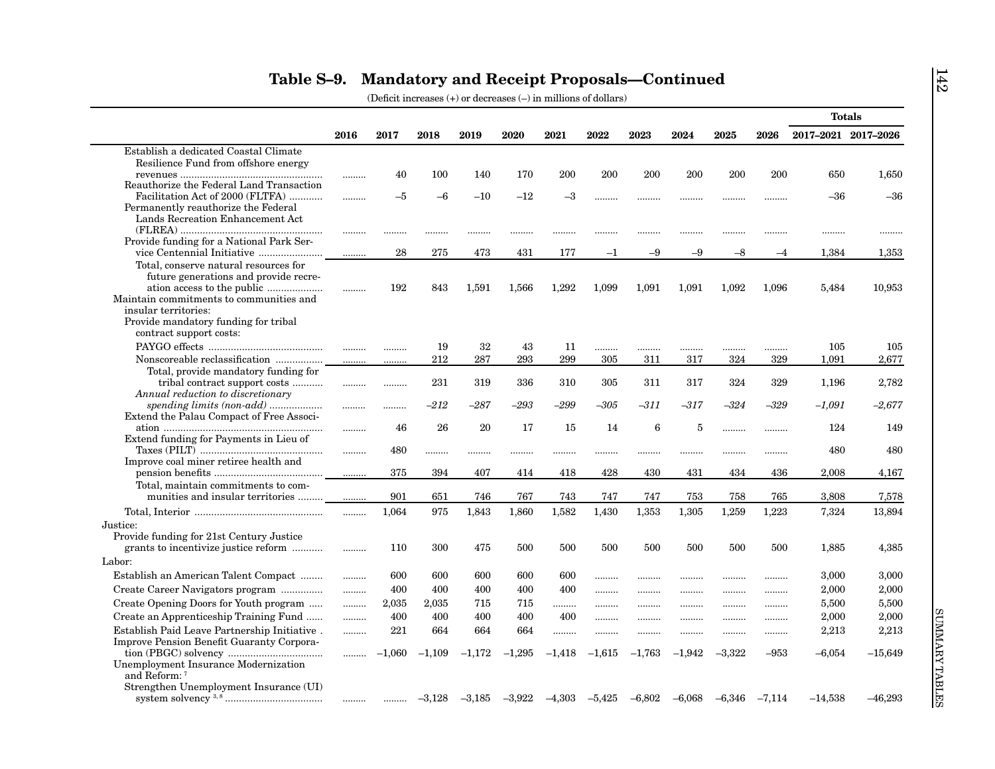|                                                                         |      |          |          |          |          |          |          |          |          |          |          | <b>Totals</b>       |           |
|-------------------------------------------------------------------------|------|----------|----------|----------|----------|----------|----------|----------|----------|----------|----------|---------------------|-----------|
|                                                                         | 2016 | 2017     | 2018     | 2019     | 2020     | 2021     | 2022     | 2023     | 2024     | 2025     | 2026     | 2017-2021 2017-2026 |           |
| Establish a dedicated Coastal Climate                                   |      |          |          |          |          |          |          |          |          |          |          |                     |           |
| Resilience Fund from offshore energy                                    |      |          |          |          |          |          |          |          |          |          |          |                     |           |
|                                                                         |      | 40       | 100      | 140      | 170      | 200      | 200      | 200      | 200      | 200      | 200      | 650                 | 1,650     |
| Reauthorize the Federal Land Transaction                                |      |          |          |          |          |          |          |          |          |          |          |                     |           |
| Facilitation Act of 2000 (FLTFA)                                        | .    | $-5$     | $-6$     | $-10$    | $-12$    | $^{-3}$  | .        |          |          |          | .        | $-36$               | $-36$     |
| Permanently reauthorize the Federal<br>Lands Recreation Enhancement Act |      |          |          |          |          |          |          |          |          |          |          |                     |           |
| ${\rm (FLREA)}\;\\$                                                     |      |          |          |          |          |          |          |          |          |          |          |                     |           |
| Provide funding for a National Park Ser-                                |      |          | .        |          |          |          |          |          |          |          |          |                     |           |
|                                                                         |      | 28       | 275      | 473      | 431      | 177      | $-1$     | -9       | $-9$     | $-8$     | $-4$     | 1.384               | 1,353     |
| Total, conserve natural resources for                                   |      |          |          |          |          |          |          |          |          |          |          |                     |           |
| future generations and provide recre-                                   |      |          |          |          |          |          |          |          |          |          |          |                     |           |
| ation access to the public                                              |      | 192      | 843      | 1,591    | 1,566    | 1,292    | 1,099    | 1,091    | 1,091    | 1,092    | 1,096    | 5,484               | 10,953    |
| Maintain commitments to communities and                                 |      |          |          |          |          |          |          |          |          |          |          |                     |           |
| insular territories:                                                    |      |          |          |          |          |          |          |          |          |          |          |                     |           |
| Provide mandatory funding for tribal                                    |      |          |          |          |          |          |          |          |          |          |          |                     |           |
| contract support costs:                                                 |      |          |          |          |          |          |          |          |          |          |          |                     |           |
|                                                                         |      |          | 19       | 32       | 43       | 11       |          |          |          |          |          | 105                 | 105       |
| Nonscoreable reclassification                                           |      |          | 212      | 287      | 293      | 299      | 305      | 311      | 317      | 324      | 329      | 1,091               | 2,677     |
| Total, provide mandatory funding for                                    |      |          |          |          |          |          |          |          |          |          |          |                     |           |
| tribal contract support costs                                           |      |          | 231      | 319      | 336      | 310      | 305      | 311      | 317      | 324      | 329      | 1,196               | 2,782     |
| Annual reduction to discretionary                                       |      |          |          |          |          |          |          |          |          |          |          |                     |           |
| spending limits (non-add)                                               |      |          | $-212$   | $-287$   | $-293$   | $-299$   | –305     | $-311$   | -317     | -324     | -329     | $-1,091$            | $-2,677$  |
| Extend the Palau Compact of Free Associ-                                |      |          |          |          |          |          |          |          |          |          |          |                     |           |
| Extend funding for Payments in Lieu of                                  |      | 46       | 26       | 20       | 17       | 15       | 14       | 6        | 5        |          |          | 124                 | 149       |
|                                                                         | .    | 480      |          |          |          |          |          |          |          |          |          | 480                 | 480       |
| Improve coal miner retiree health and                                   |      |          | .        |          |          |          |          |          |          |          |          |                     |           |
|                                                                         |      | 375      | 394      | 407      | 414      | 418      | 428      | 430      | 431      | 434      | 436      | 2,008               | 4,167     |
| Total, maintain commitments to com-                                     |      |          |          |          |          |          |          |          |          |          |          |                     |           |
| munities and insular territories                                        | .    | 901      | 651      | 746      | 767      | 743      | 747      | 747      | 753      | 758      | 765      | 3,808               | 7,578     |
|                                                                         |      | 1,064    | 975      | 1,843    | 1,860    | 1,582    | 1,430    | 1,353    | 1,305    | 1,259    | 1,223    | 7,324               | 13,894    |
| Justice:                                                                | .    |          |          |          |          |          |          |          |          |          |          |                     |           |
| Provide funding for 21st Century Justice                                |      |          |          |          |          |          |          |          |          |          |          |                     |           |
| grants to incentivize justice reform                                    | .    | 110      | 300      | 475      | 500      | 500      | 500      | 500      | 500      | 500      | 500      | 1,885               | 4,385     |
| Labor:                                                                  |      |          |          |          |          |          |          |          |          |          |          |                     |           |
|                                                                         |      |          |          |          |          |          |          |          |          |          |          |                     |           |
| Establish an American Talent Compact                                    |      | 600      | 600      | 600      | 600      | 600      | .        | .        |          |          |          | 3,000               | 3,000     |
| Create Career Navigators program                                        | .    | 400      | 400      | 400      | 400      | 400      | .        |          |          |          |          | 2,000               | 2,000     |
| Create Opening Doors for Youth program                                  | .    | 2,035    | 2,035    | 715      | 715      | .        |          |          |          |          |          | 5,500               | 5,500     |
| Create an Apprenticeship Training Fund                                  | .    | 400      | 400      | 400      | 400      | 400      |          |          | .        |          |          | 2,000               | 2,000     |
| Establish Paid Leave Partnership Initiative.                            | .    | 221      | 664      | 664      | 664      |          |          |          |          |          |          | 2,213               | 2,213     |
| <b>Improve Pension Benefit Guaranty Corpora-</b>                        |      |          |          |          |          |          |          |          |          |          |          |                     |           |
|                                                                         | .    | $-1,060$ | $-1,109$ | $-1,172$ | $-1,295$ | $-1,418$ | $-1,615$ | $-1,763$ | $-1,942$ | $-3,322$ | $-953$   | $-6,054$            | $-15,649$ |
| Unemployment Insurance Modernization                                    |      |          |          |          |          |          |          |          |          |          |          |                     |           |
| and Reform: 7                                                           |      |          |          |          |          |          |          |          |          |          |          |                     |           |
| Strengthen Unemployment Insurance (UI)                                  |      |          |          |          |          |          |          |          |          |          |          |                     |           |
|                                                                         | .    |          | $-3,128$ | $-3,185$ | $-3,922$ | $-4,303$ | $-5,425$ | $-6,802$ | $-6,068$ | $-6,346$ | $-7,114$ | $-14,538$           | $-46,293$ |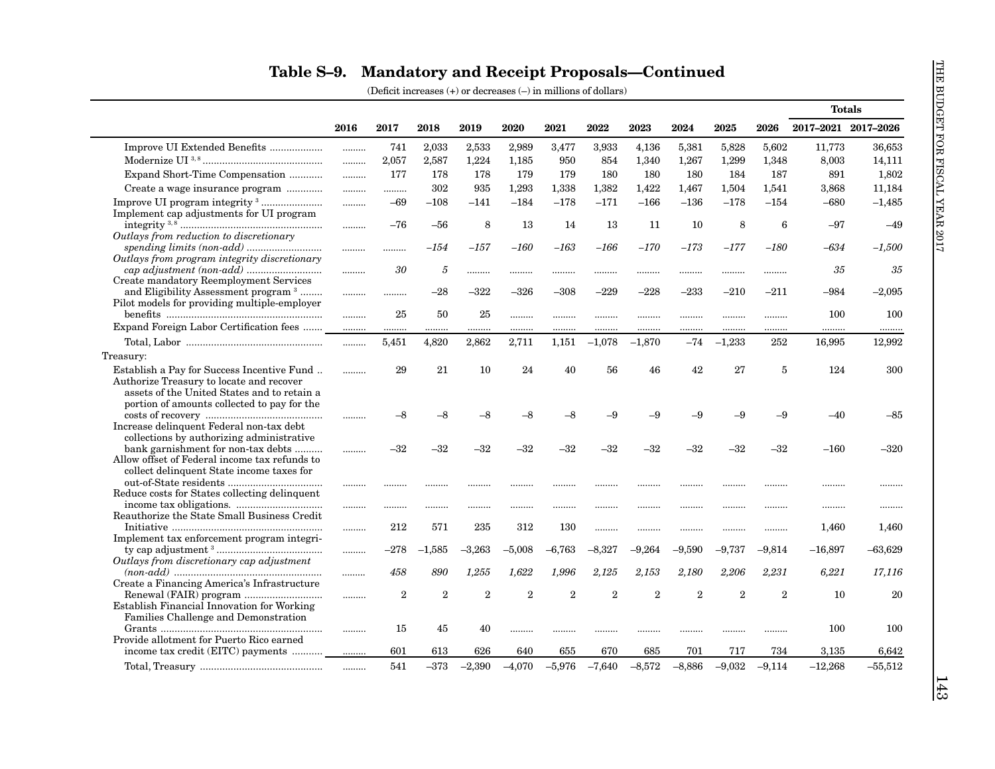|                                                                                                                                                                               |             |                |                |                |                |                |                |                |                |                |                | <b>Totals</b>       |           |
|-------------------------------------------------------------------------------------------------------------------------------------------------------------------------------|-------------|----------------|----------------|----------------|----------------|----------------|----------------|----------------|----------------|----------------|----------------|---------------------|-----------|
|                                                                                                                                                                               | 2016        | 2017           | 2018           | 2019           | 2020           | 2021           | 2022           | 2023           | 2024           | 2025           | 2026           | 2017-2021 2017-2026 |           |
| Improve UI Extended Benefits                                                                                                                                                  |             | 741            | 2,033          | 2,533          | 2,989          | 3,477          | 3,933          | 4,136          | 5,381          | 5,828          | 5,602          | 11,773              | 36,653    |
|                                                                                                                                                                               | .           | 2,057          | 2,587          | 1,224          | 1,185          | 950            | 854            | 1,340          | 1,267          | 1,299          | 1,348          | 8,003               | 14,111    |
| Expand Short-Time Compensation                                                                                                                                                | .           | 177            | 178            | 178            | 179            | 179            | 180            | 180            | 180            | 184            | 187            | 891                 | 1,802     |
| Create a wage insurance program                                                                                                                                               | .           | .              | 302            | 935            | 1,293          | 1,338          | 1,382          | 1,422          | 1,467          | 1,504          | 1,541          | 3,868               | 11,184    |
|                                                                                                                                                                               | .           | $-69$          | $-108$         | $-141$         | $-184$         | $-178$         | $-171$         | $-166$         | $-136$         | $-178$         | $-154$         | $-680$              | $-1,485$  |
| Implement cap adjustments for UI program                                                                                                                                      | .           | $-76$          | $-56$          | 8              | 13             | 14             | 13             | 11             | 10             | 8              | 6              | $-97$               | $-49$     |
| Outlays from reduction to discretionary                                                                                                                                       |             |                |                |                |                |                |                |                |                |                |                |                     |           |
|                                                                                                                                                                               |             | .              | -154           | $-157$         | $-160$         | $-163$         | -166           | $-170$         | $-173$         | $-177$         | –180           | -634                | $-1,500$  |
| Outlays from program integrity discretionary                                                                                                                                  |             | 30             | 5              | .              |                |                |                |                |                |                |                | 35                  | 35        |
| Create mandatory Reemployment Services<br>and Eligibility Assessment program <sup>3</sup>                                                                                     |             |                | $-28$          | $-322$         | $-326$         | $-308$         | $-229$         | $-228$         | $-233$         | $-210$         | $-211$         | $-984$              | $-2,095$  |
| Pilot models for providing multiple-employer                                                                                                                                  |             | 25             | 50             | 25             | .              | .              |                |                |                |                |                | 100                 | 100       |
| Expand Foreign Labor Certification fees                                                                                                                                       | $rac{1}{2}$ |                | .              |                |                |                |                |                |                |                |                |                     |           |
|                                                                                                                                                                               | .           | 5,451          | 4.820          | 2.862          | 2,711          | 1,151          | $-1,078$       | $-1,870$       | $-74$          | $-1.233$       | 252            | 16,995              | 12,992    |
| Treasury:                                                                                                                                                                     |             |                |                |                |                |                |                |                |                |                |                |                     |           |
| Establish a Pay for Success Incentive Fund<br>Authorize Treasury to locate and recover<br>assets of the United States and to retain a                                         |             | 29             | 21             | 10             | 24             | 40             | 56             | 46             | 42             | 27             | $\overline{5}$ | 124                 | 300       |
| portion of amounts collected to pay for the<br>Increase delinquent Federal non-tax debt                                                                                       | .           | $-8$           | $-8$           | $-8$           | $-8$           | -8             | -9             | $-9$           | $-9$           | $-9$           | $-9$           | $-40$               | -85       |
| collections by authorizing administrative<br>bank garnishment for non-tax debts<br>Allow offset of Federal income tax refunds to<br>collect delinquent State income taxes for | .           | $-32$          | $-32$          | $-32$          | $-32$          | $-32$          | -32            | $-32$          | $-32$          | $-32$          | $-32$          | $-160$              | $-320$    |
| Reduce costs for States collecting delinquent                                                                                                                                 |             |                | .              |                |                |                |                |                |                |                | .              |                     | .         |
|                                                                                                                                                                               |             |                |                | .              | .              | .              |                |                |                |                | .              |                     |           |
| Reauthorize the State Small Business Credit                                                                                                                                   | .           | 212            | 571            | 235            | 312            | 130            |                |                |                |                |                | 1,460               | 1,460     |
| Implement tax enforcement program integri-                                                                                                                                    |             | $-278$         | $-1.585$       | $-3,263$       | $-5,008$       | $-6,763$       | $-8,327$       | $-9,264$       | $-9.590$       | $-9,737$       | $-9,814$       | $-16,897$           | $-63,629$ |
| Outlays from discretionary cap adjustment                                                                                                                                     |             |                |                |                |                |                |                |                |                |                |                |                     |           |
| Create a Financing America's Infrastructure                                                                                                                                   |             | 458            | 890            | 1,255          | 1,622          | 1,996          | 2,125          | 2,153          | 2,180          | 2,206          | 2,231          | 6,221               | 17,116    |
| Establish Financial Innovation for Working<br>Families Challenge and Demonstration                                                                                            | .           | $\overline{2}$ | $\overline{2}$ | $\overline{2}$ | $\overline{2}$ | $\overline{2}$ | $\overline{2}$ | $\overline{2}$ | $\overline{2}$ | $\overline{2}$ | $\overline{2}$ | 10                  | 20        |
|                                                                                                                                                                               |             | 15             | 45             | 40             | .              |                |                |                |                |                |                | 100                 | 100       |
| Provide allotment for Puerto Rico earned<br>income tax credit (EITC) payments                                                                                                 |             | 601            | 613            | 626            | 640            | 655            | 670            | 685            | 701            | 717            | 734            | 3,135               | 6,642     |
|                                                                                                                                                                               |             | 541            | $-373$         | $-2,390$       | $-4.070$       | $-5.976$       | $-7,640$       | $-8.572$       | $-8.886$       | $-9.032$       | $-9.114$       | $-12,268$           | $-55,512$ |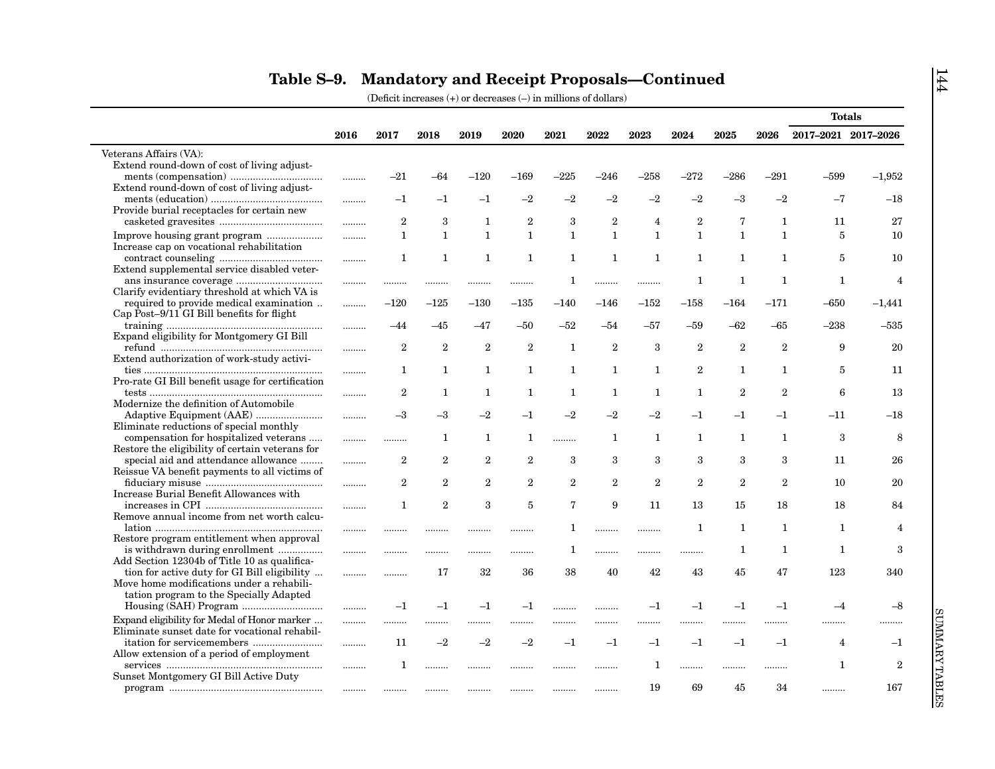|                                                                             |      |                |                |                |                |                |                |                |                |                |                | <b>Totals</b>       |                  |
|-----------------------------------------------------------------------------|------|----------------|----------------|----------------|----------------|----------------|----------------|----------------|----------------|----------------|----------------|---------------------|------------------|
|                                                                             | 2016 | 2017           | 2018           | 2019           | 2020           | 2021           | 2022           | 2023           | 2024           | 2025           | 2026           | 2017-2021 2017-2026 |                  |
| Veterans Affairs (VA):                                                      |      |                |                |                |                |                |                |                |                |                |                |                     |                  |
| Extend round-down of cost of living adjust-                                 |      |                |                |                |                |                |                |                |                |                |                |                     |                  |
|                                                                             |      | $^{-21}$       | -64            | $-120$         | $-169$         | -225           | –246           | -258           | $^{-272}$      | $-286$         | $-291$         | -599                | $-1,952$         |
| Extend round-down of cost of living adjust-                                 |      |                |                |                |                |                |                |                |                |                |                |                     |                  |
|                                                                             |      | $-1$           | $^{-1}$        | $-1$           | $-2$           | $-2$           | $-2$           | $-2$           | $-2$           | $-3$           | $-2$           | $-7$                | $-18$            |
| Provide burial receptacles for certain new                                  |      |                |                |                |                |                |                |                |                |                |                |                     |                  |
|                                                                             |      | $\overline{2}$ | 3              | 1              | $\overline{2}$ | 3              | $\overline{2}$ | $\overline{4}$ | $\overline{2}$ | $\overline{7}$ | 1              | 11                  | 27               |
|                                                                             |      | $\mathbf{1}$   | $\mathbf{1}$   | $\mathbf{1}$   | $\mathbf{1}$   | $\mathbf{1}$   | $\mathbf{1}$   | $\mathbf{1}$   | $\mathbf{1}$   | $\mathbf{1}$   | $\mathbf{1}$   | 5                   | 10               |
| Increase cap on vocational rehabilitation                                   |      |                |                |                |                |                |                |                |                |                |                |                     |                  |
|                                                                             | .    | 1              | $\mathbf{1}$   | 1              | 1              | 1              | $\mathbf{1}$   | $\mathbf{1}$   | 1              | 1              | $\mathbf{1}$   | 5                   | 10               |
| Extend supplemental service disabled veter-                                 |      |                |                |                |                |                |                |                |                |                |                |                     |                  |
|                                                                             |      |                |                | .              |                | 1              |                | .              | 1              | 1              | $\mathbf{1}$   | 1                   | $\overline{4}$   |
| Clarify evidentiary threshold at which VA is                                |      |                |                |                |                |                |                |                |                |                |                |                     |                  |
| required to provide medical examination                                     |      | $-120$         | $-125$         | $-130$         | $-135$         | $-140$         | $-146$         | $-152\,$       | $-158$         | $-164$         | $-171$         | $-650$              | $-1,441$         |
| Cap Post-9/11 GI Bill benefits for flight                                   |      |                |                |                |                |                |                |                |                |                |                |                     |                  |
|                                                                             | .    | $-44$          | $-45$          | -47            | $-50$          | -52            | $-54$          | -57            | $-59$          | $-62$          | $-65$          | $-238$              | $-535$           |
| Expand eligibility for Montgomery GI Bill                                   |      |                |                |                |                |                |                |                |                |                |                |                     |                  |
|                                                                             |      | $\overline{2}$ | $\overline{2}$ | $\overline{2}$ | $\overline{2}$ | $\mathbf{1}$   | $\overline{2}$ | 3              | $\overline{2}$ | $\overline{2}$ | $\overline{2}$ | 9                   | 20               |
| Extend authorization of work-study activi-                                  |      |                |                |                |                |                |                |                |                |                |                |                     |                  |
|                                                                             |      | $\mathbf{1}$   | 1              | $\mathbf{1}$   | $\mathbf{1}$   | $\mathbf{1}$   | $\mathbf{1}$   | $\mathbf{1}$   | $\overline{2}$ | $\mathbf{1}$   | $\mathbf{1}$   | $\overline{5}$      | 11               |
| Pro-rate GI Bill benefit usage for certification                            |      |                |                |                |                |                |                |                |                |                |                |                     |                  |
|                                                                             |      | $\mathbf{2}$   | 1              | 1              | 1              | $\mathbf{1}$   | $\mathbf{1}$   | $\mathbf{1}$   | 1              | $\overline{2}$ | $\overline{2}$ | 6                   | 13               |
| Modernize the definition of Automobile                                      |      |                |                |                |                |                |                |                |                |                |                |                     |                  |
|                                                                             |      | $^{-3}$        | $-3$           | $-2$           | $-1$           | $-2$           | $-2$           | $-2$           | $-1$           | $-1$           | $-1$           | $-11$               | $-18$            |
| Eliminate reductions of special monthly                                     |      |                |                |                |                |                |                |                |                |                |                |                     |                  |
| compensation for hospitalized veterans                                      |      |                | 1              | 1              | $\mathbf{1}$   |                | 1              | $\mathbf{1}$   | 1              | 1              | 1              | 3                   | 8                |
| Restore the eligibility of certain veterans for                             |      |                |                |                |                |                |                |                |                |                |                |                     |                  |
| special aid and attendance allowance                                        | .    | $\overline{2}$ | $\overline{2}$ | $\overline{2}$ | $\overline{2}$ | 3              | 3              | 3              | 3              | 3              | 3              | 11                  | 26               |
| Reissue VA benefit payments to all victims of                               |      |                | $\overline{2}$ |                | $\mathbf{2}$   | $\overline{2}$ | $\overline{2}$ | $\overline{2}$ | $\overline{2}$ | $\overline{2}$ | 2              |                     |                  |
|                                                                             |      | $\mathbf{2}$   |                | $\overline{2}$ |                |                |                |                |                |                |                | 10                  | 20               |
| Increase Burial Benefit Allowances with                                     |      |                | $\overline{2}$ | 3              | $\overline{5}$ | $\overline{7}$ | 9              | 11             | 13             |                | 18             | 18                  |                  |
| Remove annual income from net worth calcu-                                  | .    | 1              |                |                |                |                |                |                |                | 15             |                |                     | 84               |
|                                                                             |      |                |                |                |                |                |                |                |                |                | 1              |                     | $\overline{4}$   |
|                                                                             |      |                |                |                |                | 1              |                |                | 1              | 1              |                | 1                   |                  |
| Restore program entitlement when approval<br>is withdrawn during enrollment |      |                |                |                |                | 1              |                |                |                | 1              | 1              | 1                   | 3                |
| Add Section 12304b of Title 10 as qualifica-                                |      |                | .              | .              | .              |                |                |                |                |                |                |                     |                  |
| tion for active duty for GI Bill eligibility                                |      |                | 17             | 32             | 36             | 38             | 40             | 42             | 43             | 45             | 47             | 123                 | 340              |
| Move home modifications under a rehabili-                                   |      | .              |                |                |                |                |                |                |                |                |                |                     |                  |
| tation program to the Specially Adapted                                     |      |                |                |                |                |                |                |                |                |                |                |                     |                  |
|                                                                             |      | $-1$           | $-1$           | $-1$           | $-1$           |                |                | $-1$           | $-1$           | $-1$           | $-1$           | $-4$                | $-8$             |
|                                                                             |      |                |                |                |                |                |                |                |                |                |                |                     |                  |
| Expand eligibility for Medal of Honor marker                                | .    | .              |                | .              | .              |                |                |                |                |                |                | .                   |                  |
| Eliminate sunset date for vocational rehabil-                               |      |                | $-2$           | $-2$           | $-2$           |                |                |                |                |                |                |                     |                  |
|                                                                             | .    | 11             |                |                |                | $-1$           | $-1$           | $-1$           | $-1$           | $-1$           | $^{-1}$        | $\overline{4}$      | $^{-1}$          |
| Allow extension of a period of employment                                   |      |                |                |                |                |                |                |                |                |                |                |                     |                  |
|                                                                             |      | 1              |                |                |                |                |                | 1              |                |                |                | 1                   | $\boldsymbol{2}$ |
| Sunset Montgomery GI Bill Active Duty                                       |      |                |                |                |                |                |                |                |                |                |                |                     |                  |
|                                                                             |      |                |                | .              |                |                |                | 19             | 69             | 45             | 34             |                     | 167              |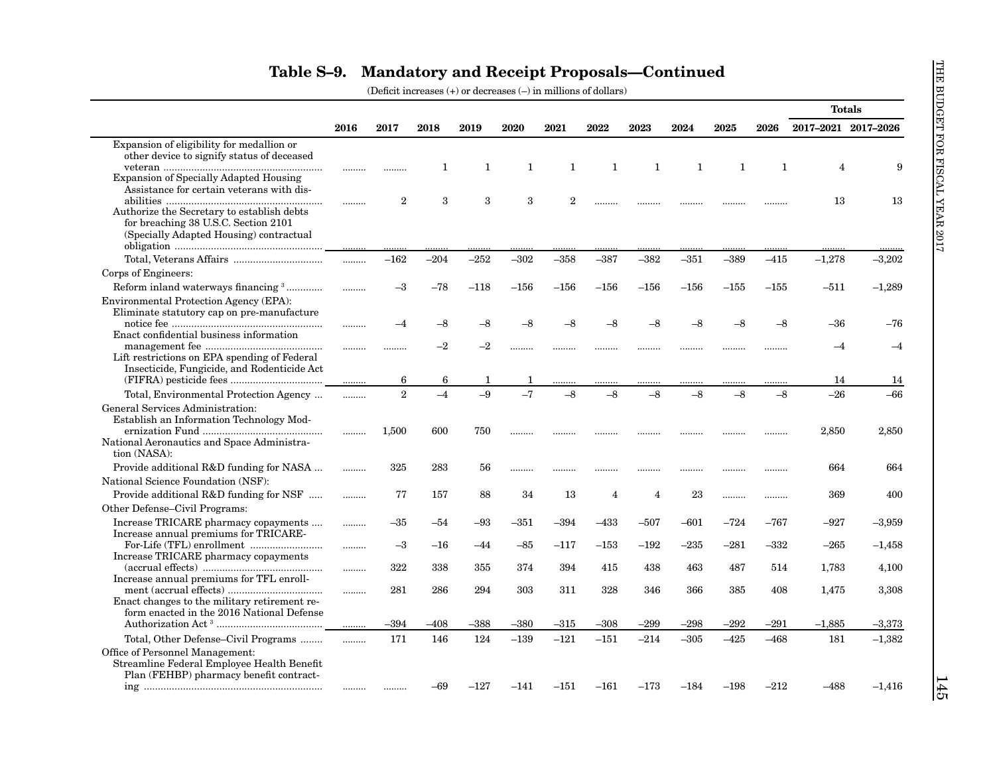|                                                                                                                                            |       |              |        |        |             |                |                |                |        |              |              | <b>Totals</b>       |          |
|--------------------------------------------------------------------------------------------------------------------------------------------|-------|--------------|--------|--------|-------------|----------------|----------------|----------------|--------|--------------|--------------|---------------------|----------|
|                                                                                                                                            | 2016  | 2017         | 2018   | 2019   | <b>2020</b> | 2021           | 2022           | 2023           | 2024   | 2025         | 2026         | 2017-2021 2017-2026 |          |
| Expansion of eligibility for medallion or<br>other device to signify status of deceased                                                    |       |              | 1      | 1      | 1           | $\mathbf{1}$   | 1              | $\mathbf{1}$   | 1      | $\mathbf{1}$ | $\mathbf{1}$ | $\overline{4}$      | 9        |
| <b>Expansion of Specially Adapted Housing</b><br>Assistance for certain veterans with dis-                                                 | <br>. | $\mathbf{2}$ | 3      | 3      | 3           | $\overline{2}$ |                |                |        |              |              | 13                  | 13       |
| Authorize the Secretary to establish debts<br>for breaching 38 U.S.C. Section 2101<br>(Specially Adapted Housing) contractual              |       |              |        |        |             |                |                |                |        |              |              |                     |          |
| Corps of Engineers:                                                                                                                        | .     | $-162$       | $-204$ | $-252$ | $-302$      | $-358$         | $-387$         | $-382$         | $-351$ | $-389$       | $-415$       | $-1,278$            | $-3,202$ |
| Reform inland waterways financing 3                                                                                                        | .     | $^{-3}$      | $-78$  | $-118$ | $-156$      | $-156$         | $-156$         | $-156$         | $-156$ | $-155$       | $-155$       | –511                | $-1,289$ |
| Environmental Protection Agency (EPA):<br>Eliminate statutory cap on pre-manufacture<br>Enact confidential business information            | .     | -4           | $-8$   | $-8$   | -8          |                |                | -8             | -8     | $-8$         | $-8$         | -36                 | -76      |
| Lift restrictions on EPA spending of Federal                                                                                               | .     | .            | $-2$   | $-2$   |             |                |                |                |        |              | .            | $-4$                | $-4$     |
| Insecticide, Fungicide, and Rodenticide Act                                                                                                |       | 6            | 6      | 1      |             | .              | .              |                | .      |              |              | 14                  | 14       |
| Total, Environmental Protection Agency                                                                                                     | .     | 2            | $-4$   | $-9$   | $-7$        | $-8$           | $-8$           | $-8$           | $-8$   | $-8$         | $-8$         | $-26$               | -66      |
| General Services Administration:<br>Establish an Information Technology Mod-<br>National Aeronautics and Space Administra-<br>tion (NASA): |       | 1,500        | 600    | 750    |             |                |                | .              | .      |              | .            | 2,850               | 2,850    |
| Provide additional R&D funding for NASA<br>National Science Foundation (NSF):                                                              | .     | 325          | 283    | 56     |             |                |                | .              | .      |              | .            | 664                 | 664      |
| Provide additional R&D funding for NSF<br>Other Defense-Civil Programs:                                                                    | .     | 77           | 157    | 88     | 34          | 13             | $\overline{4}$ | $\overline{4}$ | 23     |              | .            | 369                 | 400      |
| Increase TRICARE pharmacy copayments<br>Increase annual premiums for TRICARE-                                                              | .     | $-35$        | $-54$  | $-93$  | $-351$      | $-394$         | $-433$         | $-507$         | $-601$ | $-724$       | $-767$       | $-927$              | $-3,959$ |
| Increase TRICARE pharmacy copayments                                                                                                       | .     | $-3$         | $-16$  | $-44$  | $-85$       | $-117$         | $-153\,$       | $-192$         | $-235$ | $-281$       | –332         | $-265$              | $-1,458$ |
| Increase annual premiums for TFL enroll-                                                                                                   | .     | 322          | 338    | 355    | 374         | 394            | 415            | 438            | 463    | 487          | 514          | 1,783               | 4,100    |
| Enact changes to the military retirement re-<br>form enacted in the 2016 National Defense                                                  |       | 281          | 286    | 294    | 303         | 311            | 328            | 346            | 366    | 385          | 408          | 1,475               | 3,308    |
|                                                                                                                                            | .     | $-394$       | $-408$ | $-388$ | $-380$      | $-315$         | $-308$         | $-299$         | $-298$ | $-292$       | $-291$       | $-1,885$            | $-3,373$ |
| Total, Other Defense–Civil Programs<br>Office of Personnel Management:<br>Streamline Federal Employee Health Benefit                       | .     | 171          | 146    | 124    | $-139$      | $-121$         | $-151$         | $-214$         | $-305$ | $-425$       | $-468$       | 181                 | $-1,382$ |
| Plan (FEHBP) pharmacy benefit contract-                                                                                                    |       |              | $-69$  | $-127$ | $-141$      | $-151$         | $-161$         | $-173$         | $-184$ | $-198$       | $-212$       | $-488$              | $-1,416$ |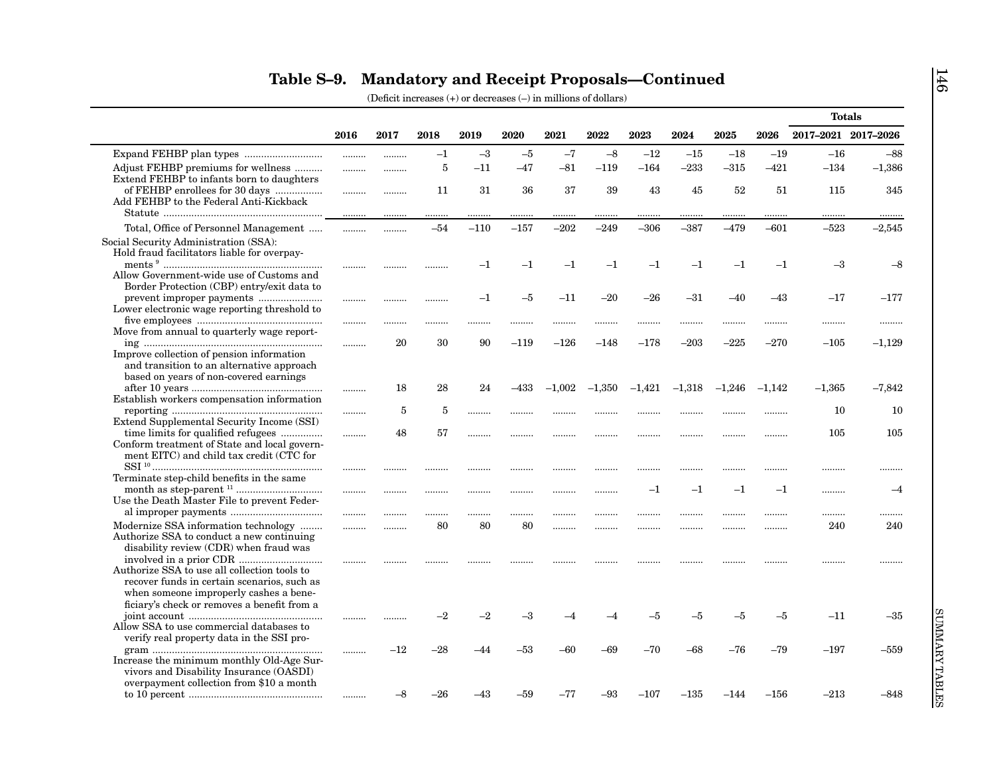|                                              |      |       |         |         |         |          |          |          |          |          |          | <b>Totals</b>       |          |
|----------------------------------------------|------|-------|---------|---------|---------|----------|----------|----------|----------|----------|----------|---------------------|----------|
|                                              | 2016 | 2017  | 2018    | 2019    | 2020    | 2021     | 2022     | 2023     | 2024     | 2025     | 2026     | 2017-2021 2017-2026 |          |
|                                              |      |       | $-1$    | $-3$    | $-5$    | $-7$     | $-8$     | $-12$    | $-15$    | $-18$    | $-19$    | $-16$               | $-88$    |
| Adjust FEHBP premiums for wellness           |      |       | 5       | $-11$   | $-47$   | $-81$    | $-119$   | $-164$   | $-233$   | $-315$   | $-421$   | $-134$              | $-1,386$ |
| Extend FEHBP to infants born to daughters    |      |       |         |         |         |          |          |          |          |          |          |                     |          |
| of FEHBP enrollees for 30 days               |      |       | 11      | 31      | 36      | 37       | 39       | 43       | 45       | 52       | 51       | 115                 | 345      |
| Add FEHBP to the Federal Anti-Kickback       |      |       |         |         |         |          |          |          |          |          |          |                     |          |
|                                              |      |       |         | .       | .       | .        |          |          |          |          |          | .                   |          |
| Total, Office of Personnel Management        | .    |       | $-54$   | $-110$  | $-157$  | $-202$   | $-249$   | $-306$   | $-387$   | $-479$   | $-601$   | $-523$              | $-2,545$ |
| Social Security Administration (SSA):        |      |       |         |         |         |          |          |          |          |          |          |                     |          |
| Hold fraud facilitators liable for overpay-  |      |       |         |         |         |          |          |          |          |          |          |                     |          |
|                                              |      |       |         | $^{-1}$ | $^{-1}$ | $^{-1}$  | $^{-1}$  | $^{-1}$  | $^{-1}$  | $^{-1}$  | $-1$     | $-3$                | $-8$     |
| Allow Government-wide use of Customs and     |      |       |         |         |         |          |          |          |          |          |          |                     |          |
| Border Protection (CBP) entry/exit data to   |      |       |         |         |         |          |          |          |          |          |          |                     |          |
|                                              |      |       |         | $^{-1}$ | $-5$    | $-11$    | $-20$    | $-26$    | $-31$    | $-40$    | $-43$    | $-17$               | $-177$   |
| Lower electronic wage reporting threshold to |      |       |         |         |         |          |          |          |          |          |          |                     |          |
|                                              |      |       | .       | .       | .       |          |          |          |          |          |          | .                   |          |
| Move from annual to quarterly wage report-   |      |       |         |         |         |          |          |          |          |          |          |                     |          |
|                                              |      | 20    | 30      | 90      | $-119$  | $-126$   | $-148$   | $-178$   | $-203$   | $-225$   | $-270$   | $-105$              | $-1,129$ |
| Improve collection of pension information    |      |       |         |         |         |          |          |          |          |          |          |                     |          |
| and transition to an alternative approach    |      |       |         |         |         |          |          |          |          |          |          |                     |          |
| based on years of non-covered earnings       |      | 18    | 28      | 24      | -433    | $-1,002$ | $-1,350$ | $-1,421$ | $-1,318$ | $-1,246$ | $-1.142$ | $-1,365$            | $-7,842$ |
| Establish workers compensation information   |      |       |         |         |         |          |          |          |          |          |          |                     |          |
|                                              |      | 5     | 5       |         |         |          |          |          |          |          |          | 10                  | 10       |
| Extend Supplemental Security Income (SSI)    |      |       |         | .       |         |          |          |          |          |          |          |                     |          |
| time limits for qualified refugees           |      | 48    | 57      | .       |         |          |          |          |          |          |          | 105                 | 105      |
| Conform treatment of State and local govern- |      |       |         |         |         |          |          |          |          |          |          |                     |          |
| ment EITC) and child tax credit (CTC for     |      |       |         |         |         |          |          |          |          |          |          |                     |          |
|                                              |      | .     |         |         | .       |          |          |          |          |          |          |                     |          |
| Terminate step-child benefits in the same    |      |       |         |         |         |          |          |          |          |          |          |                     |          |
|                                              |      |       | .       |         |         |          | .        | $^{-1}$  | $^{-1}$  | $^{-1}$  | $-1$     |                     | $-4$     |
| Use the Death Master File to prevent Feder-  |      |       |         |         |         |          |          |          |          |          |          |                     |          |
|                                              |      |       | .       | .       |         |          |          |          |          |          |          | .                   |          |
| Modernize SSA information technology         | .    | .     | 80      | 80      | 80      |          |          |          |          |          |          | 240                 | 240      |
| Authorize SSA to conduct a new continuing    |      |       |         |         |         |          |          |          |          |          |          |                     |          |
| disability review (CDR) when fraud was       |      |       |         |         |         |          |          |          |          |          |          |                     |          |
|                                              |      |       |         |         |         |          |          |          |          |          |          |                     |          |
| Authorize SSA to use all collection tools to |      |       |         |         |         |          |          |          |          |          |          |                     |          |
| recover funds in certain scenarios, such as  |      |       |         |         |         |          |          |          |          |          |          |                     |          |
| when someone improperly cashes a bene-       |      |       |         |         |         |          |          |          |          |          |          |                     |          |
| ficiary's check or removes a benefit from a  |      |       |         |         |         |          |          |          |          |          |          |                     |          |
|                                              |      |       | $^{-2}$ | $-2$    | $^{-3}$ |          |          | -5       | $-5$     | $-5$     | $-5$     | $-11$               | $-35$    |
| Allow SSA to use commercial databases to     |      |       |         |         |         |          |          |          |          |          |          |                     |          |
| verify real property data in the SSI pro-    |      |       |         |         |         |          |          |          |          |          |          |                     |          |
|                                              |      | $-12$ | $-28$   | $-44$   | -53     | -60      | -69      | $-70$    | $-68$    | $-76$    | $-79$    | $-197$              | $-559$   |
| Increase the minimum monthly Old-Age Sur-    |      |       |         |         |         |          |          |          |          |          |          |                     |          |
| vivors and Disability Insurance (OASDI)      |      |       |         |         |         |          |          |          |          |          |          |                     |          |
| overpayment collection from \$10 a month     |      |       |         |         |         |          |          |          |          |          |          |                     |          |
|                                              |      | –8    | -26     | –43     | -59     | $-77$    | $-93$    | $-107$   | $-135$   | –144     | $-156$   | $-213$              | $-848$   |
|                                              |      |       |         |         |         |          |          |          |          |          |          |                     |          |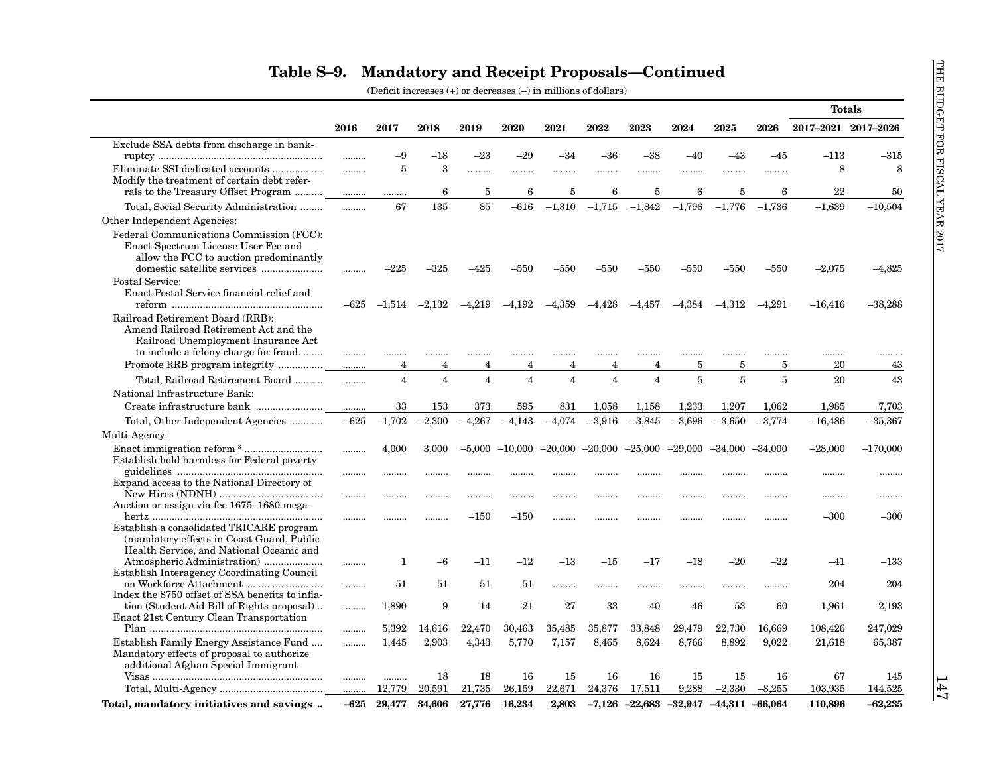|                                                                                                                                                                                           |        |                    |                |                         |                |                |                    |                    |                |           |                | <b>Totals</b>       |            |
|-------------------------------------------------------------------------------------------------------------------------------------------------------------------------------------------|--------|--------------------|----------------|-------------------------|----------------|----------------|--------------------|--------------------|----------------|-----------|----------------|---------------------|------------|
|                                                                                                                                                                                           | 2016   | 2017               | 2018           | 2019                    | 2020           | 2021           | 2022               | 2023               | 2024           | 2025      | 2026           | 2017-2021 2017-2026 |            |
| Exclude SSA debts from discharge in bank-                                                                                                                                                 |        |                    |                |                         |                |                |                    |                    |                |           |                |                     |            |
|                                                                                                                                                                                           |        | -9                 | $-18$          | $-23$                   | $-29$          | -34            | $-36$              | $-38$              | $-40$          | $-43$     | $-45$          | $-113$              | $-315$     |
| Eliminate SSI dedicated accounts                                                                                                                                                          | .      | 5                  | 3              |                         |                |                | .                  |                    | .              |           |                | 8                   | 8          |
| Modify the treatment of certain debt refer-                                                                                                                                               |        |                    |                |                         |                |                |                    |                    |                |           |                |                     |            |
| rals to the Treasury Offset Program                                                                                                                                                       |        | .                  | 6              | 5                       | 6              | 5              | 6                  | 5                  | 6              | 5         | 6              | 22                  | 50         |
| Total, Social Security Administration                                                                                                                                                     |        | 67                 | 135            | 85                      | $-616$         | $-1,310$       | $-1,715$           | $-1,842$           | $-1,796$       | $-1,776$  | $-1,736$       | $-1,639$            | $-10,504$  |
| Other Independent Agencies:                                                                                                                                                               |        |                    |                |                         |                |                |                    |                    |                |           |                |                     |            |
| Federal Communications Commission (FCC):<br>Enact Spectrum License User Fee and<br>allow the FCC to auction predominantly                                                                 |        | –225               | –325           | $-425$                  | $-550$         | $-550$         | $-550$             | $-550$             | –550           | $-550$    | $-550$         | $-2,075$            | $-4,825$   |
| Postal Service:<br>Enact Postal Service financial relief and                                                                                                                              | $-625$ | $-1,514$           | $-2,132$       | $-4.219$                | $-4,192$       | $-4,359$       | $-4,428$           | $-4,457$           | $-4,384$       | $-4,312$  | $-4.291$       | $-16,416$           | $-38,288$  |
| Railroad Retirement Board (RRB):<br>Amend Railroad Retirement Act and the<br>Railroad Unemployment Insurance Act<br>to include a felony charge for fraud<br>Promote RRB program integrity | <br>.  | <br>$\overline{4}$ | <br>4          | <br>4                   | 4              | 4              | <br>$\overline{4}$ | <br>$\overline{4}$ | <br>5          | <br>5     | <br>5          | <br>20              | <br>43     |
| Total, Railroad Retirement Board                                                                                                                                                          | .      | $\overline{4}$     | $\overline{4}$ | $\overline{\mathbf{4}}$ | $\overline{4}$ | $\overline{4}$ | $\overline{4}$     | $\overline{4}$     | $\overline{5}$ | $\bf 5$   | $\overline{5}$ | 20                  | 43         |
| National Infrastructure Bank:                                                                                                                                                             |        |                    |                |                         |                |                |                    |                    |                |           |                |                     |            |
|                                                                                                                                                                                           | .      | 33                 | 153            | 373                     | 595            | 831            | 1,058              | 1,158              | 1,233          | 1,207     | 1,062          | 1,985               | 7,703      |
| Total, Other Independent Agencies                                                                                                                                                         | $-625$ | $-1,702$           | $-2,300$       | $-4,267$                | $-4,143$       | $-4,074$       | $-3,916$           | $-3,845$           | $-3,696$       | $-3,650$  | $-3,774$       | $-16,486$           | $-35,367$  |
| Multi-Agency:                                                                                                                                                                             |        |                    |                |                         |                |                |                    |                    |                |           |                |                     |            |
| Establish hold harmless for Federal poverty                                                                                                                                               |        | 4,000              | 3,000          | $-5,000$                | $-10,000$      | $-20,000$      | $-20,000$          | $-25,000$          | $-29,000$      | $-34,000$ | $-34,000$      | $-28,000$           | $-170,000$ |
| Expand access to the National Directory of                                                                                                                                                | .<br>  | .<br>              | .              |                         | .              |                | <br>               |                    |                |           | .              | <br>                | .<br>      |
| Auction or assign via fee 1675–1680 mega-<br>Establish a consolidated TRICARE program<br>(mandatory effects in Coast Guard, Public                                                        | .      |                    | .              | $-150$                  | $-150$         |                |                    |                    |                |           | .              | $-300$              | $-300$     |
| Health Service, and National Oceanic and<br>Establish Interagency Coordinating Council                                                                                                    |        | 1                  | $-6$           | $^{-11}$                | $-12$          | $-13$          | $^{-15}$           | $-17$              | $-18$          | $-20$     | -22            | –41                 | $-133$     |
| Index the \$750 offset of SSA benefits to infla-                                                                                                                                          | .      | 51                 | 51             | 51                      | 51             | .              |                    |                    |                |           |                | 204                 | 204        |
| tion (Student Aid Bill of Rights proposal)<br>Enact 21st Century Clean Transportation                                                                                                     |        | 1,890              | 9              | 14                      | 21             | 27             | 33                 | 40                 | 46             | 53        | 60             | 1,961               | 2,193      |
|                                                                                                                                                                                           | .      | 5,392              | 14,616         | 22,470                  | 30,463         | 35,485         | 35,877             | 33,848             | 29,479         | 22,730    | 16,669         | 108,426             | 247,029    |
| Establish Family Energy Assistance Fund<br>Mandatory effects of proposal to authorize<br>additional Afghan Special Immigrant                                                              | .      | 1,445              | 2,903          | 4,343                   | 5,770          | 7,157          | 8,465              | 8,624              | 8,766          | 8,892     | 9,022          | 21,618              | 65,387     |
|                                                                                                                                                                                           |        |                    | 18             | 18                      | 16             | 15             | 16                 | 16                 | 15             | 15        | 16             | 67                  | 145        |
|                                                                                                                                                                                           | .      | 12,779             | 20,591         | 21,735                  | 26,159         | 22,671         | 24,376             | 17,511             | 9,288          | $-2,330$  | $-8,255$       | 103,935             | 144,525    |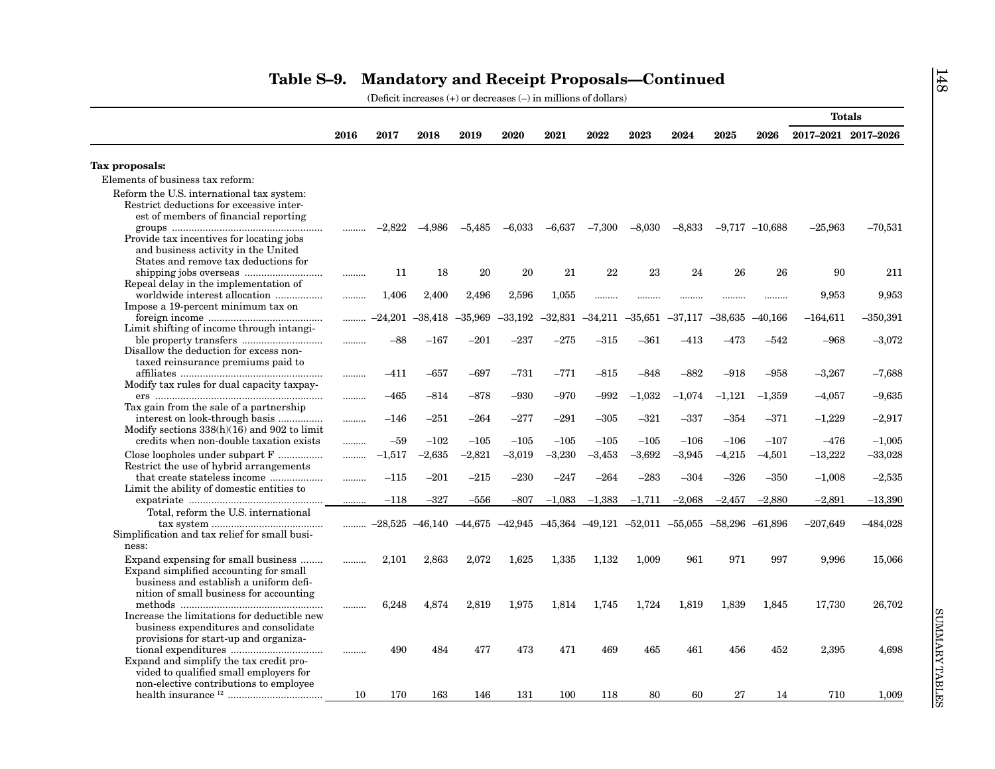|                                                                                                                                |      |           |           |                                                                                                     |           |           |           |           |           |           |                    | <b>Totals</b>       |            |
|--------------------------------------------------------------------------------------------------------------------------------|------|-----------|-----------|-----------------------------------------------------------------------------------------------------|-----------|-----------|-----------|-----------|-----------|-----------|--------------------|---------------------|------------|
|                                                                                                                                | 2016 | 2017      | 2018      | 2019                                                                                                | 2020      | 2021      | 2022      | 2023      | 2024      | 2025      | 2026               | 2017-2021 2017-2026 |            |
| Tax proposals:                                                                                                                 |      |           |           |                                                                                                     |           |           |           |           |           |           |                    |                     |            |
| Elements of business tax reform:                                                                                               |      |           |           |                                                                                                     |           |           |           |           |           |           |                    |                     |            |
| Reform the U.S. international tax system:<br>Restrict deductions for excessive inter-<br>est of members of financial reporting |      |           |           |                                                                                                     |           |           |           |           |           |           |                    |                     |            |
| Provide tax incentives for locating jobs<br>and business activity in the United                                                | .    | $-2,822$  | $-4,986$  | $-5,485$                                                                                            | $-6,033$  | $-6,637$  | $-7,300$  | $-8,030$  | $-8,833$  |           | $-9,717$ $-10,688$ | $-25,963$           | $-70,531$  |
| States and remove tax deductions for                                                                                           |      | 11        | 18        | 20                                                                                                  | 20        | 21        | 22        | 23        | 24        | 26        | 26                 | 90                  | 211        |
| Repeal delay in the implementation of<br>worldwide interest allocation                                                         |      | 1,406     | 2,400     | 2,496                                                                                               | 2,596     | 1,055     |           |           |           |           |                    | 9,953               | 9,953      |
| Impose a 19-percent minimum tax on                                                                                             |      | $-24,201$ | $-38,418$ | $-35,969$                                                                                           | $-33,192$ | $-32,831$ | $-34,211$ | $-35.651$ | $-37,117$ | $-38,635$ | $-40,166$          | $-164,611$          | $-350,391$ |
| Limit shifting of income through intangi-<br>Disallow the deduction for excess non-                                            |      | $-88$     | $-167$    | $-201$                                                                                              | $-237$    | $-275$    | $-315$    | $-361$    | $-413$    | $-473$    | $-542$             | $-968$              | $-3,072$   |
| taxed reinsurance premiums paid to                                                                                             |      | $-411$    | $-657$    | $-697$                                                                                              | $-731$    | $-771$    | $-815$    | $-848$    | $-882$    | $-918$    | $-958$             | $-3,267$            | $-7,688$   |
| Modify tax rules for dual capacity taxpay-                                                                                     |      | –465      | $-814$    | $-878$                                                                                              | $-930$    | $-970$    | $-992$    | $-1,032$  | $-1,074$  | $-1,121$  | $-1,359$           | $-4,057$            | $-9,635$   |
| Tax gain from the sale of a partnership<br>interest on look-through basis<br>Modify sections $338(h)(16)$ and $902$ to limit   |      | $-146$    | $-251$    | $-264$                                                                                              | $-277$    | $-291$    | $-305$    | $-321$    | –337      | $-354$    | $-371$             | $-1,229$            | $-2,917$   |
| credits when non-double taxation exists                                                                                        |      | $-59$     | $-102$    | $-105$                                                                                              | $-105$    | $-105$    | $-105$    | $-105$    | $-106$    | $-106$    | $-107$             | $-476$              | $-1,005$   |
| Close loopholes under subpart F<br>Restrict the use of hybrid arrangements                                                     |      | $-1,517$  | $-2,635$  | $-2,821$                                                                                            | $-3,019$  | $-3,230$  | $-3,453$  | $-3,692$  | $-3,945$  | $-4,215$  | $-4,501$           | $-13,222$           | $-33,028$  |
| Limit the ability of domestic entities to                                                                                      |      | $-115$    | $-201$    | $-215$                                                                                              | $-230$    | $-247$    | $-264$    | $-283$    | $-304$    | $-326$    | $-350$             | $-1,008$            | $-2,535$   |
|                                                                                                                                | .    | $-118$    | $-327$    | -556                                                                                                | $-807$    | $-1,083$  | $-1,383$  | $-1,711$  | $-2,068$  | $-2,457$  | $-2,880$           | $-2,891$            | $-13,390$  |
| Total, reform the U.S. international<br>Simplification and tax relief for small busi-                                          | .    |           |           | $-28,525$ $-46,140$ $-44,675$ $-42,945$ $-45,364$ $-49,121$ $-52,011$ $-55,055$ $-58,296$ $-61,896$ |           |           |           |           |           |           |                    | $-207,649$          | $-484,028$ |
| ness:                                                                                                                          |      |           |           |                                                                                                     |           |           |           |           |           |           |                    |                     |            |
| Expand expensing for small business<br>Expand simplified accounting for small<br>business and establish a uniform defi-        |      | 2,101     | 2,863     | 2,072                                                                                               | 1,625     | 1,335     | 1,132     | 1,009     | 961       | 971       | 997                | 9,996               | 15,066     |
| nition of small business for accounting<br>Increase the limitations for deductible new                                         |      | 6,248     | 4,874     | 2,819                                                                                               | 1,975     | 1,814     | 1,745     | 1,724     | 1,819     | 1,839     | 1,845              | 17,730              | 26,702     |
| business expenditures and consolidate<br>provisions for start-up and organiza-                                                 | .    | 490       | 484       | 477                                                                                                 | 473       | 471       | 469       | 465       | 461       | 456       | 452                | 2,395               | 4,698      |
| Expand and simplify the tax credit pro-<br>vided to qualified small employers for<br>non-elective contributions to employee    |      |           |           |                                                                                                     |           |           |           |           |           |           |                    |                     |            |
|                                                                                                                                |      |           |           |                                                                                                     |           |           |           |           |           |           |                    |                     |            |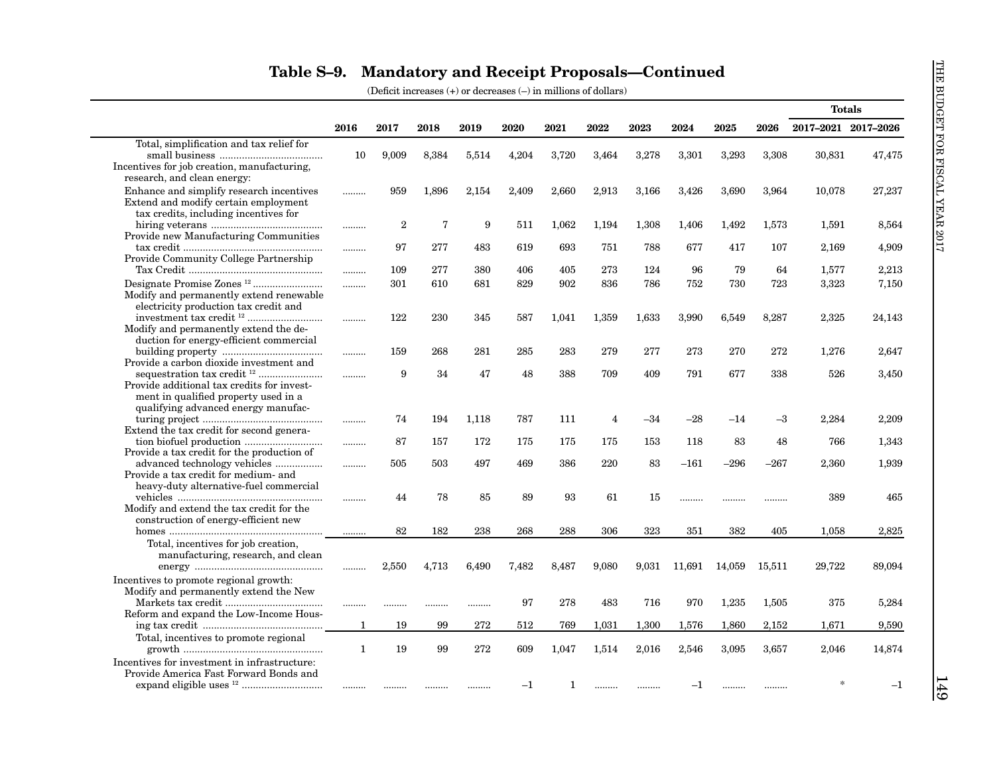|                                                                                                                           |              |                |             |       |             |       |                |       |         |        |        | <b>Totals</b>       |         |
|---------------------------------------------------------------------------------------------------------------------------|--------------|----------------|-------------|-------|-------------|-------|----------------|-------|---------|--------|--------|---------------------|---------|
|                                                                                                                           | 2016         | 2017           | 2018        | 2019  | 2020        | 2021  | 2022           | 2023  | 2024    | 2025   | 2026   | 2017-2021 2017-2026 |         |
| Total, simplification and tax relief for                                                                                  |              |                |             |       |             |       |                |       |         |        |        |                     |         |
| Incentives for job creation, manufacturing,<br>research, and clean energy:                                                | 10           | 9,009          | 8,384       | 5,514 | 4,204       | 3,720 | 3,464          | 3,278 | 3,301   | 3,293  | 3,308  | 30,831              | 47,475  |
| Enhance and simplify research incentives<br>Extend and modify certain employment<br>tax credits, including incentives for | .            | 959            | 1,896       | 2.154 | 2.409       | 2,660 | 2,913          | 3,166 | 3,426   | 3,690  | 3,964  | 10,078              | 27,237  |
| Provide new Manufacturing Communities                                                                                     |              | $\overline{2}$ | $\mathbf 7$ | 9     | 511         | 1,062 | 1,194          | 1,308 | 1,406   | 1,492  | 1,573  | 1,591               | 8,564   |
| Provide Community College Partnership                                                                                     |              | 97             | 277         | 483   | 619         | 693   | 751            | 788   | 677     | 417    | 107    | 2,169               | 4,909   |
|                                                                                                                           |              | 109            | 277         | 380   | 406         | 405   | 273            | 124   | 96      | 79     | 64     | 1,577               | 2,213   |
| Modify and permanently extend renewable<br>electricity production tax credit and                                          | .            | 301            | 610         | 681   | 829         | 902   | 836            | 786   | 752     | 730    | 723    | 3,323               | 7,150   |
| Modify and permanently extend the de-<br>duction for energy-efficient commercial                                          |              | 122            | 230         | 345   | 587         | 1,041 | 1,359          | 1,633 | 3,990   | 6,549  | 8,287  | 2,325               | 24,143  |
| Provide a carbon dioxide investment and                                                                                   |              | 159            | 268         | 281   | 285         | 283   | 279            | 277   | 273     | 270    | 272    | 1,276               | 2,647   |
| Provide additional tax credits for invest-<br>ment in qualified property used in a<br>qualifying advanced energy manufac- | .            | 9              | 34          | 47    | 48          | 388   | 709            | 409   | 791     | 677    | 338    | 526                 | 3,450   |
| Extend the tax credit for second genera-                                                                                  |              | 74             | 194         | 1,118 | 787         | 111   | $\overline{4}$ | $-34$ | $-28$   | $-14$  | $-3$   | 2,284               | 2,209   |
| Provide a tax credit for the production of                                                                                |              | 87             | 157         | 172   | 175         | 175   | 175            | 153   | 118     | 83     | 48     | 766                 | 1,343   |
| Provide a tax credit for medium- and                                                                                      | .            | 505            | 503         | 497   | 469         | 386   | 220            | 83    | $-161$  | $-296$ | –267   | 2,360               | 1,939   |
| heavy-duty alternative-fuel commercial<br>Modify and extend the tax credit for the                                        |              | 44             | 78          | 85    | 89          | 93    | 61             | 15    | .       |        |        | 389                 | 465     |
| construction of energy-efficient new                                                                                      | .            | 82             | 182         | 238   | 268         | 288   | 306            | 323   | 351     | 382    | 405    | 1.058               | 2,825   |
| Total, incentives for job creation,<br>manufacturing, research, and clean                                                 |              |                |             |       |             |       |                |       |         |        |        |                     |         |
| Incentives to promote regional growth:<br>Modify and permanently extend the New                                           |              | 2,550          | 4,713       | 6,490 | 7,482       | 8,487 | 9,080          | 9,031 | 11,691  | 14,059 | 15,511 | 29,722              | 89,094  |
| Reform and expand the Low-Income Hous-                                                                                    |              |                |             |       | 97          | 278   | 483            | 716   | 970     | 1,235  | 1,505  | 375                 | 5,284   |
|                                                                                                                           | 1            | 19             | 99          | 272   | 512         | 769   | 1,031          | 1,300 | 1,576   | 1,860  | 2,152  | 1,671               | 9,590   |
| Total, incentives to promote regional                                                                                     | $\mathbf{1}$ | 19             | 99          | 272   | 609         | 1.047 | 1.514          | 2,016 | 2.546   | 3.095  | 3.657  | 2,046               | 14,874  |
| Incentives for investment in infrastructure:<br>Provide America Fast Forward Bonds and                                    |              |                |             |       | $^{\rm -1}$ | 1     | .              |       | $^{-1}$ |        |        |                     | $^{-1}$ |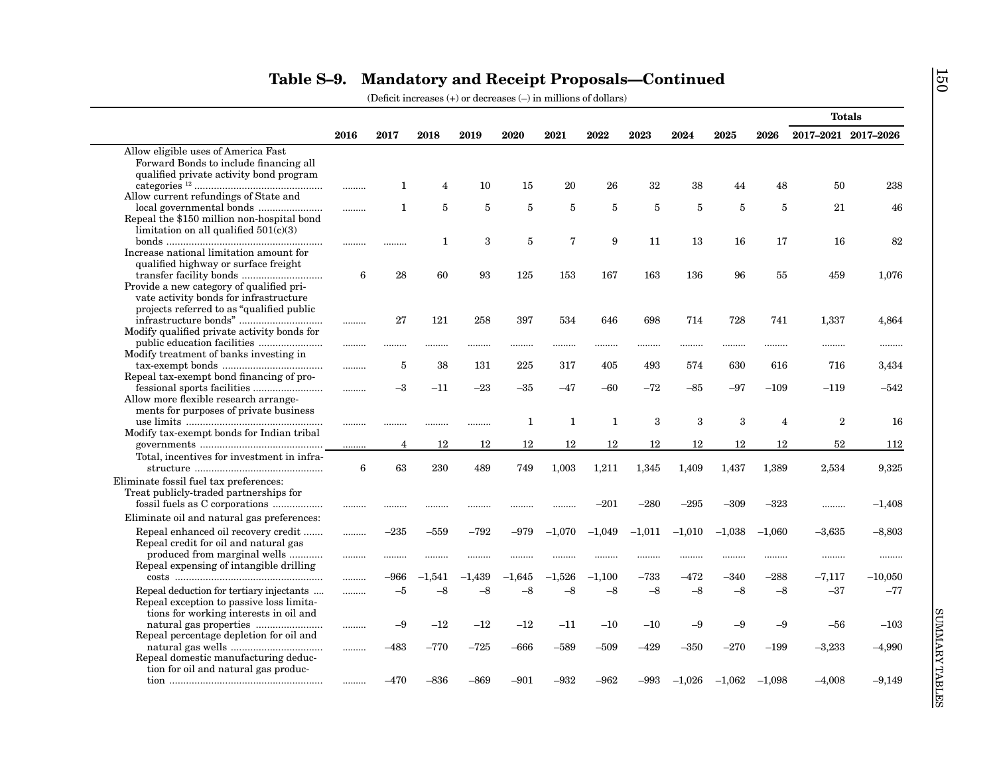|                                                                                |                 |                |          |          |                |          |              |                |          |          |                | <b>Totals</b>       |           |
|--------------------------------------------------------------------------------|-----------------|----------------|----------|----------|----------------|----------|--------------|----------------|----------|----------|----------------|---------------------|-----------|
|                                                                                | 2016            | 2017           | 2018     | 2019     | 2020           | 2021     | 2022         | 2023           | 2024     | 2025     | 2026           | 2017-2021 2017-2026 |           |
| Allow eligible uses of America Fast                                            |                 |                |          |          |                |          |              |                |          |          |                |                     |           |
| Forward Bonds to include financing all                                         |                 |                |          |          |                |          |              |                |          |          |                |                     |           |
| qualified private activity bond program                                        |                 |                |          |          |                |          |              |                |          |          |                |                     |           |
|                                                                                | .               | 1              | 4        | 10       | 15             | 20       | 26           | 32             | 38       | 44       | 48             | 50                  | 238       |
| Allow current refundings of State and                                          |                 |                |          |          |                |          |              |                |          |          |                |                     |           |
|                                                                                |                 | 1              | 5        | 5        | $\overline{5}$ | 5        | 5            | $\overline{5}$ | 5        | 5        | $\overline{5}$ | 21                  | 46        |
| Repeal the \$150 million non-hospital bond                                     |                 |                |          |          |                |          |              |                |          |          |                |                     |           |
| limitation on all qualified $501(c)(3)$                                        |                 |                |          |          |                |          |              |                |          |          |                |                     |           |
|                                                                                | .               | .              | 1        | 3        | 5              | 7        | 9            | 11             | 13       | 16       | 17             | 16                  | 82        |
| Increase national limitation amount for                                        |                 |                |          |          |                |          |              |                |          |          |                |                     |           |
| qualified highway or surface freight                                           |                 |                |          |          |                |          |              |                |          |          |                |                     |           |
|                                                                                | 6               | 28             | 60       | 93       | 125            | 153      | 167          | 163            | 136      | 96       | 55             | 459                 | 1,076     |
| Provide a new category of qualified pri-                                       |                 |                |          |          |                |          |              |                |          |          |                |                     |           |
| vate activity bonds for infrastructure                                         |                 |                |          |          |                |          |              |                |          |          |                |                     |           |
| projects referred to as "qualified public"                                     |                 |                |          |          |                |          |              |                |          |          |                |                     |           |
| $\begin{minipage}{0.9\linewidth} \textbf{infrastructure bonds} \end{minipage}$ | .               | 27             | 121      | 258      | 397            | 534      | 646          | 698            | 714      | 728      | 741            | 1,337               | 4,864     |
| Modify qualified private activity bonds for                                    |                 |                |          |          |                |          |              |                |          |          |                |                     |           |
|                                                                                |                 |                |          |          |                |          |              |                |          | .        |                |                     |           |
| Modify treatment of banks investing in                                         |                 |                |          |          |                |          |              |                |          |          |                |                     |           |
|                                                                                | .               | 5              | 38       | 131      | 225            | 317      | 405          | 493            | 574      | 630      | 616            | 716                 | 3,434     |
| Repeal tax-exempt bond financing of pro-                                       |                 |                |          |          |                |          |              |                |          |          |                |                     |           |
|                                                                                | .               | $-3$           | $-11$    | $-23$    | $-35$          | -47      | $-60$        | $-72$          | $-85$    | $-97$    | $-109$         | $-119$              | $-542$    |
| Allow more flexible research arrange-                                          |                 |                |          |          |                |          |              |                |          |          |                |                     |           |
| ments for purposes of private business                                         |                 |                |          |          |                |          |              |                |          |          |                |                     |           |
|                                                                                |                 |                |          | .        | 1              | 1        | $\mathbf{1}$ | 3              | 3        | 3        | $\overline{4}$ | $\overline{2}$      | 16        |
| Modify tax-exempt bonds for Indian tribal                                      |                 |                |          |          |                |          |              |                |          |          | 12             | 52                  |           |
|                                                                                |                 | $\overline{4}$ | 12       | 12       | 12             | 12       | 12           | 12             | 12       | 12       |                |                     | 112       |
| Total, incentives for investment in infra-                                     |                 |                |          |          |                |          |              |                |          |          |                |                     |           |
|                                                                                | $6\phantom{1}6$ | 63             | 230      | 489      | 749            | 1,003    | 1,211        | 1,345          | 1,409    | 1,437    | 1,389          | 2,534               | 9,325     |
| Eliminate fossil fuel tax preferences:                                         |                 |                |          |          |                |          |              |                |          |          |                |                     |           |
| Treat publicly-traded partnerships for                                         |                 |                |          |          |                |          |              |                |          |          |                |                     |           |
|                                                                                |                 |                | .        | .        |                | .        | $-201$       | $-280$         | $-295$   | $-309$   | $-323$         |                     | $-1,408$  |
| Eliminate oil and natural gas preferences:                                     |                 |                |          |          |                |          |              |                |          |          |                |                     |           |
| Repeal enhanced oil recovery credit                                            | .               | $-235$         | $-559$   | $-792$   | -979           | $-1,070$ | $-1,049$     | $-1,011$       | $-1,010$ | $-1,038$ | $-1,060$       | $-3,635$            | $-8,803$  |
| Repeal credit for oil and natural gas                                          |                 |                |          |          |                |          |              |                |          |          |                |                     |           |
| produced from marginal wells                                                   |                 |                |          |          |                |          |              |                |          |          |                |                     |           |
| Repeal expensing of intangible drilling                                        |                 |                |          |          |                |          |              |                |          |          |                |                     |           |
|                                                                                |                 | -966           | $-1,541$ | $-1,439$ | $-1,645$       | $-1,526$ | $-1,100$     | $-733$         | $-472$   | $-340$   | $-288$         | $-7,117$            | $-10,050$ |
| Repeal deduction for tertiary injectants                                       | .               | $-5$           | $-8$     | $-8$     | $-8$           | $-8$     | $-8$         | $-8$           | $-8$     | $-8$     | $-8$           | $-37$               | $-77$     |
| Repeal exception to passive loss limita-                                       |                 |                |          |          |                |          |              |                |          |          |                |                     |           |
| tions for working interests in oil and                                         |                 |                |          |          |                |          |              |                |          |          |                |                     |           |
|                                                                                |                 | $-9$           | $-12$    | $-12$    | $-12$          | $-11$    | $-10$        | $-10$          | $-9$     | $-9$     | $-9$           | -56                 | $-103$    |
| Repeal percentage depletion for oil and                                        |                 |                |          |          |                |          |              |                |          |          |                |                     |           |
|                                                                                | .               | $-483$         | $-770$   | $-725$   | $-666$         | –589     | –509         | $-429$         | $-350$   | $-270$   | $-199$         | $-3,233$            | $-4,990$  |
| Repeal domestic manufacturing deduc-                                           |                 |                |          |          |                |          |              |                |          |          |                |                     |           |
| tion for oil and natural gas produc-                                           |                 |                |          |          |                |          |              |                |          |          |                |                     |           |
|                                                                                | .               | –470           | $-836$   | –869     | –901           | –932     | -962         | –993           | $-1,026$ | $-1,062$ | $-1.098$       | $-4,008$            | $-9,149$  |

150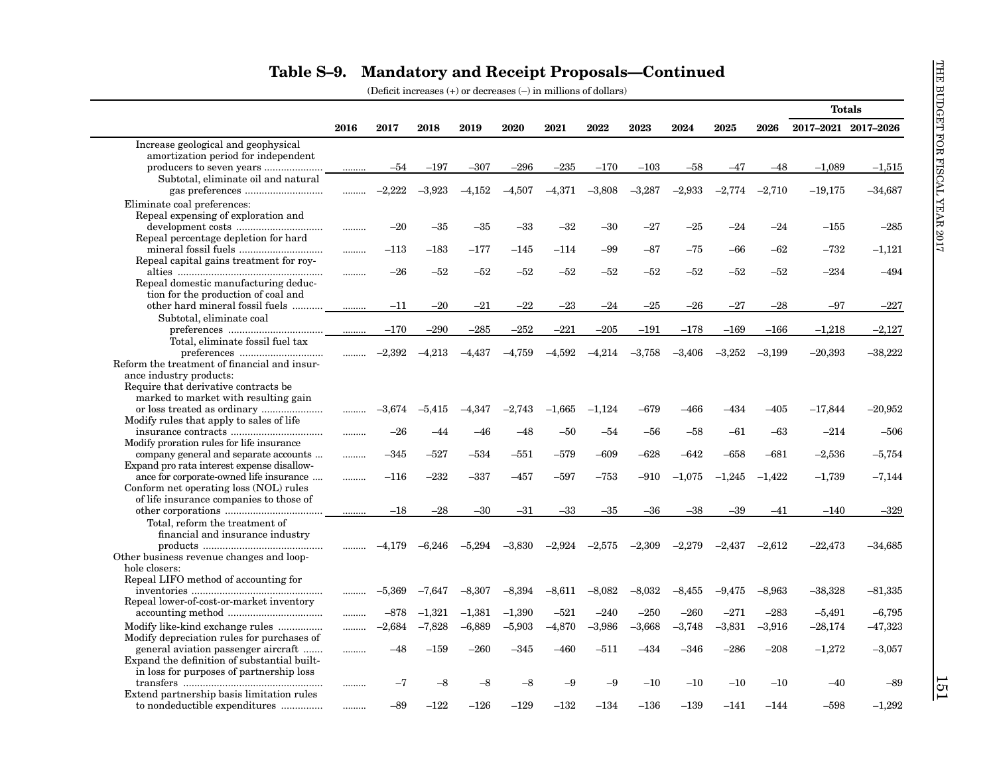|                                              |      |          |          |          |          |          |           |          |          |          |          | <b>Totals</b>       |           |
|----------------------------------------------|------|----------|----------|----------|----------|----------|-----------|----------|----------|----------|----------|---------------------|-----------|
|                                              | 2016 | 2017     | 2018     | 2019     | 2020     | 2021     | 2022      | 2023     | 2024     | 2025     | 2026     | 2017-2021 2017-2026 |           |
| Increase geological and geophysical          |      |          |          |          |          |          |           |          |          |          |          |                     |           |
| amortization period for independent          |      |          |          |          |          |          |           |          |          |          |          |                     |           |
|                                              |      | $-54$    | $-197$   | $-307$   | $-296$   | $-235$   | $-170$    | $-103$   | $-58$    | -47      | $-48$    | $-1.089$            | $-1,515$  |
| Subtotal, eliminate oil and natural          |      |          |          |          |          |          |           |          |          |          |          |                     |           |
|                                              | .    | $-2,222$ | $-3,923$ | $-4,152$ | $-4,507$ | $-4,371$ | $-3,808$  | $-3,287$ | $-2,933$ | $-2,774$ | $-2,710$ | $-19,175$           | $-34,687$ |
| Eliminate coal preferences:                  |      |          |          |          |          |          |           |          |          |          |          |                     |           |
| Repeal expensing of exploration and          |      |          |          |          |          |          |           |          |          |          |          |                     |           |
|                                              |      | $-20$    | $-35$    | $-35$    | $-33$    | $-32$    | $-30$     | $-27$    | $-25$    | $-24$    | $-24$    | $-155$              | $-285$    |
| Repeal percentage depletion for hard         |      |          |          |          |          |          |           |          |          |          |          |                     |           |
|                                              |      | $-113$   | $-183$   | $-177$   | $-145$   | $-114$   | $-99$     | -87      | $-75$    | -66      | -62      | $-732$              | $-1,121$  |
| Repeal capital gains treatment for roy-      |      |          |          |          |          |          |           |          |          |          |          |                     |           |
|                                              |      | $-26$    | $-52$    | $-52$    | $-52$    | $-52$    | -52       | -52      | $-52$    | -52      | -52      | $-234$              | $-494$    |
| Repeal domestic manufacturing deduc-         |      |          |          |          |          |          |           |          |          |          |          |                     |           |
| tion for the production of coal and          |      |          |          |          |          |          |           |          |          |          |          |                     |           |
|                                              |      | $-11$    | $-20$    | $-21$    | $-22$    | $-23$    | $-24$     | $-25$    | $-26$    | $-27$    | $-28$    | -97                 | $-227$    |
| Subtotal, eliminate coal                     |      |          |          |          |          |          |           |          |          |          |          |                     |           |
|                                              | .    | $-170$   | $-290$   | $-285$   | $-252$   | $-221$   | $-205$    | $-191$   | $-178$   | $-169$   | $-166$   | $-1,218$            | $-2,127$  |
| Total, eliminate fossil fuel tax             |      |          |          |          |          |          |           |          |          |          |          |                     |           |
|                                              |      | $-2,392$ | $-4,213$ | $-4,437$ | $-4,759$ | $-4,592$ | $-4,214$  | $-3,758$ | $-3,406$ | $-3,252$ | $-3,199$ | $-20,393$           | $-38,222$ |
| Reform the treatment of financial and insur- |      |          |          |          |          |          |           |          |          |          |          |                     |           |
| ance industry products:                      |      |          |          |          |          |          |           |          |          |          |          |                     |           |
| Require that derivative contracts be         |      |          |          |          |          |          |           |          |          |          |          |                     |           |
| marked to market with resulting gain         |      |          |          |          |          |          |           |          |          |          |          |                     |           |
|                                              | .    | $-3,674$ | $-5,415$ | $-4,347$ | $-2.743$ | $-1,665$ | $-1,124$  | –679     | $-466$   | $-434$   | $-405$   | $-17,844$           | $-20,952$ |
| Modify rules that apply to sales of life     |      | $-26$    | $-44$    | $-46$    | $-48$    | $-50$    | $-54$     | $-56$    | $-58$    | $-61$    | $-63$    | $-214$              | $-506$    |
| Modify proration rules for life insurance    |      |          |          |          |          |          |           |          |          |          |          |                     |           |
| company general and separate accounts        |      | $-345$   | $-527$   | $-534$   | $-551$   | $-579$   | $-609$    | $-628$   | $-642$   | $-658$   | $-681$   | $-2,536$            | $-5,754$  |
| Expand pro rata interest expense disallow-   | .    |          |          |          |          |          |           |          |          |          |          |                     |           |
| ance for corporate-owned life insurance      | .    | $-116$   | $-232$   | $-337$   | $-457$   | $-597$   | –753      | $-910$   | $-1,075$ | $-1,245$ | $-1,422$ | $-1,739$            | $-7,144$  |
| Conform net operating loss (NOL) rules       |      |          |          |          |          |          |           |          |          |          |          |                     |           |
| of life insurance companies to those of      |      |          |          |          |          |          |           |          |          |          |          |                     |           |
|                                              | .    | $-18$    | $-28$    | $-30$    | $-31$    | $-33$    | -35       | $-36$    | $-38$    | -39      | -41      | $-140$              | $-329$    |
| Total, reform the treatment of               |      |          |          |          |          |          |           |          |          |          |          |                     |           |
| financial and insurance industry             |      |          |          |          |          |          |           |          |          |          |          |                     |           |
|                                              |      | $-4,179$ | $-6.246$ | $-5.294$ | $-3.830$ | $-2.924$ | $-2.575$  | $-2,309$ | $-2.279$ | $-2.437$ | $-2.612$ | $-22,473$           | –34,685   |
| Other business revenue changes and loop-     |      |          |          |          |          |          |           |          |          |          |          |                     |           |
| hole closers:                                |      |          |          |          |          |          |           |          |          |          |          |                     |           |
| Repeal LIFO method of accounting for         |      |          |          |          |          |          |           |          |          |          |          |                     |           |
|                                              |      | $-5,369$ | $-7,647$ | $-8,307$ | $-8,394$ | $-8,611$ | $-8,082$  | $-8,032$ | $-8,455$ | $-9,475$ | $-8.963$ | $-38,328$           | $-81,335$ |
| Repeal lower-of-cost-or-market inventory     |      |          |          |          |          |          |           |          |          |          |          |                     |           |
|                                              |      | $-878$   | $-1,321$ | $-1,381$ | $-1,390$ | $-521$   | $-240$    | $-250$   | $-260$   | $-271$   | $-283$   | $-5,491$            | $-6,795$  |
| Modify like-kind exchange rules              |      | $-2,684$ | $-7,828$ | $-6,889$ | $-5,903$ | $-4,870$ | $-3,986$  | $-3,668$ | $-3,748$ | $-3,831$ | $-3,916$ | $-28,174$           | $-47,323$ |
| Modify depreciation rules for purchases of   |      |          |          |          |          |          |           |          |          |          |          |                     |           |
| general aviation passenger aircraft          | .    | –48      | $-159$   | $-260$   | $-345$   | $-460$   | $^{-511}$ | $-434$   | $-346$   | $-286$   | $-208$   | $-1,272$            | $-3,057$  |
| Expand the definition of substantial built-  |      |          |          |          |          |          |           |          |          |          |          |                     |           |
| in loss for purposes of partnership loss     |      |          |          |          |          |          |           |          |          |          |          |                     |           |
|                                              |      | -7       | -8       | $-8$     | -8       | -9       | -9        | $-10$    | $-10$    | $-10$    | $-10$    | $-40$               | $-89$     |
| Extend partnership basis limitation rules    |      |          |          |          |          |          |           |          |          |          |          |                     |           |
| to nondeductible expenditures                |      | $-89$    | $-122$   | $-126$   | $-129$   | $-132$   | $-134$    | $-136$   | $-139$   | $-141$   | $-144$   | $-598$              | $-1,292$  |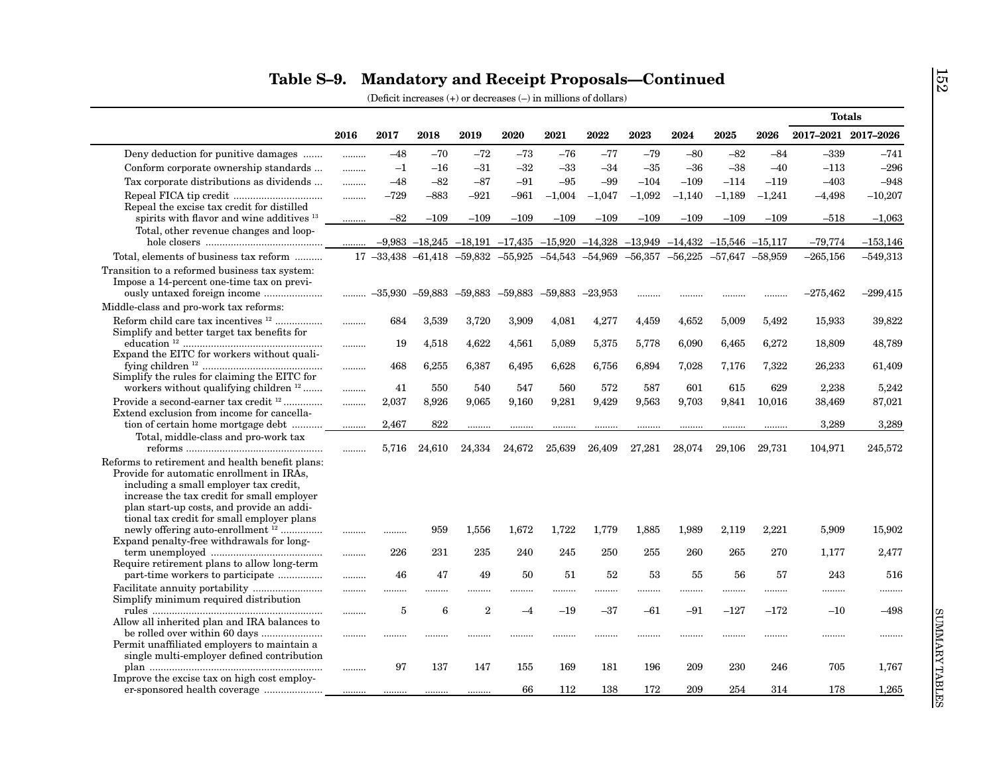|                                                                                                                                                                                                                                                                              |      |                |        |                                                            |        |                     |                                                                              |          |                                         |                     |          | <b>Totals</b>       |            |
|------------------------------------------------------------------------------------------------------------------------------------------------------------------------------------------------------------------------------------------------------------------------------|------|----------------|--------|------------------------------------------------------------|--------|---------------------|------------------------------------------------------------------------------|----------|-----------------------------------------|---------------------|----------|---------------------|------------|
|                                                                                                                                                                                                                                                                              | 2016 | 2017           | 2018   | 2019                                                       | 2020   | 2021                | 2022                                                                         | 2023     | 2024                                    | 2025                | 2026     | 2017-2021 2017-2026 |            |
| Deny deduction for punitive damages                                                                                                                                                                                                                                          | .    | $-48$          | $-70$  | $-72$                                                      | $-73$  | $-76$               | $-77$                                                                        | $-79$    | $-80$                                   | $-82$               | $-84$    | $-339$              | $-741$     |
| Conform corporate ownership standards                                                                                                                                                                                                                                        |      | $^{-1}$        | $-16$  | $-31$                                                      | $-32$  | $-33$               | $-34$                                                                        | $-35$    | $-36$                                   | $-38$               | $-40$    | $-113$              | $-296$     |
| Tax corporate distributions as dividends                                                                                                                                                                                                                                     | .    | $-48$          | $-82$  | $-87$                                                      | $-91$  | $-95$               | -99                                                                          | $-104$   | $-109$                                  | $-114$              | $-119$   | $-403$              | $-948$     |
|                                                                                                                                                                                                                                                                              | .    | $-729$         | $-883$ | $-921$                                                     | $-961$ | $-1,004$            | $-1,047$                                                                     | $-1,092$ | $-1,140$                                | $-1,189$            | $-1,241$ | $-4,498$            | $-10,207$  |
| Repeal the excise tax credit for distilled<br>spirits with flavor and wine additives 13                                                                                                                                                                                      |      | $-82$          | $-109$ | $-109$                                                     | $-109$ | $-109$              | $-109$                                                                       | $-109$   | $-109$                                  | $-109$              | $-109$   | $-518$              | $-1,063$   |
| Total, other revenue changes and loop-                                                                                                                                                                                                                                       |      |                |        | $-9,983$ $-18,245$ $-18,191$ $-17,435$ $-15,920$ $-14,328$ |        |                     |                                                                              |          | $-13,949$ $-14,432$ $-15,546$ $-15,117$ |                     |          | $-79,774$           | $-153,146$ |
| Total, elements of business tax reform                                                                                                                                                                                                                                       |      |                |        |                                                            |        |                     | $17 - 33,438 - 61,418 - 59,832 - 55,925 - 54,543 - 54,969 - 56,357 - 56,225$ |          |                                         | $-57,647$ $-58,959$ |          | $-265,156$          | $-549,313$ |
| Transition to a reformed business tax system:<br>Impose a 14-percent one-time tax on previ-<br>ously untaxed foreign income                                                                                                                                                  | .    |                |        | $-35,930$ $-59,883$ $-59,883$ $-59,883$                    |        | $-59,883$ $-23,953$ |                                                                              | .        | .                                       |                     | .        | $-275,462$          | $-299,415$ |
| Middle-class and pro-work tax reforms:                                                                                                                                                                                                                                       |      |                |        |                                                            |        |                     |                                                                              |          |                                         |                     |          |                     |            |
| Reform child care tax incentives <sup>12</sup><br>Simplify and better target tax benefits for                                                                                                                                                                                | .    | 684            | 3,539  | 3,720                                                      | 3,909  | 4,081               | 4,277                                                                        | 4,459    | 4,652                                   | 5,009               | 5,492    | 15,933              | 39,822     |
| Expand the EITC for workers without quali-                                                                                                                                                                                                                                   | .    | 19             | 4,518  | 4,622                                                      | 4,561  | 5,089               | 5,375                                                                        | 5,778    | 6,090                                   | 6,465               | 6,272    | 18,809              | 48,789     |
| Simplify the rules for claiming the EITC for                                                                                                                                                                                                                                 | .    | 468            | 6,255  | 6,387                                                      | 6,495  | 6,628               | 6,756                                                                        | 6,894    | 7,028                                   | 7,176               | 7,322    | 26,233              | 61,409     |
| workers without qualifying children <sup>12</sup>                                                                                                                                                                                                                            | .    | 41             | 550    | 540                                                        | 547    | 560                 | 572                                                                          | 587      | 601                                     | 615                 | 629      | 2.238               | 5,242      |
| Provide a second-earner tax credit <sup>12</sup>                                                                                                                                                                                                                             | .    | 2,037          | 8,926  | 9,065                                                      | 9,160  | 9,281               | 9,429                                                                        | 9,563    | 9,703                                   | 9,841               | 10,016   | 38,469              | 87,021     |
| Extend exclusion from income for cancella-                                                                                                                                                                                                                                   |      |                |        |                                                            |        |                     |                                                                              |          |                                         |                     |          |                     |            |
| tion of certain home mortgage debt                                                                                                                                                                                                                                           | .    | 2,467          | 822    | .                                                          |        |                     |                                                                              |          |                                         |                     | .        | 3,289               | 3,289      |
| Total, middle-class and pro-work tax                                                                                                                                                                                                                                         |      | 5,716          | 24,610 | 24,334                                                     | 24,672 | 25,639              | 26,409                                                                       | 27,281   | 28,074                                  | 29,106              | 29.731   | 104,971             | 245,572    |
| Reforms to retirement and health benefit plans:                                                                                                                                                                                                                              |      |                |        |                                                            |        |                     |                                                                              |          |                                         |                     |          |                     |            |
| Provide for automatic enrollment in IRAs,<br>including a small employer tax credit,<br>increase the tax credit for small employer<br>plan start-up costs, and provide an addi-<br>tional tax credit for small employer plans<br>newly offering auto-enrollment <sup>12</sup> |      |                | 959    |                                                            |        | 1.722               |                                                                              |          |                                         |                     |          |                     | 15.902     |
| Expand penalty-free withdrawals for long-                                                                                                                                                                                                                                    |      | .              |        | 1,556                                                      | 1,672  |                     | 1,779                                                                        | 1,885    | 1,989                                   | 2,119               | 2,221    | 5,909               |            |
| Require retirement plans to allow long-term                                                                                                                                                                                                                                  | .    | 226            | 231    | 235                                                        | 240    | 245                 | 250                                                                          | 255      | 260                                     | 265                 | 270      | 1,177               | 2,477      |
|                                                                                                                                                                                                                                                                              | .    | 46             | 47     | 49                                                         | 50     | 51                  | 52                                                                           | 53       | 55                                      | 56                  | 57       | 243                 | 516        |
|                                                                                                                                                                                                                                                                              |      |                | .      |                                                            | .      | .                   |                                                                              | .        |                                         |                     |          |                     |            |
| Simplify minimum required distribution                                                                                                                                                                                                                                       | .    | $\overline{5}$ | 6      | $\overline{2}$                                             | $-4$   | $-19$               | $-37$                                                                        | -61      | $-91$                                   | $-127$              | $-172$   | $-10$               | $-498$     |
| Allow all inherited plan and IRA balances to                                                                                                                                                                                                                                 |      |                |        |                                                            |        |                     |                                                                              |          |                                         |                     |          |                     |            |
| Permit unaffiliated employers to maintain a                                                                                                                                                                                                                                  | .    |                | .      |                                                            |        |                     |                                                                              |          | .                                       |                     |          |                     |            |
| single multi-employer defined contribution<br>Improve the excise tax on high cost employ-                                                                                                                                                                                    | .    | 97             | 137    | 147                                                        | 155    | 169                 | 181                                                                          | 196      | 209                                     | 230                 | 246      | 705                 | 1,767      |
|                                                                                                                                                                                                                                                                              |      |                |        |                                                            |        |                     |                                                                              |          |                                         |                     |          |                     |            |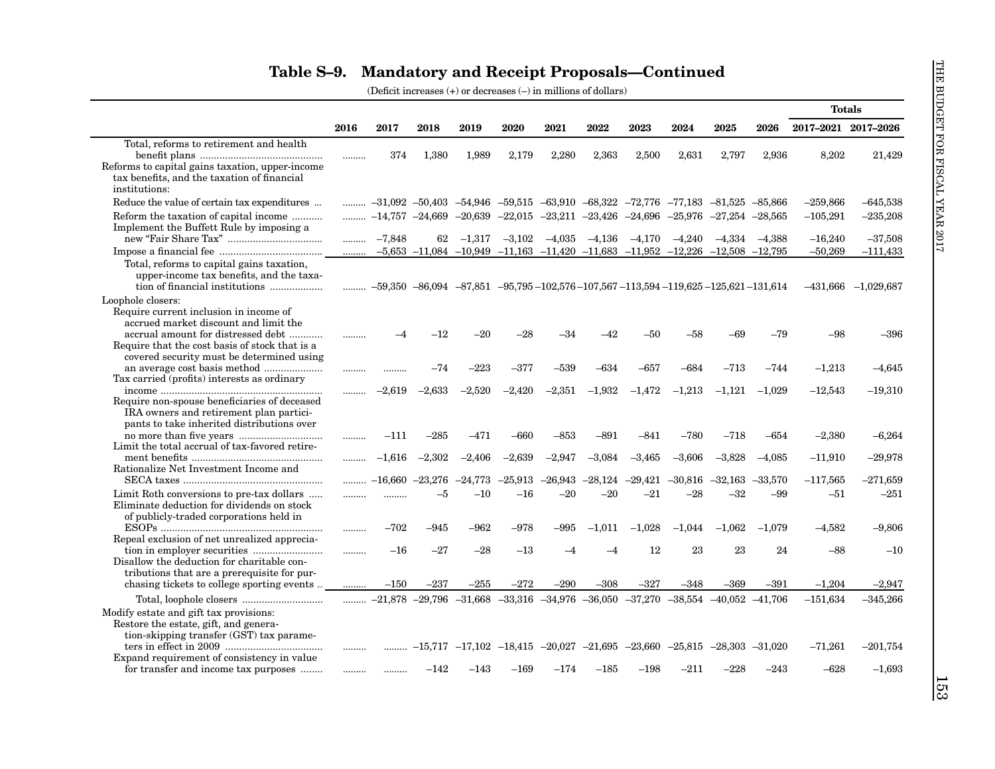|                                                                                                                                            |          |           |           |           |                                                                       |           |           |           |           |                                                                                                                    |           | <b>Totals</b>       |                         |
|--------------------------------------------------------------------------------------------------------------------------------------------|----------|-----------|-----------|-----------|-----------------------------------------------------------------------|-----------|-----------|-----------|-----------|--------------------------------------------------------------------------------------------------------------------|-----------|---------------------|-------------------------|
|                                                                                                                                            | 2016     | 2017      | 2018      | 2019      | 2020                                                                  | 2021      | 2022      | 2023      | 2024      | 2025                                                                                                               | 2026      | 2017-2021 2017-2026 |                         |
| Total, reforms to retirement and health                                                                                                    |          |           |           |           |                                                                       |           |           |           |           |                                                                                                                    |           |                     |                         |
| Reforms to capital gains taxation, upper-income.<br>tax benefits, and the taxation of financial<br>institutions:                           |          | 374       | 1,380     | 1,989     | 2,179                                                                 | 2,280     | 2,363     | 2,500     | 2,631     | 2,797                                                                                                              | 2,936     | 8,202               | 21,429                  |
| Reduce the value of certain tax expenditures                                                                                               | .        |           |           |           |                                                                       |           |           |           |           | $-31,092$ $-50,403$ $-54,946$ $-59,515$ $-63,910$ $-68,322$ $-72,776$ $-77,183$ $-81,525$ $-85,866$                |           | $-259,866$          | $-645,538$              |
| Reform the taxation of capital income<br>Implement the Buffett Rule by imposing a                                                          | .        |           |           |           | $-14,757$ $-24,669$ $-20,639$ $-22,015$ $-23,211$ $-23,426$ $-24,696$ |           |           |           | $-25,976$ | $-27,254$ $-28,565$                                                                                                |           | $-105,291$          | $-235,208$              |
|                                                                                                                                            | .        | $-7.848$  | 62        | $-1.317$  | $-3,102$                                                              | $-4,035$  | $-4,136$  | $-4,170$  | $-4.240$  | $-4.334$                                                                                                           | $-4.388$  | $-16,240$           | $-37,508$               |
|                                                                                                                                            | $\ldots$ |           |           |           |                                                                       |           |           |           |           | $-5,653$ $-11,084$ $-10,949$ $-11,163$ $-11,420$ $-11,683$ $-11,952$ $-12,226$ $-12,508$ $-12,795$                 |           | $-50,269$           | $-111,433$              |
| Total, reforms to capital gains taxation,<br>upper-income tax benefits, and the taxa-<br>tion of financial institutions                    |          |           |           |           |                                                                       |           |           |           |           | $\ldots$ $-59,350$ $-86,094$ $-87,851$ $-95,795$ $-102,576$ $-107,567$ $-113,594$ $-119,625$ $-125,621$ $-131,614$ |           |                     | $-431,666$ $-1,029,687$ |
| Loophole closers:<br>Require current inclusion in income of<br>accrued market discount and limit the<br>accrual amount for distressed debt | .        | -4        | $-12$     | $-20$     | $-28$                                                                 | $-34$     | -42       | -50       | $-58$     | -69                                                                                                                | $-79$     | -98                 | $-396$                  |
| Require that the cost basis of stock that is a<br>covered security must be determined using                                                |          |           |           |           |                                                                       |           |           |           |           |                                                                                                                    |           |                     |                         |
| Tax carried (profits) interests as ordinary                                                                                                |          | .         | $-74$     | $-223$    | $-377$                                                                | $-539$    | $-634$    | $-657$    | $-684$    | $-713$                                                                                                             | -744      | $-1,213$            | $-4,645$                |
| Require non-spouse beneficiaries of deceased<br>IRA owners and retirement plan partici-                                                    |          | $-2,619$  | $-2,633$  | $-2,520$  | $-2,420$                                                              | $-2,351$  | $-1,932$  | $-1,472$  | $-1,213$  | $-1.121$                                                                                                           | $-1.029$  | $-12,543$           | $-19,310$               |
| pants to take inherited distributions over                                                                                                 | .        | $-111$    | $^{-285}$ | $-471$    | -660                                                                  | $-853$    | $-891$    | $-841$    | $-780$    | $-718$                                                                                                             | $-654$    | $-2,380$            | $-6,264$                |
| Limit the total accrual of tax-favored retire-<br>Rationalize Net Investment Income and                                                    |          | $-1,616$  | $-2,302$  | $-2,406$  | $-2,639$                                                              | $-2,947$  | $-3,084$  | $-3,465$  | $-3,606$  | $-3,828$                                                                                                           | $-4.085$  | $-11,910$           | $-29,978$               |
|                                                                                                                                            |          | $-16.660$ | $-23,276$ | $-24,773$ | $-25.913$                                                             | $-26.943$ | $-28.124$ | $-29,421$ | $-30,816$ | $-32.163$                                                                                                          | $-33.570$ | $-117,565$          | $-271,659$              |
| Limit Roth conversions to pre-tax dollars<br>Eliminate deduction for dividends on stock<br>of publicly-traded corporations held in         | .        |           | $-5$      | $-10$     | $-16$                                                                 | $-20$     | $-20$     | $-21$     | $-28$     | $-32$                                                                                                              | $-99$     | $-51$               | $-251$                  |
| Repeal exclusion of net unrealized apprecia-                                                                                               | .        | $-702$    | -945      | $-962$    | -978                                                                  | $-995$    | $-1.011$  | $-1.028$  | $-1,044$  | $-1.062$                                                                                                           | $-1.079$  | $-4.582$            | $-9,806$                |
| Disallow the deduction for charitable con-                                                                                                 |          | $-16$     | $-27$     | $-28$     | $-13$                                                                 |           |           | 12        | 23        | 23                                                                                                                 | 24        | $-88$               | $-10$                   |
| tributions that are a prerequisite for pur-<br>chasing tickets to college sporting events                                                  | .        | $-150$    | –237      | –255      | $-272$                                                                | $-290$    | $-308$    | $-327$    | -348      | -369                                                                                                               | $-391$    | $-1.204$            | $-2,947$                |
|                                                                                                                                            | .        |           |           |           |                                                                       |           |           |           |           | $-21,878$ $-29,796$ $-31,668$ $-33,316$ $-34,976$ $-36,050$ $-37,270$ $-38,554$ $-40,052$ $-41,706$                |           | $-151.634$          | $-345,266$              |
| Modify estate and gift tax provisions:<br>Restore the estate, gift, and genera-<br>tion-skipping transfer (GST) tax parame-                |          |           |           |           |                                                                       |           |           |           |           |                                                                                                                    |           |                     |                         |
| Expand requirement of consistency in value                                                                                                 |          |           |           |           |                                                                       |           |           |           |           | $-15,717$ $-17,102$ $-18,415$ $-20,027$ $-21,695$ $-23,660$ $-25,815$ $-28,303$ $-31,020$                          |           | $-71,261$           | $-201,754$              |
| for transfer and income tax purposes                                                                                                       |          |           | $-142$    | $-143$    | $-169$                                                                | -174      | $-185$    | $-198$    | $-211$    | -228                                                                                                               | $-243$    | $-628$              | $-1,693$                |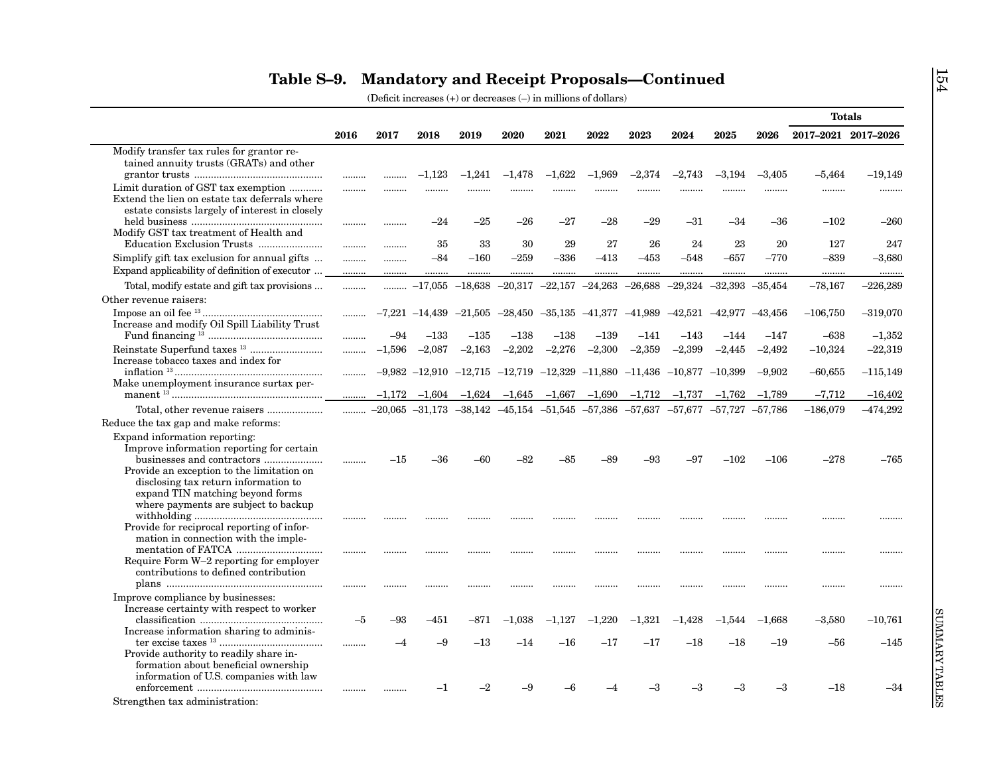|                                                                                                                                                                                                                                             |          |                          |             |                     |                                                                      |            |              |              |                                                                                                      |              |                      | <b>Totals</b>         |                         |
|---------------------------------------------------------------------------------------------------------------------------------------------------------------------------------------------------------------------------------------------|----------|--------------------------|-------------|---------------------|----------------------------------------------------------------------|------------|--------------|--------------|------------------------------------------------------------------------------------------------------|--------------|----------------------|-----------------------|-------------------------|
|                                                                                                                                                                                                                                             | 2016     | 2017                     | 2018        | 2019                | 2020                                                                 | 2021       | 2022         | 2023         | 2024                                                                                                 | 2025         | 2026                 | 2017-2021 2017-2026   |                         |
| Modify transfer tax rules for grantor re-<br>tained annuity trusts (GRATs) and other                                                                                                                                                        |          |                          | $-1,123$    | $-1,241$            | $-1,478$                                                             | $-1,622$   | $-1,969$     | $-2,374$     | $-2,743$                                                                                             | $-3,194$     | $-3,405$             | $-5,464$              | $-19,149$               |
| Limit duration of GST tax exemption<br>Extend the lien on estate tax deferrals where<br>estate consists largely of interest in closely                                                                                                      | .        | .                        |             |                     |                                                                      |            |              |              |                                                                                                      |              |                      |                       |                         |
| Modify GST tax treatment of Health and                                                                                                                                                                                                      | <br>     | <br>                     | $-24$<br>35 | $-25$<br>33         | $-26$<br>30                                                          | -27<br>29  | $-28$<br>27  | -29<br>26    | $-31$<br>24                                                                                          | $-34$<br>23  | -36<br>20            | $-102$<br>127         | $-260$<br>247           |
| Simplify gift tax exclusion for annual gifts<br>Expand applicability of definition of executor                                                                                                                                              | .<br>    | <br>                     | $-84$       | $-160$              | $-259$                                                               | $-336$<br> | $-413$<br>   | $-453$<br>   | $-548$<br>                                                                                           | $-657$       | $-770$<br>           | $-839$<br>.           | $-3,680$<br>            |
| Total, modify estate and gift tax provisions                                                                                                                                                                                                | .        | .                        |             | $-17,055$ $-18,638$ | $-20,317$ $-22,157$ $-24,263$                                        |            |              | $-26,688$    | $-29,324$                                                                                            | $-32,393$    | $-35,454$            | $-78,167$             | $-226,289$              |
| Other revenue raisers:<br>Increase and modify Oil Spill Liability Trust                                                                                                                                                                     |          |                          |             |                     | $-7,221$ $-14,439$ $-21,505$ $-28,450$ $-35,135$ $-41,377$ $-41,989$ |            |              |              | $-42,521$ $-42,977$ $-43,456$                                                                        |              |                      | $-106,750$            | $-319,070$              |
|                                                                                                                                                                                                                                             | .        | $-94$                    | $-133$      | $^{-135}$           | $-138$                                                               | $^{-138}$  | $-139$       | $-141$       | $-143$                                                                                               | $-144$       | $-147$               | $-638$                | $-1,352$                |
| Increase tobacco taxes and index for                                                                                                                                                                                                        | .        | $-1.596$                 | $-2.087$    | $-2,163$            | $-2,202$                                                             | $-2,276$   | $-2,300$     | $-2,359$     | $-2,399$                                                                                             | $-2,445$     | $-2,492$             | $-10,324$             | $-22,319$               |
| Make unemployment insurance surtax per-                                                                                                                                                                                                     | .        | $-1,172$                 | $-1,604$    | $-1,624$            | $-1,645$                                                             | $-1,667$   | $-1,690$     | $-1,712$     | $-9,982$ $-12,910$ $-12,715$ $-12,719$ $-12,329$ $-11,880$ $-11,436$ $-10,877$ $-10,399$<br>$-1,737$ | $-1,762$     | $-9.902$<br>$-1,789$ | $-60,655$<br>$-7,712$ | $-115,149$<br>$-16,402$ |
|                                                                                                                                                                                                                                             | <br>.    |                          |             |                     |                                                                      |            |              |              | $-20,065$ $-31,173$ $-38,142$ $-45,154$ $-51,545$ $-57,386$ $-57,637$ $-57,677$ $-57,727$ $-57,786$  |              |                      | $-186,079$            | $-474,292$              |
| Reduce the tax gap and make reforms:                                                                                                                                                                                                        |          |                          |             |                     |                                                                      |            |              |              |                                                                                                      |              |                      |                       |                         |
| Expand information reporting:<br>Improve information reporting for certain<br>Provide an exception to the limitation on<br>disclosing tax return information to<br>expand TIN matching beyond forms<br>where payments are subject to backup | .        | $^{-15}$                 | -36         | -60                 | -82                                                                  | -85        | -89          | -93          | -97                                                                                                  | $-102$       | $-106$               | $-278$                | $-765$                  |
| Provide for reciprocal reporting of infor-<br>mation in connection with the imple-                                                                                                                                                          |          |                          |             |                     |                                                                      |            |              |              |                                                                                                      |              |                      |                       |                         |
| Require Form W-2 reporting for employer<br>contributions to defined contribution                                                                                                                                                            |          |                          |             |                     |                                                                      |            |              |              |                                                                                                      |              |                      |                       |                         |
| Improve compliance by businesses:<br>Increase certainty with respect to worker                                                                                                                                                              | <br>$-5$ | <br>-93                  | <br>$-451$  | $-871$              | $-1,038$                                                             | $-1,127$   | <br>$-1,220$ | <br>$-1,321$ | <br>$-1,428$                                                                                         | <br>$-1,544$ | <br>$-1,668$         | <br>$-3,580$          | <br>$-10,761$           |
| Increase information sharing to adminis-                                                                                                                                                                                                    |          | $\overline{\phantom{a}}$ | $-9$        | $^{-13}$            | $-14$                                                                | $^{-16}$   | $-17$        | $-17$        | $-18$                                                                                                | $-18$        | $-19$                | -56                   | $-145$                  |
| Provide authority to readily share in-<br>formation about beneficial ownership<br>information of U.S. companies with law<br>Strengthen tax administration:                                                                                  |          | .                        | $^{-1}$     | $^{-2}$             | -9                                                                   |            |              | -3           | $^{-3}$                                                                                              | $^{-3}$      | $-3$                 | $-18$                 | $-34$                   |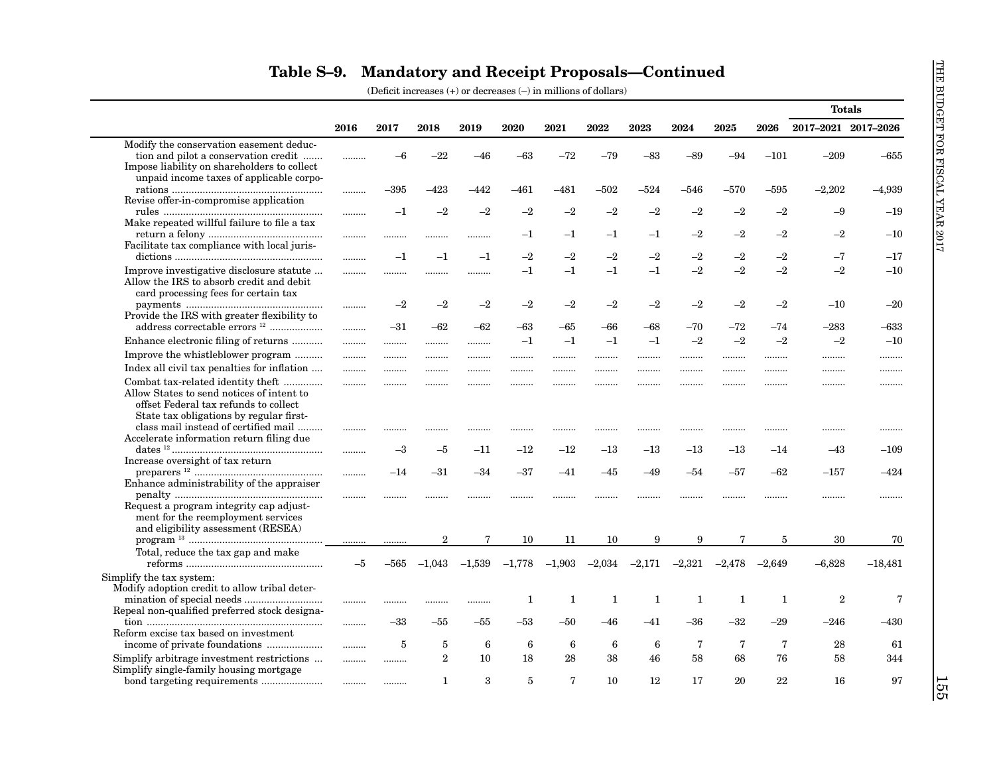|                                                                                                                                                                    |       |         |                |             |          |              |              |              |              |              |          | <b>Totals</b>       |             |
|--------------------------------------------------------------------------------------------------------------------------------------------------------------------|-------|---------|----------------|-------------|----------|--------------|--------------|--------------|--------------|--------------|----------|---------------------|-------------|
|                                                                                                                                                                    | 2016  | 2017    | 2018           | 2019        | 2020     | 2021         | 2022         | 2023         | 2024         | 2025         | 2026     | 2017-2021 2017-2026 |             |
| Modify the conservation easement deduc-<br>tion and pilot a conservation credit<br>Impose liability on shareholders to collect                                     |       | $-6$    | $-22$          | $-46$       | $-63$    | $-72$        | $-79$        | $-83$        | $-89$        | $-94$        | $-101$   | $-209$              | $-655$      |
| unpaid income taxes of applicable corpo-<br>Revise offer-in-compromise application                                                                                 | .     | –395    | $-423$         | -442        | $-461$   | $-481$       | $-502$       | $^{-524}$    | –546         | $-570$       | $-595$   | $-2,202$            | $-4,939$    |
| Make repeated willful failure to file a tax                                                                                                                        | .     | $-1$    | $-2$           | $-2$        | $-2$     | $-2$         | $-2$         | $-2$         | $-2$         | $-2$         | $-2$     | $-9$                | $-19$       |
| Facilitate tax compliance with local juris-                                                                                                                        |       |         | .              | .           | $^{-1}$  | $^{-1}$      | $^{-1}$      | $^{-1}$      | $-2$         | $-2$         | $-2$     | $-2$                | $-10$       |
|                                                                                                                                                                    | .     | $-1$    | $-1$           | $-1$        | $^{-2}$  | $-2$         | $-2$         | $-2$         | $-2$         | $-2$         | $-2$     | $-7$                | $-17$       |
| Improve investigative disclosure statute<br>Allow the IRS to absorb credit and debit<br>card processing fees for certain tax                                       |       |         |                | .           | $^{-1}$  | $-1$         | $-1$         | $-1$         | $-2$         | $-2$         | $-2$     | $-2$                | $-10$       |
| Provide the IRS with greater flexibility to                                                                                                                        |       | $-2$    | $^{-2}$        | $-2$        | $^{-2}$  | $^{-2}$      | $^{-2}$      | $-2$         | $-2$         | $-2$         | $-2$     | $-10$               | $-20$       |
| address correctable errors <sup>12</sup>                                                                                                                           |       | $-31$   | $-62$          | $-62$       | -63      | -65          | –66          | $-68$        | $-70$        | $-72$        | $-74$    | $-283$              | $-633$      |
| Enhance electronic filing of returns                                                                                                                               |       | .       | .              | .           | $-1$     | $-1$         | $^{-1}$      | $^{-1}$      | $-2$         | $-2$         | $-2$     | $-2$                | $-10$       |
| Improve the whistleblower program                                                                                                                                  |       |         | .              | .           |          |              |              |              |              |              |          |                     |             |
| Index all civil tax penalties for inflation                                                                                                                        | .     |         | .              | .           | .        | .            |              |              |              |              |          |                     |             |
| Combat tax-related identity theft<br>Allow States to send notices of intent to<br>offset Federal tax refunds to collect<br>State tax obligations by regular first- | .     |         |                | .           |          |              |              |              |              |              |          |                     |             |
| class mail instead of certified mail<br>Accelerate information return filing due                                                                                   |       |         |                | .           |          |              |              |              |              |              |          |                     |             |
| Increase oversight of tax return                                                                                                                                   |       | $^{-3}$ | $-5$           | $^{-11}$    | $-12$    | $-12$        | $^{-13}$     | $^{-13}$     | $-13$        | $-13$        | $-14$    | $-43$               | $-109$      |
| Enhance administrability of the appraiser                                                                                                                          |       | $-14$   | -31            | –34         | -37      | -41          | -45          | $-49$        | -54          | $-57$        | $-62$    | $-157$              | -424        |
| Request a program integrity cap adjust-<br>ment for the reemployment services                                                                                      |       | .       |                |             |          |              |              |              |              |              | .        |                     | .           |
| and eligibility assessment (RESEA)                                                                                                                                 |       | .       | $\overline{2}$ | $\mathbf 7$ | 10       | 11           | 10           | 9            | 9            | 7            | 5        | 30                  | 70          |
| Total, reduce the tax gap and make                                                                                                                                 | $-5$  | -565    | $-1,043$       | $-1,539$    | $-1,778$ | $-1,903$     | $-2,034$     | $-2,171$     | $-2,321$     | $-2,478$     | $-2,649$ | $-6,828$            | $-18,481$   |
| Simplify the tax system:<br>Modify adoption credit to allow tribal deter-                                                                                          |       |         | .              | .           | 1        | $\mathbf{1}$ | $\mathbf{1}$ | $\mathbf{1}$ | $\mathbf{1}$ | $\mathbf{1}$ | 1        | $\mathbf{2}$        | $\mathbf 7$ |
| Repeal non-qualified preferred stock designa-                                                                                                                      | .     | $-33$   | –55            | -55         | –53      | -50          | –46          | -41          | $-36$        | $-32$        | $-29$    | –246                | $-430$      |
| Reform excise tax based on investment<br>income of private foundations                                                                                             |       | 5       | 5              | 6           | 6        | 6            | 6            | 6            | 7            | 7            | 7        | 28                  | 61          |
| Simplify arbitrage investment restrictions                                                                                                                         | .<br> |         | $\overline{2}$ | 10          | 18       | 28           | 38           | 46           | 58           | 68           | 76       | 58                  | 344         |
| Simplify single-family housing mortgage                                                                                                                            |       |         | 1              | 3           | 5        | 7            | 10           | 12           | 17           | 20           | 22       | 16                  | 97          |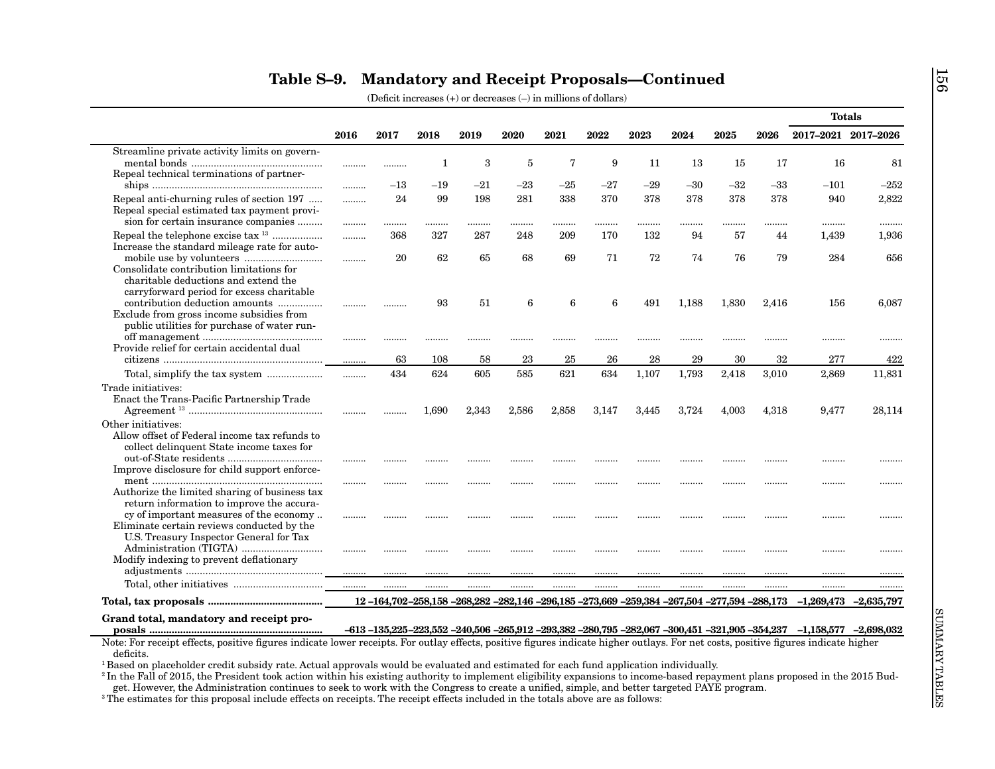|                                                                                                                                                                                                                                                                                                                                                                                                                         |      |       |              |       |       |       |       |       |       |       |       | <b>Totals</b>                                                                                                                      |        |
|-------------------------------------------------------------------------------------------------------------------------------------------------------------------------------------------------------------------------------------------------------------------------------------------------------------------------------------------------------------------------------------------------------------------------|------|-------|--------------|-------|-------|-------|-------|-------|-------|-------|-------|------------------------------------------------------------------------------------------------------------------------------------|--------|
|                                                                                                                                                                                                                                                                                                                                                                                                                         | 2016 | 2017  | 2018         | 2019  | 2020  | 2021  | 2022  | 2023  | 2024  | 2025  | 2026  | 2017-2021 2017-2026                                                                                                                |        |
| Streamline private activity limits on govern-                                                                                                                                                                                                                                                                                                                                                                           |      |       |              |       |       |       |       |       |       |       |       |                                                                                                                                    |        |
|                                                                                                                                                                                                                                                                                                                                                                                                                         |      |       | $\mathbf{1}$ | 3     | 5     | 7     | 9     | 11    | 13    | 15    | 17    | 16                                                                                                                                 | 81     |
| Repeal technical terminations of partner-                                                                                                                                                                                                                                                                                                                                                                               |      | $-13$ | $-19$        | $-21$ | $-23$ | $-25$ | $-27$ | $-29$ | $-30$ | $-32$ | $-33$ | $-101$                                                                                                                             | $-252$ |
|                                                                                                                                                                                                                                                                                                                                                                                                                         | .    |       |              |       |       |       |       |       |       |       |       |                                                                                                                                    |        |
| Repeal anti-churning rules of section 197<br>Repeal special estimated tax payment provi-                                                                                                                                                                                                                                                                                                                                | .    | 24    | 99           | 198   | 281   | 338   | 370   | 378   | 378   | 378   | 378   | 940                                                                                                                                | 2,822  |
| sion for certain insurance companies                                                                                                                                                                                                                                                                                                                                                                                    |      |       |              |       |       | .     |       |       |       |       |       | .                                                                                                                                  |        |
| Repeal the telephone excise tax <sup>13</sup>                                                                                                                                                                                                                                                                                                                                                                           | .    | 368   | 327          | 287   | 248   | 209   | 170   | 132   | 94    | 57    | 44    | 1,439                                                                                                                              | 1,936  |
| Increase the standard mileage rate for auto-                                                                                                                                                                                                                                                                                                                                                                            |      |       |              |       |       |       |       |       |       |       |       |                                                                                                                                    |        |
|                                                                                                                                                                                                                                                                                                                                                                                                                         |      | 20    | 62           | 65    | 68    | 69    | 71    | 72    | 74    | 76    | 79    | 284                                                                                                                                | 656    |
| Consolidate contribution limitations for                                                                                                                                                                                                                                                                                                                                                                                |      |       |              |       |       |       |       |       |       |       |       |                                                                                                                                    |        |
| charitable deductions and extend the                                                                                                                                                                                                                                                                                                                                                                                    |      |       |              |       |       |       |       |       |       |       |       |                                                                                                                                    |        |
| carryforward period for excess charitable                                                                                                                                                                                                                                                                                                                                                                               |      |       |              |       |       |       |       |       |       |       |       |                                                                                                                                    |        |
| contribution deduction amounts                                                                                                                                                                                                                                                                                                                                                                                          |      |       | 93           | 51    | 6     | 6     | 6     | 491   | 1,188 | 1,830 | 2,416 | 156                                                                                                                                | 6,087  |
| Exclude from gross income subsidies from<br>public utilities for purchase of water run-                                                                                                                                                                                                                                                                                                                                 |      |       |              |       |       |       |       |       |       |       |       |                                                                                                                                    |        |
|                                                                                                                                                                                                                                                                                                                                                                                                                         | .    |       |              |       |       |       |       |       |       |       |       |                                                                                                                                    |        |
| Provide relief for certain accidental dual                                                                                                                                                                                                                                                                                                                                                                              |      |       |              | .     |       |       |       |       |       |       |       |                                                                                                                                    | .      |
|                                                                                                                                                                                                                                                                                                                                                                                                                         |      | 63    | 108          | 58    | 23    | 25    | 26    | 28    | 29    | 30    | 32    | 277                                                                                                                                | 422    |
|                                                                                                                                                                                                                                                                                                                                                                                                                         | .    | 434   | 624          | 605   | 585   | 621   | 634   | 1,107 | 1,793 | 2,418 | 3,010 | 2,869                                                                                                                              | 11,831 |
| Trade initiatives:                                                                                                                                                                                                                                                                                                                                                                                                      |      |       |              |       |       |       |       |       |       |       |       |                                                                                                                                    |        |
| Enact the Trans-Pacific Partnership Trade                                                                                                                                                                                                                                                                                                                                                                               |      |       |              |       |       |       |       |       |       |       |       |                                                                                                                                    |        |
| ${\bf Agreement~^{13}}~\\$                                                                                                                                                                                                                                                                                                                                                                                              |      |       | 1,690        | 2,343 | 2,586 | 2,858 | 3,147 | 3,445 | 3,724 | 4,003 | 4,318 | 9,477                                                                                                                              | 28,114 |
| Other initiatives:                                                                                                                                                                                                                                                                                                                                                                                                      |      |       |              |       |       |       |       |       |       |       |       |                                                                                                                                    |        |
| Allow offset of Federal income tax refunds to                                                                                                                                                                                                                                                                                                                                                                           |      |       |              |       |       |       |       |       |       |       |       |                                                                                                                                    |        |
| collect delinquent State income taxes for                                                                                                                                                                                                                                                                                                                                                                               |      |       |              |       |       |       |       |       |       |       |       |                                                                                                                                    |        |
| $\textbf{out-of-State}~\text{residents}~\dots\hspace{-.5em}\dots\hspace{-.5em}\dots\hspace{-.5em}\dots\hspace{-.5em}\dots\hspace{-.5em}\dots\hspace{-.5em}\dots\hspace{-.5em}\dots\hspace{-.5em}\dots\hspace{-.5em}\dots\hspace{-.5em}\dots\hspace{-.5em}\dots\hspace{-.5em}\dots\hspace{-.5em}\dots\hspace{-.5em}\dots\hspace{-.5em}\dots\hspace{-.5em}\dots\hspace{-.5em}\dots\hspace{-.5em}\dots\hspace{-.5em}\dots$ |      |       |              |       |       |       |       |       |       |       |       |                                                                                                                                    |        |
| Improve disclosure for child support enforce-                                                                                                                                                                                                                                                                                                                                                                           |      |       |              |       |       |       |       |       |       |       |       |                                                                                                                                    |        |
| Authorize the limited sharing of business tax                                                                                                                                                                                                                                                                                                                                                                           |      |       | .            |       |       |       |       |       |       |       |       | .                                                                                                                                  |        |
| return information to improve the accura-                                                                                                                                                                                                                                                                                                                                                                               |      |       |              |       |       |       |       |       |       |       |       |                                                                                                                                    |        |
| cy of important measures of the economy                                                                                                                                                                                                                                                                                                                                                                                 |      |       |              |       |       |       |       | .     |       | .     |       | .                                                                                                                                  |        |
| Eliminate certain reviews conducted by the                                                                                                                                                                                                                                                                                                                                                                              |      |       |              |       |       |       |       |       |       |       |       |                                                                                                                                    |        |
| U.S. Treasury Inspector General for Tax                                                                                                                                                                                                                                                                                                                                                                                 |      |       |              |       |       |       |       |       |       |       |       |                                                                                                                                    |        |
|                                                                                                                                                                                                                                                                                                                                                                                                                         |      |       |              |       |       |       |       | .     | .     | .     |       |                                                                                                                                    |        |
| Modify indexing to prevent deflationary                                                                                                                                                                                                                                                                                                                                                                                 |      |       |              |       |       |       |       |       |       |       |       |                                                                                                                                    |        |
|                                                                                                                                                                                                                                                                                                                                                                                                                         |      |       |              |       |       |       |       |       |       |       |       |                                                                                                                                    |        |
|                                                                                                                                                                                                                                                                                                                                                                                                                         | .    |       |              | .     |       | .     |       | .     | .     | .     |       |                                                                                                                                    |        |
|                                                                                                                                                                                                                                                                                                                                                                                                                         |      |       |              |       |       |       |       |       |       |       |       | 12-164,702-258,158-268,282-282,146-296,185-273,669-259,384-267,504-277,594-288,173-1,269,473-2,635,797                             |        |
| Grand total, mandatory and receipt pro-                                                                                                                                                                                                                                                                                                                                                                                 |      |       |              |       |       |       |       |       |       |       |       |                                                                                                                                    |        |
|                                                                                                                                                                                                                                                                                                                                                                                                                         |      |       |              |       |       |       |       |       |       |       |       | $-613 - 135,225 - 223,552 - 240,506 - 265,912 - 293,382 - 280,795 - 282,067 - 300,451 - 321,905 - 354,237 - 1,158,577 - 2,698,032$ |        |
| Note: For receipt effects, positive figures indicate lower receipts. For outlay effects, positive figures indicate higher outlays. For net costs, positive figures indicate higher                                                                                                                                                                                                                                      |      |       |              |       |       |       |       |       |       |       |       |                                                                                                                                    |        |
| deficits.<br><sup>1</sup> Based on placeholder credit subsidy rate. Actual approvals would be evaluated and estimated for each fund application individually.                                                                                                                                                                                                                                                           |      |       |              |       |       |       |       |       |       |       |       |                                                                                                                                    |        |
|                                                                                                                                                                                                                                                                                                                                                                                                                         |      |       |              |       |       |       |       |       |       |       |       |                                                                                                                                    |        |
| $\rm{^{2}}$ In the Fall of 2015, the President took action within his existing authority to implement eligibility expansions to income-based repayment plans proposed in the 2015 Bud-                                                                                                                                                                                                                                  |      |       |              |       |       |       |       |       |       |       |       |                                                                                                                                    |        |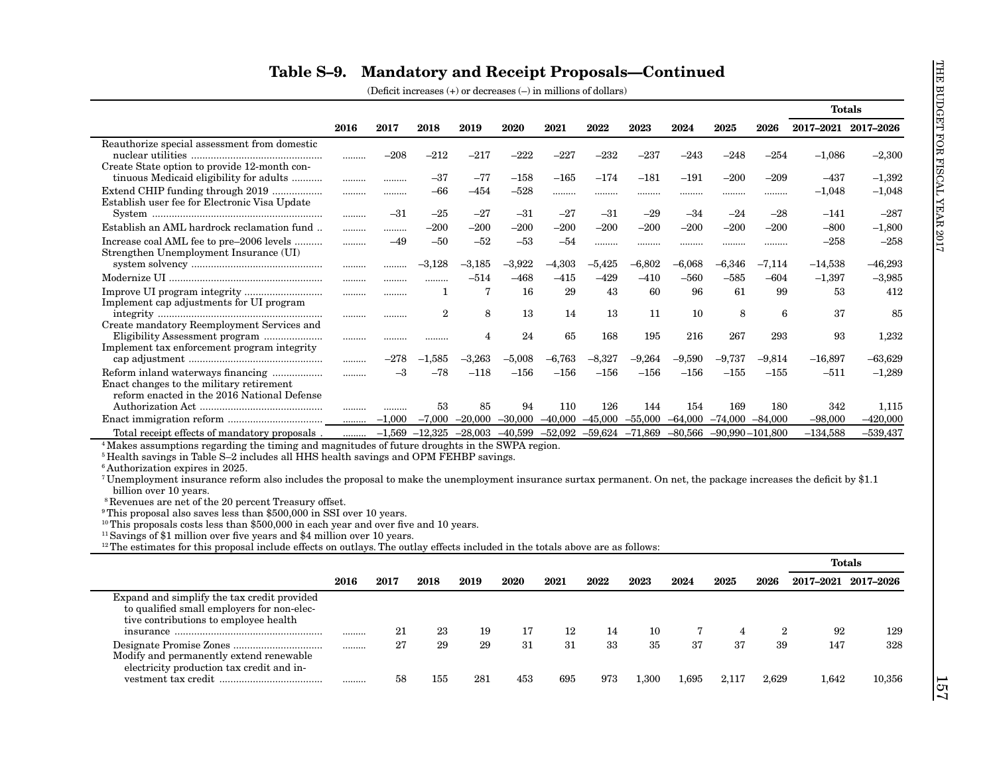|                                                                                                                                                                                                                                                                                                                                                                                                                    |      |          |                                                            |                |                               |          |           |           |                     |                                          |                | <b>Totals</b>       |               |
|--------------------------------------------------------------------------------------------------------------------------------------------------------------------------------------------------------------------------------------------------------------------------------------------------------------------------------------------------------------------------------------------------------------------|------|----------|------------------------------------------------------------|----------------|-------------------------------|----------|-----------|-----------|---------------------|------------------------------------------|----------------|---------------------|---------------|
|                                                                                                                                                                                                                                                                                                                                                                                                                    | 2016 | 2017     | 2018                                                       | 2019           | 2020                          | 2021     | 2022      | 2023      | 2024                | 2025                                     | 2026           | 2017-2021 2017-2026 |               |
| Reauthorize special assessment from domestic                                                                                                                                                                                                                                                                                                                                                                       |      |          |                                                            |                |                               |          |           |           |                     |                                          |                |                     |               |
|                                                                                                                                                                                                                                                                                                                                                                                                                    |      | $-208$   | $-212$                                                     | $-217$         | $-222$                        | $-227$   | $-232$    | $-237$    | $-243$              | $-248$                                   | $-254$         | $-1,086$            | $-2,300$      |
| Create State option to provide 12-month con-                                                                                                                                                                                                                                                                                                                                                                       |      |          |                                                            |                |                               |          |           |           |                     |                                          |                |                     |               |
| tinuous Medicaid eligibility for adults                                                                                                                                                                                                                                                                                                                                                                            |      |          | $-37$                                                      | $-77$          | $-158$                        | $-165$   | $-174$    | $-181$    | $-191$              | $-200$                                   | $-209$         | $-437$              | $-1,392$      |
| Extend CHIP funding through 2019                                                                                                                                                                                                                                                                                                                                                                                   |      | .        | $-66$                                                      | $-454$         | $-528$                        | .        |           |           |                     |                                          | .              | $-1,048$            | $-1,048$      |
| Establish user fee for Electronic Visa Update                                                                                                                                                                                                                                                                                                                                                                      |      |          |                                                            |                |                               |          |           |           |                     | $-24$                                    |                |                     |               |
|                                                                                                                                                                                                                                                                                                                                                                                                                    |      | $-31$    | $-25$                                                      | $-27$          | $-31$                         | $-27$    | $-31$     | $-29$     | $-34$               |                                          | $-28$          | $-141$              | $-287$        |
| Establish an AML hardrock reclamation fund                                                                                                                                                                                                                                                                                                                                                                         |      | .        | $-200$                                                     | $-200$         | $-200$                        | $-200$   | $-200$    | $-200$    | $-200$              | $-200$                                   | $-200$         | $-800$              | $-1,800$      |
| Increase coal AML fee to pre-2006 levels                                                                                                                                                                                                                                                                                                                                                                           |      | $-49$    | $-50$                                                      | $-52$          | $-53$                         | -54      | .         |           |                     |                                          |                | $-258$              | $-258$        |
| Strengthen Unemployment Insurance (UI)                                                                                                                                                                                                                                                                                                                                                                             |      |          | $-3,128$                                                   | $-3,185$       | $-3,922$                      | $-4,303$ | $-5,425$  | $-6,802$  | $-6,068$            | $-6,346$                                 | $-7,114$       | $-14,538$           | $-46,293$     |
|                                                                                                                                                                                                                                                                                                                                                                                                                    |      | .        |                                                            |                |                               |          |           |           |                     |                                          |                |                     |               |
|                                                                                                                                                                                                                                                                                                                                                                                                                    |      | .        |                                                            | $-514$         | $-468$                        | $-415$   | $-429$    | $-410$    | $-560$              | $-585$                                   | $-604$         | $-1,397$            | $-3,985$      |
|                                                                                                                                                                                                                                                                                                                                                                                                                    |      |          | 1                                                          | 7              | 16                            | 29       | 43        | 60        | 96                  | 61                                       | 99             | 53                  | 412           |
| Implement cap adjustments for UI program                                                                                                                                                                                                                                                                                                                                                                           |      |          | $\overline{2}$                                             | 8              | 13                            | 14       | 13        | 11        | 10                  | 8                                        | 6              | 37                  | 85            |
| Create mandatory Reemployment Services and                                                                                                                                                                                                                                                                                                                                                                         |      |          |                                                            |                |                               |          |           |           |                     |                                          |                |                     |               |
|                                                                                                                                                                                                                                                                                                                                                                                                                    |      |          |                                                            | $\overline{4}$ | 24                            | 65       | 168       | 195       | 216                 | 267                                      | 293            | 93                  | 1,232         |
| Implement tax enforcement program integrity                                                                                                                                                                                                                                                                                                                                                                        |      |          |                                                            |                |                               |          |           |           |                     |                                          |                |                     |               |
|                                                                                                                                                                                                                                                                                                                                                                                                                    |      | $-278$   | $\textcolor{red}{\textbf{-1.585}}$                         | $-3,263$       | $-5,008$                      | -6,763   | $-8,327$  | $-9,264$  | $-9,590$            | –9,737                                   | -9,814         | $-16,897$           | $-63,629$     |
|                                                                                                                                                                                                                                                                                                                                                                                                                    | .    | $-3$     | $-78$                                                      | $-118$         | $-156$                        | $-156$   | $-156$    | $-156$    | $-156$              | $-155$                                   | $-155$         | $-511$              | $-1,289$      |
| Enact changes to the military retirement                                                                                                                                                                                                                                                                                                                                                                           |      |          |                                                            |                |                               |          |           |           |                     |                                          |                |                     |               |
| reform enacted in the 2016 National Defense                                                                                                                                                                                                                                                                                                                                                                        |      |          |                                                            |                |                               |          |           |           |                     |                                          |                |                     |               |
|                                                                                                                                                                                                                                                                                                                                                                                                                    |      |          | 53                                                         | 85             | 94                            | 110      | 126       | 144       | 154                 | 169                                      | 180            | 342                 | 1,115         |
|                                                                                                                                                                                                                                                                                                                                                                                                                    | .    | $-1.000$ | $-7,000$                                                   |                | $-20,000$ $-30,000$ $-40,000$ |          | $-45,000$ | $-55,000$ | $-64,000$ $-74,000$ |                                          | $-84,000$      | $-98,000$           | $-420,000$    |
| Total receipt effects of mandatory proposals.                                                                                                                                                                                                                                                                                                                                                                      |      |          |                                                            |                |                               |          |           |           |                     | $-71,869$ $-80,566$ $-90,990$ $-101,800$ |                | $-134,588$          | $-539,437$    |
|                                                                                                                                                                                                                                                                                                                                                                                                                    | .    |          | $-1,569$ $-12,325$ $-28,003$ $-40,599$ $-52,092$ $-59,624$ |                |                               |          |           |           |                     |                                          |                |                     |               |
| <sup>4</sup> Makes assumptions regarding the timing and magnitudes of future droughts in the SWPA region.                                                                                                                                                                                                                                                                                                          |      |          |                                                            |                |                               |          |           |           |                     |                                          |                |                     |               |
| <sup>5</sup> Health savings in Table S-2 includes all HHS health savings and OPM FEHBP savings.                                                                                                                                                                                                                                                                                                                    |      |          |                                                            |                |                               |          |           |           |                     |                                          |                |                     |               |
|                                                                                                                                                                                                                                                                                                                                                                                                                    |      |          |                                                            |                |                               |          |           |           |                     |                                          |                |                     |               |
|                                                                                                                                                                                                                                                                                                                                                                                                                    |      |          |                                                            |                |                               |          |           |           |                     |                                          |                |                     |               |
| billion over 10 years.                                                                                                                                                                                                                                                                                                                                                                                             |      |          |                                                            |                |                               |          |           |           |                     |                                          |                |                     |               |
| <sup>8</sup> Revenues are net of the 20 percent Treasury offset.                                                                                                                                                                                                                                                                                                                                                   |      |          |                                                            |                |                               |          |           |           |                     |                                          |                |                     |               |
| <sup>6</sup> Authorization expires in 2025.<br><sup>7</sup> Unemployment insurance reform also includes the proposal to make the unemployment insurance surtax permanent. On net, the package increases the deficit by \$1.1<br><sup>9</sup> This proposal also saves less than \$500,000 in SSI over 10 years.<br><sup>10</sup> This proposals costs less than \$500,000 in each year and over five and 10 years. |      |          |                                                            |                |                               |          |           |           |                     |                                          |                |                     |               |
|                                                                                                                                                                                                                                                                                                                                                                                                                    |      |          |                                                            |                |                               |          |           |           |                     |                                          |                |                     |               |
| $12$ The estimates for this proposal include effects on outlays. The outlay effects included in the totals above are as follows:                                                                                                                                                                                                                                                                                   |      |          |                                                            |                |                               |          |           |           |                     |                                          |                |                     |               |
|                                                                                                                                                                                                                                                                                                                                                                                                                    |      |          |                                                            |                |                               |          |           |           |                     |                                          |                | <b>Totals</b>       |               |
|                                                                                                                                                                                                                                                                                                                                                                                                                    |      |          |                                                            |                |                               |          |           |           |                     |                                          |                |                     |               |
|                                                                                                                                                                                                                                                                                                                                                                                                                    | 2016 | 2017     | 2018                                                       | 2019           | 2020                          | 2021     | 2022      | 2023      | 2024                | 2025                                     | 2026           | 2017-2021 2017-2026 |               |
| Expand and simplify the tax credit provided                                                                                                                                                                                                                                                                                                                                                                        |      |          |                                                            |                |                               |          |           |           |                     |                                          |                |                     |               |
| to qualified small employers for non-elec-                                                                                                                                                                                                                                                                                                                                                                         |      |          |                                                            |                |                               |          |           |           |                     |                                          |                |                     |               |
| tive contributions to employee health                                                                                                                                                                                                                                                                                                                                                                              |      | 21       | 23                                                         | 19             | 17                            | 12       | 14        | 10        | 7                   | $\overline{4}$                           | $\overline{2}$ | 92                  | 129           |
|                                                                                                                                                                                                                                                                                                                                                                                                                    |      |          |                                                            |                |                               |          |           |           |                     |                                          |                |                     |               |
|                                                                                                                                                                                                                                                                                                                                                                                                                    |      | 27       | 29                                                         | 29             | 31                            | 31       | 33        | 35        | 37                  | 37                                       | 39             | 147                 |               |
| <sup>11</sup> Savings of \$1 million over five years and \$4 million over 10 years.<br>Modify and permanently extend renewable<br>electricity production tax credit and in-                                                                                                                                                                                                                                        |      |          |                                                            |                |                               |          |           |           |                     |                                          |                |                     |               |
|                                                                                                                                                                                                                                                                                                                                                                                                                    |      | 58       | 155                                                        | 281            | 453                           | 695      | 973       | 1,300     | 1,695               | 2,117                                    | 2,629          | 1,642               | 328<br>10,356 |
|                                                                                                                                                                                                                                                                                                                                                                                                                    |      |          |                                                            |                |                               |          |           |           |                     |                                          |                |                     |               |

|                                                                                                                                    |      |      |      |      |      |      |      |           |       |       |       | <b>Totals</b> |                     |
|------------------------------------------------------------------------------------------------------------------------------------|------|------|------|------|------|------|------|-----------|-------|-------|-------|---------------|---------------------|
|                                                                                                                                    | 2016 | 2017 | 2018 | 2019 | 2020 | 2021 | 2022 | 2023      | 2024  | 2025  | 2026  |               | 2017-2021 2017-2026 |
| Expand and simplify the tax credit provided<br>to qualified small employers for non-elec-<br>tive contributions to employee health |      | 21   | 23   | 19   |      | 12   | 14   | 10        |       |       |       | 92            | 129                 |
| Modify and permanently extend renewable<br>electricity production tax credit and in-                                               |      | 27   | 29   | 29   | 31   | 31   | 33   | 35        | 37    | 37    | 39    | 147           | 328                 |
|                                                                                                                                    | .    | 58   | 155  | 28   | 453  | 695  | 973  | $1.300\,$ | .,695 | 2,117 | 2.629 | 1.642         | 10,356              |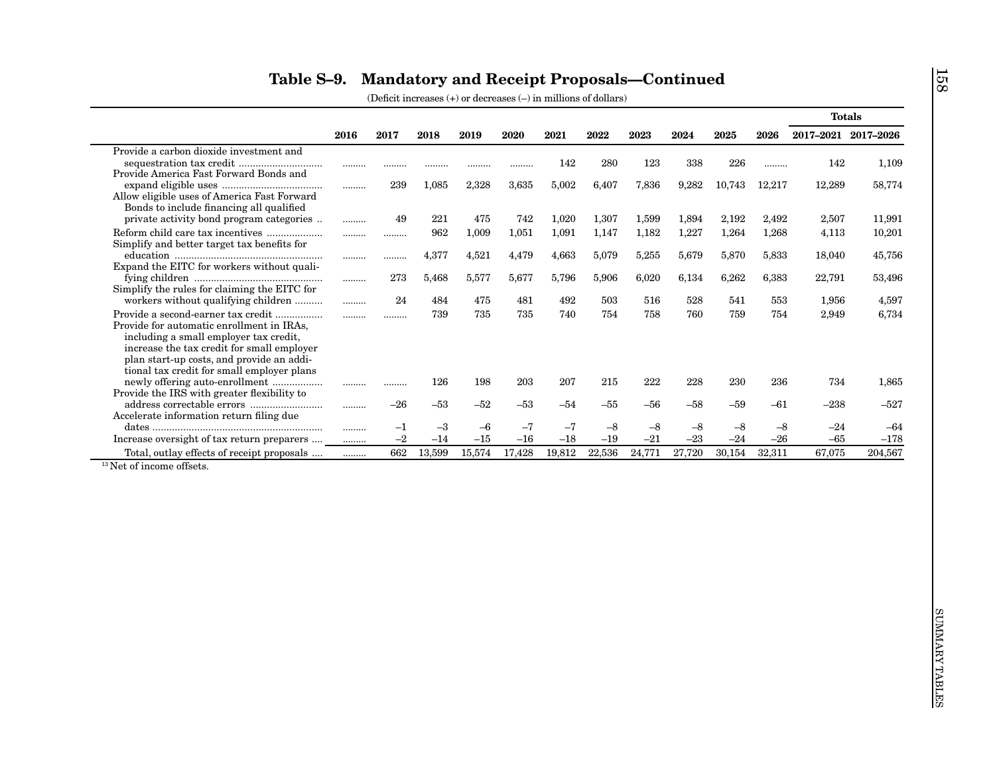|                                                                                         | 2016 | 2017  | 2018   | 2019   | 2020   | 2021   | 2022   | 2023   | 2024   | 2025   | 2026   | 2017-2021 2017-2026 |         |
|-----------------------------------------------------------------------------------------|------|-------|--------|--------|--------|--------|--------|--------|--------|--------|--------|---------------------|---------|
| Provide a carbon dioxide investment and                                                 |      |       |        |        |        |        |        |        |        |        |        |                     |         |
|                                                                                         |      | .     |        |        |        | 142    | 280    | 123    | 338    | 226    | .      | 142                 | 1,109   |
| Provide America Fast Forward Bonds and                                                  |      |       |        |        |        |        |        |        |        |        |        |                     |         |
|                                                                                         | .    | 239   | 1,085  | 2,328  | 3,635  | 5,002  | 6,407  | 7,836  | 9,282  | 10,743 | 12,217 | 12,289              | 58,774  |
| Allow eligible uses of America Fast Forward<br>Bonds to include financing all qualified |      |       |        |        |        |        |        |        |        |        |        |                     |         |
| private activity bond program categories                                                | .    | 49    | 221    | 475    | 742    | 1,020  | 1,307  | 1,599  | 1,894  | 2,192  | 2,492  | 2,507               | 11,991  |
|                                                                                         |      |       | 962    | 1,009  | 1,051  | 1,091  | 1,147  | 1,182  | 1,227  | 1,264  | 1,268  | 4,113               | 10,201  |
| Simplify and better target tax benefits for                                             |      |       |        |        |        |        |        |        |        |        |        |                     |         |
|                                                                                         |      |       | 4,377  | 4,521  | 4,479  | 4,663  | 5,079  | 5,255  | 5,679  | 5,870  | 5,833  | 18,040              | 45,756  |
| Expand the EITC for workers without quali-                                              |      |       |        |        |        |        |        |        |        |        |        |                     |         |
|                                                                                         | .    | 273   | 5,468  | 5,577  | 5,677  | 5,796  | 5,906  | 6,020  | 6,134  | 6,262  | 6,383  | 22,791              | 53,496  |
| Simplify the rules for claiming the EITC for                                            |      |       |        |        |        |        |        |        |        |        |        |                     |         |
| workers without qualifying children                                                     |      | 24    | 484    | 475    | 481    | 492    | 503    | 516    | 528    | 541    | 553    | 1,956               | 4,597   |
| Provide a second-earner tax credit                                                      |      | .     | 739    | 735    | 735    | 740    | 754    | 758    | 760    | 759    | 754    | 2,949               | 6,734   |
| Provide for automatic enrollment in IRAs,                                               |      |       |        |        |        |        |        |        |        |        |        |                     |         |
| including a small employer tax credit,                                                  |      |       |        |        |        |        |        |        |        |        |        |                     |         |
| increase the tax credit for small employer                                              |      |       |        |        |        |        |        |        |        |        |        |                     |         |
| plan start-up costs, and provide an addi-                                               |      |       |        |        |        |        |        |        |        |        |        |                     |         |
| tional tax credit for small employer plans<br>newly offering auto-enrollment            |      |       | 126    | 198    | 203    | 207    | 215    | 222    | 228    | 230    | 236    | 734                 | 1,865   |
| Provide the IRS with greater flexibility to                                             |      | .     |        |        |        |        |        |        |        |        |        |                     |         |
|                                                                                         |      | $-26$ | $-53$  | $-52$  | $-53$  | $-54$  | $-55$  | -56    | $-58$  | -59    | $-61$  | $-238$              | $-527$  |
| Accelerate information return filing due                                                |      |       |        |        |        |        |        |        |        |        |        |                     |         |
|                                                                                         | .    | $-1$  | $-3$   | $-6$   | $-7$   | $-7$   | $-8$   | $-8$   | $-8$   | $-8$   | $-8$   | $-24$               | $-64$   |
| Increase oversight of tax return preparers                                              | .    | $-2$  | $-14$  | $-15$  | $-16$  | $-18$  | $-19$  | $-21$  | $-23$  | $-24$  | $-26$  | $-65$               | $-178$  |
| Total, outlay effects of receipt proposals                                              | .    | 662   | 13,599 | 15,574 | 17,428 | 19,812 | 22,536 | 24,771 | 27,720 | 30,154 | 32,311 | 67,075              | 204,567 |
| <sup>13</sup> Net of income offsets.                                                    |      |       |        |        |        |        |        |        |        |        |        |                     |         |
|                                                                                         |      |       |        |        |        |        |        |        |        |        |        |                     |         |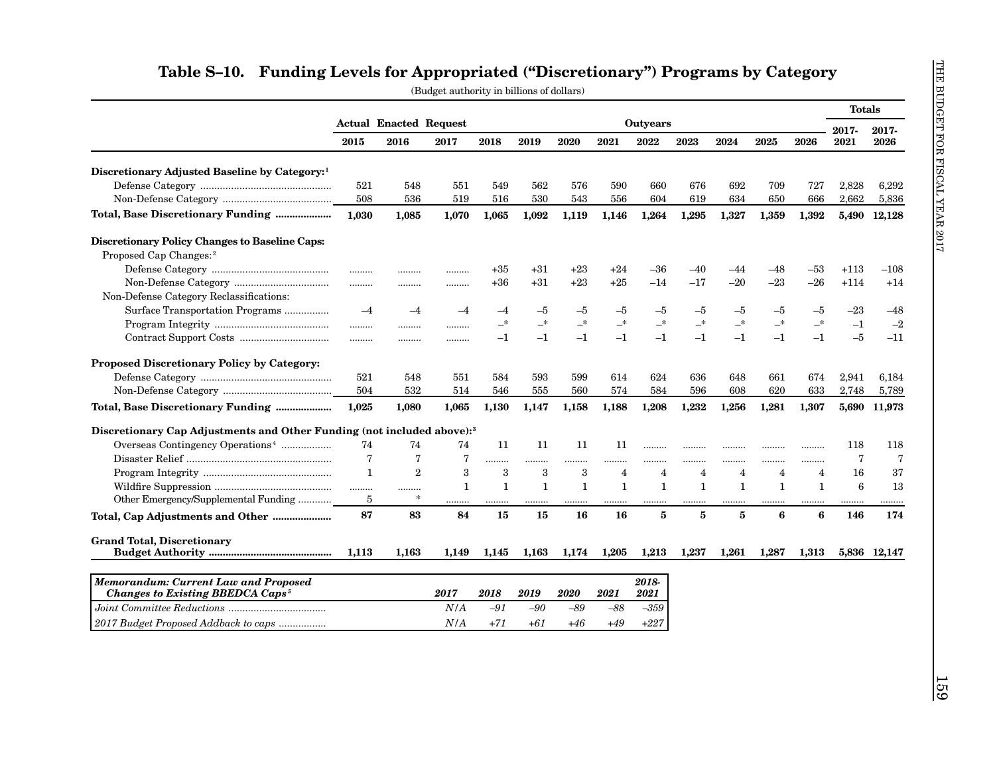|                                                                                                                                                                                                                                                                                                                                                                                                                                                                        |                |                                       |              |              |              |              |                |                  |                |                |                |                | <b>Totals</b>  |                |
|------------------------------------------------------------------------------------------------------------------------------------------------------------------------------------------------------------------------------------------------------------------------------------------------------------------------------------------------------------------------------------------------------------------------------------------------------------------------|----------------|---------------------------------------|--------------|--------------|--------------|--------------|----------------|------------------|----------------|----------------|----------------|----------------|----------------|----------------|
|                                                                                                                                                                                                                                                                                                                                                                                                                                                                        | 2015           | <b>Actual Enacted Request</b><br>2016 | 2017         | 2018         | 2019         | 2020         | 2021           | Outyears<br>2022 | 2023           | 2024           | 2025           | 2026           | 2017-<br>2021  | 2017-<br>2026  |
| Discretionary Adjusted Baseline by Category: <sup>1</sup>                                                                                                                                                                                                                                                                                                                                                                                                              |                |                                       |              |              |              |              |                |                  |                |                |                |                |                |                |
|                                                                                                                                                                                                                                                                                                                                                                                                                                                                        | 521            | 548                                   | 551          | 549          | 562          | 576          | 590            | 660              | 676            | 692            | 709            | 727            | 2,828          | 6,292          |
|                                                                                                                                                                                                                                                                                                                                                                                                                                                                        | 508            | 536                                   | 519          | 516          | 530          | 543          | 556            | 604              | 619            | 634            | 650            | 666            | 2,662          | 5,836          |
| Total, Base Discretionary Funding                                                                                                                                                                                                                                                                                                                                                                                                                                      | 1.030          | 1.085                                 | 1,070        | 1,065        | 1,092        | 1,119        | 1,146          | 1,264            | 1,295          | 1,327          | 1,359          | 1,392          | 5,490          | 12,128         |
| Discretionary Policy Changes to Baseline Caps:                                                                                                                                                                                                                                                                                                                                                                                                                         |                |                                       |              |              |              |              |                |                  |                |                |                |                |                |                |
| Proposed Cap Changes: <sup>2</sup>                                                                                                                                                                                                                                                                                                                                                                                                                                     |                |                                       |              |              |              |              |                |                  |                |                |                |                |                |                |
| $\label{eq:3} \textbf{Define} \textbf{ Categorical} \textbf{  } \textbf{  } \textbf{  } \textbf{  } \textbf{  } \textbf{  } \textbf{  } \textbf{  } \textbf{  } \textbf{  } \textbf{  } \textbf{  } \textbf{  } \textbf{  } \textbf{  } \textbf{  } \textbf{  } \textbf{  } \textbf{  } \textbf{  } \textbf{  } \textbf{  } \textbf{  } \textbf{  } \textbf{  } \textbf{  } \textbf{  } \textbf{  } \textbf{  } \textbf{  } \textbf{  } \textbf{  } \textbf{  } \text$ |                |                                       |              | $+35$        | $+31$        | $+23$        | $+24$          | -36              | $-40$          | -44            | $-48$          | -53            | $+113$         | $-108$         |
|                                                                                                                                                                                                                                                                                                                                                                                                                                                                        |                |                                       |              | $+36$        | $+31$        | $+23$        | $+25$          | $-14$            | $-17$          | $-20$          | $-23$          | $-26$          | $+114$         | $+14$          |
| Non-Defense Category Reclassifications:                                                                                                                                                                                                                                                                                                                                                                                                                                |                |                                       |              |              |              |              |                |                  |                |                |                |                |                |                |
| Surface Transportation Programs                                                                                                                                                                                                                                                                                                                                                                                                                                        | $-4$           | $-4$                                  | $-4$         | $-4$         | $-5$         | $-5$         | -5             | -5               | -5             | $-5$           | -5             | -5             | $-23$          | $-48$          |
|                                                                                                                                                                                                                                                                                                                                                                                                                                                                        | .              |                                       | .            | $-*$         | —*           | $\_^*$       | $-^{\ast}$     | $-*$             | $-^*$          | $-^\ast$       | $-^*$          | $-*$           | $-1$           | $-2$           |
|                                                                                                                                                                                                                                                                                                                                                                                                                                                                        |                |                                       |              | $^{-1}$      | $-1$         | $-1$         | $-1$           | $-1$             | $^{-1}$        | $-1$           | $-1$           | $-1$           | $-5$           | $-11$          |
| Proposed Discretionary Policy by Category:                                                                                                                                                                                                                                                                                                                                                                                                                             |                |                                       |              |              |              |              |                |                  |                |                |                |                |                |                |
|                                                                                                                                                                                                                                                                                                                                                                                                                                                                        | 521            | 548                                   | 551          | 584          | 593          | 599          | 614            | 624              | 636            | 648            | 661            | 674            | 2,941          | 6,184          |
|                                                                                                                                                                                                                                                                                                                                                                                                                                                                        | 504            | 532                                   | 514          | 546          | 555          | 560          | 574            | 584              | 596            | 608            | 620            | 633            | 2,748          | 5,789          |
|                                                                                                                                                                                                                                                                                                                                                                                                                                                                        | 1,025          | 1,080                                 | 1,065        | 1,130        | 1,147        | 1,158        | 1,188          | 1,208            | 1,232          | 1,256          | 1,281          | 1,307          | 5,690          | 11,973         |
| Discretionary Cap Adjustments and Other Funding (not included above):3                                                                                                                                                                                                                                                                                                                                                                                                 |                |                                       |              |              |              |              |                |                  |                |                |                |                |                |                |
| Overseas Contingency Operations <sup>4</sup>                                                                                                                                                                                                                                                                                                                                                                                                                           | 74             | 74                                    | 74           | 11           | 11           | 11           | 11             | .                |                |                |                |                | 118            | 118            |
|                                                                                                                                                                                                                                                                                                                                                                                                                                                                        | $\overline{7}$ | 7                                     | 7            |              |              |              |                |                  | .              | .              |                |                | $\overline{7}$ | $\overline{7}$ |
|                                                                                                                                                                                                                                                                                                                                                                                                                                                                        | $\mathbf{1}$   | $\overline{2}$                        | 3            | 3            | 3            | 3            | $\overline{4}$ | $\overline{4}$   | $\overline{4}$ | $\overline{4}$ | $\overline{4}$ | $\overline{A}$ | 16             | 37             |
|                                                                                                                                                                                                                                                                                                                                                                                                                                                                        | .              | .                                     | $\mathbf{1}$ | $\mathbf{1}$ | $\mathbf{1}$ | $\mathbf{1}$ | $\mathbf{1}$   | $\mathbf{1}$     | $\mathbf{1}$   | 1              | $\mathbf 1$    | $\mathbf{1}$   | 6              | 13             |
| Other Emergency/Supplemental Funding                                                                                                                                                                                                                                                                                                                                                                                                                                   | 5              | $\ast$                                |              |              |              |              | .              |                  |                |                |                |                |                | .              |
|                                                                                                                                                                                                                                                                                                                                                                                                                                                                        | 87             | 83                                    | 84           | 15           | 15           | 16           | 16             | 5                | 5              | 5              | 6              | 6              | 146            | 174            |
| <b>Grand Total, Discretionary</b>                                                                                                                                                                                                                                                                                                                                                                                                                                      |                |                                       |              |              |              |              |                |                  |                |                |                |                |                |                |
|                                                                                                                                                                                                                                                                                                                                                                                                                                                                        | 1,113          | 1,163                                 | 1,149        | 1,145        | 1,163        | 1,174        | 1,205          | 1,213            | 1,237          | 1,261          | 1,287          | 1,313          |                | 5,836 12,147   |
|                                                                                                                                                                                                                                                                                                                                                                                                                                                                        |                |                                       | 2017         | 2018         | 2019         | 2020         | 2021           | 2018-<br>2021    |                |                |                |                |                |                |
| <b>Changes to Existing BBEDCA Caps<sup>5</sup></b>                                                                                                                                                                                                                                                                                                                                                                                                                     |                |                                       |              |              |              |              |                |                  |                |                |                |                |                |                |
| <b>Memorandum: Current Law and Proposed</b>                                                                                                                                                                                                                                                                                                                                                                                                                            |                |                                       | N/A          | $-91$        | $-90$        | $-89$        | $-88$          | $-359$           |                |                |                |                |                |                |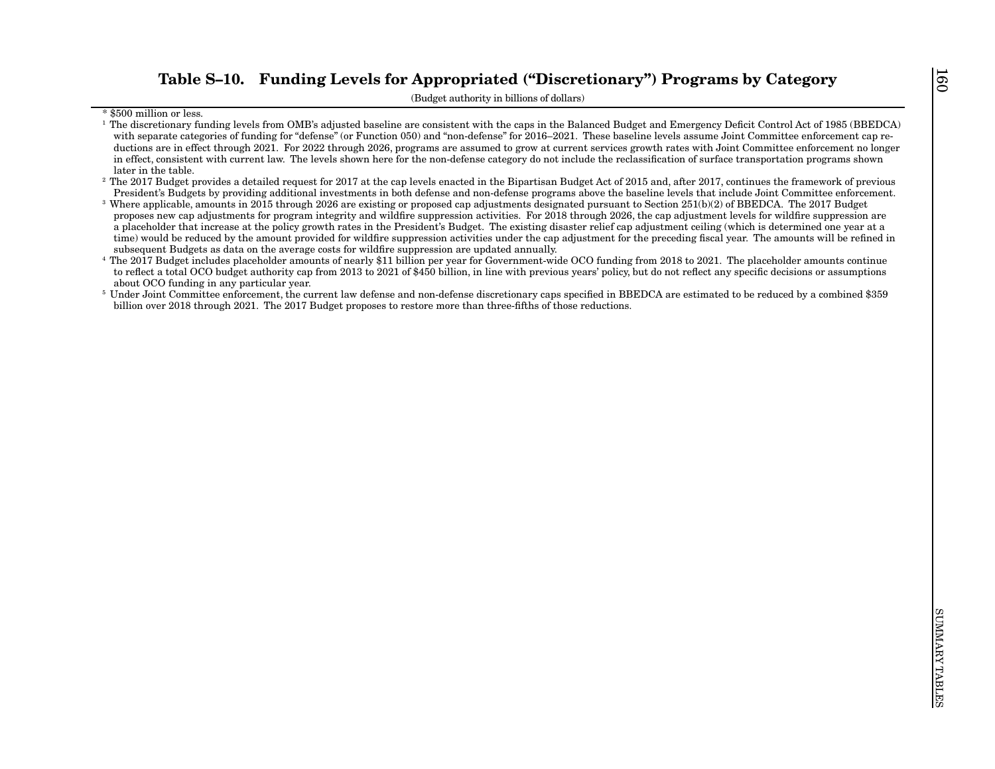The state that the state of the state of the Appropriated (This results of the state of the state of the state of the state of the state of the state of the state of the state of the state of the state of the state of the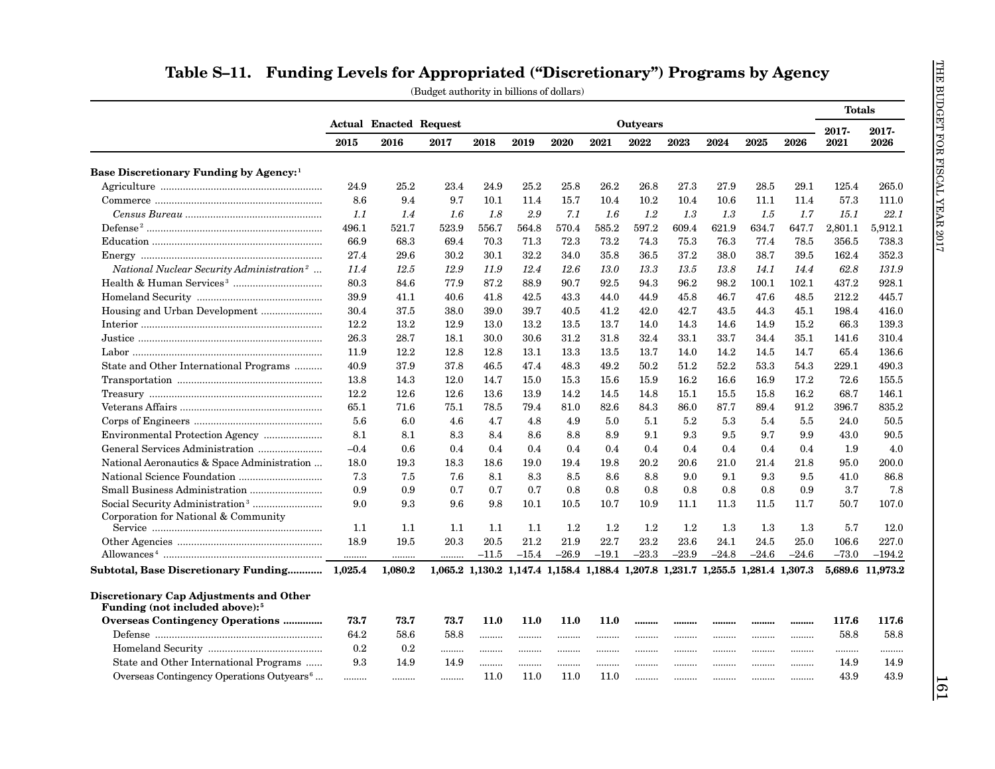|                                                                                       |        |                               |       |         |         |              |              |                                                                                 |              |         |         |         | <b>Totals</b> |                  |
|---------------------------------------------------------------------------------------|--------|-------------------------------|-------|---------|---------|--------------|--------------|---------------------------------------------------------------------------------|--------------|---------|---------|---------|---------------|------------------|
|                                                                                       |        | <b>Actual Enacted Request</b> |       |         |         |              |              | Outyears                                                                        |              |         |         |         | 2017-         | 2017-            |
|                                                                                       | 2015   | 2016                          | 2017  | 2018    | 2019    | 2020         | 2021         | 2022                                                                            | 2023         | 2024    | 2025    | 2026    | 2021          | 2026             |
| Base Discretionary Funding by Agency: <sup>1</sup>                                    |        |                               |       |         |         |              |              |                                                                                 |              |         |         |         |               |                  |
|                                                                                       | 24.9   | 25.2                          | 23.4  | 24.9    | 25.2    | 25.8         | 26.2         | 26.8                                                                            | 27.3         | 27.9    | 28.5    | 29.1    | 125.4         | 265.0            |
|                                                                                       | 8.6    | 9.4                           | 9.7   | 10.1    | 11.4    | 15.7         | 10.4         | 10.2                                                                            | 10.4         | 10.6    | 11.1    | 11.4    | 57.3          | 111.0            |
|                                                                                       | 1.1    | 1.4                           | 1.6   | 1.8     | 2.9     | 7.1          | 1.6          | 1.2                                                                             | 1.3          | 1.3     | 1.5     | 1.7     | 15.1          | 22.1             |
|                                                                                       | 496.1  | 521.7                         | 523.9 | 556.7   | 564.8   | 570.4        | 585.2        | 597.2                                                                           | 609.4        | 621.9   | 634.7   | 647.7   | 2,801.1       | 5,912.1          |
|                                                                                       | 66.9   | 68.3                          | 69.4  | 70.3    | 71.3    | 72.3         | 73.2         | 74.3                                                                            | 75.3         | 76.3    | 77.4    | 78.5    | 356.5         | 738.3            |
|                                                                                       | 27.4   | 29.6                          | 30.2  | 30.1    | 32.2    | 34.0         | 35.8         | 36.5                                                                            | 37.2         | 38.0    | 38.7    | 39.5    | 162.4         | 352.3            |
| National Nuclear Security Administration <sup>2</sup>                                 | 11.4   | 12.5                          | 12.9  | 11.9    | 12.4    | 12.6         | 13.0         | 13.3                                                                            | 13.5         | 13.8    | 14.1    | 14.4    | 62.8          | 131.9            |
|                                                                                       | 80.3   | 84.6                          | 77.9  | 87.2    | 88.9    | 90.7         | 92.5         | 94.3                                                                            | 96.2         | 98.2    | 100.1   | 102.1   | 437.2         | 928.1            |
|                                                                                       | 39.9   |                               | 40.6  | 41.8    | 42.5    |              |              | 44.9                                                                            | 45.8         | 46.7    | 47.6    | 48.5    | 212.2         | 445.7            |
|                                                                                       | 30.4   | 41.1<br>37.5                  | 38.0  | 39.0    | 39.7    | 43.3<br>40.5 | 44.0<br>41.2 | 42.0                                                                            | 42.7         | 43.5    | 44.3    | 45.1    | 198.4         | 416.0            |
|                                                                                       | 12.2   | 13.2                          | 12.9  | 13.0    | 13.2    |              | 13.7         | 14.0                                                                            |              | 14.6    | 14.9    | 15.2    | 66.3          | 139.3            |
|                                                                                       | 26.3   | 28.7                          | 18.1  | 30.0    | 30.6    | 13.5<br>31.2 | 31.8         | 32.4                                                                            | 14.3<br>33.1 | 33.7    | 34.4    | 35.1    | 141.6         | 310.4            |
|                                                                                       | 11.9   | 12.2                          | 12.8  | 12.8    | 13.1    | 13.3         | 13.5         | 13.7                                                                            | 14.0         | 14.2    | 14.5    | 14.7    | 65.4          | 136.6            |
|                                                                                       |        |                               |       |         |         |              |              |                                                                                 |              | 52.2    |         |         |               | 490.3            |
| State and Other International Programs                                                | 40.9   | 37.9                          | 37.8  | 46.5    | 47.4    | 48.3         | 49.2         | 50.2                                                                            | 51.2         |         | 53.3    | 54.3    | 229.1         |                  |
|                                                                                       | 13.8   | 14.3                          | 12.0  | 14.7    | 15.0    | 15.3         | 15.6         | 15.9                                                                            | 16.2         | 16.6    | 16.9    | 17.2    | 72.6          | 155.5            |
|                                                                                       | 12.2   | 12.6                          | 12.6  | 13.6    | 13.9    | 14.2         | 14.5         | 14.8                                                                            | 15.1         | 15.5    | 15.8    | 16.2    | 68.7          | 146.1            |
|                                                                                       | 65.1   | 71.6                          | 75.1  | 78.5    | 79.4    | 81.0         | 82.6         | 84.3                                                                            | 86.0         | 87.7    | 89.4    | 91.2    | 396.7         | 835.2            |
|                                                                                       | 5.6    | 6.0                           | 4.6   | 4.7     | 4.8     | 4.9          | 5.0          | 5.1                                                                             | 5.2          | 5.3     | 5.4     | 5.5     | 24.0          | 50.5             |
| Environmental Protection Agency                                                       | 8.1    | 8.1                           | 8.3   | 8.4     | 8.6     | 8.8          | 8.9          | 9.1                                                                             | 9.3          | 9.5     | 9.7     | 9.9     | 43.0          | 90.5             |
|                                                                                       | $-0.4$ | 0.6                           | 0.4   | 0.4     | 0.4     | 0.4          | 0.4          | 0.4                                                                             | 0.4          | 0.4     | 0.4     | 0.4     | 1.9           | 4.0              |
| National Aeronautics & Space Administration                                           | 18.0   | 19.3                          | 18.3  | 18.6    | 19.0    | 19.4         | 19.8         | 20.2                                                                            | 20.6         | 21.0    | 21.4    | 21.8    | 95.0          | 200.0            |
|                                                                                       | 7.3    | 7.5                           | 7.6   | 8.1     | 8.3     | 8.5          | 8.6          | 8.8                                                                             | 9.0          | 9.1     | 9.3     | 9.5     | 41.0          | 86.8             |
|                                                                                       | 0.9    | 0.9                           | 0.7   | 0.7     | 0.7     | 0.8          | 0.8          | 0.8                                                                             | 0.8          | 0.8     | 0.8     | 0.9     | 3.7           | 7.8              |
|                                                                                       | 9.0    | 9.3                           | 9.6   | 9.8     | 10.1    | 10.5         | 10.7         | 10.9                                                                            | 11.1         | 11.3    | 11.5    | 11.7    | 50.7          | 107.0            |
| Corporation for National & Community                                                  | 1.1    | 1.1                           | 1.1   | 1.1     | 1.1     | $1.2\,$      | $1.2\,$      | $1.2\,$                                                                         | $1.2\,$      | 1.3     | $1.3\,$ | 1.3     | 5.7           | 12.0             |
|                                                                                       | 18.9   | 19.5                          | 20.3  | 20.5    | 21.2    | 21.9         | 22.7         | 23.2                                                                            | 23.6         | 24.1    | 24.5    | 25.0    | 106.6         | 227.0            |
|                                                                                       |        |                               |       | $-11.5$ | $-15.4$ | $-26.9$      | $-19.1$      | $-23.3$                                                                         | $-23.9$      | $-24.8$ | $-24.6$ | $-24.6$ | $-73.0$       | $-194.2$         |
| Subtotal, Base Discretionary Funding 1,025.4                                          |        | <br>1,080.2                   |       |         |         |              |              | 1,065.2 1,130.2 1,147.4 1,158.4 1,188.4 1,207.8 1,231.7 1,255.5 1,281.4 1,307.3 |              |         |         |         |               | 5.689.6 11.973.2 |
|                                                                                       |        |                               |       |         |         |              |              |                                                                                 |              |         |         |         |               |                  |
| Discretionary Cap Adjustments and Other<br>Funding (not included above): <sup>5</sup> |        |                               |       |         |         |              |              |                                                                                 |              |         |         |         |               |                  |
| <b>Overseas Contingency Operations </b>                                               | 73.7   | 73.7                          | 73.7  | 11.0    | 11.0    | 11.0         | 11.0         |                                                                                 |              |         |         |         | 117.6         | 117.6            |
|                                                                                       | 64.2   | 58.6                          | 58.8  | .       |         |              |              |                                                                                 |              | .       |         |         | 58.8          | 58.8             |
|                                                                                       | 0.2    | 0.2                           |       |         |         |              |              |                                                                                 |              |         |         |         |               |                  |
| State and Other International Programs                                                | 9.3    | 14.9                          | 14.9  |         |         |              |              |                                                                                 |              | .       |         |         | 14.9          | 14.9             |
| Overseas Contingency Operations Outyears <sup>6</sup>                                 |        |                               |       | 11.0    | 11.0    | 11.0         | 11.0         |                                                                                 |              |         |         |         | 43.9          | 43.9             |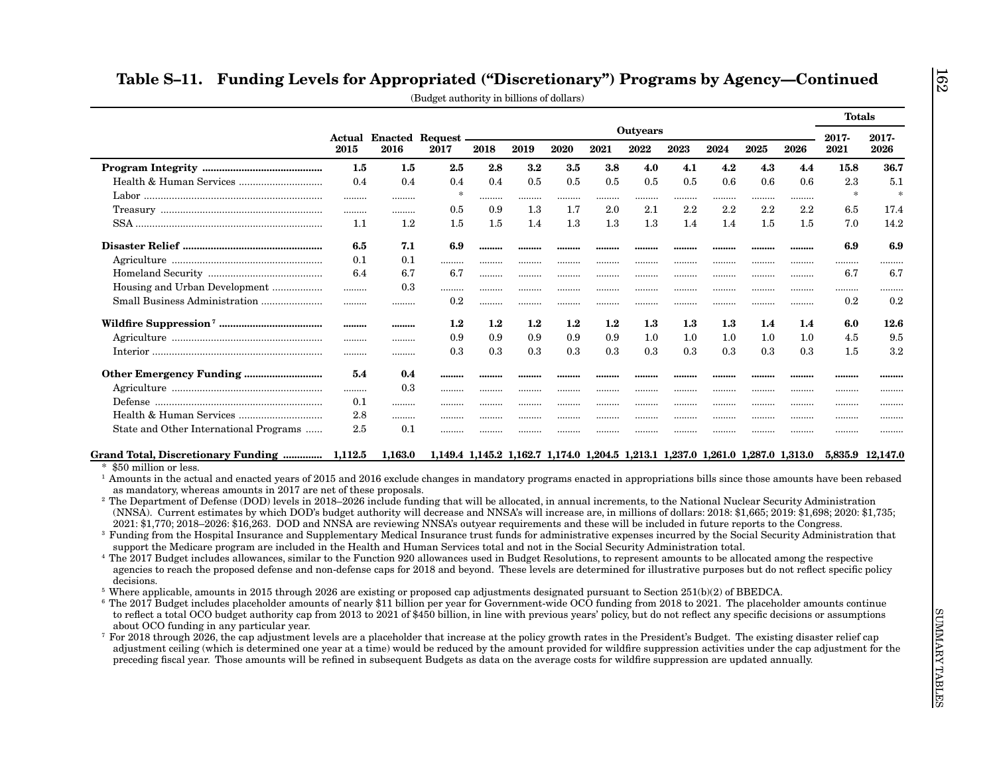| Outyears<br><b>Actual Enacted Request -</b><br>2019<br>2020<br>2021<br>2022<br>2023<br>2024<br>2015<br>2016<br>2017<br>2018<br>2.8<br>3.2<br>3.8<br>1.5<br>1.5<br>$2.5\,$<br>3.5<br>4.0<br>4.1<br>0.4<br>0.5<br>0.4<br>0.4<br>0.5<br>0.5<br>0.5<br>0.5<br>0.4<br>$\ast$<br>.<br><br>.<br>.<br>.<br>.<br><br>.<br>0.9<br>1.3<br>2.0<br>2.1<br>2.2<br>0.5<br>1.7<br>.<br><br>1.2<br>1.5<br>1.3<br>1.1<br>1.4<br>1.3<br>1.3<br>1.4<br>1.5<br>6.5<br>7.1<br>6.9<br><br><br><br><br><br><br>0.1<br>0.1<br>.<br><br><br><br><br><br><br>6.4<br>6.7<br>6.7<br><br><br><br><br><br><br>Housing and Urban Development<br>0.3<br>.<br>.<br><br><br><br><br><br><br>0.2<br><br><br>.<br><br>.<br><br><br><br>1.2<br>$1.2\,$<br>$1.2\,$<br>$1.2\,$<br>$1.2\,$<br>$1.3\,$<br>$1.3\,$<br><br><br>0.9<br>0.9<br>0.9<br>0.9<br>0.9<br>1.0<br>1.0<br><br><br>0.3<br>0.3<br>0.3<br>0.3<br>0.3<br>0.3<br>0.3<br><br><br>5.4<br>0.4<br><br><br><br><br><br><br><br>0.3<br>.<br><br><br><br><br>.<br><br><br>0.1<br>.<br><br><br><br><br><br><br><br>2.8<br>.<br>.<br><br><br><br><br>.<br>2.5<br>State and Other International Programs<br>0.1<br>.<br><br><br><br><br><br><br>Grand Total, Discretionary Funding  1,112.5<br>$1,\!163.0$<br>1,149.4 1,145.2 1,162.7 1,174.0 1,204.5 1,213.1 1,237.0 1,261.0 1,287.0 1,313.0 5,835.9 12,147.0<br>\$50 million or less.<br><sup>1</sup> Amounts in the actual and enacted years of 2015 and 2016 exclude changes in mandatory programs enacted in appropriations bills since those amounts have been rebased<br>as mandatory, whereas amounts in 2017 are net of these proposals.<br><sup>2</sup> The Department of Defense (DOD) levels in 2018–2026 include funding that will be allocated, in annual increments, to the National Nuclear Security Administration<br>(NNSA). Current estimates by which DOD's budget authority will decrease and NNSA's will increase are, in millions of dollars: 2018: \$1,665; 2019: \$1,698; 2020: \$1,735;<br>2021: \$1,770; 2018–2026: \$16,263. DOD and NNSA are reviewing NNSA's outyear requirements and these will be included in future reports to the Congress. | 2025<br>4.3<br>0.6<br><br>2.2<br>1.5<br><br><br><br><br><br>1.4<br>1.0<br>0.3<br><br><br> | 4.2<br>0.6<br>.<br>2.2<br>1.4<br><br><br><br><br>.<br>$1.3\,$<br>1.0<br>0.3<br><br>. |  |  |  |  | 2026<br>4.4<br>0.6<br><br>2.2<br>1.5<br><br><br><br> | 2017-<br>2021<br>15.8<br>2.3<br>$\ast$<br>6.5<br>7.0<br>6.9<br><br>6.7<br>. | 2017-<br>2026<br>36.7<br>5.1<br>$\ast$<br>17.4<br>14.2<br>6.9<br><br>6.7<br> |
|------------------------------------------------------------------------------------------------------------------------------------------------------------------------------------------------------------------------------------------------------------------------------------------------------------------------------------------------------------------------------------------------------------------------------------------------------------------------------------------------------------------------------------------------------------------------------------------------------------------------------------------------------------------------------------------------------------------------------------------------------------------------------------------------------------------------------------------------------------------------------------------------------------------------------------------------------------------------------------------------------------------------------------------------------------------------------------------------------------------------------------------------------------------------------------------------------------------------------------------------------------------------------------------------------------------------------------------------------------------------------------------------------------------------------------------------------------------------------------------------------------------------------------------------------------------------------------------------------------------------------------------------------------------------------------------------------------------------------------------------------------------------------------------------------------------------------------------------------------------------------------------------------------------------------------------------------------------------------------------------------------------------------------------------------------------------------------------------------------------------------------------|-------------------------------------------------------------------------------------------|--------------------------------------------------------------------------------------|--|--|--|--|------------------------------------------------------|-----------------------------------------------------------------------------|------------------------------------------------------------------------------|
|                                                                                                                                                                                                                                                                                                                                                                                                                                                                                                                                                                                                                                                                                                                                                                                                                                                                                                                                                                                                                                                                                                                                                                                                                                                                                                                                                                                                                                                                                                                                                                                                                                                                                                                                                                                                                                                                                                                                                                                                                                                                                                                                          |                                                                                           |                                                                                      |  |  |  |  |                                                      |                                                                             |                                                                              |
|                                                                                                                                                                                                                                                                                                                                                                                                                                                                                                                                                                                                                                                                                                                                                                                                                                                                                                                                                                                                                                                                                                                                                                                                                                                                                                                                                                                                                                                                                                                                                                                                                                                                                                                                                                                                                                                                                                                                                                                                                                                                                                                                          |                                                                                           |                                                                                      |  |  |  |  |                                                      |                                                                             |                                                                              |
|                                                                                                                                                                                                                                                                                                                                                                                                                                                                                                                                                                                                                                                                                                                                                                                                                                                                                                                                                                                                                                                                                                                                                                                                                                                                                                                                                                                                                                                                                                                                                                                                                                                                                                                                                                                                                                                                                                                                                                                                                                                                                                                                          |                                                                                           |                                                                                      |  |  |  |  |                                                      |                                                                             |                                                                              |
|                                                                                                                                                                                                                                                                                                                                                                                                                                                                                                                                                                                                                                                                                                                                                                                                                                                                                                                                                                                                                                                                                                                                                                                                                                                                                                                                                                                                                                                                                                                                                                                                                                                                                                                                                                                                                                                                                                                                                                                                                                                                                                                                          |                                                                                           |                                                                                      |  |  |  |  |                                                      |                                                                             |                                                                              |
|                                                                                                                                                                                                                                                                                                                                                                                                                                                                                                                                                                                                                                                                                                                                                                                                                                                                                                                                                                                                                                                                                                                                                                                                                                                                                                                                                                                                                                                                                                                                                                                                                                                                                                                                                                                                                                                                                                                                                                                                                                                                                                                                          |                                                                                           |                                                                                      |  |  |  |  |                                                      |                                                                             |                                                                              |
|                                                                                                                                                                                                                                                                                                                                                                                                                                                                                                                                                                                                                                                                                                                                                                                                                                                                                                                                                                                                                                                                                                                                                                                                                                                                                                                                                                                                                                                                                                                                                                                                                                                                                                                                                                                                                                                                                                                                                                                                                                                                                                                                          |                                                                                           |                                                                                      |  |  |  |  |                                                      |                                                                             |                                                                              |
|                                                                                                                                                                                                                                                                                                                                                                                                                                                                                                                                                                                                                                                                                                                                                                                                                                                                                                                                                                                                                                                                                                                                                                                                                                                                                                                                                                                                                                                                                                                                                                                                                                                                                                                                                                                                                                                                                                                                                                                                                                                                                                                                          |                                                                                           |                                                                                      |  |  |  |  |                                                      |                                                                             |                                                                              |
|                                                                                                                                                                                                                                                                                                                                                                                                                                                                                                                                                                                                                                                                                                                                                                                                                                                                                                                                                                                                                                                                                                                                                                                                                                                                                                                                                                                                                                                                                                                                                                                                                                                                                                                                                                                                                                                                                                                                                                                                                                                                                                                                          |                                                                                           |                                                                                      |  |  |  |  |                                                      |                                                                             |                                                                              |
|                                                                                                                                                                                                                                                                                                                                                                                                                                                                                                                                                                                                                                                                                                                                                                                                                                                                                                                                                                                                                                                                                                                                                                                                                                                                                                                                                                                                                                                                                                                                                                                                                                                                                                                                                                                                                                                                                                                                                                                                                                                                                                                                          |                                                                                           |                                                                                      |  |  |  |  |                                                      |                                                                             |                                                                              |
|                                                                                                                                                                                                                                                                                                                                                                                                                                                                                                                                                                                                                                                                                                                                                                                                                                                                                                                                                                                                                                                                                                                                                                                                                                                                                                                                                                                                                                                                                                                                                                                                                                                                                                                                                                                                                                                                                                                                                                                                                                                                                                                                          |                                                                                           |                                                                                      |  |  |  |  |                                                      |                                                                             |                                                                              |
|                                                                                                                                                                                                                                                                                                                                                                                                                                                                                                                                                                                                                                                                                                                                                                                                                                                                                                                                                                                                                                                                                                                                                                                                                                                                                                                                                                                                                                                                                                                                                                                                                                                                                                                                                                                                                                                                                                                                                                                                                                                                                                                                          |                                                                                           |                                                                                      |  |  |  |  | .                                                    | 0.2                                                                         | 0.2                                                                          |
|                                                                                                                                                                                                                                                                                                                                                                                                                                                                                                                                                                                                                                                                                                                                                                                                                                                                                                                                                                                                                                                                                                                                                                                                                                                                                                                                                                                                                                                                                                                                                                                                                                                                                                                                                                                                                                                                                                                                                                                                                                                                                                                                          |                                                                                           |                                                                                      |  |  |  |  | 1.4                                                  | 6.0                                                                         | 12.6                                                                         |
|                                                                                                                                                                                                                                                                                                                                                                                                                                                                                                                                                                                                                                                                                                                                                                                                                                                                                                                                                                                                                                                                                                                                                                                                                                                                                                                                                                                                                                                                                                                                                                                                                                                                                                                                                                                                                                                                                                                                                                                                                                                                                                                                          |                                                                                           |                                                                                      |  |  |  |  | 1.0                                                  | 4.5                                                                         | 9.5                                                                          |
|                                                                                                                                                                                                                                                                                                                                                                                                                                                                                                                                                                                                                                                                                                                                                                                                                                                                                                                                                                                                                                                                                                                                                                                                                                                                                                                                                                                                                                                                                                                                                                                                                                                                                                                                                                                                                                                                                                                                                                                                                                                                                                                                          |                                                                                           |                                                                                      |  |  |  |  | 0.3                                                  | 1.5                                                                         | 3.2                                                                          |
|                                                                                                                                                                                                                                                                                                                                                                                                                                                                                                                                                                                                                                                                                                                                                                                                                                                                                                                                                                                                                                                                                                                                                                                                                                                                                                                                                                                                                                                                                                                                                                                                                                                                                                                                                                                                                                                                                                                                                                                                                                                                                                                                          |                                                                                           |                                                                                      |  |  |  |  |                                                      |                                                                             |                                                                              |
|                                                                                                                                                                                                                                                                                                                                                                                                                                                                                                                                                                                                                                                                                                                                                                                                                                                                                                                                                                                                                                                                                                                                                                                                                                                                                                                                                                                                                                                                                                                                                                                                                                                                                                                                                                                                                                                                                                                                                                                                                                                                                                                                          |                                                                                           |                                                                                      |  |  |  |  | .                                                    |                                                                             | .                                                                            |
|                                                                                                                                                                                                                                                                                                                                                                                                                                                                                                                                                                                                                                                                                                                                                                                                                                                                                                                                                                                                                                                                                                                                                                                                                                                                                                                                                                                                                                                                                                                                                                                                                                                                                                                                                                                                                                                                                                                                                                                                                                                                                                                                          |                                                                                           | .                                                                                    |  |  |  |  |                                                      |                                                                             |                                                                              |
|                                                                                                                                                                                                                                                                                                                                                                                                                                                                                                                                                                                                                                                                                                                                                                                                                                                                                                                                                                                                                                                                                                                                                                                                                                                                                                                                                                                                                                                                                                                                                                                                                                                                                                                                                                                                                                                                                                                                                                                                                                                                                                                                          |                                                                                           |                                                                                      |  |  |  |  | .                                                    | .                                                                           |                                                                              |
|                                                                                                                                                                                                                                                                                                                                                                                                                                                                                                                                                                                                                                                                                                                                                                                                                                                                                                                                                                                                                                                                                                                                                                                                                                                                                                                                                                                                                                                                                                                                                                                                                                                                                                                                                                                                                                                                                                                                                                                                                                                                                                                                          |                                                                                           |                                                                                      |  |  |  |  |                                                      |                                                                             |                                                                              |
|                                                                                                                                                                                                                                                                                                                                                                                                                                                                                                                                                                                                                                                                                                                                                                                                                                                                                                                                                                                                                                                                                                                                                                                                                                                                                                                                                                                                                                                                                                                                                                                                                                                                                                                                                                                                                                                                                                                                                                                                                                                                                                                                          |                                                                                           |                                                                                      |  |  |  |  |                                                      |                                                                             |                                                                              |
|                                                                                                                                                                                                                                                                                                                                                                                                                                                                                                                                                                                                                                                                                                                                                                                                                                                                                                                                                                                                                                                                                                                                                                                                                                                                                                                                                                                                                                                                                                                                                                                                                                                                                                                                                                                                                                                                                                                                                                                                                                                                                                                                          |                                                                                           |                                                                                      |  |  |  |  |                                                      |                                                                             |                                                                              |
|                                                                                                                                                                                                                                                                                                                                                                                                                                                                                                                                                                                                                                                                                                                                                                                                                                                                                                                                                                                                                                                                                                                                                                                                                                                                                                                                                                                                                                                                                                                                                                                                                                                                                                                                                                                                                                                                                                                                                                                                                                                                                                                                          |                                                                                           |                                                                                      |  |  |  |  |                                                      |                                                                             |                                                                              |
|                                                                                                                                                                                                                                                                                                                                                                                                                                                                                                                                                                                                                                                                                                                                                                                                                                                                                                                                                                                                                                                                                                                                                                                                                                                                                                                                                                                                                                                                                                                                                                                                                                                                                                                                                                                                                                                                                                                                                                                                                                                                                                                                          |                                                                                           |                                                                                      |  |  |  |  |                                                      |                                                                             |                                                                              |
|                                                                                                                                                                                                                                                                                                                                                                                                                                                                                                                                                                                                                                                                                                                                                                                                                                                                                                                                                                                                                                                                                                                                                                                                                                                                                                                                                                                                                                                                                                                                                                                                                                                                                                                                                                                                                                                                                                                                                                                                                                                                                                                                          |                                                                                           |                                                                                      |  |  |  |  |                                                      |                                                                             |                                                                              |
|                                                                                                                                                                                                                                                                                                                                                                                                                                                                                                                                                                                                                                                                                                                                                                                                                                                                                                                                                                                                                                                                                                                                                                                                                                                                                                                                                                                                                                                                                                                                                                                                                                                                                                                                                                                                                                                                                                                                                                                                                                                                                                                                          |                                                                                           |                                                                                      |  |  |  |  |                                                      |                                                                             |                                                                              |
| <sup>3</sup> Funding from the Hospital Insurance and Supplementary Medical Insurance trust funds for administrative expenses incurred by the Social Security Administration that                                                                                                                                                                                                                                                                                                                                                                                                                                                                                                                                                                                                                                                                                                                                                                                                                                                                                                                                                                                                                                                                                                                                                                                                                                                                                                                                                                                                                                                                                                                                                                                                                                                                                                                                                                                                                                                                                                                                                         |                                                                                           |                                                                                      |  |  |  |  |                                                      |                                                                             |                                                                              |
| support the Medicare program are included in the Health and Human Services total and not in the Social Security Administration total.                                                                                                                                                                                                                                                                                                                                                                                                                                                                                                                                                                                                                                                                                                                                                                                                                                                                                                                                                                                                                                                                                                                                                                                                                                                                                                                                                                                                                                                                                                                                                                                                                                                                                                                                                                                                                                                                                                                                                                                                    |                                                                                           |                                                                                      |  |  |  |  |                                                      |                                                                             |                                                                              |
| <sup>4</sup> The 2017 Budget includes allowances, similar to the Function 920 allowances used in Budget Resolutions, to represent amounts to be allocated among the respective                                                                                                                                                                                                                                                                                                                                                                                                                                                                                                                                                                                                                                                                                                                                                                                                                                                                                                                                                                                                                                                                                                                                                                                                                                                                                                                                                                                                                                                                                                                                                                                                                                                                                                                                                                                                                                                                                                                                                           |                                                                                           |                                                                                      |  |  |  |  |                                                      |                                                                             |                                                                              |
| agencies to reach the proposed defense and non-defense caps for 2018 and beyond. These levels are determined for illustrative purposes but do not reflect specific policy<br>decisions.                                                                                                                                                                                                                                                                                                                                                                                                                                                                                                                                                                                                                                                                                                                                                                                                                                                                                                                                                                                                                                                                                                                                                                                                                                                                                                                                                                                                                                                                                                                                                                                                                                                                                                                                                                                                                                                                                                                                                  |                                                                                           |                                                                                      |  |  |  |  |                                                      |                                                                             |                                                                              |
| <sup>5</sup> Where applicable, amounts in 2015 through 2026 are existing or proposed cap adjustments designated pursuant to Section $251(b)(2)$ of BBEDCA.                                                                                                                                                                                                                                                                                                                                                                                                                                                                                                                                                                                                                                                                                                                                                                                                                                                                                                                                                                                                                                                                                                                                                                                                                                                                                                                                                                                                                                                                                                                                                                                                                                                                                                                                                                                                                                                                                                                                                                               |                                                                                           |                                                                                      |  |  |  |  |                                                      |                                                                             |                                                                              |
| <sup>6</sup> The 2017 Budget includes placeholder amounts of nearly \$11 billion per year for Government-wide OCO funding from 2018 to 2021. The placeholder amounts continue                                                                                                                                                                                                                                                                                                                                                                                                                                                                                                                                                                                                                                                                                                                                                                                                                                                                                                                                                                                                                                                                                                                                                                                                                                                                                                                                                                                                                                                                                                                                                                                                                                                                                                                                                                                                                                                                                                                                                            |                                                                                           |                                                                                      |  |  |  |  |                                                      |                                                                             |                                                                              |
| to reflect a total OCO budget authority cap from 2013 to 2021 of \$450 billion, in line with previous years' policy, but do not reflect any specific decisions or assumptions                                                                                                                                                                                                                                                                                                                                                                                                                                                                                                                                                                                                                                                                                                                                                                                                                                                                                                                                                                                                                                                                                                                                                                                                                                                                                                                                                                                                                                                                                                                                                                                                                                                                                                                                                                                                                                                                                                                                                            |                                                                                           |                                                                                      |  |  |  |  |                                                      |                                                                             |                                                                              |
| about OCO funding in any particular year.<br>$\frac{7}{1}$ For 2018 through 2026, the cap adjustment levels are a placeholder that increase at the policy growth rates in the President's Budget. The existing disaster relief cap                                                                                                                                                                                                                                                                                                                                                                                                                                                                                                                                                                                                                                                                                                                                                                                                                                                                                                                                                                                                                                                                                                                                                                                                                                                                                                                                                                                                                                                                                                                                                                                                                                                                                                                                                                                                                                                                                                       |                                                                                           |                                                                                      |  |  |  |  |                                                      |                                                                             |                                                                              |
| adjustment ceiling (which is determined one year at a time) would be reduced by the amount provided for wildfire suppression activities under the cap adjustment for the                                                                                                                                                                                                                                                                                                                                                                                                                                                                                                                                                                                                                                                                                                                                                                                                                                                                                                                                                                                                                                                                                                                                                                                                                                                                                                                                                                                                                                                                                                                                                                                                                                                                                                                                                                                                                                                                                                                                                                 |                                                                                           |                                                                                      |  |  |  |  |                                                      |                                                                             |                                                                              |
| preceding fiscal year. Those amounts will be refined in subsequent Budgets as data on the average costs for wildfire suppression are updated annually.                                                                                                                                                                                                                                                                                                                                                                                                                                                                                                                                                                                                                                                                                                                                                                                                                                                                                                                                                                                                                                                                                                                                                                                                                                                                                                                                                                                                                                                                                                                                                                                                                                                                                                                                                                                                                                                                                                                                                                                   |                                                                                           |                                                                                      |  |  |  |  |                                                      |                                                                             |                                                                              |

162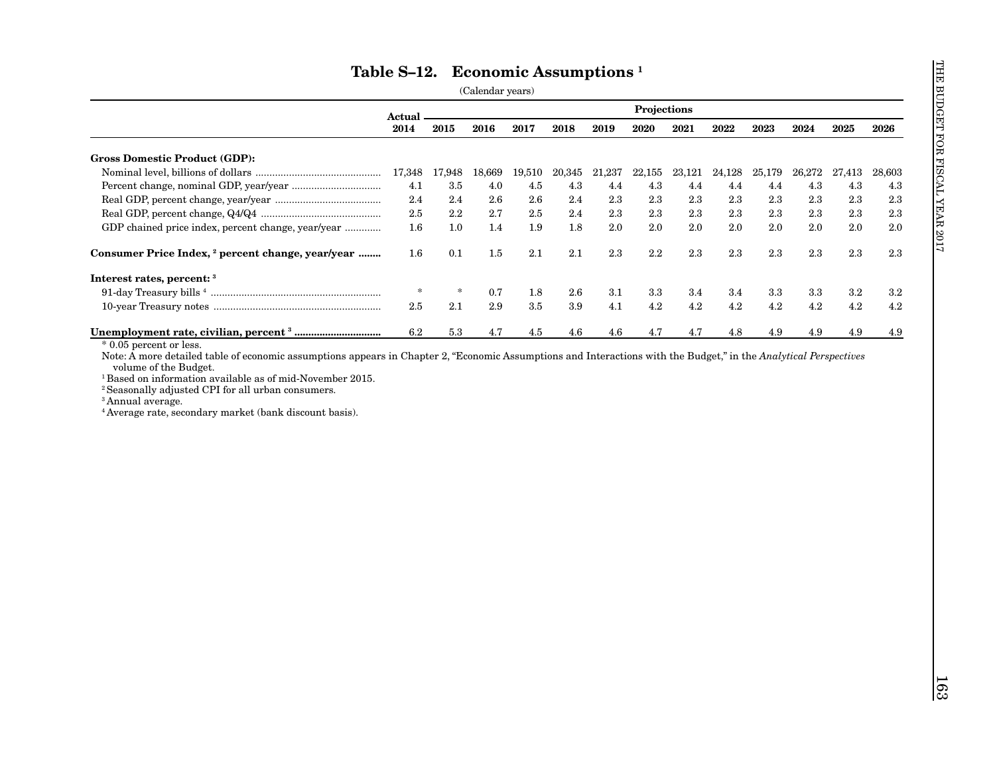|                                                                                                    | Actual. |         |         |         |         |        | Projections |        |        |         |         |         |         |
|----------------------------------------------------------------------------------------------------|---------|---------|---------|---------|---------|--------|-------------|--------|--------|---------|---------|---------|---------|
|                                                                                                    | 2014    | 2015    | 2016    | 2017    | 2018    | 2019   | 2020        | 2021   | 2022   | 2023    | 2024    | 2025    | 2026    |
| <b>Gross Domestic Product (GDP):</b>                                                               |         |         |         |         |         |        |             |        |        |         |         |         |         |
|                                                                                                    | 17,348  | 17,948  | 18,669  | 19,510  | 20,345  | 21,237 | 22,155      | 23,121 | 24,128 | 25,179  | 26,272  | 27,413  | 28,603  |
|                                                                                                    | 4.1     | $3.5\,$ | 4.0     | 4.5     | $4.3\,$ | 4.4    | 4.3         | 4.4    | 4.4    | 4.4     | 4.3     | $4.3\,$ | 4.3     |
|                                                                                                    | 2.4     | $2.4\,$ | 2.6     | 2.6     | 2.4     | 2.3    | 2.3         | 2.3    | 2.3    | $2.3\,$ | 2.3     | 2.3     | 2.3     |
|                                                                                                    | 2.5     | 2.2     | 2.7     | 2.5     | 2.4     | 2.3    | 2.3         | 2.3    | 2.3    | 2.3     | 2.3     | 2.3     | 2.3     |
| GDP chained price index, percent change, year/year                                                 | 1.6     | 1.0     | 1.4     | 1.9     | 1.8     | 2.0    | 2.0         | 2.0    | 2.0    | 2.0     | 2.0     | 2.0     | 2.0     |
| Consumer Price Index, <sup>2</sup> percent change, year/year                                       | 1.6     | 0.1     | $1.5\,$ | $2.1\,$ | 2.1     | 2.3    | 2.2         | 2.3    | 2.3    | 2.3     | 2.3     | 2.3     | 2.3     |
| Interest rates, percent: 3                                                                         |         |         |         |         |         |        |             |        |        |         |         |         |         |
|                                                                                                    | $\ast$  | $\ast$  | 0.7     | 1.8     | $2.6\,$ | 3.1    | 3.3         | 3.4    | 3.4    | 3.3     | $3.3\,$ | $3.2\,$ | $3.2\,$ |
|                                                                                                    | 2.5     | 2.1     | 2.9     | 3.5     | 3.9     | 4.1    | 4.2         | 4.2    | 4.2    | 4.2     | 4.2     | 4.2     | 4.2     |
|                                                                                                    | 6.2     | 5.3     | 4.7     | 4.5     | 4.6     | 4.6    | 4.7         | 4.7    | 4.8    | 4.9     | 4.9     | 4.9     | $4.9\,$ |
| <sup>3</sup> Annual average.<br><sup>4</sup> Average rate, secondary market (bank discount basis). |         |         |         |         |         |        |             |        |        |         |         |         |         |
|                                                                                                    |         |         |         |         |         |        |             |        |        |         |         |         |         |
|                                                                                                    |         |         |         |         |         |        |             |        |        |         |         |         |         |
|                                                                                                    |         |         |         |         |         |        |             |        |        |         |         |         |         |
|                                                                                                    |         |         |         |         |         |        |             |        |        |         |         |         |         |
|                                                                                                    |         |         |         |         |         |        |             |        |        |         |         |         |         |
|                                                                                                    |         |         |         |         |         |        |             |        |        |         |         |         |         |
|                                                                                                    |         |         |         |         |         |        |             |        |        |         |         |         |         |
|                                                                                                    |         |         |         |         |         |        |             |        |        |         |         |         |         |
|                                                                                                    |         |         |         |         |         |        |             |        |        |         |         |         |         |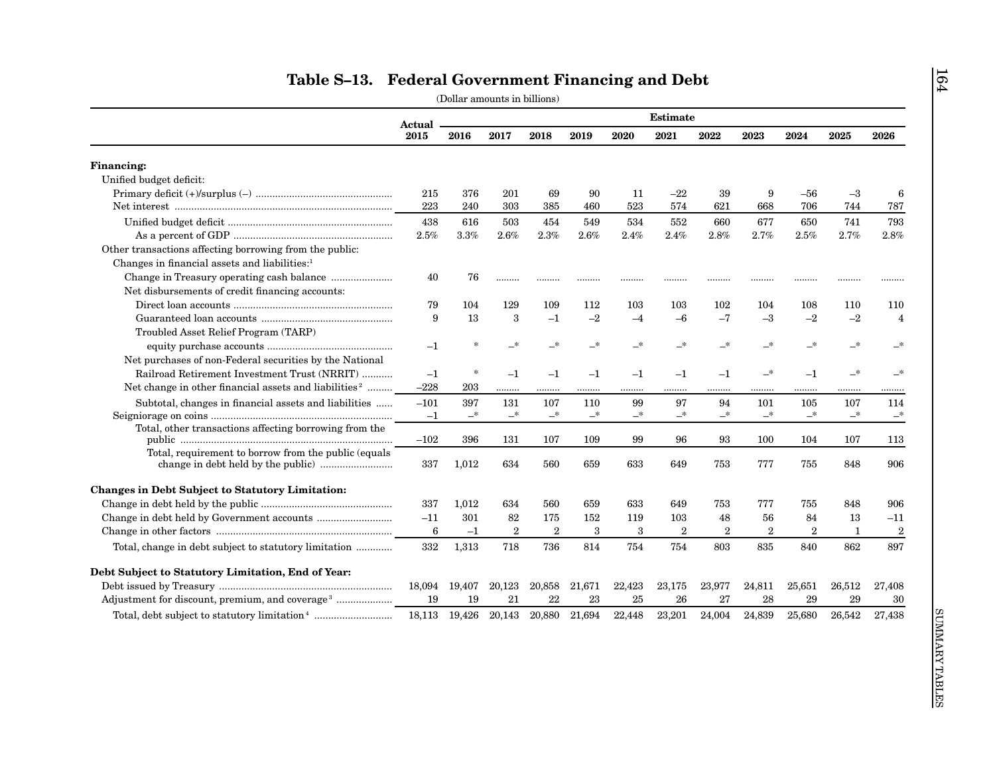|                                                                   | <b>Estimate</b><br>Actual |          |                  |                            |                            |        |                |                |                  |                  |        |                |
|-------------------------------------------------------------------|---------------------------|----------|------------------|----------------------------|----------------------------|--------|----------------|----------------|------------------|------------------|--------|----------------|
|                                                                   | 2015                      | 2016     | 2017             | 2018                       | 2019                       | 2020   | 2021           | 2022           | 2023             | 2024             | 2025   | 2026           |
| <b>Financing:</b>                                                 |                           |          |                  |                            |                            |        |                |                |                  |                  |        |                |
| Unified budget deficit:                                           |                           |          |                  |                            |                            |        |                |                |                  |                  |        |                |
|                                                                   | 215                       | 376      | 201              | 69                         | 90                         | 11     | $-22$          | 39             | 9                | -56              | $-3$   | 6              |
|                                                                   | 223                       | 240      | 303              | 385                        | 460                        | 523    | 574            | 621            | 668              | 706              | 744    | 787            |
|                                                                   | 438                       | 616      | 503              | 454                        | 549                        | 534    | 552            | 660            | 677              | 650              | 741    | 793            |
|                                                                   | $2.5\%$                   | $3.3\%$  | 2.6%             | 2.3%                       | 2.6%                       | 2.4%   | 2.4%           | 2.8%           | 2.7%             | 2.5%             | 2.7%   | 2.8%           |
| Other transactions affecting borrowing from the public:           |                           |          |                  |                            |                            |        |                |                |                  |                  |        |                |
| Changes in financial assets and liabilities: <sup>1</sup>         |                           |          |                  |                            |                            |        |                |                |                  |                  |        |                |
|                                                                   | 40                        | 76       | .                |                            |                            | .      | .              |                |                  |                  | .      |                |
| Net disbursements of credit financing accounts:                   |                           |          |                  |                            |                            |        |                |                |                  |                  |        |                |
|                                                                   | 79                        | 104      | 129              | 109                        | 112                        | 103    | 103            | 102            | 104              | 108              | 110    | 110            |
|                                                                   | 9                         | 13       | 3                | $-1$                       | $-2$                       | $-4$   | $-6$           | $-7$           | $-3$             | $-2$             | $-2$   | $\overline{4}$ |
| Troubled Asset Relief Program (TARP)                              |                           |          |                  |                            |                            |        |                |                |                  |                  |        |                |
|                                                                   | $-1$                      |          | _*               | $-^*$                      | $\overline{\phantom{0}}^*$ | —*     | $-*$           | —*             | _*               | —*               | —*     | $-$ *          |
| Net purchases of non-Federal securities by the National           |                           |          |                  |                            |                            |        |                |                |                  |                  |        |                |
| Railroad Retirement Investment Trust (NRRIT)                      | $-1$                      | $\ast$   | $-1$             | $-1$                       | $-1$                       | $-1$   | $-1$           | $-1$           | —*               | $-1$             | —*     | $-$ *          |
| Net change in other financial assets and liabilities <sup>2</sup> | $-228$                    | 203      | .                | .                          | .                          |        |                |                |                  |                  | .      |                |
| Subtotal, changes in financial assets and liabilities             | $-101$                    | 397      | 131              | 107                        | 110                        | 99     | 97             | 94             | 101              | 105              | 107    | 114            |
|                                                                   | $-1$                      | $-^\ast$ | $-$ *            | $\overline{\phantom{a}}^*$ | $-^\ast$                   | —*     | $-$ *          | $-^{\ast}$     | $-$ *            | —*               | $-$ *  | $-$ *          |
| Total, other transactions affecting borrowing from the            |                           |          |                  |                            |                            |        |                |                |                  |                  |        |                |
|                                                                   | $-102$                    | 396      | 131              | 107                        | 109                        | 99     | 96             | 93             | 100              | 104              | 107    | 113            |
| Total, requirement to borrow from the public (equals)             |                           |          |                  |                            |                            |        |                |                |                  |                  |        |                |
| change in debt held by the public manu-                           | 337                       | 1,012    | 634              | 560                        | 659                        | 633    | 649            | 753            | 777              | 755              | 848    | 906            |
| <b>Changes in Debt Subject to Statutory Limitation:</b>           |                           |          |                  |                            |                            |        |                |                |                  |                  |        |                |
|                                                                   | 337                       | 1,012    | 634              | 560                        | 659                        | 633    | 649            | 753            | 777              | 755              | 848    | 906            |
|                                                                   | $-11$                     | 301      | 82               | 175                        | 152                        | 119    | 103            | 48             | 56               | 84               | 13     | $-11$          |
|                                                                   | 6                         | $-1$     | $\boldsymbol{2}$ | $\,2\,$                    | 3                          | 3      | $\overline{2}$ | $\overline{2}$ | $\boldsymbol{2}$ | $\boldsymbol{2}$ | 1      | $\,2$          |
|                                                                   | 332                       | 1,313    | 718              | 736                        | 814                        | 754    | 754            | 803            | 835              | 840              | 862    | 897            |
| Debt Subject to Statutory Limitation, End of Year:                |                           |          |                  |                            |                            |        |                |                |                  |                  |        |                |
|                                                                   | 18,094                    | 19,407   | 20,123           | 20,858                     | 21,671                     | 22,423 | 23,175         | 23,977         | 24,811           | 25,651           | 26,512 | 27,408         |
|                                                                   | 19                        | 19       | 21               | 22                         | 23                         | 25     | 26             | 27             | 28               | 29               | 29     | 30             |
| Adjustment for discount, premium, and coverage <sup>3</sup>       |                           |          |                  |                            |                            |        | 23,201         | 24,004         | 24,839           | 25,680           |        |                |